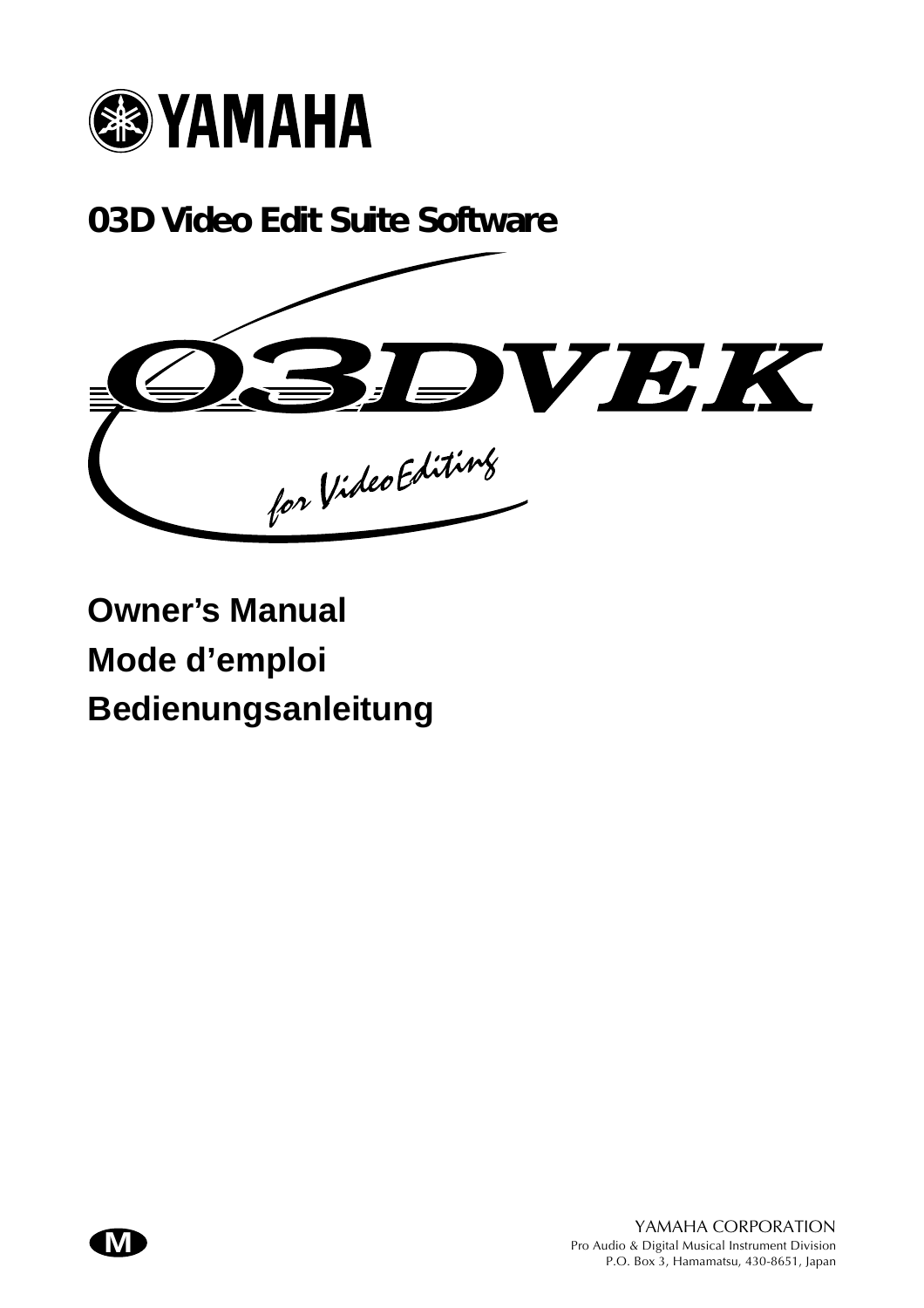

**03D Video Edit Suite Software**



**Owner's Manual Mode d'emploi Bedienungsanleitung**

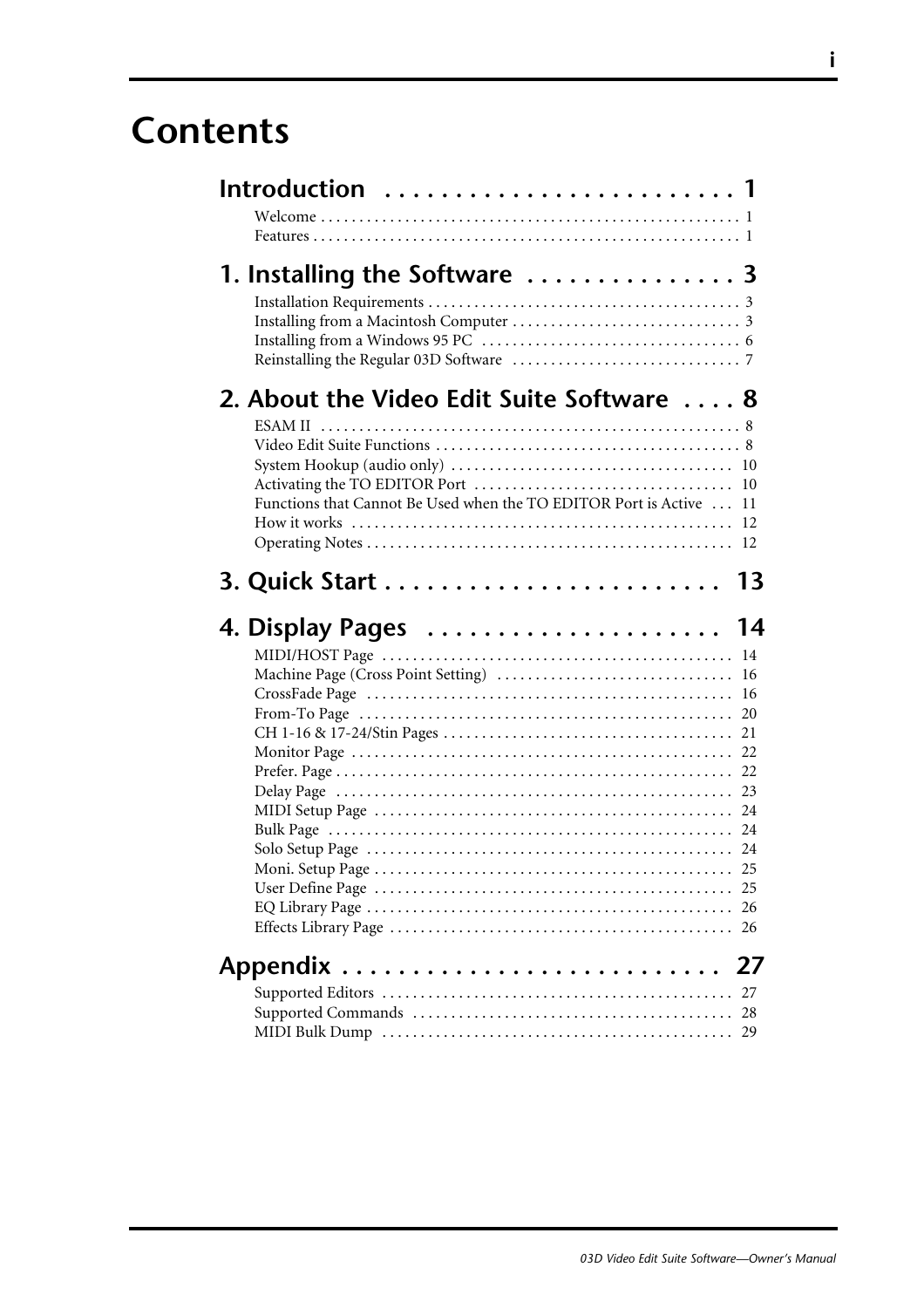## **Contents**

| Introduction  1                                                                                                                    |          |
|------------------------------------------------------------------------------------------------------------------------------------|----------|
| 1. Installing the Software  3                                                                                                      |          |
| 2. About the Video Edit Suite Software  8<br><b>ESAM II</b><br>Functions that Cannot Be Used when the TO EDITOR Port is Active  11 |          |
|                                                                                                                                    | 13       |
| 4. Display Pages  14                                                                                                               |          |
|                                                                                                                                    | 16       |
|                                                                                                                                    | 25<br>26 |
|                                                                                                                                    | 27       |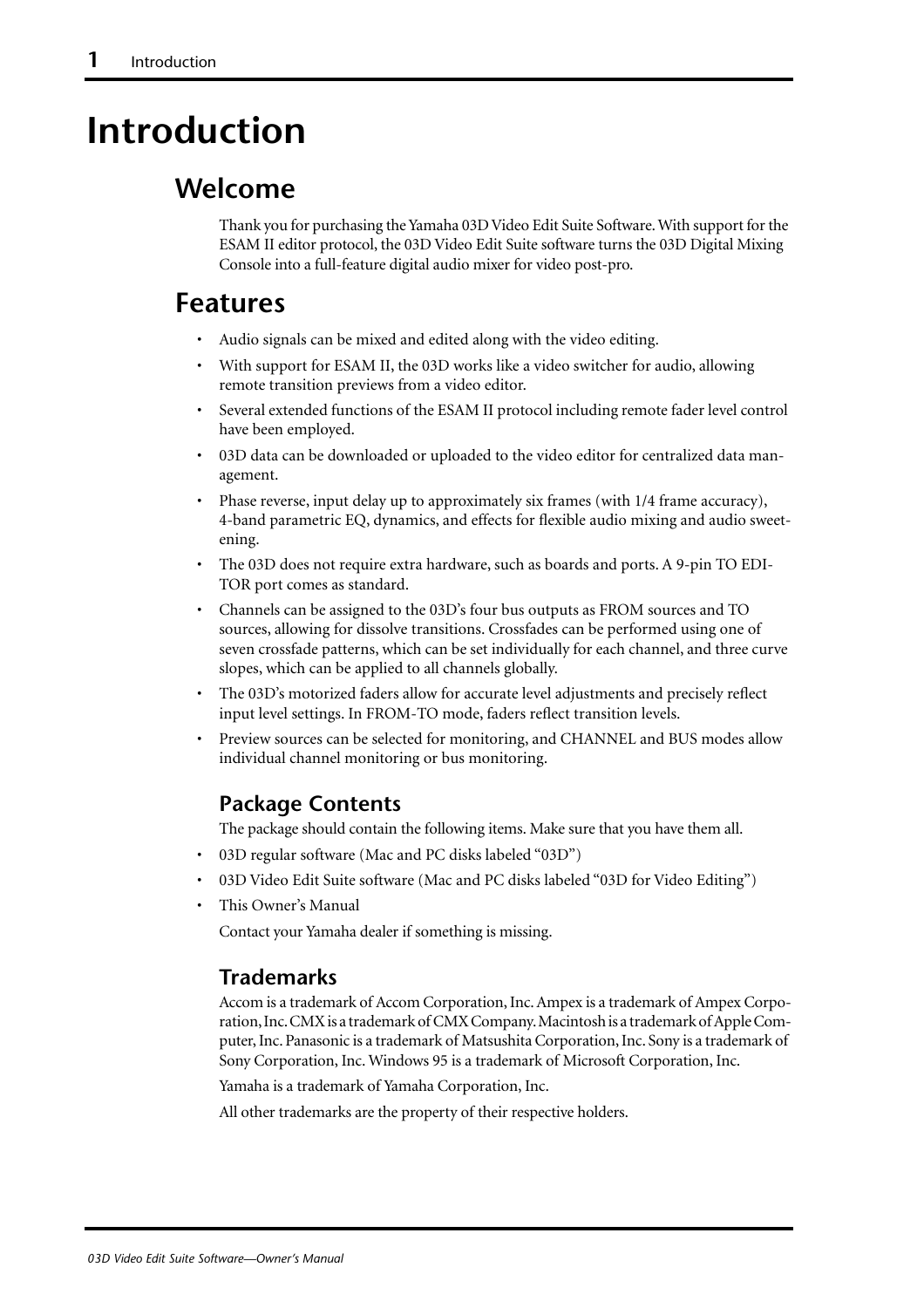## <span id="page-2-0"></span>**Introduction**

## **Welcome**

Thank you for purchasing the Yamaha 03D Video Edit Suite Software. With support for the ESAM II editor protocol, the 03D Video Edit Suite software turns the 03D Digital Mixing Console into a full-feature digital audio mixer for video post-pro.

## **Features**

- Audio signals can be mixed and edited along with the video editing.
- With support for ESAM II, the 03D works like a video switcher for audio, allowing remote transition previews from a video editor.
- Several extended functions of the ESAM II protocol including remote fader level control have been employed.
- 03D data can be downloaded or uploaded to the video editor for centralized data management.
- Phase reverse, input delay up to approximately six frames (with 1/4 frame accuracy), 4-band parametric EQ, dynamics, and effects for flexible audio mixing and audio sweetening.
- The 03D does not require extra hardware, such as boards and ports. A 9-pin TO EDI-TOR port comes as standard.
- Channels can be assigned to the 03D's four bus outputs as FROM sources and TO sources, allowing for dissolve transitions. Crossfades can be performed using one of seven crossfade patterns, which can be set individually for each channel, and three curve slopes, which can be applied to all channels globally.
- The 03D's motorized faders allow for accurate level adjustments and precisely reflect input level settings. In FROM-TO mode, faders reflect transition levels.
- Preview sources can be selected for monitoring, and CHANNEL and BUS modes allow individual channel monitoring or bus monitoring.

#### **Package Contents**

The package should contain the following items. Make sure that you have them all.

- 03D regular software (Mac and PC disks labeled "03D")
- 03D Video Edit Suite software (Mac and PC disks labeled "03D for Video Editing")
- This Owner's Manual

Contact your Yamaha dealer if something is missing.

#### **Trademarks**

Accom is a trademark of Accom Corporation, Inc. Ampex is a trademark of Ampex Corporation, Inc. CMX is a trademark of CMX Company. Macintosh is a trademark of Apple Computer, Inc. Panasonic is a trademark of Matsushita Corporation, Inc. Sony is a trademark of Sony Corporation, Inc. Windows 95 is a trademark of Microsoft Corporation, Inc.

Yamaha is a trademark of Yamaha Corporation, Inc.

All other trademarks are the property of their respective holders.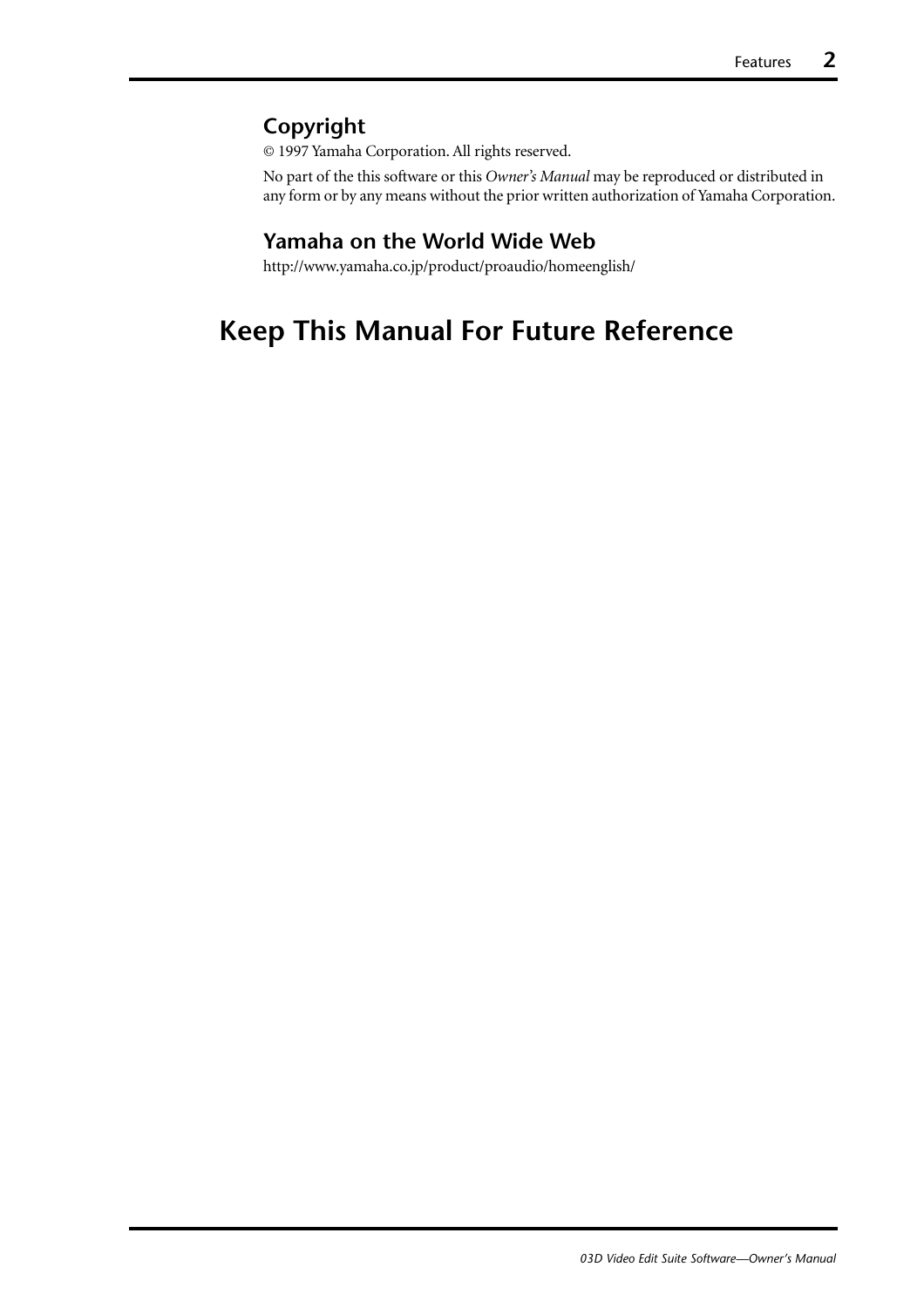#### **Copyright**

© 1997 Yamaha Corporation. All rights reserved.

No part of the this software or this *Owner's Manual* may be reproduced or distributed in any form or by any means without the prior written authorization of Yamaha Corporation.

#### **Yamaha on the World Wide Web**

http://www.yamaha.co.jp/product/proaudio/homeenglish/

## **Keep This Manual For Future Reference**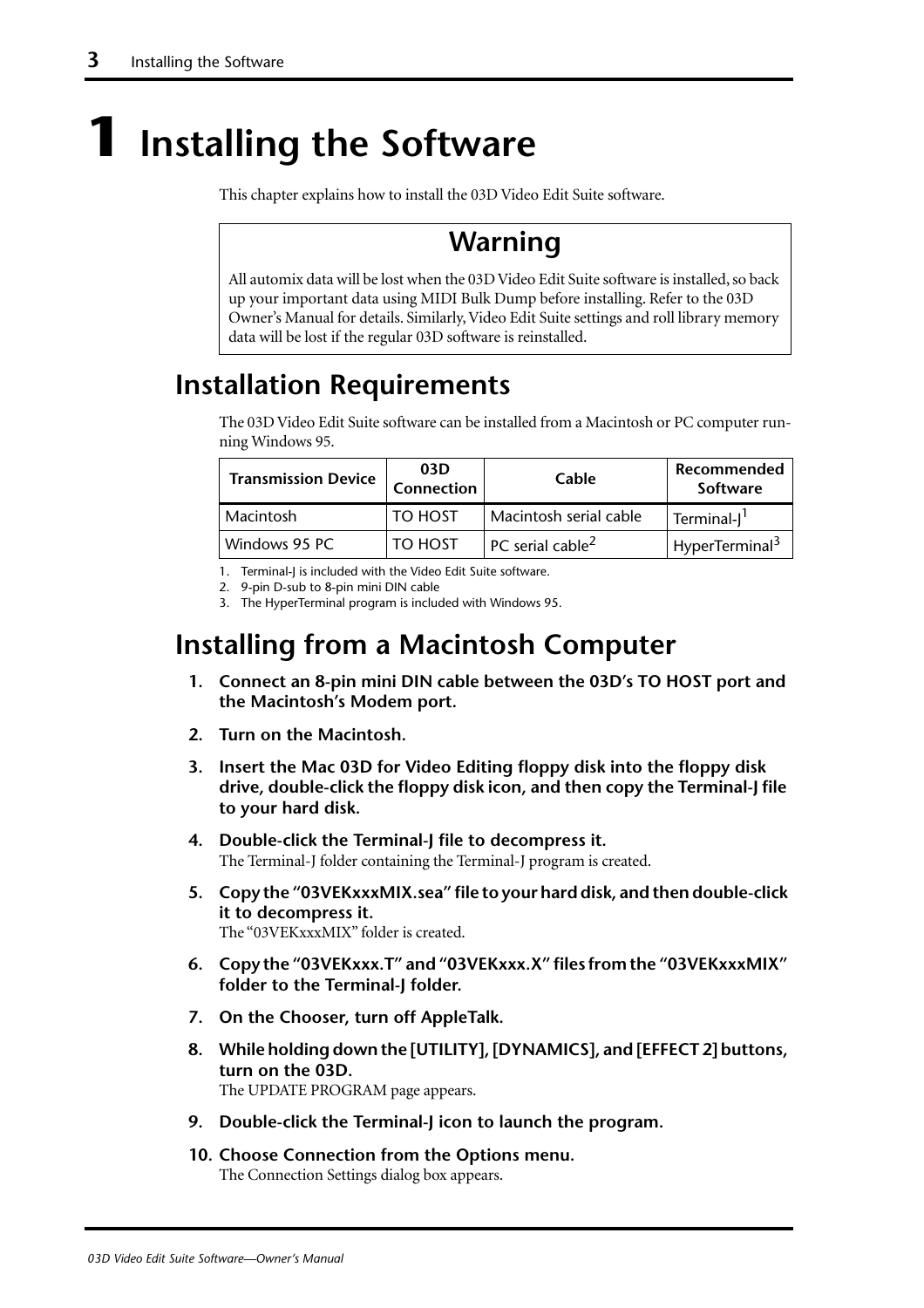# <span id="page-4-0"></span>**1 Installing the Software**

This chapter explains how to install the 03D Video Edit Suite software.

## **Warning**

All automix data will be lost when the 03D Video Edit Suite software is installed, so back up your important data using MIDI Bulk Dump before installing. Refer to the 03D Owner's Manual for details. Similarly, Video Edit Suite settings and roll library memory data will be lost if the regular 03D software is reinstalled.

## **Installation Requirements**

The 03D Video Edit Suite software can be installed from a Macintosh or PC computer running Windows 95.

| <b>Transmission Device</b> | 03D<br><b>Connection</b> | Cable                                  | Recommended<br>Software    |
|----------------------------|--------------------------|----------------------------------------|----------------------------|
| Macintosh                  | <b>TO HOST</b>           | Macintosh serial cable                 | Terminal-J <sup>1</sup>    |
| Windows 95 PC              | TO HOST                  | $\degree$ PC serial cable <sup>2</sup> | HyperTerminal <sup>3</sup> |

1. Terminal-I is included with the Video Edit Suite software.

2. 9-pin D-sub to 8-pin mini DIN cable

3. The HyperTerminal program is included with Windows 95.

## **Installing from a Macintosh Computer**

- **1. Connect an 8-pin mini DIN cable between the 03D's TO HOST port and the Macintosh's Modem port.**
- **2. Turn on the Macintosh.**
- **3. Insert the Mac 03D for Video Editing floppy disk into the floppy disk drive, double-click the floppy disk icon, and then copy the Terminal-J file to your hard disk.**
- **4. Double-click the Terminal-J file to decompress it.** The Terminal-J folder containing the Terminal-J program is created.
- **5. Copy the "03VEKxxxMIX.sea" file to your hard disk, and then double-click it to decompress it.** The "03VEKxxxMIX" folder is created.
- **6. Copy the "03VEKxxx.T" and "03VEKxxx.X" files from the "03VEKxxxMIX" folder to the Terminal-J folder.**
- **7. On the Chooser, turn off AppleTalk.**
- **8. While holding down the [UTILITY], [DYNAMICS], and [EFFECT 2] buttons, turn on the 03D.** The UPDATE PROGRAM page appears.
- **9. Double-click the Terminal-J icon to launch the program.**
- **10. Choose Connection from the Options menu.** The Connection Settings dialog box appears.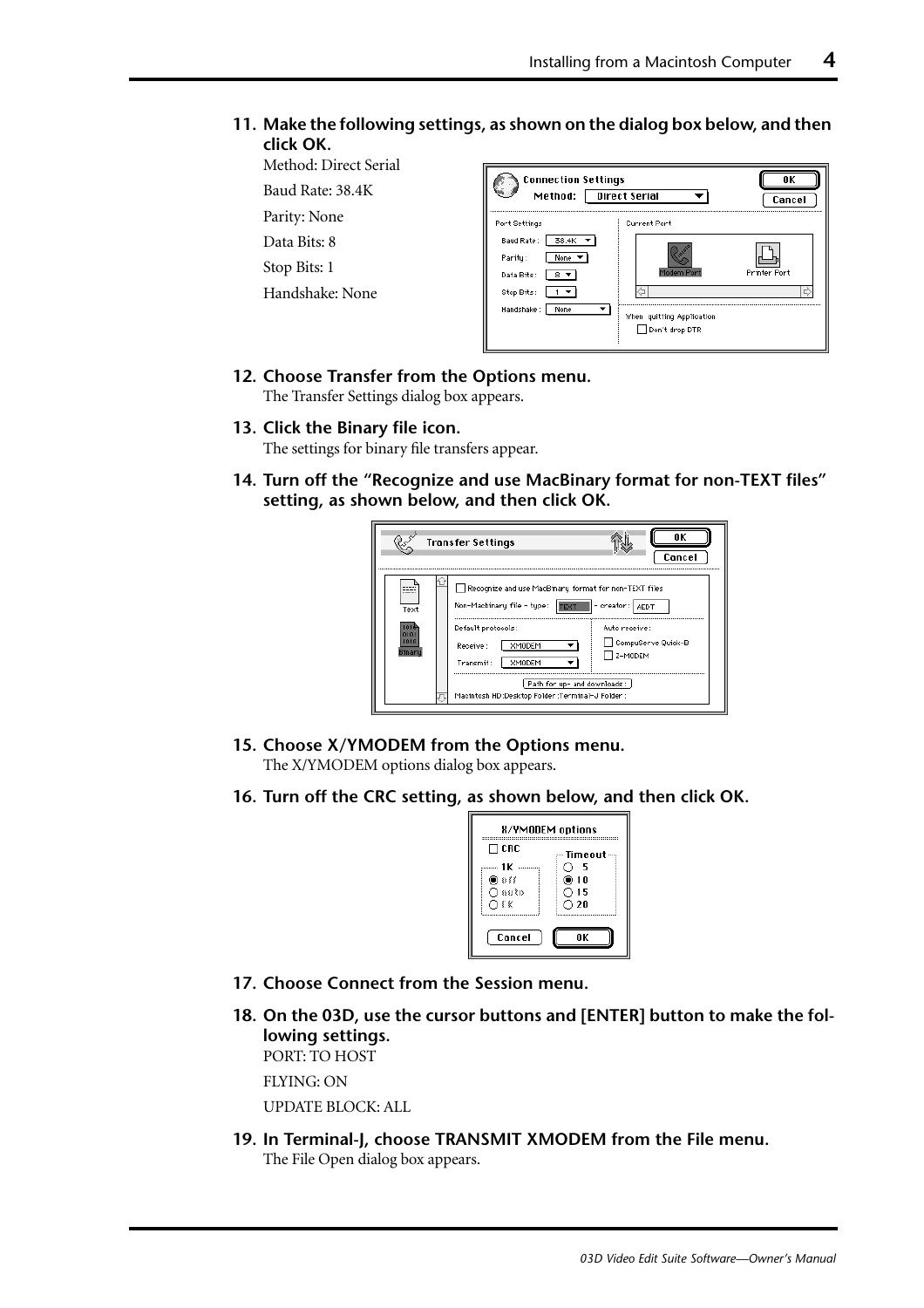#### **11. Make the following settings, as shown on the dialog box below, and then click OK.**

#### Method: Direct Serial

Baud Rate: 38.4K

Parity: None

Data Bits: 8 Stop Bits: 1

Handshake: None

| <b>Connection Settings</b><br>Method:                                                    | <b>Direct Serial</b>                                      | ΠK<br>Cancel             |
|------------------------------------------------------------------------------------------|-----------------------------------------------------------|--------------------------|
| Port Settings                                                                            | <b>Current Port</b>                                       |                          |
| 38.4K<br>Baud Rate:<br>Parity:<br>None<br>Data Bits:<br>Stop Bits:<br>Handshake:<br>None | Modem Port<br>When quitting Application<br>Don't drop DTR | <b>Printer Port</b><br>Ч |

#### **12. Choose Transfer from the Options menu.**

The Transfer Settings dialog box appears.

#### **13. Click the Binary file icon.**

The settings for binary file transfers appear.

**14. Turn off the "Recognize and use MacBinary format for non-TEXT files" setting, as shown below, and then click OK.**

|                      | <b>Transfer Settings</b>                                                                                                                                                                | ΠK<br>Cancel                                                                         |
|----------------------|-----------------------------------------------------------------------------------------------------------------------------------------------------------------------------------------|--------------------------------------------------------------------------------------|
| ----<br>Text<br>1010 | Recognize and use MacBinary format for non-TEXT files<br>Non-Macbinary file - type: .<br>Default protocols:<br>XMODEM<br>Receive:<br>Transmit:<br>XMODEM<br>Path for up- and downloads: | $ $ TEXT $ $ - creator: $ $ AEDT<br>Auto receive:<br>CompuServe Quick-B<br>l z-modem |
|                      | Macintosh HD :Desktop Folder :Terminal-J Folder :                                                                                                                                       |                                                                                      |

**15. Choose X/YMODEM from the Options menu.**

The X/YMODEM options dialog box appears.

**16. Turn off the CRC setting, as shown below, and then click OK.**

| <b>H/YMODEM</b> options |                       |
|-------------------------|-----------------------|
| $\sqcap$ CRC            | Timeout –             |
| 1 K<br>) 888            | - 5<br>@10            |
| ∩auto<br>O€K            | ○ 15<br>$\bigcirc$ 20 |
| Cancel                  | ΛK                    |

- **17. Choose Connect from the Session menu.**
- **18. On the 03D, use the cursor buttons and [ENTER] button to make the following settings.** PORT: TO HOST

FLYING: ON

UPDATE BLOCK: ALL

**19. In Terminal-J, choose TRANSMIT XMODEM from the File menu.**  The File Open dialog box appears.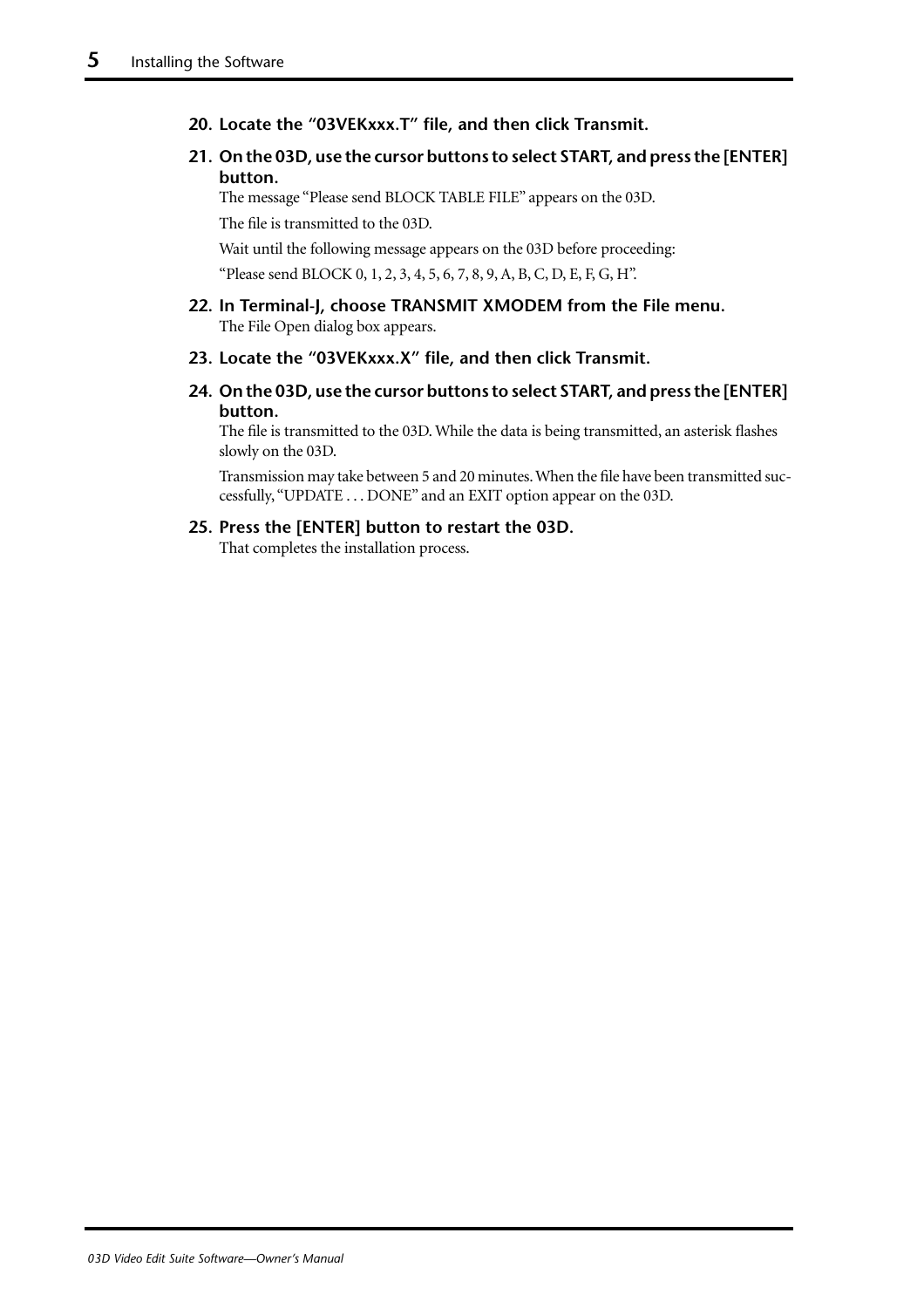- **20. Locate the "03VEKxxx.T" file, and then click Transmit.**
- **21. On the 03D, use the cursor buttons to select START, and press the [ENTER] button.**

The message "Please send BLOCK TABLE FILE" appears on the 03D.

The file is transmitted to the 03D.

Wait until the following message appears on the 03D before proceeding: "Please send BLOCK 0, 1, 2, 3, 4, 5, 6, 7, 8, 9, A, B, C, D, E, F, G, H".

- **22. In Terminal-J, choose TRANSMIT XMODEM from the File menu.**  The File Open dialog box appears.
- **23. Locate the "03VEKxxx.X" file, and then click Transmit.**
- **24. On the 03D, use the cursor buttons to select START, and press the [ENTER] button.**

The file is transmitted to the 03D. While the data is being transmitted, an asterisk flashes slowly on the 03D.

Transmission may take between 5 and 20 minutes. When the file have been transmitted successfully, "UPDATE . . . DONE" and an EXIT option appear on the 03D.

**25. Press the [ENTER] button to restart the 03D.** That completes the installation process.

*03D Video Edit Suite Software—Owner's Manual*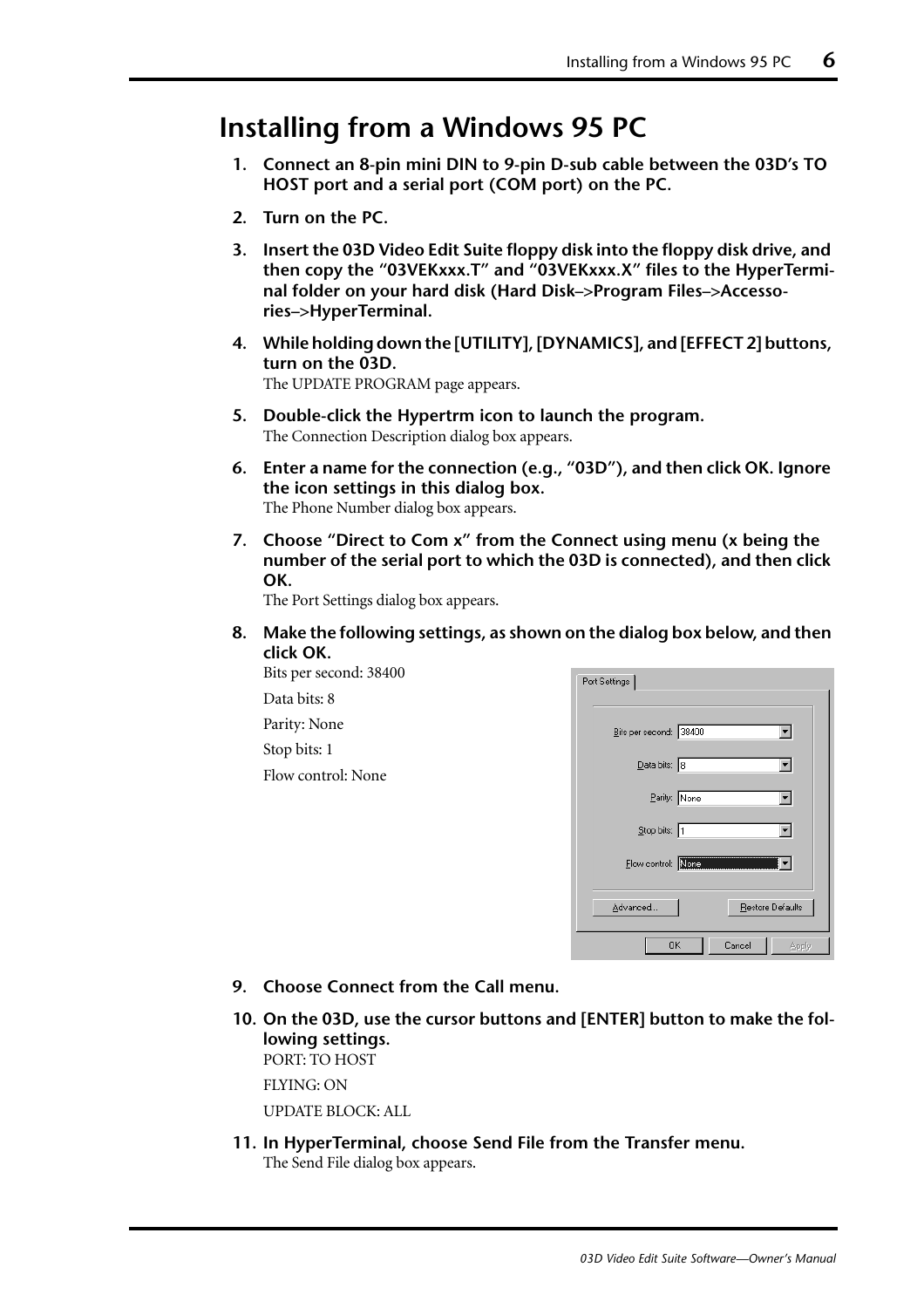## <span id="page-7-0"></span>**Installing from a Windows 95 PC**

- **1. Connect an 8-pin mini DIN to 9-pin D-sub cable between the 03D's TO HOST port and a serial port (COM port) on the PC.**
- **2. Turn on the PC.**
- **3. Insert the 03D Video Edit Suite floppy disk into the floppy disk drive, and then copy the "03VEKxxx.T" and "03VEKxxx.X" files to the HyperTerminal folder on your hard disk (Hard Disk–>Program Files–>Accessories–>HyperTerminal.**
- **4. While holding down the [UTILITY], [DYNAMICS], and [EFFECT 2] buttons, turn on the 03D.** The UPDATE PROGRAM page appears.
- **5. Double-click the Hypertrm icon to launch the program.** The Connection Description dialog box appears.
- **6. Enter a name for the connection (e.g., "03D"), and then click OK. Ignore the icon settings in this dialog box.** The Phone Number dialog box appears.
- **7. Choose "Direct to Com x" from the Connect using menu (x being the number of the serial port to which the 03D is connected), and then click OK.**

The Port Settings dialog box appears.

**8. Make the following settings, as shown on the dialog box below, and then click OK.**

Bits per second: 38400 Data bits: 8 Parity: None Stop bits: 1 Flow control: None

| Port Settings |                                     |  |
|---------------|-------------------------------------|--|
|               | Bits per second: 38400              |  |
|               | $\overline{\mathsf{D}}$ ata bits: 8 |  |
|               | Parity: None                        |  |
|               | Stop bits: 1                        |  |
|               | Flow control: None                  |  |
|               | Advanced<br>Restore Defaults        |  |
|               | 0K<br>Cancel<br><b>Apply</b>        |  |

- **9. Choose Connect from the Call menu.**
- **10. On the 03D, use the cursor buttons and [ENTER] button to make the following settings.** PORT: TO HOST

FLYING: ON

UPDATE BLOCK: ALL

**11. In HyperTerminal, choose Send File from the Transfer menu.**  The Send File dialog box appears.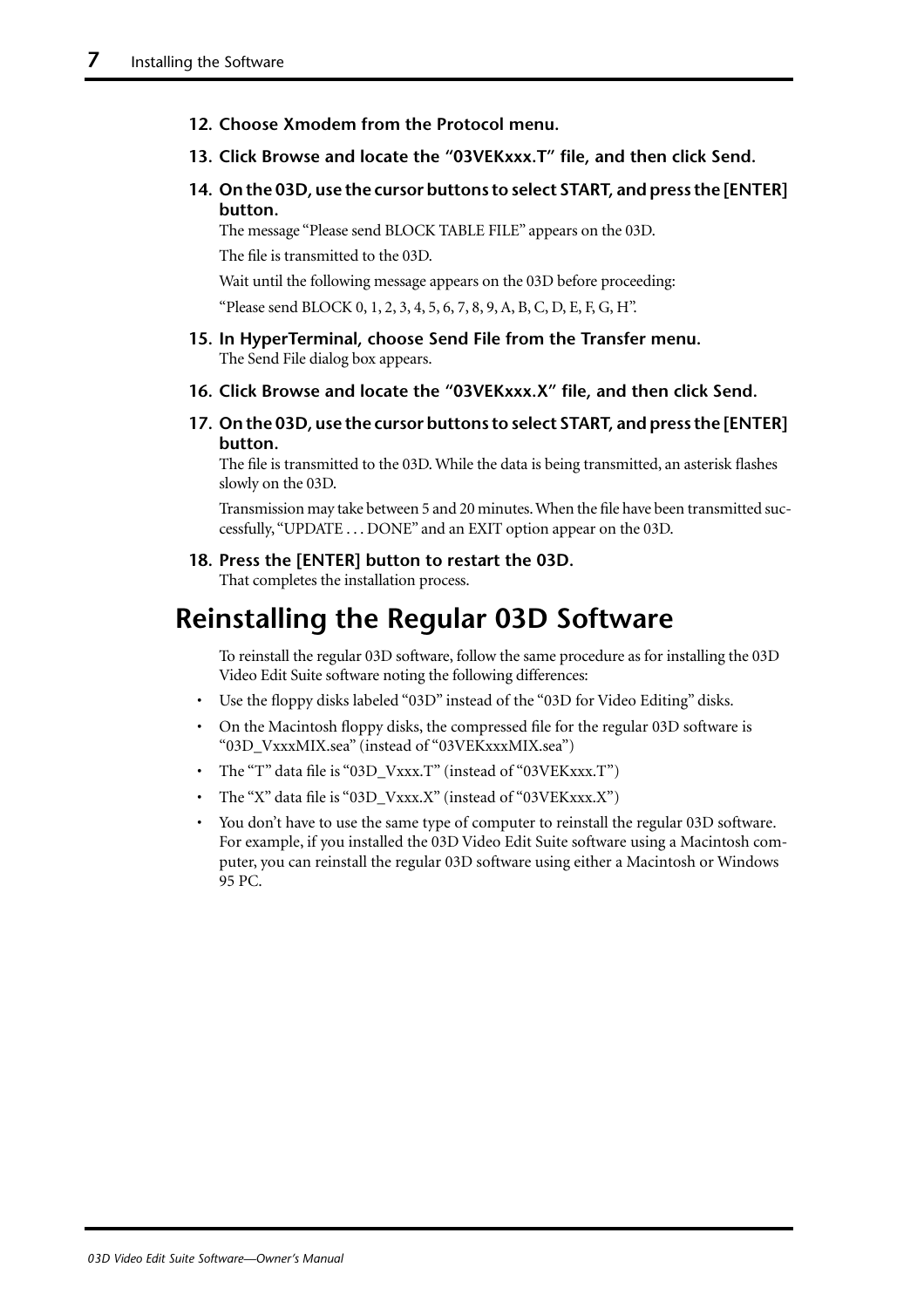- <span id="page-8-0"></span>**12. Choose Xmodem from the Protocol menu.**
- **13. Click Browse and locate the "03VEKxxx.T" file, and then click Send.**
- **14. On the 03D, use the cursor buttons to select START, and press the [ENTER] button.**

The message "Please send BLOCK TABLE FILE" appears on the 03D.

The file is transmitted to the 03D.

Wait until the following message appears on the 03D before proceeding:

"Please send BLOCK 0, 1, 2, 3, 4, 5, 6, 7, 8, 9, A, B, C, D, E, F, G, H".

- **15. In HyperTerminal, choose Send File from the Transfer menu.** The Send File dialog box appears.
- **16. Click Browse and locate the "03VEKxxx.X" file, and then click Send.**
- **17. On the 03D, use the cursor buttons to select START, and press the [ENTER] button.**

The file is transmitted to the 03D. While the data is being transmitted, an asterisk flashes slowly on the 03D.

Transmission may take between 5 and 20 minutes. When the file have been transmitted successfully, "UPDATE . . . DONE" and an EXIT option appear on the 03D.

**18. Press the [ENTER] button to restart the 03D.**

That completes the installation process.

## **Reinstalling the Regular 03D Software**

To reinstall the regular 03D software, follow the same procedure as for installing the 03D Video Edit Suite software noting the following differences:

- Use the floppy disks labeled "03D" instead of the "03D for Video Editing" disks.
- On the Macintosh floppy disks, the compressed file for the regular 03D software is "03D\_VxxxMIX.sea" (instead of "03VEKxxxMIX.sea")
- The "T" data file is "03D\_Vxxx.T" (instead of "03VEKxxx.T")
- The "X" data file is "03D\_Vxxx.X" (instead of "03VEKxxx.X")
- You don't have to use the same type of computer to reinstall the regular 03D software. For example, if you installed the 03D Video Edit Suite software using a Macintosh computer, you can reinstall the regular 03D software using either a Macintosh or Windows 95 PC.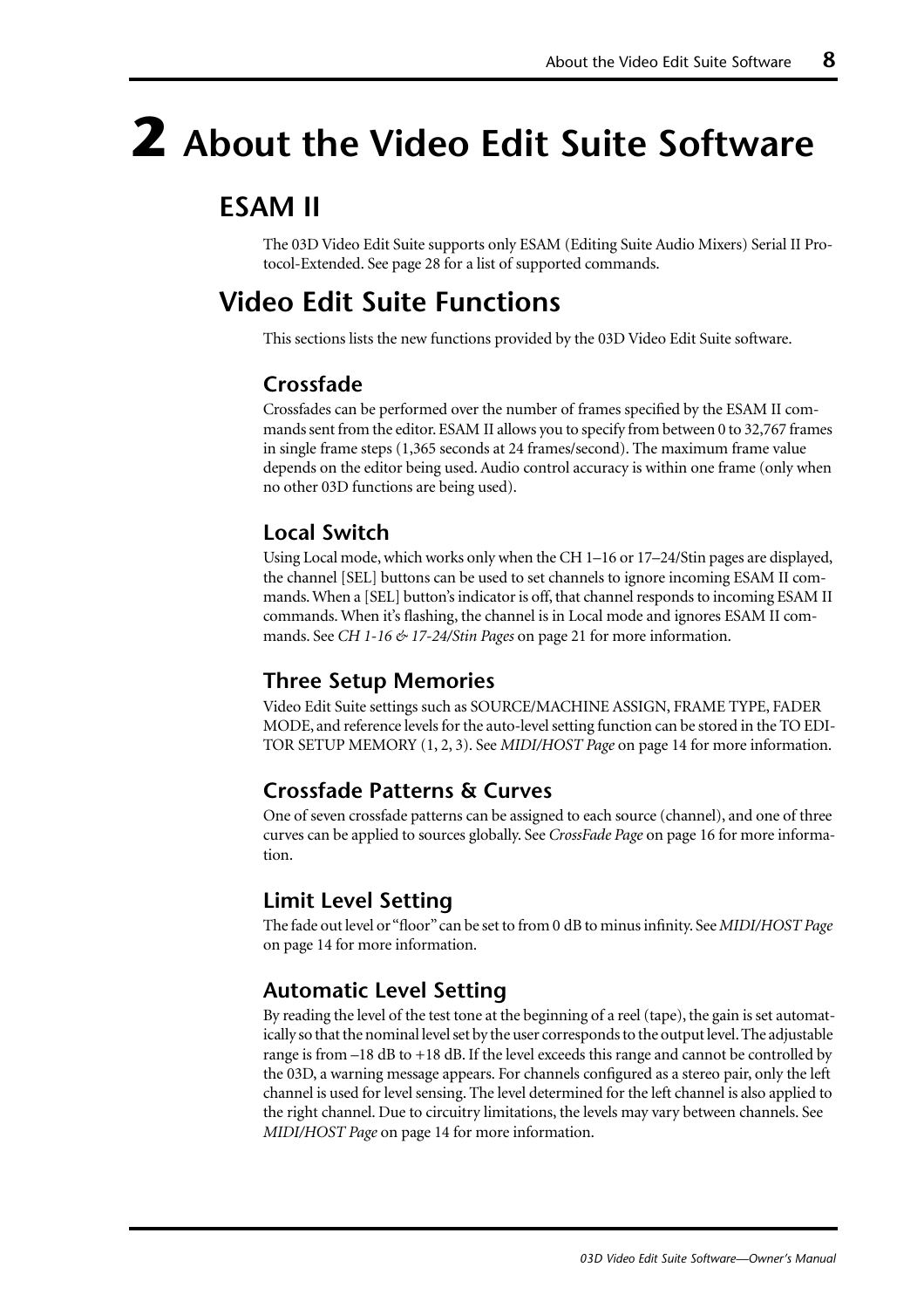# <span id="page-9-0"></span>**2 About the Video Edit Suite Software**

## **ESAM II**

The 03D Video Edit Suite supports only ESAM (Editing Suite Audio Mixers) Serial II Protocol-Extended. See [page 28](#page-29-0) for a list of supported commands.

## **Video Edit Suite Functions**

This sections lists the new functions provided by the 03D Video Edit Suite software.

#### **Crossfade**

Crossfades can be performed over the number of frames specified by the ESAM II commands sent from the editor. ESAM II allows you to specify from between 0 to 32,767 frames in single frame steps (1,365 seconds at 24 frames/second). The maximum frame value depends on the editor being used. Audio control accuracy is within one frame (only when no other 03D functions are being used).

#### **Local Switch**

Using Local mode, which works only when the CH 1–16 or 17–24/Stin pages are displayed, the channel [SEL] buttons can be used to set channels to ignore incoming ESAM II commands. When a [SEL] button's indicator is off, that channel responds to incoming ESAM II commands. When it's flashing, the channel is in Local mode and ignores ESAM II commands. See *CH 1-16 & 17-24/Stin Pages* [on page 21 for more information.](#page-22-0)

#### **Three Setup Memories**

Video Edit Suite settings such as SOURCE/MACHINE ASSIGN, FRAME TYPE, FADER MODE, and reference levels for the auto-level setting function can be stored in the TO EDI-TOR SETUP MEMORY (1, 2, 3). See *MIDI/HOST Page* [on page 14 for more information.](#page-15-0)

#### **Crossfade Patterns & Curves**

One of seven crossfade patterns can be assigned to each source (channel), and one of three curves can be applied to sources globally. See *CrossFade Page* [on page 16 for more informa](#page-17-0)[tion.](#page-17-0)

#### **Limit Level Setting**

The fade out level or "floor" can be set to from 0 dB to minus infinity. See *[MIDI/HOST Page](#page-15-0)* [on page 14 for more information.](#page-15-0)

#### **Automatic Level Setting**

By reading the level of the test tone at the beginning of a reel (tape), the gain is set automatically so that the nominal level set by the user corresponds to the output level. The adjustable range is from –18 dB to +18 dB. If the level exceeds this range and cannot be controlled by the 03D, a warning message appears. For channels configured as a stereo pair, only the left channel is used for level sensing. The level determined for the left channel is also applied to the right channel. Due to circuitry limitations, the levels may vary between channels. [See](#page-15-0)  *MIDI/HOST Page* [on page 14 for more information.](#page-15-0)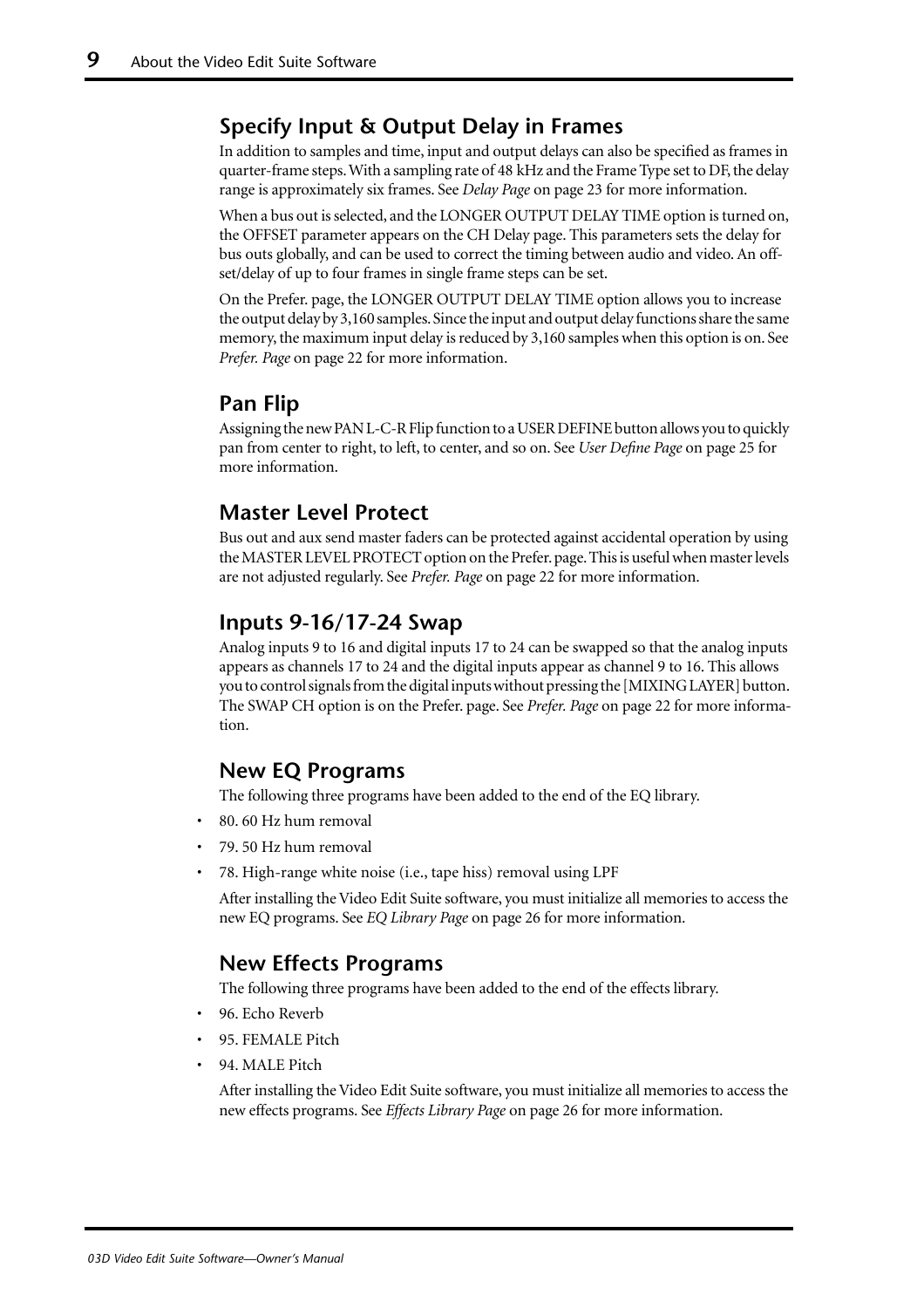#### **Specify Input & Output Delay in Frames**

In addition to samples and time, input and output delays can also be specified as frames in quarter-frame steps. With a sampling rate of 48 kHz and the Frame Type set to DF, the delay range is approximately six frames. See *Delay Page* [on page 23 for more information.](#page-24-0)

When a bus out is selected, and the LONGER OUTPUT DELAY TIME option is turned on, the OFFSET parameter appears on the CH Delay page. This parameters sets the delay for bus outs globally, and can be used to correct the timing between audio and video. An offset/delay of up to four frames in single frame steps can be set.

On the Prefer. page, the LONGER OUTPUT DELAY TIME option allows you to increase the output delay by 3,160 samples. Since the input and output delay functions share the same memory, the maximum input delay is reduced by 3,160 samples when this option is on. [See](#page-23-0)  *Prefer. Page* [on page 22 for more information.](#page-23-0)

#### **Pan Flip**

Assigning the new PAN L-C-R Flip function to a USER DEFINE button allows you to quickly pan from center to right, to left, to center, and so on. See *[User Define Page](#page-26-0)* on page 25 for [more information.](#page-26-0)

#### **Master Level Protect**

Bus out and aux send master faders can be protected against accidental operation by using the MASTER LEVEL PROTECT option on the Prefer. page. This is useful when master levels are not adjusted regularly. See *Prefer. Page* [on page 22 for more information.](#page-23-0)

#### **Inputs 9-16/17-24 Swap**

Analog inputs 9 to 16 and digital inputs 17 to 24 can be swapped so that the analog inputs appears as channels 17 to 24 and the digital inputs appear as channel 9 to 16. This allows you to control signals from the digital inputs without pressing the [MIXING LAYER] button. The SWAP CH option is on the Prefer. page. See *Prefer. Page* [on page 22 for more informa](#page-23-0)[tion.](#page-23-0)

#### **New EQ Programs**

The following three programs have been added to the end of the EQ library.

- 80. 60 Hz hum removal
- 79. 50 Hz hum removal
- 78. High-range white noise (i.e., tape hiss) removal using LPF

After installing the Video Edit Suite software, you must initialize all memories to access the new EQ programs. See *EQ Library Page* [on page 26 for more information.](#page-27-0)

#### **New Effects Programs**

The following three programs have been added to the end of the effects library.

- 96. Echo Reverb
- 95. FEMALE Pitch
- 94. MALE Pitch

After installing the Video Edit Suite software, you must initialize all memories to access the new effects programs. See *Effects Library Page* [on page 26 for more information.](#page-27-0)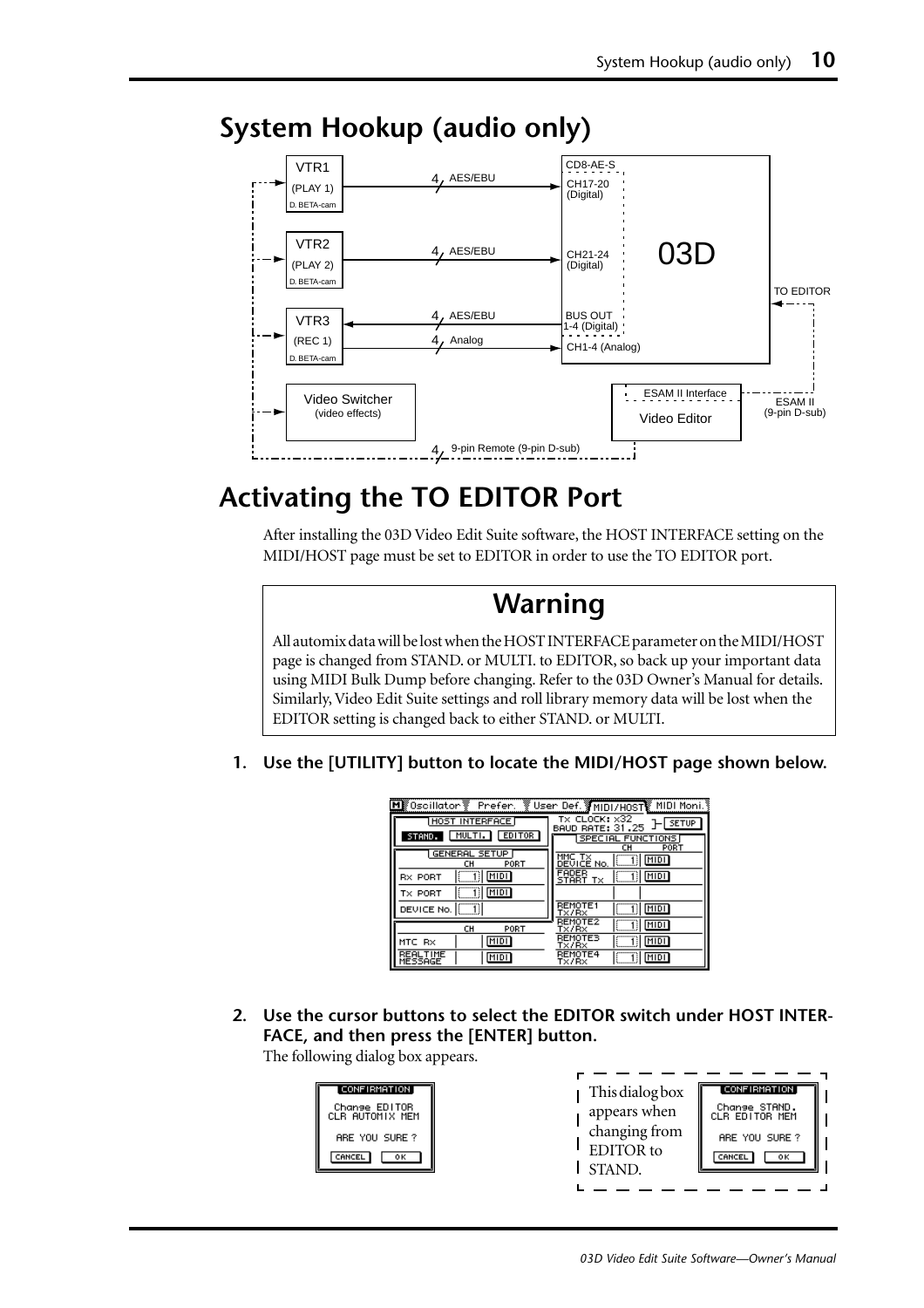

### <span id="page-11-0"></span>**System Hookup (audio only)**

## **Activating the TO EDITOR Port**

After installing the 03D Video Edit Suite software, the HOST INTERFACE setting on the MIDI/HOST page must be set to EDITOR in order to use the TO EDITOR port.

## **Warning**

All automix data will be lost when the HOST INTERFACE parameter on the MIDI/HOST page is changed from STAND. or MULTI. to EDITOR, so back up your important data using MIDI Bulk Dump before changing. Refer to the 03D Owner's Manual for details. Similarly, Video Edit Suite settings and roll library memory data will be lost when the EDITOR setting is changed back to either STAND. or MULTI.

**1. Use the [UTILITY] button to locate the MIDI/HOST page shown below.**

| MI Oscillator Prefer. V User Def. MIDI/HOST MIDI Moni. |                                                                  |
|--------------------------------------------------------|------------------------------------------------------------------|
| HOST INTERFACE                                         | TX CLOCK: $\times 32$<br><b>SETUP</b><br><b>BAUD RATE: 31.25</b> |
| MULTI.<br>EDITOR<br>STAMD.                             | <b>SPECIAL FUNCTIONS</b><br>cн<br>PORT                           |
| <b>GENERAL SETUP</b><br>PORT<br>cн                     | MIDI<br>DEVICE No.                                               |
| 11 <u>MIDI</u><br><b>RX PORT</b>                       | FADER<br>11 MDI<br>START TX                                      |
| 1) <u>[MIDI</u> ]<br>TX PORT                           |                                                                  |
| DEVICE No.                                             | <b>REMOTE1</b><br>MIDI<br>T×/R×                                  |
| CH<br>PORT                                             | <b>REMOTE2</b><br>MIDI<br>Tx/Rx                                  |
| MIDI<br>MTC RX                                         | REMOTES<br>MIDI<br>1 : I<br>Tx/Rx                                |
| REALTIME<br>MIDI<br>MESSAGE                            | REMOTE4<br>MIDI<br>Tx/Rx                                         |

**2. Use the cursor buttons to select the EDITOR switch under HOST INTER-FACE, and then press the [ENTER] button.**

The following dialog box appears.

| <b>CONFIRMATION</b>              | This dialog box | <b>CONFIRMATION</b>             |
|----------------------------------|-----------------|---------------------------------|
| Change EDITOR<br>CLR AUTOMIX MEM | appears when    | Change STAND.<br>CLR EDITOR MEM |
| ARE YOU SURE?                    | changing from   | ARE YOU SURE?                   |
| CANCEL<br>οк                     | EDITOR to       | CANCEL<br>ок                    |
|                                  | <b>STAND</b>    |                                 |
|                                  |                 |                                 |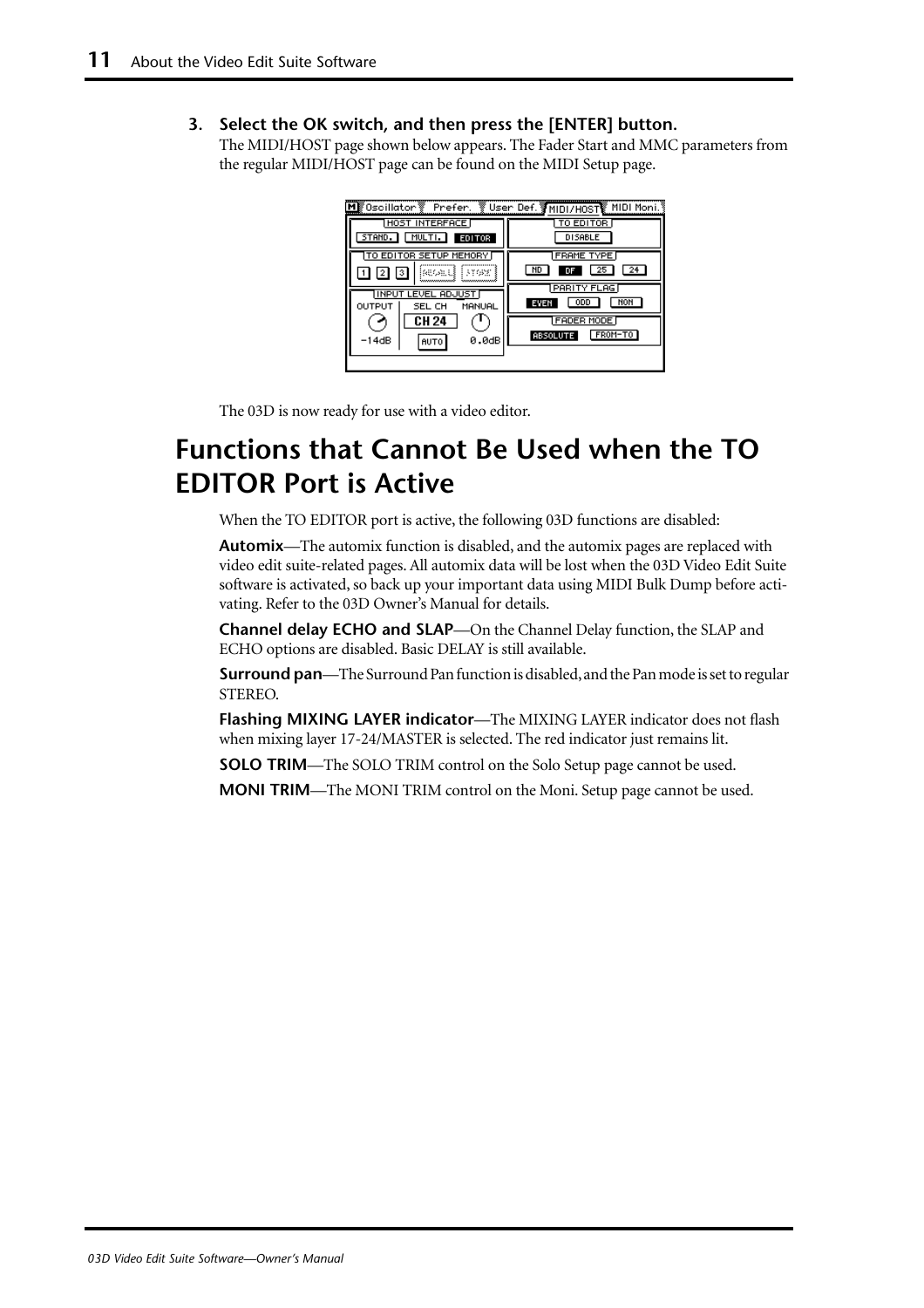#### <span id="page-12-0"></span>**3. Select the OK switch, and then press the [ENTER] button.**

The MIDI/HOST page shown below appears. The Fader Start and MMC parameters from the regular MIDI/HOST page can be found on the MIDI Setup page.

| ∭0scillator∛ Prefer.              | User Def. MIDI/HOST MIDI Moni.           |
|-----------------------------------|------------------------------------------|
| HOST INTERFACE                    | TO EDITOR                                |
| MULTI.<br>STAND.<br><b>EDITOR</b> | <b>DISABLE</b>                           |
| TO EDITOR SETUP MEMORY            | <b>FRAME TYPE</b>                        |
| kumu<br>137682<br>з               | ND<br>25<br>24<br>DF                     |
| <b>INPUT LEVEL ADJUST</b>         | PARITY FLAG<br>NON<br><b>ODD</b><br>EVEN |
| OUTPUT<br>MANUAL<br>SEL CH        | <b>FADER MODE</b>                        |
| CH 24                             | FROM-TO<br><b>ABSOLUTE</b>               |
| 0.0dB<br>-14dB<br>AUTO            |                                          |
|                                   |                                          |

The 03D is now ready for use with a video editor.

## **Functions that Cannot Be Used when the TO EDITOR Port is Active**

When the TO EDITOR port is active, the following 03D functions are disabled:

**Automix**—The automix function is disabled, and the automix pages are replaced with video edit suite-related pages. All automix data will be lost when the 03D Video Edit Suite software is activated, so back up your important data using MIDI Bulk Dump before activating. Refer to the 03D Owner's Manual for details.

**Channel delay ECHO and SLAP**—On the Channel Delay function, the SLAP and ECHO options are disabled. Basic DELAY is still available.

**Surround pan**—The Surround Pan function is disabled, and the Pan mode is set to regular STEREO.

**Flashing MIXING LAYER indicator**—The MIXING LAYER indicator does not flash when mixing layer 17-24/MASTER is selected. The red indicator just remains lit.

**SOLO TRIM**—The SOLO TRIM control on the Solo Setup page cannot be used.

**MONI TRIM**—The MONI TRIM control on the Moni. Setup page cannot be used.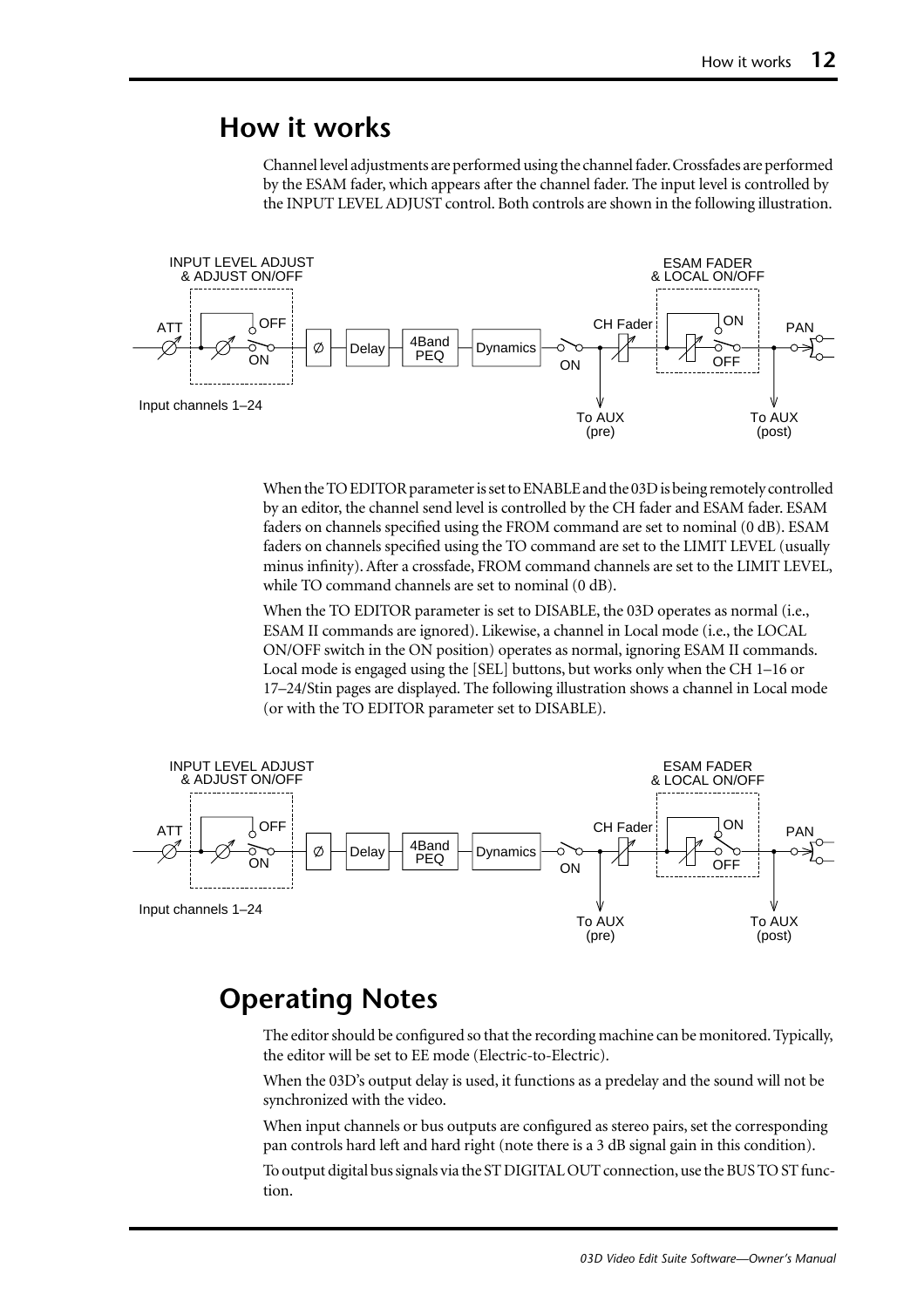#### <span id="page-13-0"></span>**How it works**

Channel level adjustments are performed using the channel fader. Crossfades are performed by the ESAM fader, which appears after the channel fader. The input level is controlled by the INPUT LEVEL ADJUST control. Both controls are shown in the following illustration.



When the TO EDITOR parameter is set to ENABLE and the 03D is being remotely controlled by an editor, the channel send level is controlled by the CH fader and ESAM fader. ESAM faders on channels specified using the FROM command are set to nominal (0 dB). ESAM faders on channels specified using the TO command are set to the LIMIT LEVEL (usually minus infinity). After a crossfade, FROM command channels are set to the LIMIT LEVEL, while TO command channels are set to nominal (0 dB).

When the TO EDITOR parameter is set to DISABLE, the 03D operates as normal (i.e., ESAM II commands are ignored). Likewise, a channel in Local mode (i.e., the LOCAL ON/OFF switch in the ON position) operates as normal, ignoring ESAM II commands. Local mode is engaged using the [SEL] buttons, but works only when the CH 1–16 or 17–24/Stin pages are displayed. The following illustration shows a channel in Local mode (or with the TO EDITOR parameter set to DISABLE).



#### **Operating Notes**

The editor should be configured so that the recording machine can be monitored. Typically, the editor will be set to EE mode (Electric-to-Electric).

When the 03D's output delay is used, it functions as a predelay and the sound will not be synchronized with the video.

When input channels or bus outputs are configured as stereo pairs, set the corresponding pan controls hard left and hard right (note there is a 3 dB signal gain in this condition).

To output digital bus signals via the ST DIGITAL OUT connection, use the BUS TO ST function.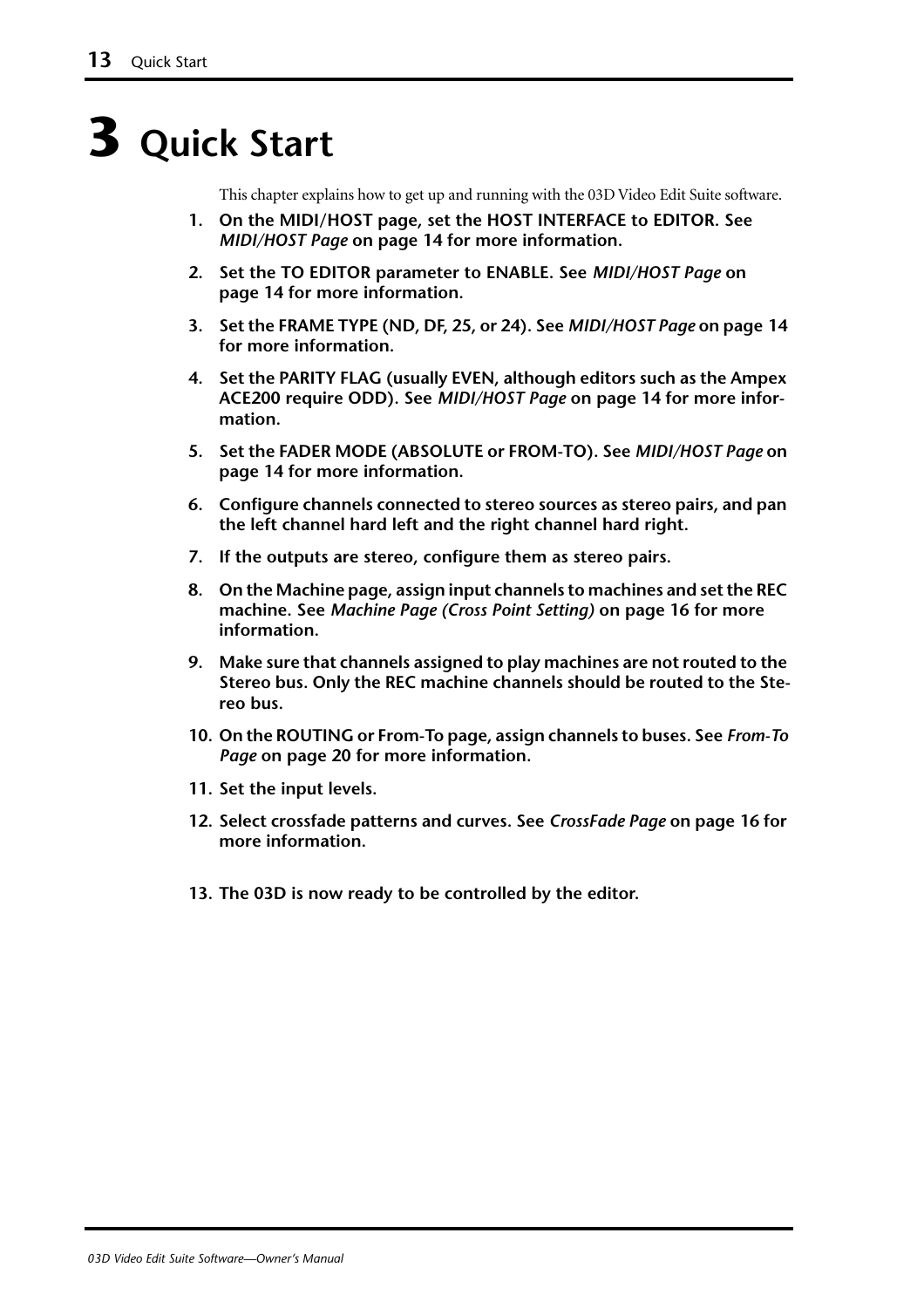# <span id="page-14-0"></span>**3 Quick Start**

This chapter explains how to get up and running with the 03D Video Edit Suite software.

- **1. On the MIDI/HOST page, set the HOST INTERFACE to EDITOR. [See](#page-15-0)**  *MIDI/HOST Page* **[on page 14 for more information.](#page-15-0)**
- **2. Set the TO EDITOR parameter to ENABLE. See** *[MIDI/HOST Page](#page-15-0)* **on [page 14 for more information.](#page-15-0)**
- **3. Set the FRAME TYPE (ND, DF, 25, or 24). See** *[MIDI/HOST Page](#page-15-0)* **on page 14 [for more information.](#page-15-0)**
- **4. Set the PARITY FLAG (usually EVEN, although editors such as the Ampex ACE200 require ODD). See** *MIDI/HOST Page* **[on page 14 for more infor](#page-15-0)[mation.](#page-15-0)**
- **5. Set the FADER MODE (ABSOLUTE or FROM-TO). See** *[MIDI/HOST Page](#page-15-0)* **on [page 14 for more information.](#page-15-0)**
- **6. Configure channels connected to stereo sources as stereo pairs, and pan the left channel hard left and the right channel hard right.**
- **7. If the outputs are stereo, configure them as stereo pairs.**
- **8. On the Machine page, assign input channels to machines and set the REC machine. See** *[Machine Page \(Cross Point Setting\)](#page-17-0)* **on page 16 for more [information.](#page-17-0)**
- **9. Make sure that channels assigned to play machines are not routed to the Stereo bus. Only the REC machine channels should be routed to the Stereo bus.**
- **10. On the ROUTING or From-To page, assign channels to buses. See** *[From-To](#page-21-0)  Page* **[on page 20 for more information.](#page-21-0)**
- **11. Set the input levels.**
- **12. Select crossfade patterns and curves. See** *CrossFade Page* **[on page 16 for](#page-17-0)  [more information.](#page-17-0)**
- **13. The 03D is now ready to be controlled by the editor.**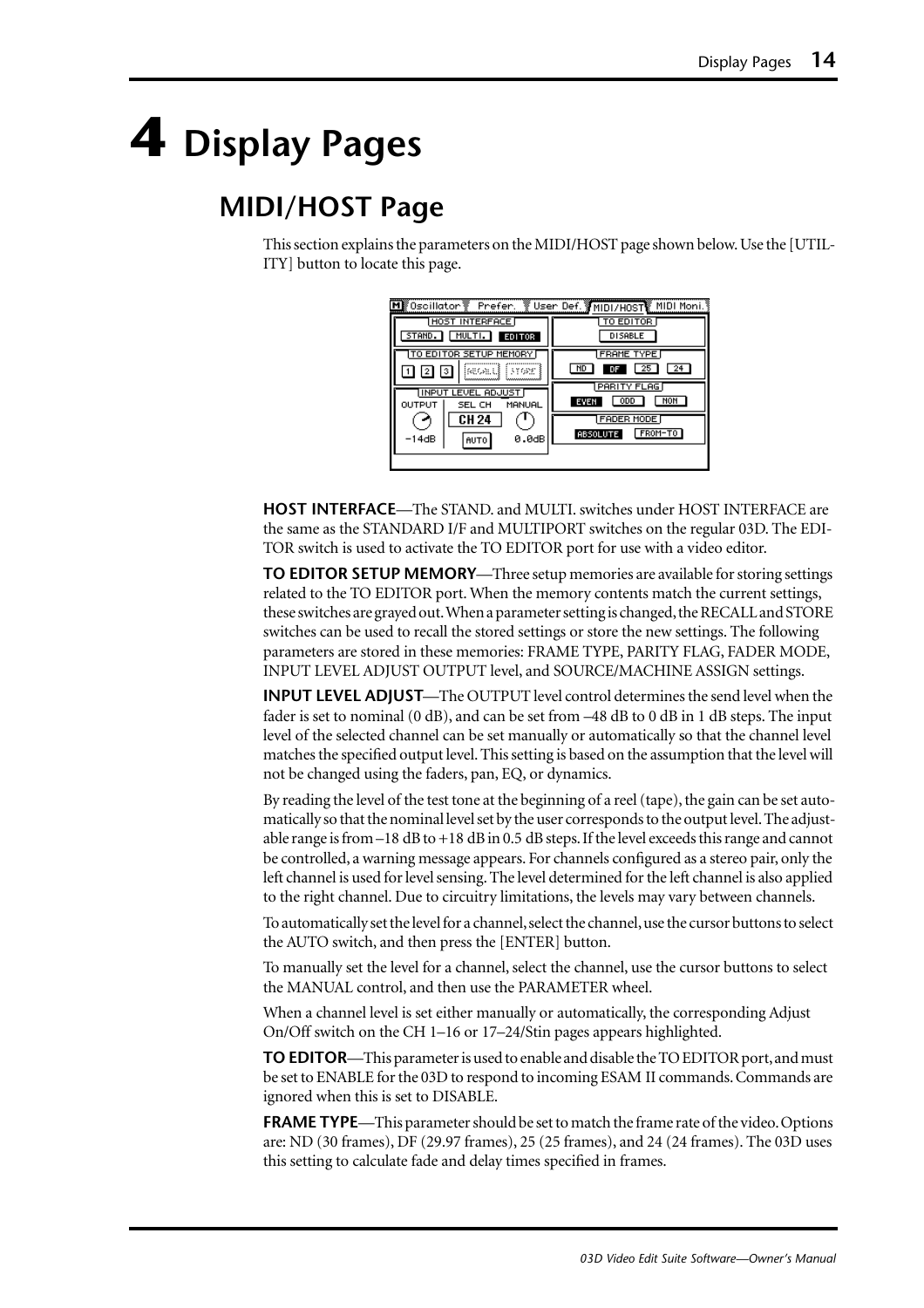# <span id="page-15-0"></span>**4 Display Pages**

## **MIDI/HOST Page**

This section explains the parameters on the MIDI/HOST page shown below. Use the [UTIL-ITY] button to locate this page.

| M  ®Oscillator ® Prefer.                                   | ें User Def. अभा¤ा/H0ST MIDI Moni. १            |
|------------------------------------------------------------|-------------------------------------------------|
| <b>HOST INTERFACE</b><br>MULTI.<br><b>EDITOR</b><br>STAND. | TO EDITOR<br><b>DISABLE</b>                     |
| TO EDITOR SETUP MEMORY<br>iseoald i Frans<br>з             | <b>FRAME TYPE</b><br>25<br>ND<br>24<br>DF       |
| <b>IINPUT LEVEL ADJUST</b><br>MANUAL<br>OUTPUT<br>SEL CH   | PARITY FLAG<br>NOH<br><b>ODD</b><br>EVEN        |
| <b>CH 24</b><br>$-14dB$<br>0.0dB<br><b>AUTO</b>            | <b>FADER MODE</b><br>FROM-TO<br><b>ABSOLUTE</b> |
|                                                            |                                                 |

**HOST INTERFACE**—The STAND. and MULTI. switches under HOST INTERFACE are the same as the STANDARD I/F and MULTIPORT switches on the regular 03D. The EDI-TOR switch is used to activate the TO EDITOR port for use with a video editor.

**TO EDITOR SETUP MEMORY**—Three setup memories are available for storing settings related to the TO EDITOR port. When the memory contents match the current settings, these switches are grayed out. When a parameter setting is changed, the RECALL and STORE switches can be used to recall the stored settings or store the new settings. The following parameters are stored in these memories: FRAME TYPE, PARITY FLAG, FADER MODE, INPUT LEVEL ADJUST OUTPUT level, and SOURCE/MACHINE ASSIGN settings.

**INPUT LEVEL ADJUST**—The OUTPUT level control determines the send level when the fader is set to nominal (0 dB), and can be set from –48 dB to 0 dB in 1 dB steps. The input level of the selected channel can be set manually or automatically so that the channel level matches the specified output level. This setting is based on the assumption that the level will not be changed using the faders, pan, EQ, or dynamics.

By reading the level of the test tone at the beginning of a reel (tape), the gain can be set automatically so that the nominal level set by the user corresponds to the output level. The adjustable range is from –18 dB to +18 dB in 0.5 dB steps. If the level exceeds this range and cannot be controlled, a warning message appears. For channels configured as a stereo pair, only the left channel is used for level sensing. The level determined for the left channel is also applied to the right channel. Due to circuitry limitations, the levels may vary between channels.

To automatically set the level for a channel, select the channel, use the cursor buttons to select the AUTO switch, and then press the [ENTER] button.

To manually set the level for a channel, select the channel, use the cursor buttons to select the MANUAL control, and then use the PARAMETER wheel.

When a channel level is set either manually or automatically, the corresponding Adjust On/Off switch on the CH 1–16 or 17–24/Stin pages appears highlighted.

**TO EDITOR**—This parameter is used to enable and disable the TO EDITOR port, and must be set to ENABLE for the 03D to respond to incoming ESAM II commands. Commands are ignored when this is set to DISABLE.

**FRAME TYPE**—This parameter should be set to match the frame rate of the video. Options are: ND (30 frames), DF (29.97 frames), 25 (25 frames), and 24 (24 frames). The 03D uses this setting to calculate fade and delay times specified in frames.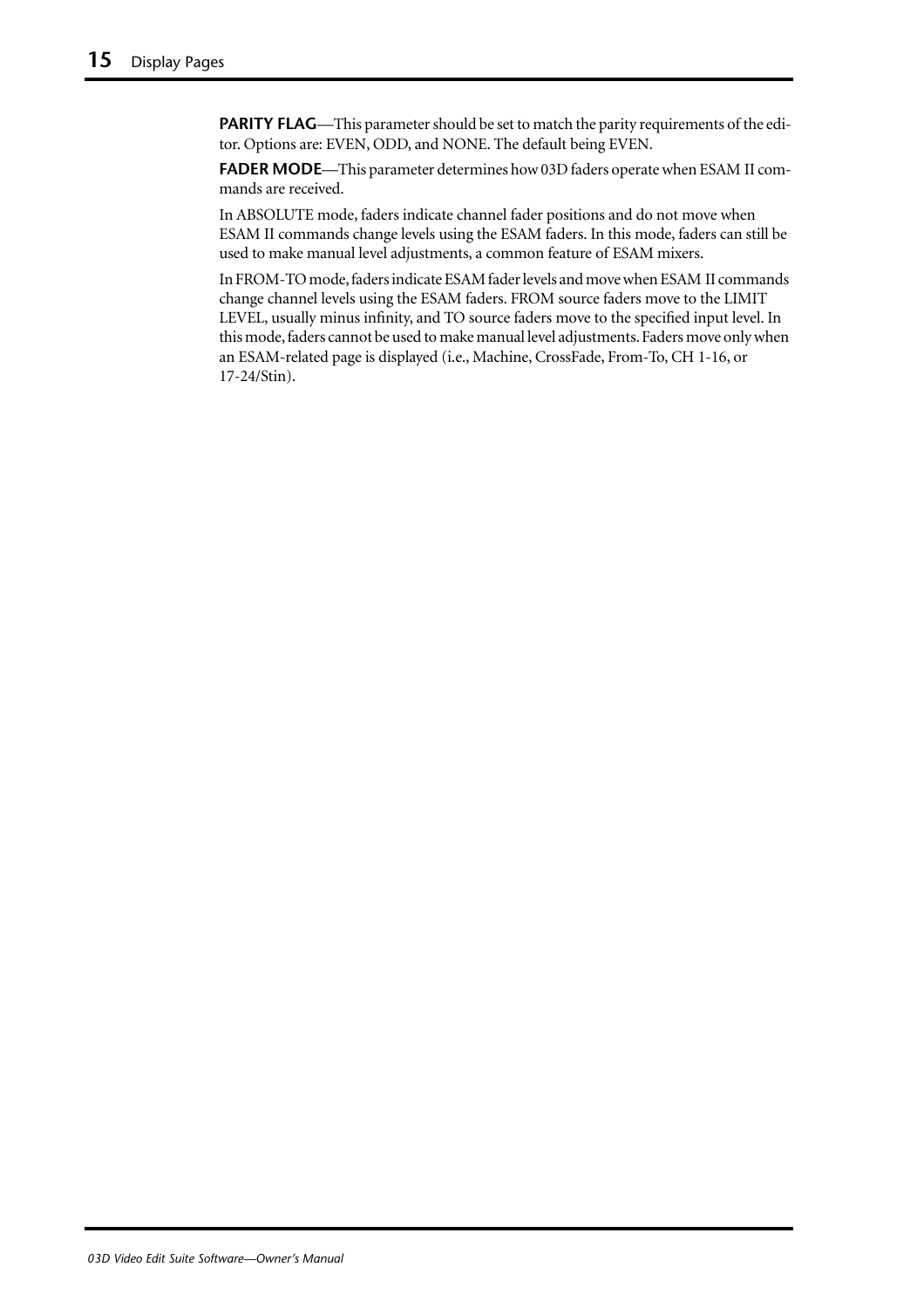**PARITY FLAG**—This parameter should be set to match the parity requirements of the editor. Options are: EVEN, ODD, and NONE. The default being EVEN.

**FADER MODE**—This parameter determines how 03D faders operate when ESAM II commands are received.

In ABSOLUTE mode, faders indicate channel fader positions and do not move when ESAM II commands change levels using the ESAM faders. In this mode, faders can still be used to make manual level adjustments, a common feature of ESAM mixers.

In FROM-TO mode, faders indicate ESAM fader levels and move when ESAM II commands change channel levels using the ESAM faders. FROM source faders move to the LIMIT LEVEL, usually minus infinity, and TO source faders move to the specified input level. In this mode, faders cannot be used to make manual level adjustments. Faders move only when an ESAM-related page is displayed (i.e., Machine, CrossFade, From-To, CH 1-16, or 17-24/Stin).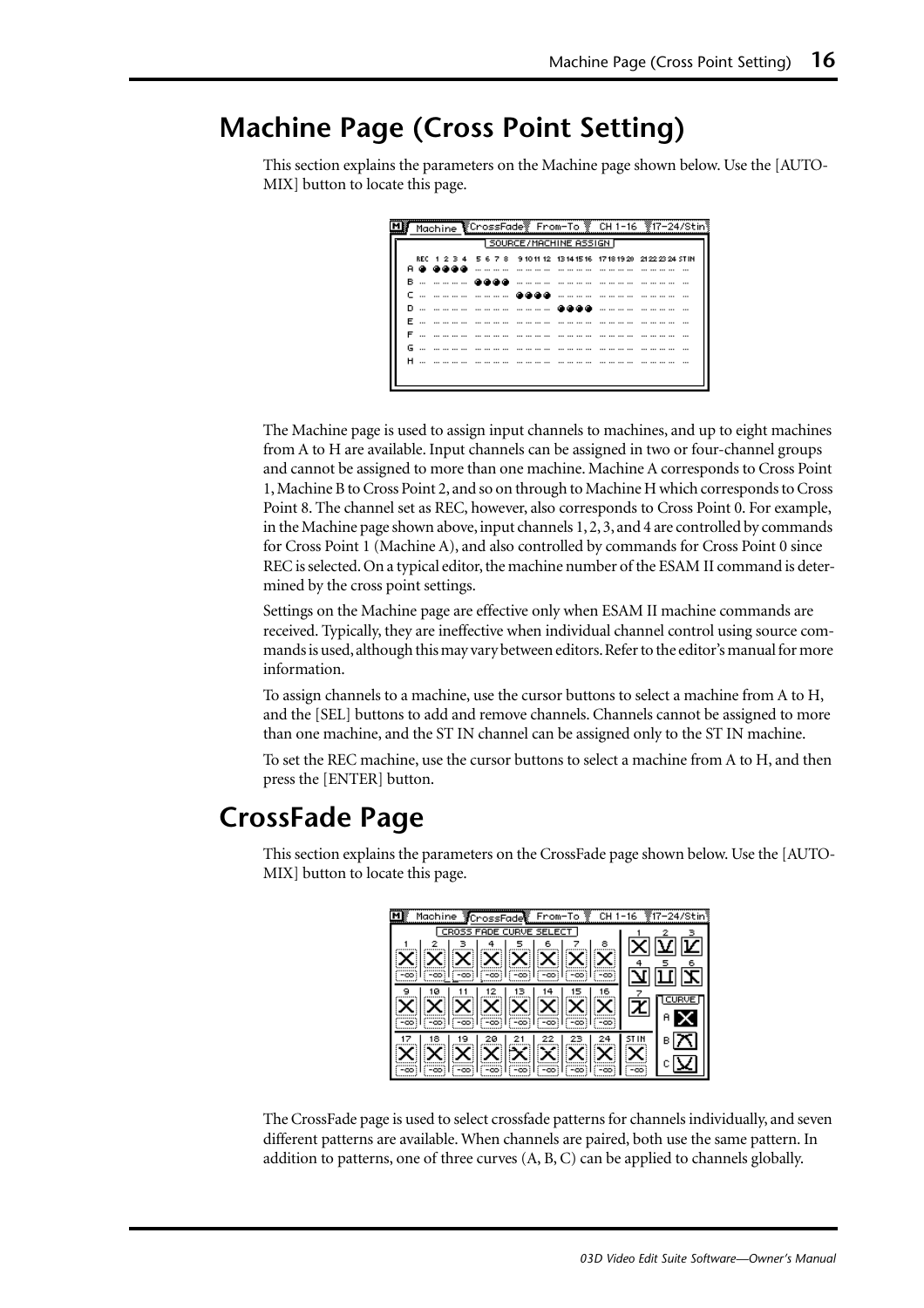## <span id="page-17-0"></span>**Machine Page (Cross Point Setting)**

This section explains the parameters on the Machine page shown below. Use the [AUTO-MIX] button to locate this page.

| 1 SOURCE/MACHINE ASSIGN <b>F</b> |                                                                         |  |  |  |  |  |  |  |  |   |  |  |                  |                 |   |                 |                  |  |         |
|----------------------------------|-------------------------------------------------------------------------|--|--|--|--|--|--|--|--|---|--|--|------------------|-----------------|---|-----------------|------------------|--|---------|
|                                  | REC 1 2 3 4 5 6 7 8 9 10 11 12 13 14 15 16 17 18 19 20 21 22 23 24 STIN |  |  |  |  |  |  |  |  |   |  |  |                  |                 |   |                 |                  |  |         |
|                                  | .                                                                       |  |  |  |  |  |  |  |  | . |  |  | -------------    |                 | . |                 | .                |  | $- - -$ |
|                                  | в… ……… <b>асса</b>                                                      |  |  |  |  |  |  |  |  |   |  |  |                  |                 |   |                 | ---- --- --- --- |  |         |
|                                  | c … ………… ……… <b>@@@@</b>                                                |  |  |  |  |  |  |  |  |   |  |  |                  |                 |   |                 | -----------      |  |         |
|                                  |                                                                         |  |  |  |  |  |  |  |  |   |  |  | കോക              |                 |   |                 |                  |  |         |
|                                  | E                                                                       |  |  |  |  |  |  |  |  |   |  |  |                  |                 |   |                 |                  |  |         |
| F                                | ---- --- --- --- ---                                                    |  |  |  |  |  |  |  |  |   |  |  | -----------      |                 |   |                 |                  |  |         |
|                                  |                                                                         |  |  |  |  |  |  |  |  |   |  |  |                  | --- --- --- --- |   | --- --- --- --- |                  |  |         |
|                                  | <b>H</b>                                                                |  |  |  |  |  |  |  |  |   |  |  | ---- --- --- --- |                 |   |                 |                  |  |         |

The Machine page is used to assign input channels to machines, and up to eight machines from A to H are available. Input channels can be assigned in two or four-channel groups and cannot be assigned to more than one machine. Machine A corresponds to Cross Point 1, Machine B to Cross Point 2, and so on through to Machine H which corresponds to Cross Point 8. The channel set as REC, however, also corresponds to Cross Point 0. For example, in the Machine page shown above, input channels 1, 2, 3, and 4 are controlled by commands for Cross Point 1 (Machine A), and also controlled by commands for Cross Point 0 since REC is selected. On a typical editor, the machine number of the ESAM II command is determined by the cross point settings.

Settings on the Machine page are effective only when ESAM II machine commands are received. Typically, they are ineffective when individual channel control using source commands is used, although this may vary between editors. Refer to the editor's manual for more information.

To assign channels to a machine, use the cursor buttons to select a machine from A to H, and the [SEL] buttons to add and remove channels. Channels cannot be assigned to more than one machine, and the ST IN channel can be assigned only to the ST IN machine.

To set the REC machine, use the cursor buttons to select a machine from A to H, and then press the [ENTER] button.

## **CrossFade Page**

This section explains the parameters on the CrossFade page shown below. Use the [AUTO-MIX] button to locate this page.

| Machine <b>C</b> rossFade From-To ?<br>CH 1-16 | <b>‴817–24/Stin</b> § |
|------------------------------------------------|-----------------------|
| CROSS FADE CURVE SELECT                        |                       |
| я                                              |                       |
| 1 X F<br>Ш<br>r                                |                       |
|                                                | 文                     |
| в                                              |                       |
|                                                |                       |
|                                                |                       |
|                                                |                       |
|                                                |                       |
| $-00$                                          |                       |

The CrossFade page is used to select crossfade patterns for channels individually, and seven different patterns are available. When channels are paired, both use the same pattern. In addition to patterns, one of three curves (A, B, C) can be applied to channels globally.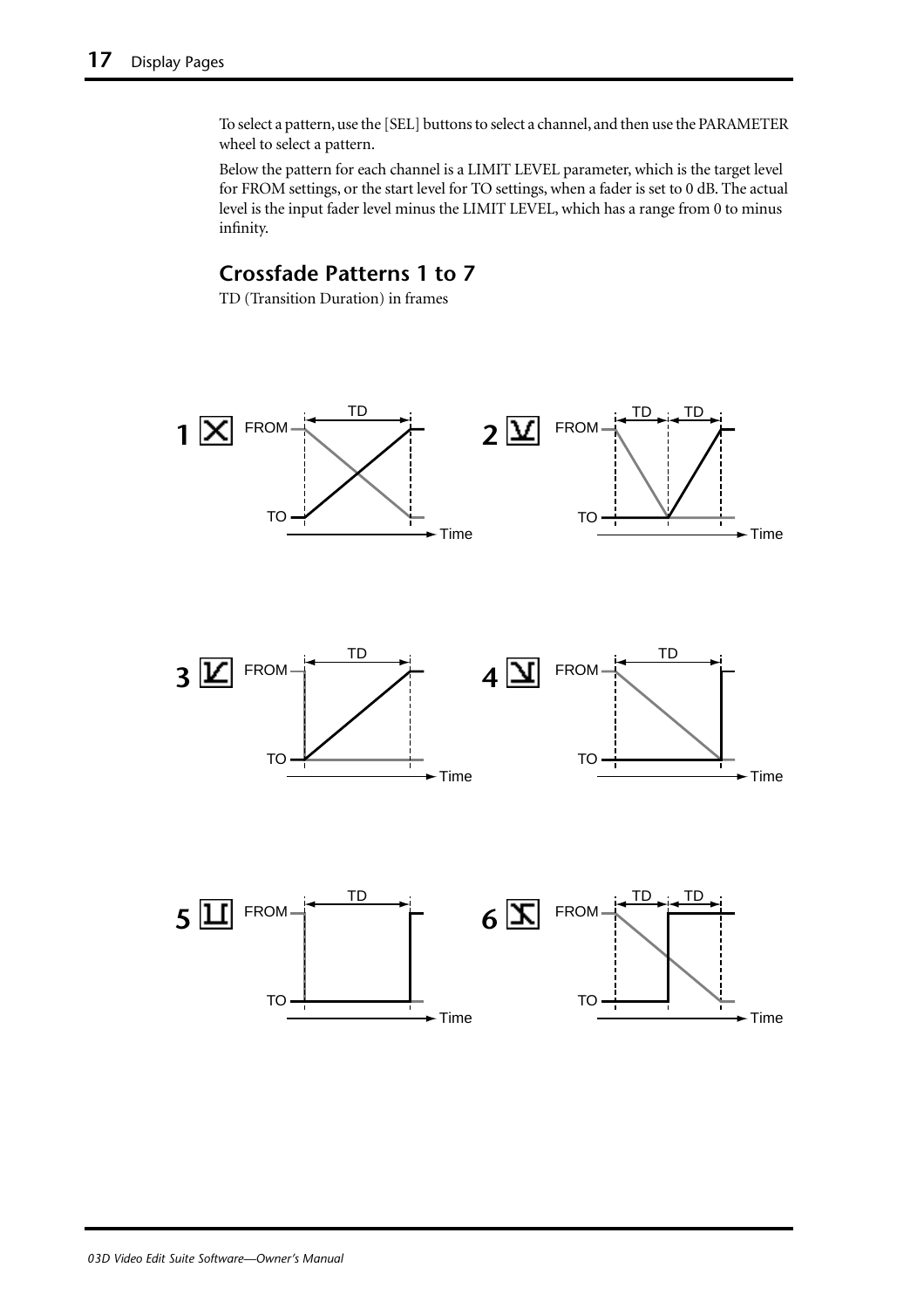To select a pattern, use the [SEL] buttons to select a channel, and then use the PARAMETER wheel to select a pattern.

Below the pattern for each channel is a LIMIT LEVEL parameter, which is the target level for FROM settings, or the start level for TO settings, when a fader is set to 0 dB. The actual level is the input fader level minus the LIMIT LEVEL, which has a range from 0 to minus infinity.

#### **Crossfade Patterns 1 to 7**

TD (Transition Duration) in frames

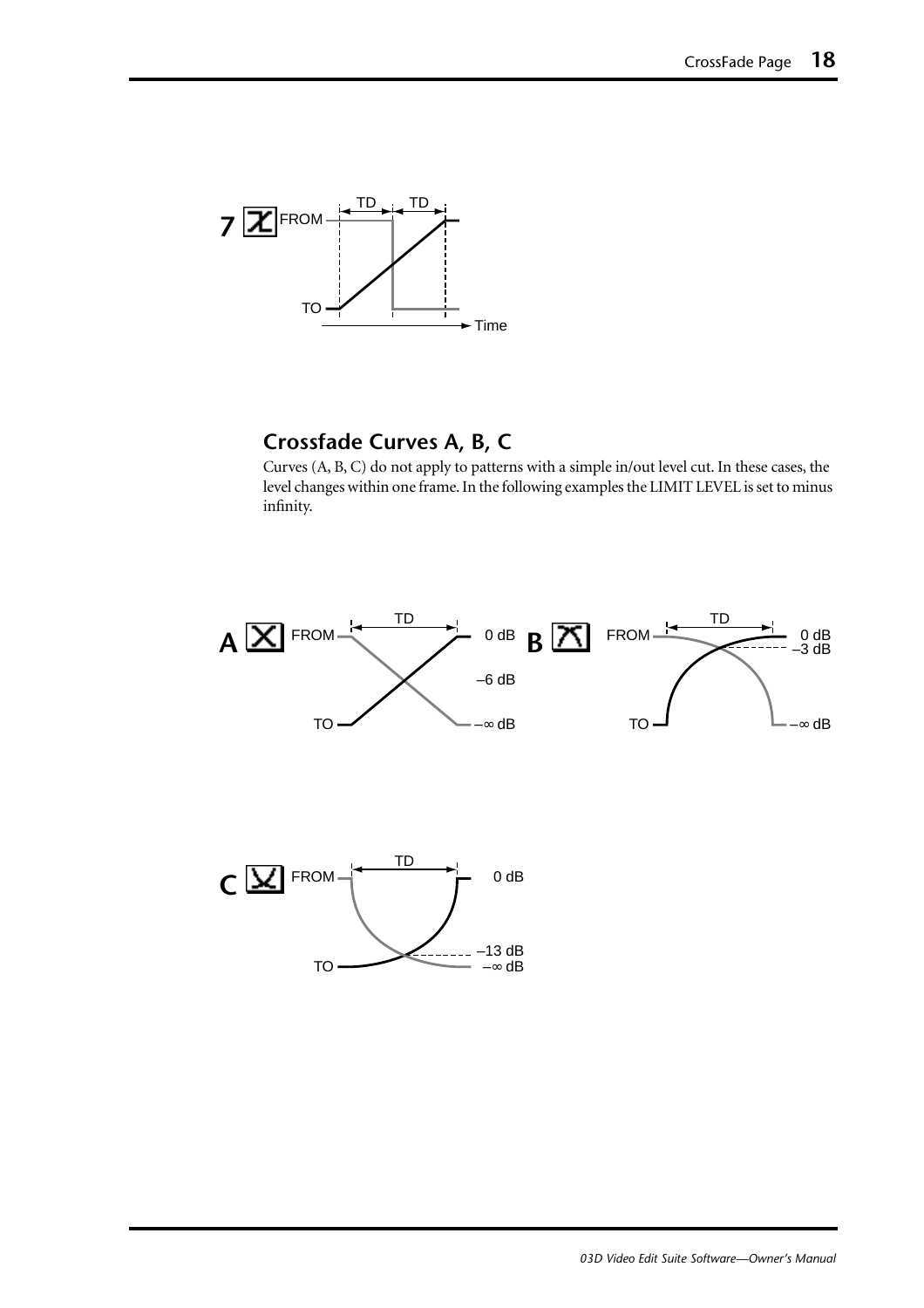

#### **Crossfade Curves A, B, C**

Curves (A, B, C) do not apply to patterns with a simple in/out level cut. In these cases, the level changes within one frame. In the following examples the LIMIT LEVEL is set to minus infinity.

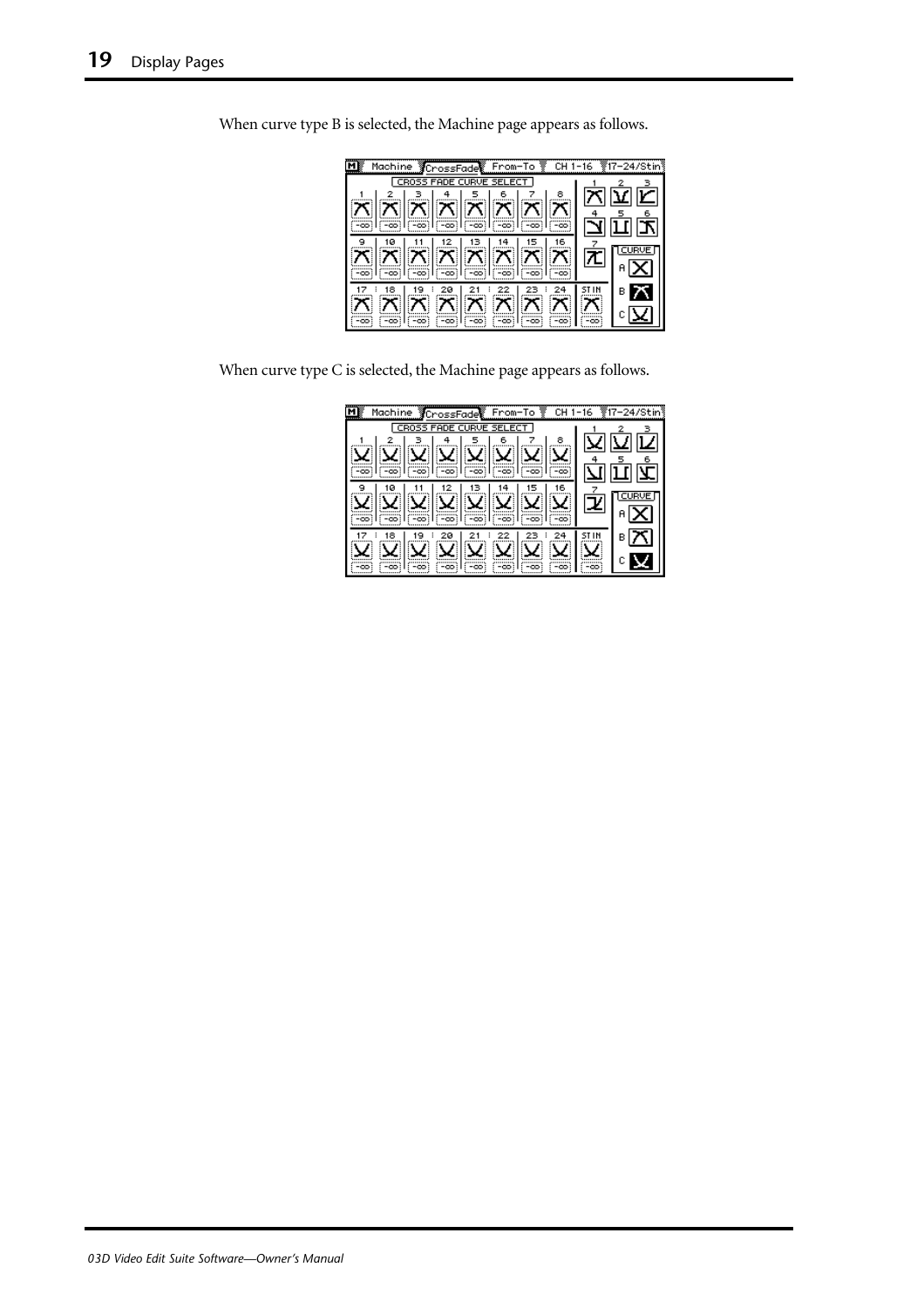| Machine CrossFade From-To @ CH1-16 #17-24/Stin                                       |   |
|--------------------------------------------------------------------------------------|---|
| CROSS FADE CURVE SELECT                                                              |   |
| 예회해설정이다                                                                              |   |
|                                                                                      |   |
|                                                                                      |   |
|                                                                                      |   |
| $\mathbb{Z}[\mathbb{Z}[\mathbb{Z}][\mathbb{Z}][\mathbb{Z}][\mathbb{Z}][\mathbb{Z}]]$ |   |
|                                                                                      |   |
|                                                                                      | в |
|                                                                                      |   |
| $(-\infty)$ $(-\infty)$<br>: -ထ:ဲ<br>-00                                             |   |

When curve type B is selected, the Machine page appears as follows.

When curve type C is selected, the Machine page appears as follows.

| <b>YCrossFade From-To Y</b><br>Machine<br>CH. | -16 |   |
|-----------------------------------------------|-----|---|
| CR055<br><b>FADE CURVE SEI</b><br>FCT.        |     |   |
| 8<br>6                                        |     |   |
|                                               |     |   |
| -00<br>-00:                                   |     |   |
| 16<br>ø                                       |     |   |
|                                               |     |   |
| -00                                           |     |   |
| 18<br>20                                      |     | в |
|                                               |     |   |
| -00                                           | -00 |   |
|                                               |     |   |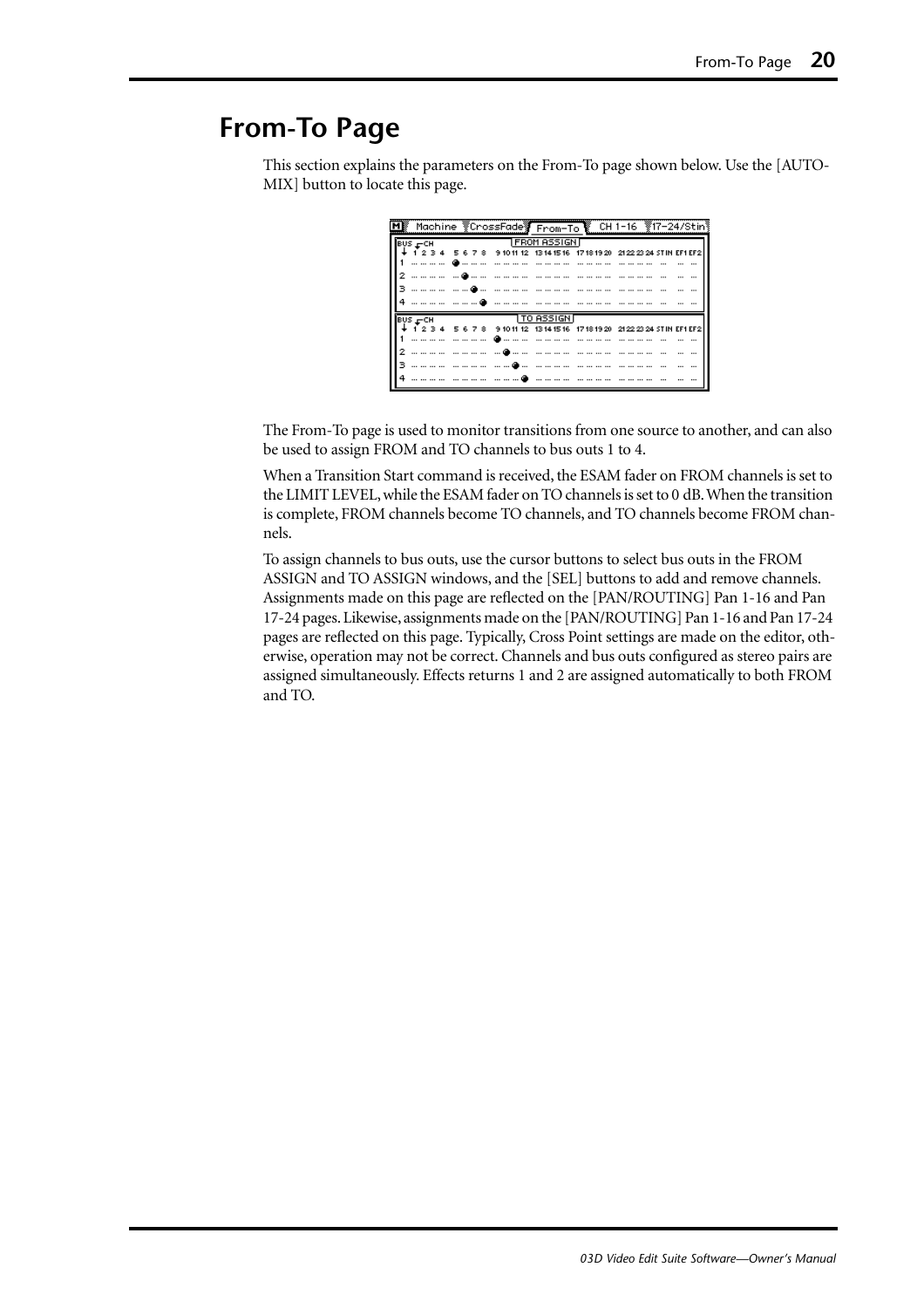## <span id="page-21-0"></span>**From-To Page**

This section explains the parameters on the From-To page shown below. Use the [AUTO-MIX] button to locate this page.

| $BUS - CH$                         |  | <b>TFROM ASSIGNT</b> |  |                                                                                         |
|------------------------------------|--|----------------------|--|-----------------------------------------------------------------------------------------|
|                                    |  |                      |  | ่ 2 3 4   5 6 7 8   9 10 11 12   13 14 15 16   17 18 19 20   21 22 23 24 STIN EF1 EF2 İ |
|                                    |  |                      |  |                                                                                         |
|                                    |  |                      |  |                                                                                         |
|                                    |  |                      |  |                                                                                         |
|                                    |  |                      |  |                                                                                         |
| $BUS$ <sub><math>r</math></sub> CH |  | TTO ASSIGNT          |  |                                                                                         |
|                                    |  |                      |  | ↓ 1 2 3 4   5 6 7 8   91011 12  13141516  17181920  21222324 STIN EF1 EF2               |
|                                    |  |                      |  |                                                                                         |
|                                    |  |                      |  |                                                                                         |
|                                    |  |                      |  |                                                                                         |
|                                    |  |                      |  |                                                                                         |

The From-To page is used to monitor transitions from one source to another, and can also be used to assign FROM and TO channels to bus outs 1 to 4.

When a Transition Start command is received, the ESAM fader on FROM channels is set to the LIMIT LEVEL, while the ESAM fader on TO channels is set to 0 dB. When the transition is complete, FROM channels become TO channels, and TO channels become FROM channels.

To assign channels to bus outs, use the cursor buttons to select bus outs in the FROM ASSIGN and TO ASSIGN windows, and the [SEL] buttons to add and remove channels. Assignments made on this page are reflected on the [PAN/ROUTING] Pan 1-16 and Pan 17-24 pages. Likewise, assignments made on the [PAN/ROUTING] Pan 1-16 and Pan 17-24 pages are reflected on this page. Typically, Cross Point settings are made on the editor, otherwise, operation may not be correct. Channels and bus outs configured as stereo pairs are assigned simultaneously. Effects returns 1 and 2 are assigned automatically to both FROM and TO.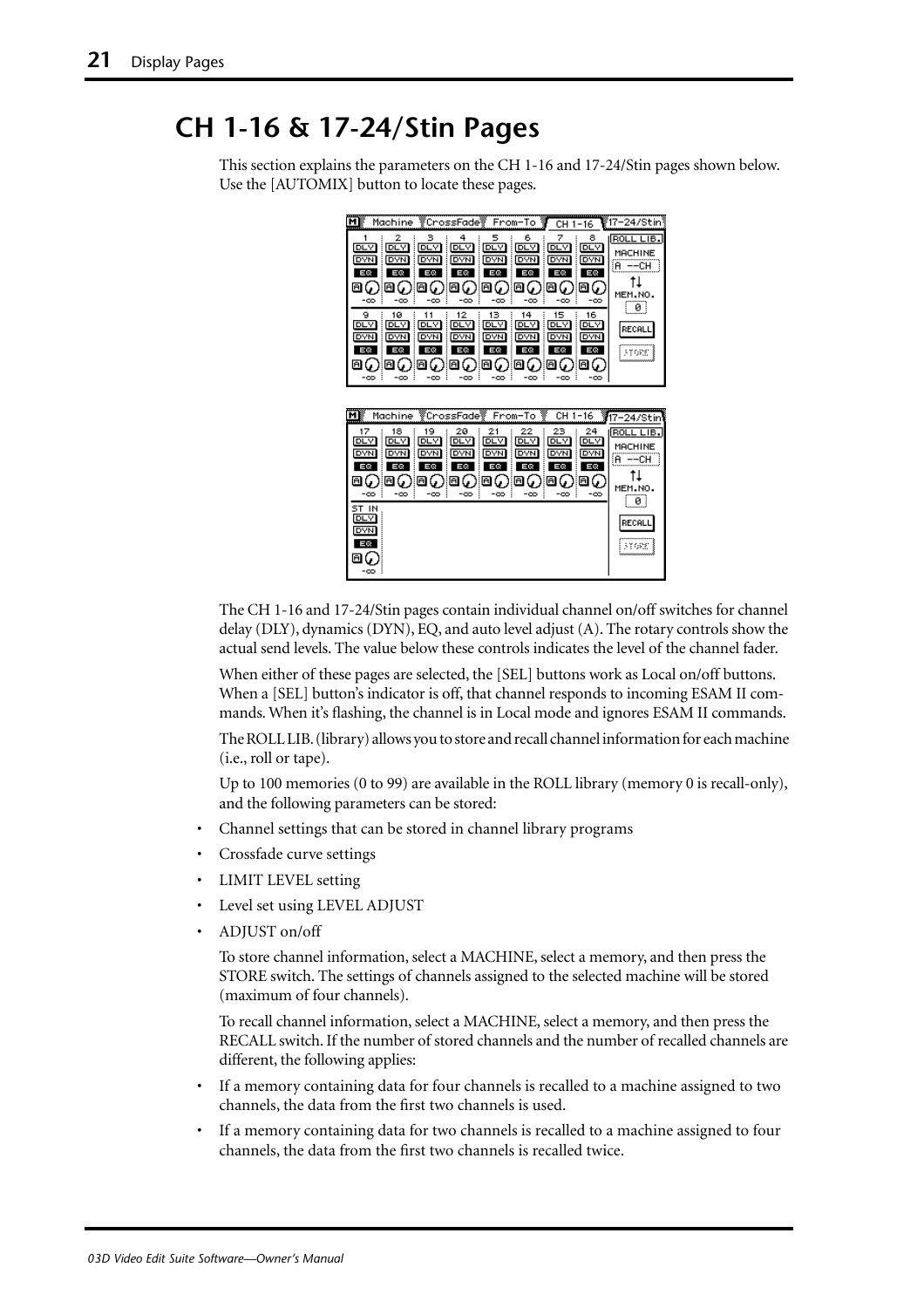## <span id="page-22-0"></span>**CH 1-16 & 17-24/Stin Pages**

This section explains the parameters on the CH 1-16 and 17-24/Stin pages shown below. Use the [AUTOMIX] button to locate these pages.



The CH 1-16 and 17-24/Stin pages contain individual channel on/off switches for channel delay (DLY), dynamics (DYN), EQ, and auto level adjust (A). The rotary controls show the actual send levels. The value below these controls indicates the level of the channel fader.

When either of these pages are selected, the [SEL] buttons work as Local on/off buttons. When a [SEL] button's indicator is off, that channel responds to incoming ESAM II commands. When it's flashing, the channel is in Local mode and ignores ESAM II commands.

The ROLL LIB. (library) allows you to store and recall channel information for each machine (i.e., roll or tape).

Up to 100 memories (0 to 99) are available in the ROLL library (memory 0 is recall-only), and the following parameters can be stored:

- Channel settings that can be stored in channel library programs
- Crossfade curve settings
- LIMIT LEVEL setting
- Level set using LEVEL ADJUST
- ADJUST on/off

To store channel information, select a MACHINE, select a memory, and then press the STORE switch. The settings of channels assigned to the selected machine will be stored (maximum of four channels).

To recall channel information, select a MACHINE, select a memory, and then press the RECALL switch. If the number of stored channels and the number of recalled channels are different, the following applies:

- If a memory containing data for four channels is recalled to a machine assigned to two channels, the data from the first two channels is used.
- If a memory containing data for two channels is recalled to a machine assigned to four channels, the data from the first two channels is recalled twice.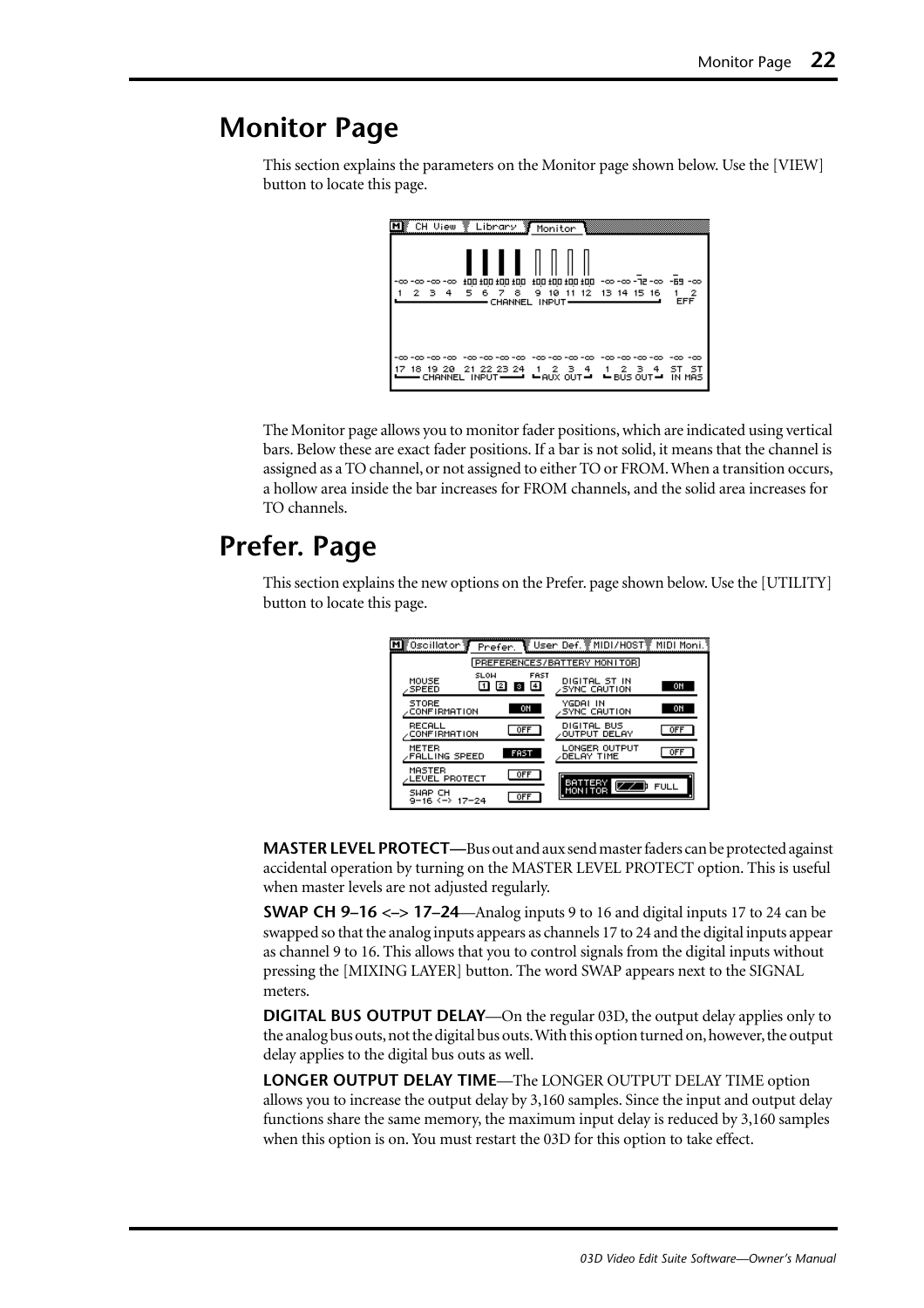## <span id="page-23-0"></span>**Monitor Page**

This section explains the parameters on the Monitor page shown below. Use the [VIEW] button to locate this page.

The Monitor page allows you to monitor fader positions, which are indicated using vertical bars. Below these are exact fader positions. If a bar is not solid, it means that the channel is assigned as a TO channel, or not assigned to either TO or FROM. When a transition occurs, a hollow area inside the bar increases for FROM channels, and the solid area increases for TO channels.

## **Prefer. Page**

This section explains the new options on the Prefer. page shown below. Use the [UTILITY] button to locate this page.

| MK Oscillator 寥                     | Prefer.    |                              | ि User Def. ङ्ग MIDI/H0ST ङ्ग MIDI Moni. १ |             |
|-------------------------------------|------------|------------------------------|--------------------------------------------|-------------|
|                                     |            |                              | PREFERENCES/BATTERY MONITOR                |             |
| MOUSE<br><b>SPEED</b>               | SLOW<br>12 | FAST<br>$\overline{4}$<br>÷. | DIGITAL ST IN<br>SYNC CAUTION              | ON          |
| <b>STORE</b><br><b>CONFIRMATION</b> |            | ON                           | YGDAI IN<br><b>SYNC CAUTION</b>            | ON          |
| RECALL<br><b>CONFIRMATION</b>       |            | <b>OFF</b>                   | DIGITAL BUS<br>∕OUTPUT DELAY               | <b>OFF</b>  |
| METER<br><b>FALLING SPEED</b>       |            | <b>FAST</b>                  | LONGER OUTPUT<br>DELAY TIME                | <b>OFF</b>  |
| MASTER<br>LEVEL PROTECT             |            | 0FF                          | BATTERY                                    |             |
| SWAP CH<br>9-16 <-> 17-24           |            | <b>OFF</b>                   | MON I TOR                                  | <b>FULL</b> |

**MASTER LEVEL PROTECT—**Bus out and aux send master faders can be protected against accidental operation by turning on the MASTER LEVEL PROTECT option. This is useful when master levels are not adjusted regularly.

**SWAP CH 9–16 <–> 17–24**—Analog inputs 9 to 16 and digital inputs 17 to 24 can be swapped so that the analog inputs appears as channels 17 to 24 and the digital inputs appear as channel 9 to 16. This allows that you to control signals from the digital inputs without pressing the [MIXING LAYER] button. The word SWAP appears next to the SIGNAL meters.

**DIGITAL BUS OUTPUT DELAY**—On the regular 03D, the output delay applies only to the analog bus outs, not the digital bus outs. With this option turned on, however, the output delay applies to the digital bus outs as well.

**LONGER OUTPUT DELAY TIME**—The LONGER OUTPUT DELAY TIME option allows you to increase the output delay by 3,160 samples. Since the input and output delay functions share the same memory, the maximum input delay is reduced by 3,160 samples when this option is on. You must restart the 03D for this option to take effect.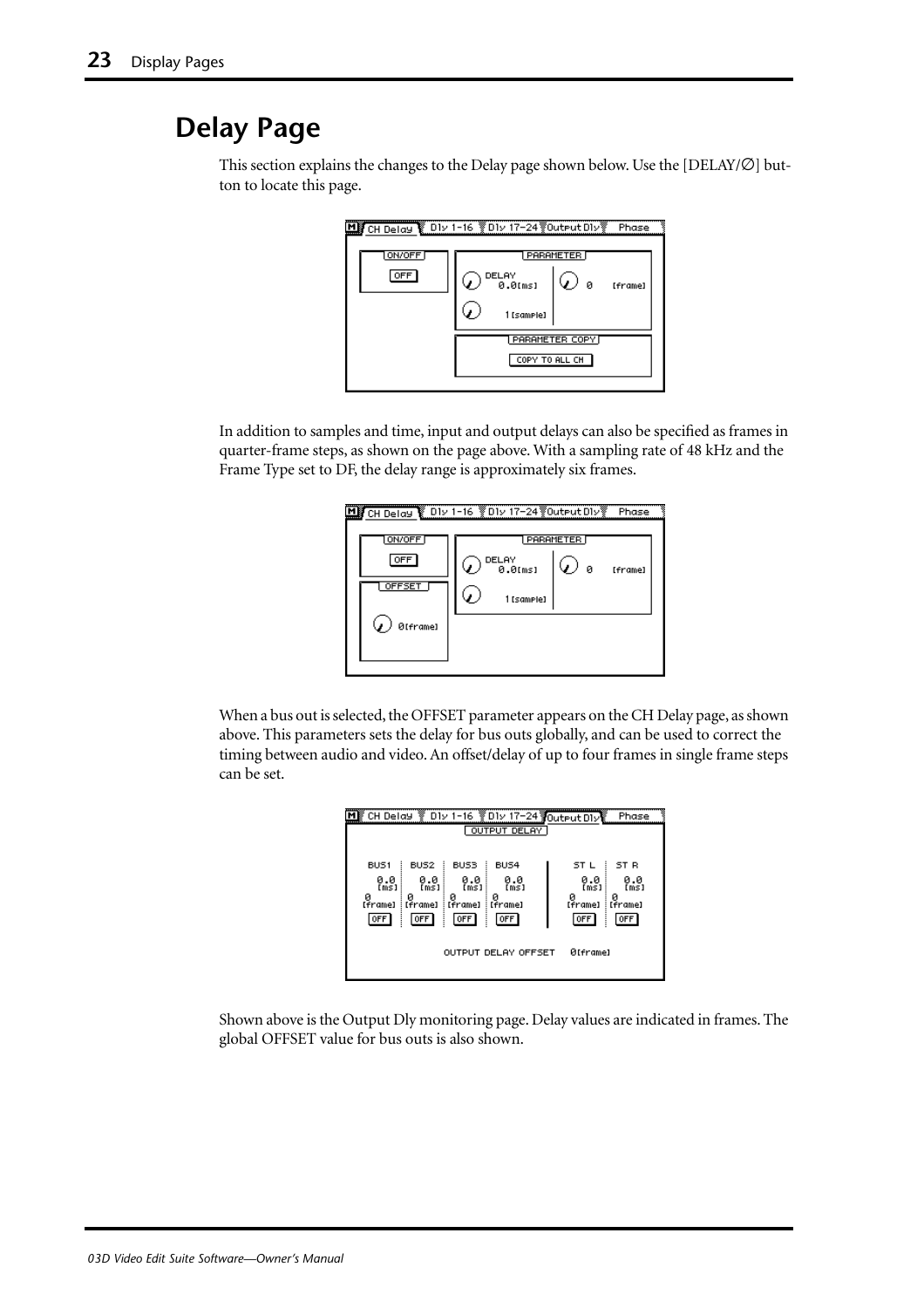## <span id="page-24-0"></span>**Delay Page**



This section explains the changes to the Delay page shown below. Use the [DELAY/∅] button to locate this page.

In addition to samples and time, input and output delays can also be specified as frames in quarter-frame steps, as shown on the page above. With a sampling rate of 48 kHz and the Frame Type set to DF, the delay range is approximately six frames.

| 븬                              | CH Delay & D1v 1-16 &D1v 17-24 @Output D1v<br>Phase                              |  |
|--------------------------------|----------------------------------------------------------------------------------|--|
| ON/OFF<br><b>OFF</b><br>OFFSET | <b>PARAMETER</b><br>DELAY<br>0.0 <sub>Ims1</sub><br>- 0<br>[frame]<br>1 [samele] |  |
| ØIframe]                       |                                                                                  |  |

When a bus out is selected, the OFFSET parameter appears on the CH Delay page, as shown above. This parameters sets the delay for bus outs globally, and can be used to correct the timing between audio and video. An offset/delay of up to four frames in single frame steps can be set.

|                                            |                                                              |                                                         | CH Delay V D1v 1-16 V D1v 17-24 JOutput D1v<br>OUTPUT DELAY |                                                | Phase                                       |
|--------------------------------------------|--------------------------------------------------------------|---------------------------------------------------------|-------------------------------------------------------------|------------------------------------------------|---------------------------------------------|
| BUS1<br>0.0<br>(ms)<br>ø<br>[frame]<br>OFF | BUS <sub>2</sub><br>0.0<br>[ms]<br>ø<br>: [frame]<br>l off i | BUS3<br>0.0<br>[ms]<br>и<br>[frame]<br>OFF <sup>1</sup> | BUS4<br>0.0<br>[ms]<br>: [frame]<br>0FF                     | ST L<br>٠<br>0.0<br>ms1<br>ø<br>[frame]<br>OFF | ST R<br>0.0<br>ms1<br>ø<br>: [frame]<br>0FF |
|                                            |                                                              |                                                         | OUTPUT DELAY OFFSET                                         | <b>Øfframel</b>                                |                                             |

Shown above is the Output Dly monitoring page. Delay values are indicated in frames. The global OFFSET value for bus outs is also shown.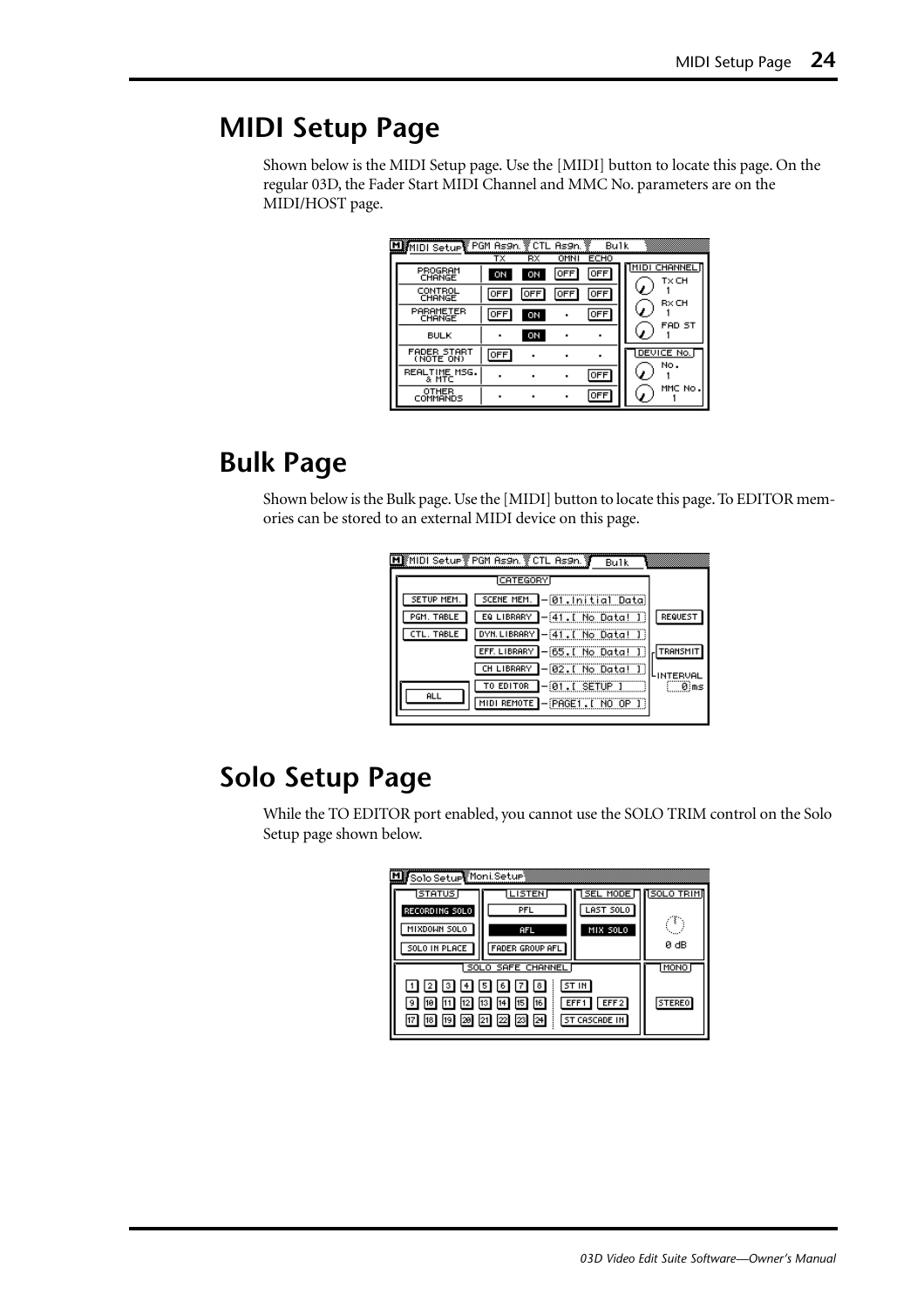## <span id="page-25-0"></span>**MIDI Setup Page**

Shown below is the MIDI Setup page. Use the [MIDI] button to locate this page. On the regular 03D, the Fader Start MIDI Channel and MMC No. parameters are on the MIDI/HOST page.

| MIMIDI Setup PGM As9n. ECTL As9n. |            |            |             | Bulk       |                      |
|-----------------------------------|------------|------------|-------------|------------|----------------------|
|                                   | тх         | RX         | <b>OMNI</b> | ECHO       |                      |
| PROGRAM<br>CHANGE                 | ON         | ON         | OFF         | 0FF        | MIDI CHANNEL<br>TxCH |
| CONTROL<br>CHANGE                 | OFF        | <b>OFF</b> | OFF         | <b>OFF</b> | RxCH                 |
| PARAMETER<br>CHANGE               | OFF        | ON         |             | <b>OFF</b> | FAD ST               |
| <b>BULK</b>                       |            | ON         |             |            |                      |
| <b>FADER START</b><br>(NOTE ON)   | <b>OFF</b> |            |             |            | DEVICE No.<br>No.    |
| REALTIME MSG.<br>& MTC            |            |            |             | OFF        |                      |
| OTHER<br>COMMANDS                 | ٠          |            |             | <b>OFF</b> | MMC No.              |

## **Bulk Page**

Shown below is the Bulk page. Use the [MIDI] button to locate this page. To EDITOR memories can be stored to an external MIDI device on this page.

| Bulk                                         |           |
|----------------------------------------------|-----------|
| <b>CATEGORY</b>                              |           |
| SCENE MEM. - 01. Initial Data<br>SETUP MEM.  |           |
| EQ LIBRARY - 41. [ No Data! ]<br>PGM. TABLE  | REQUEST   |
| DYN.LIBRARY - 41. [ No Data! ]<br>CTL. TABLE |           |
| EFF. LIBRARY - [65. [ No Data! ]             | TRANSMIT  |
| 1-@2.[ No Data! ])<br>CH LIBRARY             | LINTERVAL |
| $-01$ . I SETUP I<br>TO EDITOR<br><b>ALL</b> | ®`ms      |
| MIDI REMOTE - PAGE1. [ NO OP ]               |           |

## **Solo Setup Page**

While the TO EDITOR port enabled, you cannot use the SOLO TRIM control on the Solo Setup page shown below.

| MB Solo Setup Moni Setup                                                                                                                        |                        |           |                   |
|-------------------------------------------------------------------------------------------------------------------------------------------------|------------------------|-----------|-------------------|
| STATUS                                                                                                                                          | <b>LISTEN</b>          | SEL MODE  | <b>NSOLO TRIM</b> |
| RECORDING SOLO                                                                                                                                  | PFL                    | LAST SOLO |                   |
| MIXDOWN SOLO                                                                                                                                    | AFL                    | MIX SOLO  |                   |
| SOLO IN PLACE                                                                                                                                   | <b>FADER GROUP AFL</b> | 0 dB      |                   |
| SOLO SAFE CHANNEL                                                                                                                               | MONO                   |           |                   |
| ST IN<br> 1  2  3  4  5  6  7 <br> 8 <br>12 13 14 15 16<br>EFF1<br>EFF2<br> 10 <br>19 I<br> 18   19   20   21   22   23   24  <br>ST CASCADE IN |                        |           | <b>STEREO</b>     |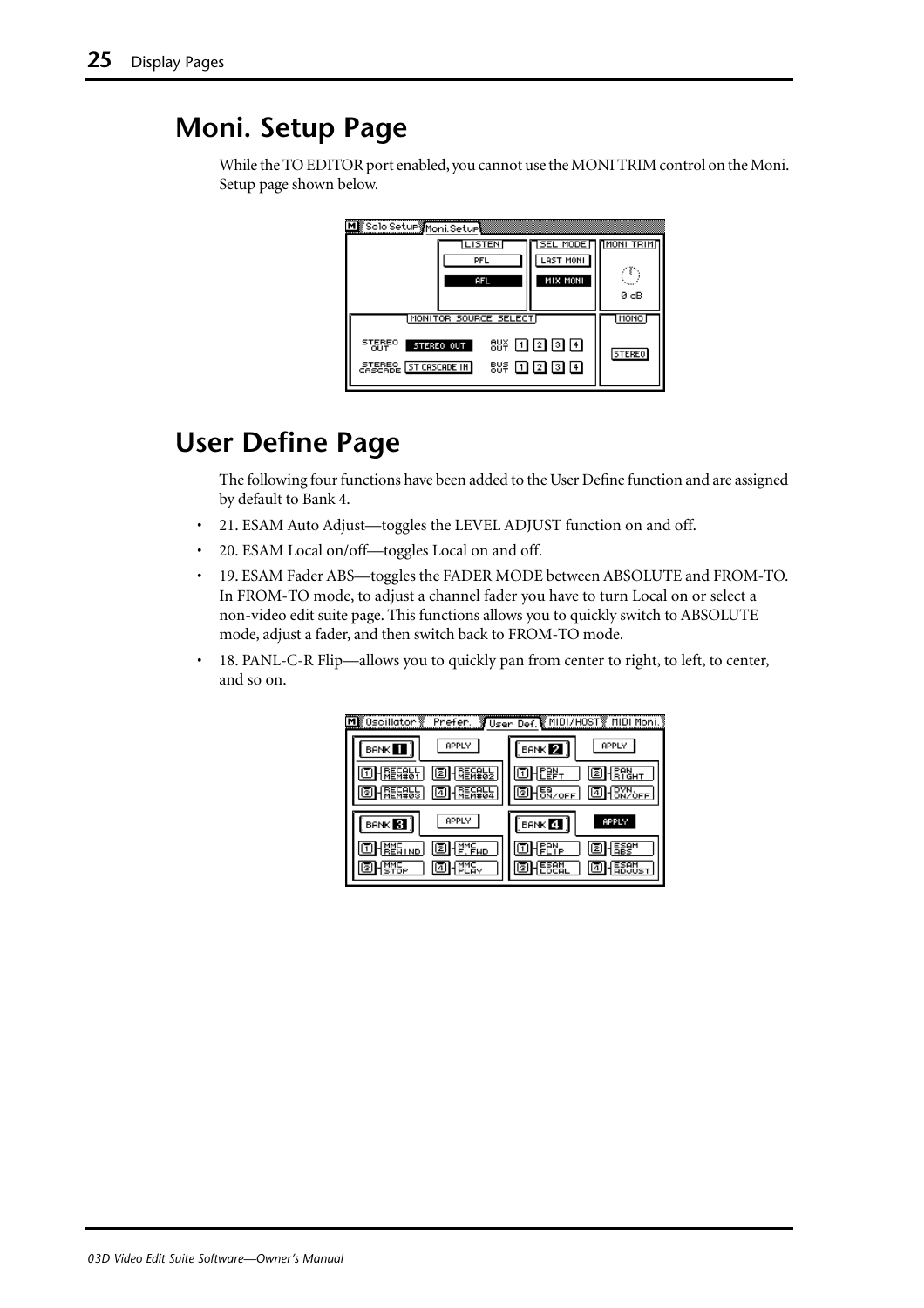## <span id="page-26-0"></span>**Moni. Setup Page**

While the TO EDITOR port enabled, you cannot use the MONI TRIM control on the Moni. Setup page shown below.



## **User Define Page**

The following four functions have been added to the User Define function and are assigned by default to Bank 4.

- 21. ESAM Auto Adjust—toggles the LEVEL ADJUST function on and off.
- 20. ESAM Local on/off-toggles Local on and off.
- 19. ESAM Fader ABS—toggles the FADER MODE between ABSOLUTE and FROM-TO. In FROM-TO mode, to adjust a channel fader you have to turn Local on or select a non-video edit suite page. This functions allows you to quickly switch to ABSOLUTE mode, adjust a fader, and then switch back to FROM-TO mode.
- 18. PANL-C-R Flip—allows you to quickly pan from center to right, to left, to center, and so on.

| lk Oscillator \   | Prefer.        | ें User Def. ∭MIDI/H0ST ▒ MIDI Moni.        |
|-------------------|----------------|---------------------------------------------|
| <b>BANK</b>       | APPLY          | APPLY<br>BANK <sup>2</sup>                  |
|                   |                | <u>ਬ੍ਰਿਸ</u><br>Ξ                           |
|                   |                | $\frac{58}{6}$<br>O<br>۱ق.<br><b>ONZOFF</b> |
| BANK <sup>3</sup> | APPLY          | <b>APPLY</b><br>BANK 4                      |
| <b>IND</b>        | 나, Hur<br>ll≅l | z                                           |
|                   | lā<br>prav     | ıē'<br>4                                    |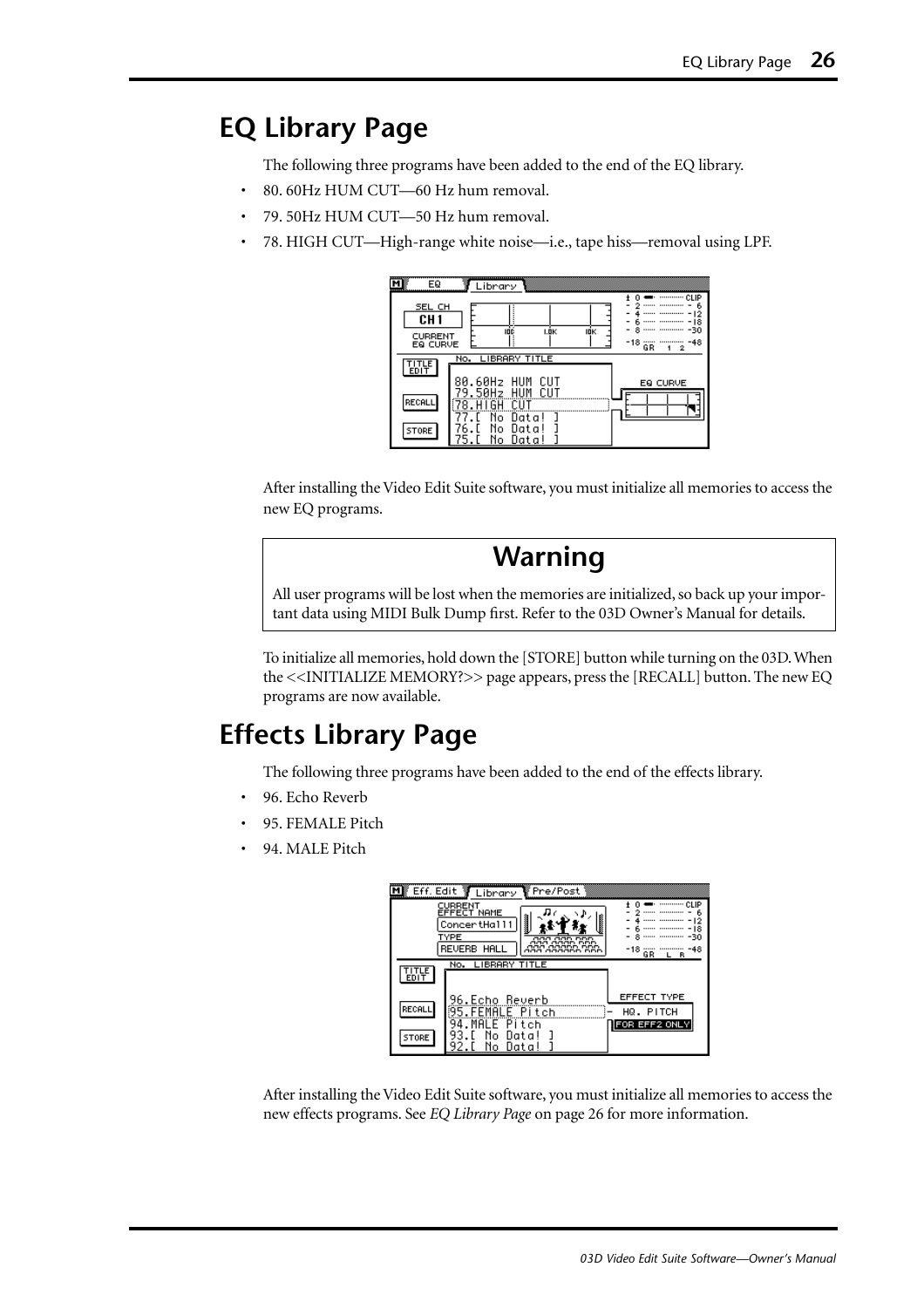## <span id="page-27-0"></span>**EQ Library Page**

The following three programs have been added to the end of the EQ library.

- 80. 60Hz HUM CUT—60 Hz hum removal.
- 79. 50Hz HUM CUT—50 Hz hum removal.
- 78. HIGH CUT—High-range white noise—i.e., tape hiss—removal using LPF.

| EQ<br>SEL CH<br>CH <sub>1</sub><br>CURRENT<br>EQ CURVE | Library<br>------------- CLIP<br>6<br>8<br>-30<br>IDÉ<br>I.ÖK<br>IOK<br>-18<br>-48<br>GR<br>2<br>1. |
|--------------------------------------------------------|-----------------------------------------------------------------------------------------------------|
| 땞년                                                     | No. LIBRARY TITLE<br>CUT<br>.60Hz<br>HUM<br>80<br>EQ CURVE                                          |
| RECALL                                                 | 9.50Hz<br>HUM<br>CUT<br>N٥                                                                          |
| STORE                                                  | Data!<br>N٥<br>Data<br>Ν٥<br>Uata<br>э                                                              |

After installing the Video Edit Suite software, you must initialize all memories to access the new EQ programs.

### **Warning**

All user programs will be lost when the memories are initialized, so back up your important data using MIDI Bulk Dump first. Refer to the 03D Owner's Manual for details.

To initialize all memories, hold down the [STORE] button while turning on the 03D. When the <<INITIALIZE MEMORY?>> page appears, press the [RECALL] button. The new EQ programs are now available.

## **Effects Library Page**

The following three programs have been added to the end of the effects library.

- 96. Echo Reverb
- 95. FEMALE Pitch
- 94. MALE Pitch

|                     | Eff. Edit TLibrary                | \Pre/Post∥ |                                                |
|---------------------|-----------------------------------|------------|------------------------------------------------|
|                     | CURRENT<br>EFFECT NAME            |            |                                                |
|                     | ConcertHall1                      |            | $$ $$ $-12$<br>------ ----------- - 18         |
|                     | TYPE<br><b>REVERB HALL</b>        | nnn<br>aac | -30<br>-18 ---- ---------<br>-48<br>GR.<br>L R |
| <b>ITLE</b><br>EDIT | No. LIBRARY TITLE                 |            |                                                |
|                     |                                   |            |                                                |
| RECALL              | 96.Echo Reverb<br>95.FEMALE Pitch |            | <b>EFFECT TYPE</b><br>HQ. PITCH                |
|                     | Pitch                             |            | FOR EFF2 ONLY                                  |
| <b>STORE</b>        | Data<br>N٥<br>Uata                |            |                                                |

After installing the Video Edit Suite software, you must initialize all memories to access the new effects programs. See *EQ Library Page* on page 26 for more information.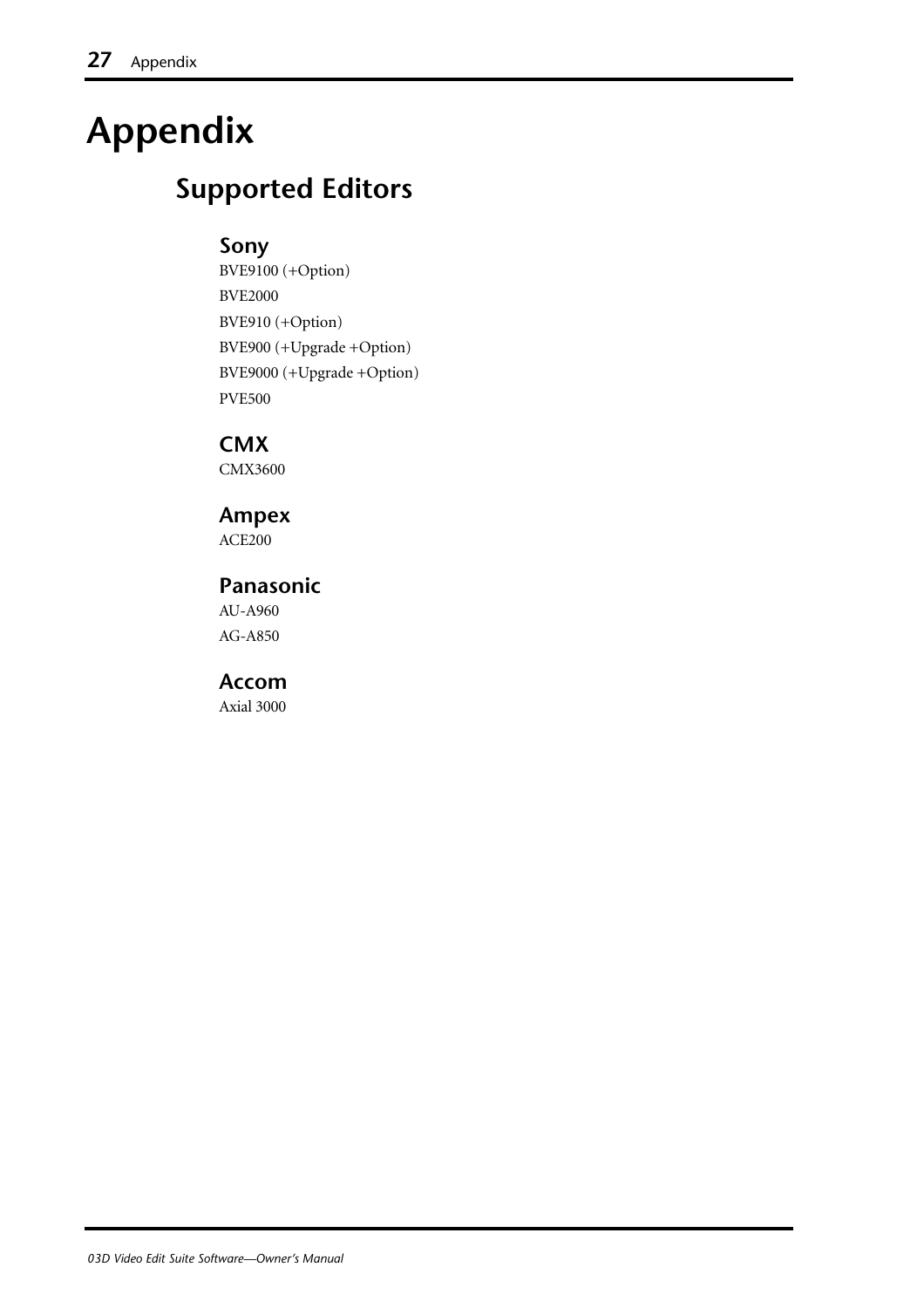# <span id="page-28-0"></span>**Appendix**

## **Supported Editors**

#### **Sony**

BVE9100 (+Option) BVE2000 BVE910 (+Option) BVE900 (+Upgrade +Option) BVE9000 (+Upgrade +Option) PVE500

**CMX** CMX3600

#### **Ampex**

ACE200

#### **Panasonic**

AU-A960 AG-A850

#### **Accom**

Axial 3000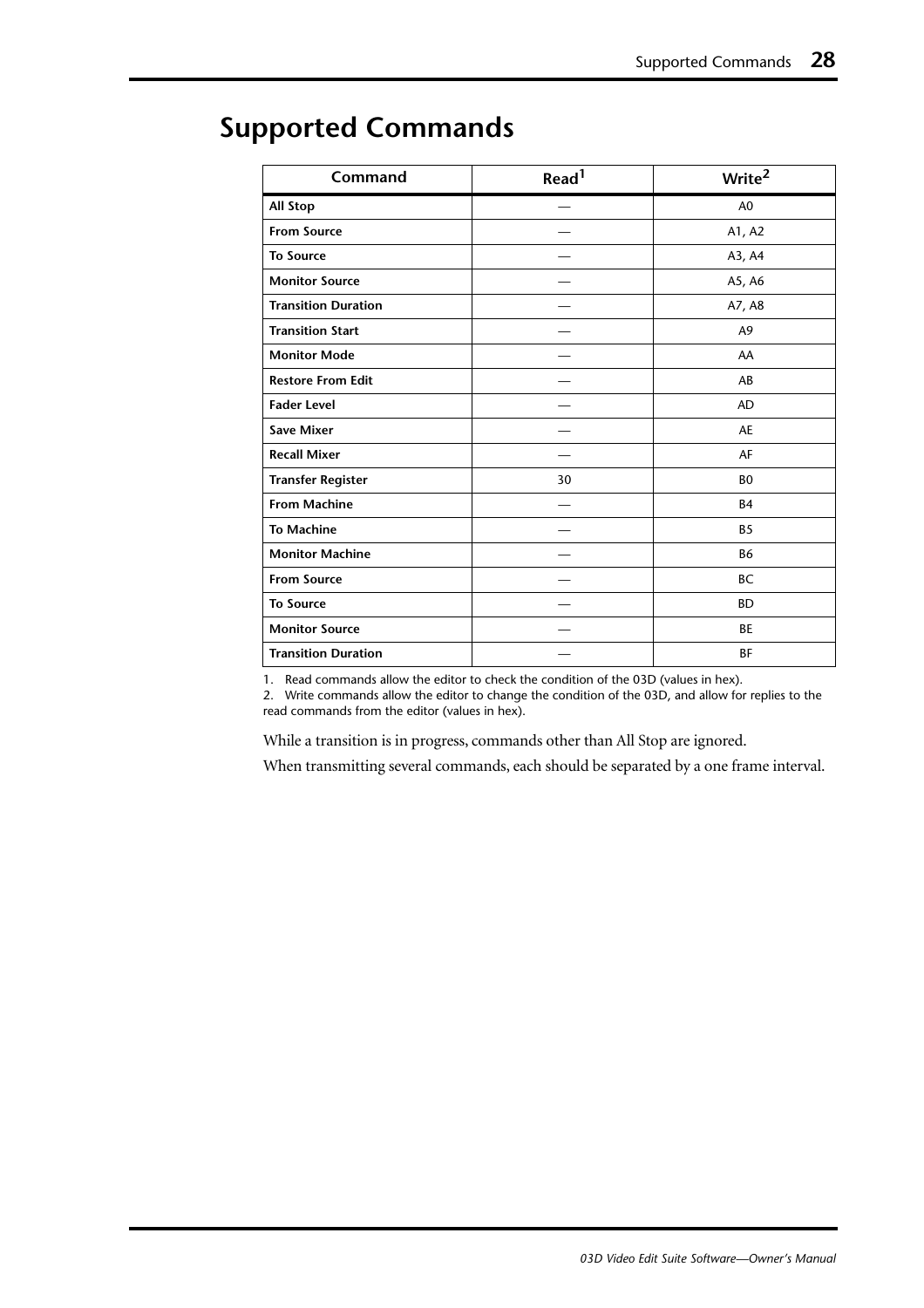| Command                    | Read <sup>1</sup> | Write <sup>2</sup> |
|----------------------------|-------------------|--------------------|
| <b>All Stop</b>            |                   | A <sub>0</sub>     |
| <b>From Source</b>         |                   | A1, A2             |
| <b>To Source</b>           |                   | A3, A4             |
| <b>Monitor Source</b>      |                   | A5, A6             |
| <b>Transition Duration</b> |                   | A7, A8             |
| <b>Transition Start</b>    |                   | A9                 |
| <b>Monitor Mode</b>        |                   | AA                 |
| <b>Restore From Edit</b>   |                   | AB                 |
| <b>Fader Level</b>         |                   | <b>AD</b>          |
| <b>Save Mixer</b>          |                   | <b>AE</b>          |
| <b>Recall Mixer</b>        |                   | AF                 |
| <b>Transfer Register</b>   | 30                | B <sub>0</sub>     |
| <b>From Machine</b>        |                   | <b>B4</b>          |
| <b>To Machine</b>          |                   | <b>B5</b>          |
| <b>Monitor Machine</b>     |                   | <b>B6</b>          |
| <b>From Source</b>         |                   | BC                 |
| <b>To Source</b>           |                   | <b>BD</b>          |
| <b>Monitor Source</b>      |                   | BE                 |
| <b>Transition Duration</b> |                   | BF                 |

## <span id="page-29-0"></span>**Supported Commands**

1. Read commands allow the editor to check the condition of the 03D (values in hex).

2. Write commands allow the editor to change the condition of the 03D, and allow for replies to the read commands from the editor (values in hex).

While a transition is in progress, commands other than All Stop are ignored.

When transmitting several commands, each should be separated by a one frame interval.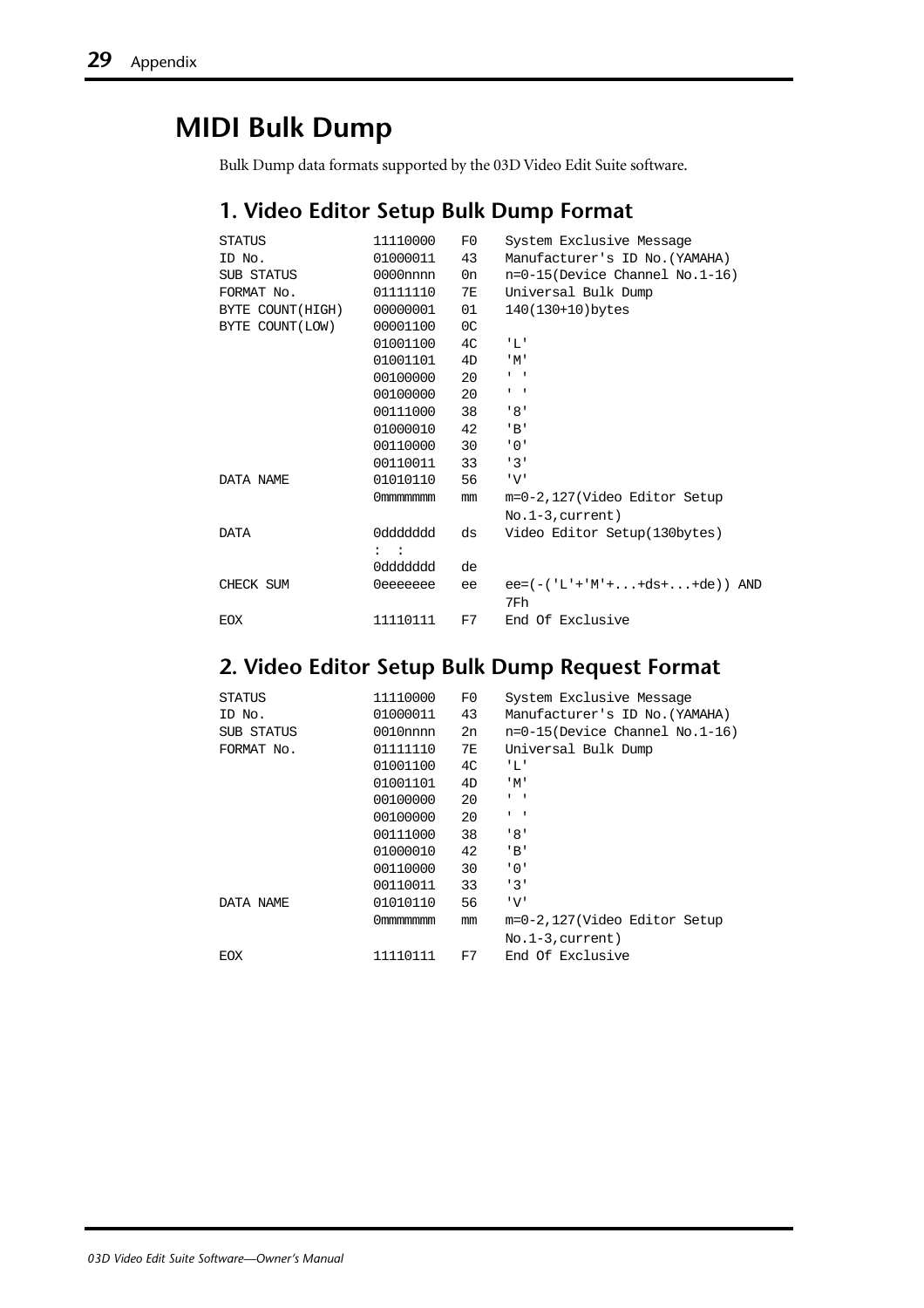## <span id="page-30-0"></span>**MIDI Bulk Dump**

Bulk Dump data formats supported by the 03D Video Edit Suite software.

#### **1. Video Editor Setup Bulk Dump Format**

| <b>STATUS</b>    | 11110000     | F0             | System Exclusive Message          |
|------------------|--------------|----------------|-----------------------------------|
| ID No.           | 01000011     | 43             | Manufacturer's ID No. (YAMAHA)    |
| SUB STATUS       | $0000$ nnnn  | 0n             | $n=0-15$ (Device Channel No.1-16) |
| FORMAT No.       | 01111110     | 7E             | Universal Bulk Dump               |
| BYTE COUNT(HIGH) | 00000001     | 01             | 140(130+10)bytes                  |
| BYTE COUNT (LOW) | 00001100     | 0C             |                                   |
|                  | 01001100     | 4 <sup>C</sup> | 'L'                               |
|                  | 01001101     | 4D             | 'M'                               |
|                  | 00100000     | 20             | $1 - 1$                           |
|                  | 00100000     | 20             | $1 - 1$                           |
|                  | 00111000     | 38             | 181                               |
|                  | 01000010     | 42             | $'$ B'                            |
|                  | 00110000     | 30             | .0.1                              |
|                  | 00110011     | 33             | 131                               |
| DATA NAME        | 01010110     | 56             | 'V'                               |
|                  | Ommmmmmm     | mm             | m=0-2,127(Video Editor Setup      |
|                  |              |                | $No.1-3$ , current)               |
| <b>DATA</b>      | 0ddddddd     | ds             | Video Editor Setup(130bytes)      |
|                  | $\mathbf{1}$ |                |                                   |
|                  | 0ddddddd     | de             |                                   |
| CHECK SUM        | 0eeeeeee     | ee             | $ee = (-('L'+'M'++ds++de))$ AND   |
|                  |              |                | 7Fh                               |
| <b>EOX</b>       | 11110111     | F7             | End Of Exclusive                  |
|                  |              |                |                                   |

#### **2. Video Editor Setup Bulk Dump Request Format**

| <b>STATUS</b> | 11110000    | F0 | System Exclusive Message          |
|---------------|-------------|----|-----------------------------------|
| ID No.        | 01000011    | 43 | Manufacturer's ID No.(YAMAHA)     |
| SUB STATUS    | $0010$ nnnn | 2n | $n=0-15$ (Device Channel No.1-16) |
| FORMAT No.    | 01111110    | 7E | Universal Bulk Dump               |
|               | 01001100    | 4C | 'L'                               |
|               | 01001101    | 4D | $^{\prime}$ M $^{\prime}$         |
|               | 00100000    | 20 | $1 - 1$                           |
|               | 00100000    | 20 | $\mathbf{1}$                      |
|               | 00111000    | 38 | '8'                               |
|               | 01000010    | 42 | 'B'                               |
|               | 00110000    | 30 | '0'                               |
|               | 00110011    | 33 | 131                               |
| DATA NAME     | 01010110    | 56 | 'V'                               |
|               | Ommmmmmm    | mm | m=0-2,127(Video Editor Setup      |
|               |             |    | $No.1-3, current)$                |
| EOX           | 11110111    | F7 | End Of Exclusive                  |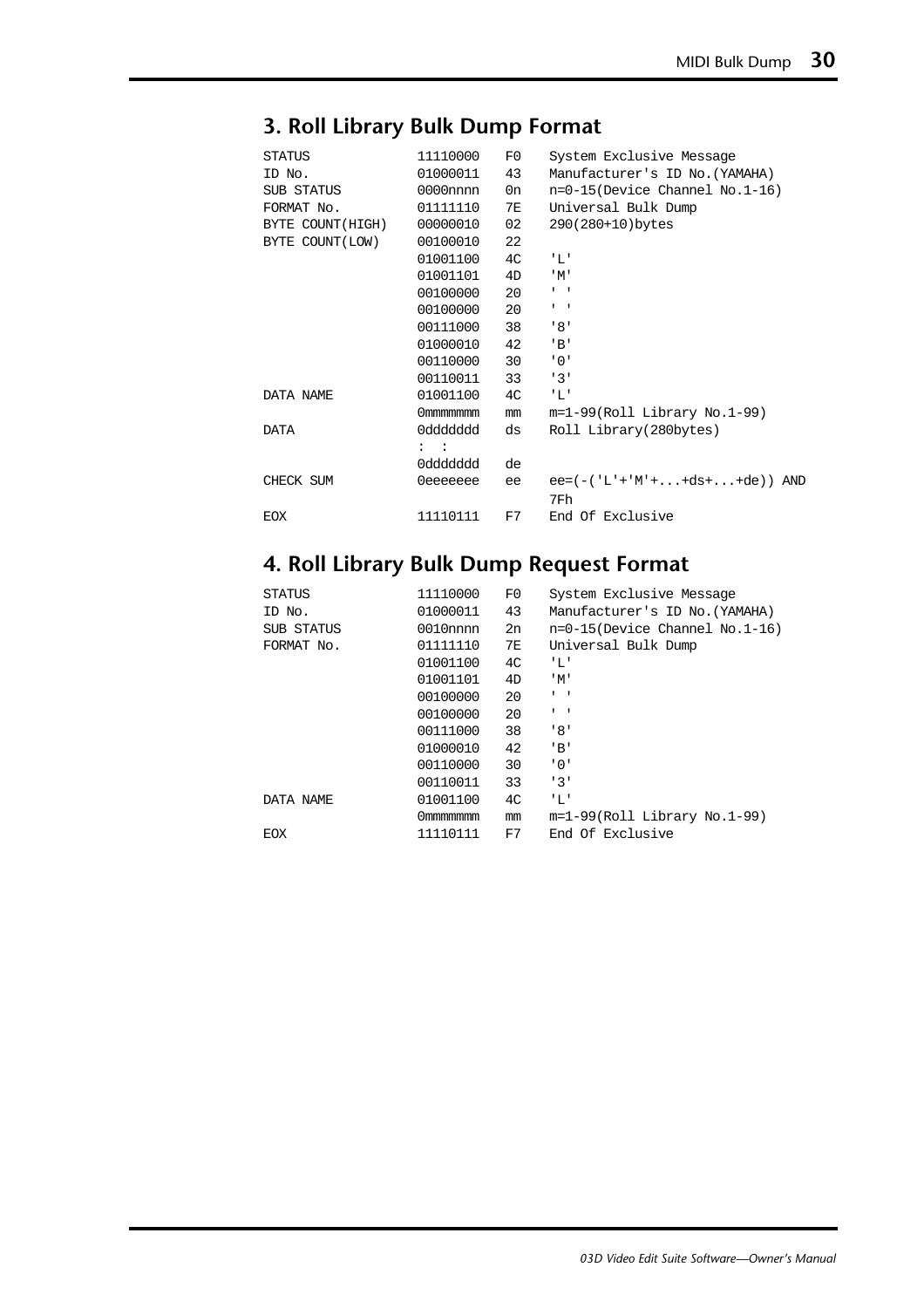#### **3. Roll Library Bulk Dump Format**

| STATUS           | 11110000                  | F0 | System Exclusive Message          |
|------------------|---------------------------|----|-----------------------------------|
| ID No.           | 01000011                  | 43 | Manufacturer's ID No. (YAMAHA)    |
| SUB STATUS       | 0000nnnn                  | 0n | $n=0-15$ (Device Channel No.1-16) |
| FORMAT No.       | 01111110                  | 7E | Universal Bulk Dump               |
| BYTE COUNT(HIGH) | 00000010                  | 02 | 290(280+10)bytes                  |
| BYTE COUNT (LOW) | 00100010                  | 22 |                                   |
|                  | 01001100                  | 4C | 'L'                               |
|                  | 01001101                  | 4D | $^{\prime}$ M $^{\prime}$         |
|                  | 00100000                  | 20 | $\mathbf{r} = -\mathbf{r}$        |
|                  | 00100000                  | 20 | $1 - 1$                           |
|                  | 00111000                  | 38 | ' 8'                              |
|                  | 01000010                  | 42 | $'$ B'                            |
|                  | 00110000                  | 30 | .0.1                              |
|                  | 00110011                  | 33 | 131                               |
| DATA NAME        | 01001100                  | 4C | "L"                               |
|                  | 0mmmmmmm                  | mm | $m=1-99(Roll Library No.1-99)$    |
| <b>DATA</b>      | phbbbbb0                  | ds | Roll Library(280bytes)            |
|                  | $\mathbf{I}$ $\mathbf{I}$ |    |                                   |
|                  | 0ddddddd                  | de |                                   |
| CHECK SUM        | 0eeeeeee                  | ee | $ee = (-('L'+'M'++ds++de))$ AND   |
|                  |                           |    | 7Fh                               |
| EOX              | 11110111                  | F7 | End Of Exclusive                  |

#### **4. Roll Library Bulk Dump Request Format**

| <b>STATUS</b> | 11110000    | F0             | System Exclusive Message          |
|---------------|-------------|----------------|-----------------------------------|
| ID No.        | 01000011    | 43             | Manufacturer's ID No. (YAMAHA)    |
| SUB STATUS    | $0010$ nnnn | 2n             | $n=0-15$ (Device Channel No.1-16) |
| FORMAT No.    | 01111110    | 7E             | Universal Bulk Dump               |
|               | 01001100    | 4 <sup>C</sup> | 'L'                               |
|               | 01001101    | 4D             | 'M'                               |
|               | 00100000    | 20             | $1 - 1$                           |
|               | 00100000    | 20             | $1 - 1$                           |
|               | 00111000    | 38             | 181                               |
|               | 01000010    | 42             | $'$ B'                            |
|               | 00110000    | 30             | '0'                               |
|               | 00110011    | 33             | 131                               |
| DATA NAME     | 01001100    | 4C             | 'L'                               |
|               | Ommmmmmm    | mm             | $m=1-99(Roll Library No.1-99)$    |
| EOX           | 11110111    | F7             | End Of Exclusive                  |
|               |             |                |                                   |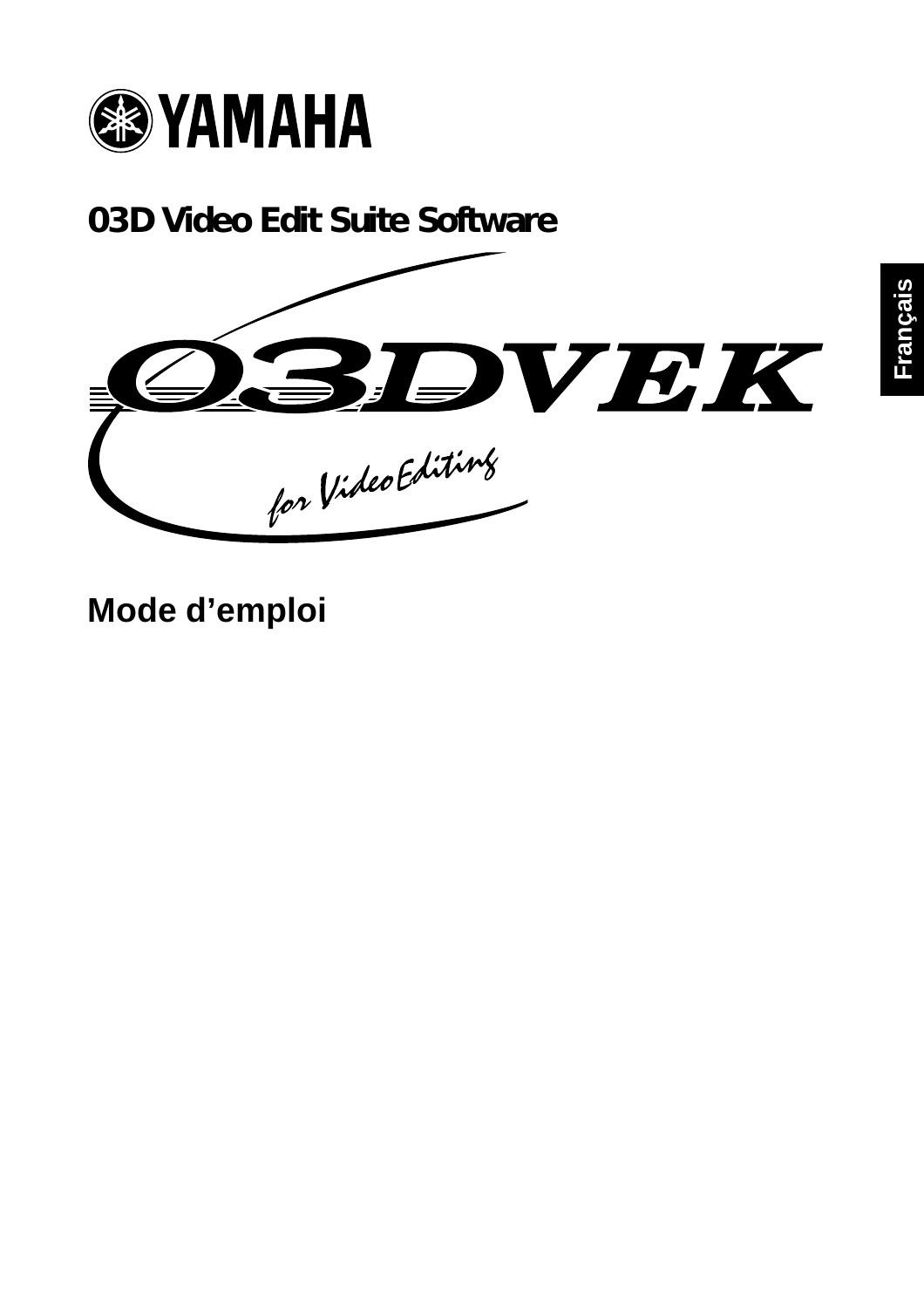

**03D Video Edit Suite Software**



**Mode d'emploi**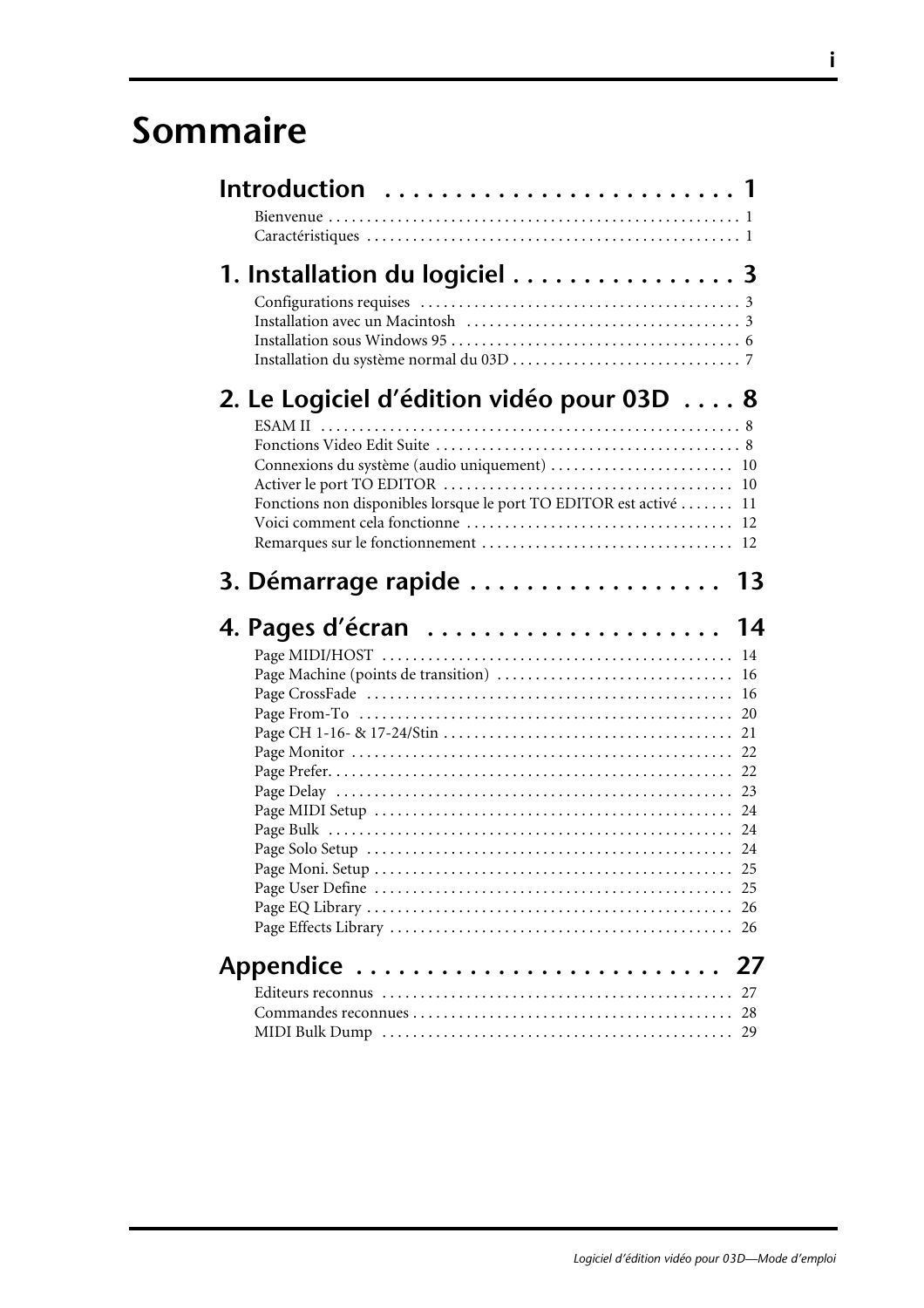## **Sommaire**

| Introduction  1                                                                                                                                                 |          |
|-----------------------------------------------------------------------------------------------------------------------------------------------------------------|----------|
| 1. Installation du logiciel 3                                                                                                                                   |          |
| 2. Le Logiciel d'édition vidéo pour 03D 8<br>Connexions du système (audio uniquement)  10<br>Fonctions non disponibles lorsque le port TO EDITOR est activé  11 | 10       |
| 3. Démarrage rapide  13                                                                                                                                         | 16<br>16 |
|                                                                                                                                                                 | 22       |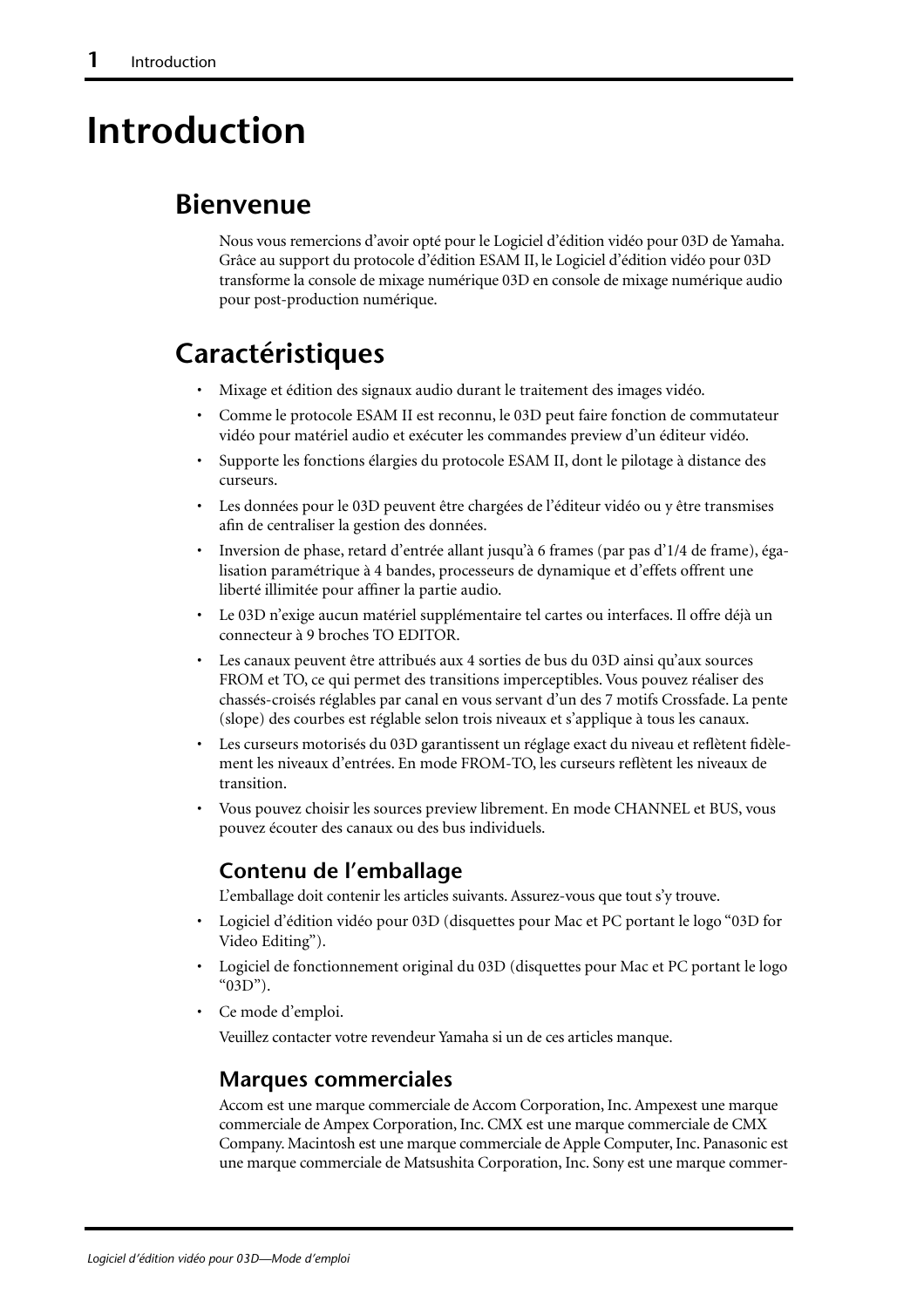## **Introduction**

## **Bienvenue**

Nous vous remercions d'avoir opté pour le Logiciel d'édition vidéo pour 03D de Yamaha. Grâce au support du protocole d'édition ESAM II, le Logiciel d'édition vidéo pour 03D transforme la console de mixage numérique 03D en console de mixage numérique audio pour post-production numérique.

## **Caractéristiques**

- Mixage et édition des signaux audio durant le traitement des images vidéo.
- Comme le protocole ESAM II est reconnu, le 03D peut faire fonction de commutateur vidéo pour matériel audio et exécuter les commandes preview d'un éditeur vidéo.
- Supporte les fonctions élargies du protocole ESAM II, dont le pilotage à distance des curseurs.
- Les données pour le 03D peuvent être chargées de l'éditeur vidéo ou y être transmises afin de centraliser la gestion des données.
- Inversion de phase, retard d'entrée allant jusqu'à 6 frames (par pas d'1/4 de frame), égalisation paramétrique à 4 bandes, processeurs de dynamique et d'effets offrent une liberté illimitée pour affiner la partie audio.
- Le 03D n'exige aucun matériel supplémentaire tel cartes ou interfaces. Il offre déjà un connecteur à 9 broches TO EDITOR.
- Les canaux peuvent être attribués aux 4 sorties de bus du 03D ainsi qu'aux sources FROM et TO, ce qui permet des transitions imperceptibles. Vous pouvez réaliser des chassés-croisés réglables par canal en vous servant d'un des 7 motifs Crossfade. La pente (slope) des courbes est réglable selon trois niveaux et s'applique à tous les canaux.
- Les curseurs motorisés du 03D garantissent un réglage exact du niveau et reflètent fidèlement les niveaux d'entrées. En mode FROM-TO, les curseurs reflètent les niveaux de transition.
- Vous pouvez choisir les sources preview librement. En mode CHANNEL et BUS, vous pouvez écouter des canaux ou des bus individuels.

#### **Contenu de l'emballage**

L'emballage doit contenir les articles suivants. Assurez-vous que tout s'y trouve.

- Logiciel d'édition vidéo pour 03D (disquettes pour Mac et PC portant le logo "03D for Video Editing").
- Logiciel de fonctionnement original du 03D (disquettes pour Mac et PC portant le logo "03D").
- Ce mode d'emploi.

Veuillez contacter votre revendeur Yamaha si un de ces articles manque.

#### **Marques commerciales**

Accom est une marque commerciale de Accom Corporation, Inc. Ampexest une marque commerciale de Ampex Corporation, Inc. CMX est une marque commerciale de CMX Company. Macintosh est une marque commerciale de Apple Computer, Inc. Panasonic est une marque commerciale de Matsushita Corporation, Inc. Sony est une marque commer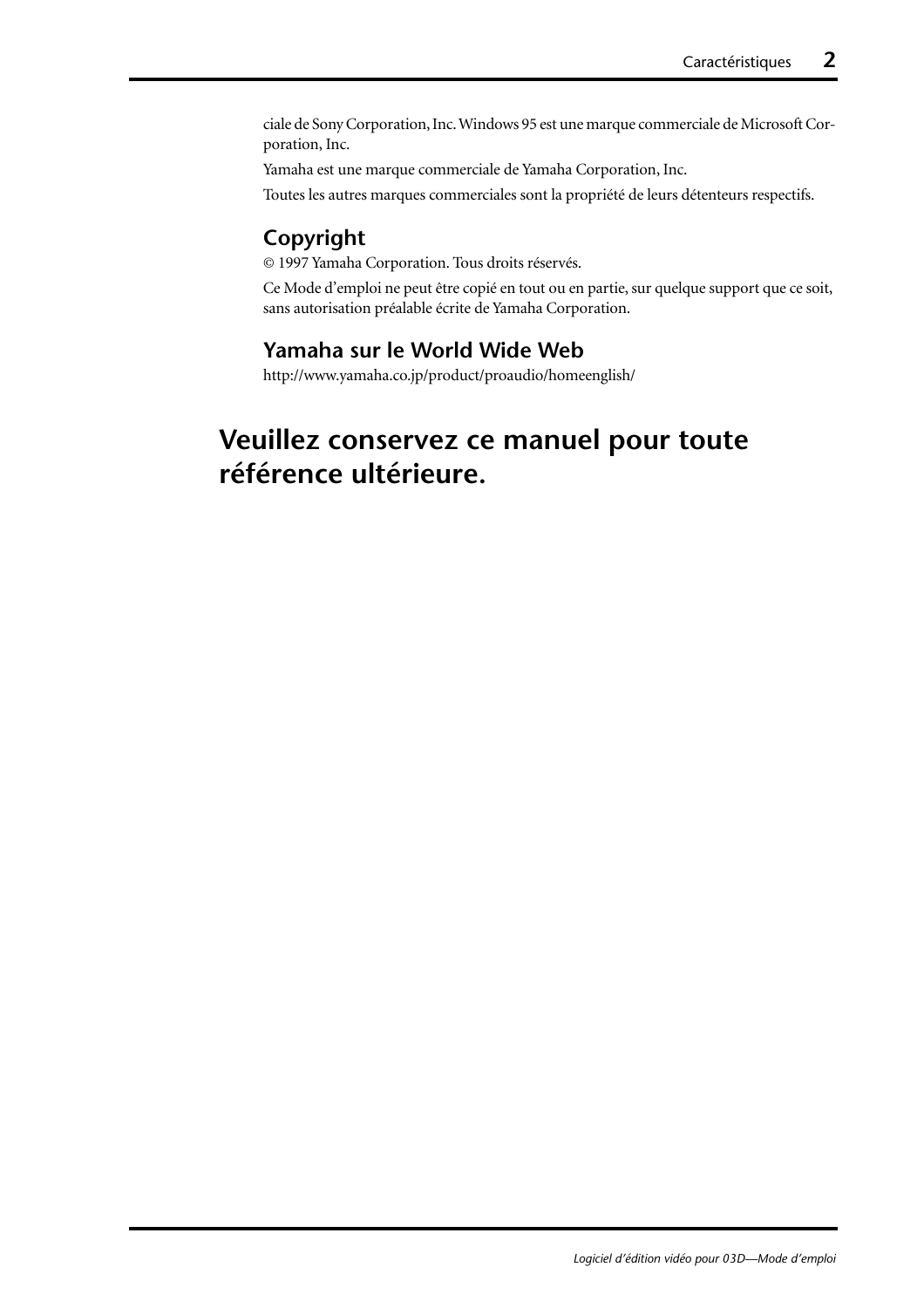ciale de Sony Corporation, Inc. Windows 95 est une marque commerciale de Microsoft Corporation, Inc.

Yamaha est une marque commerciale de Yamaha Corporation, Inc.

Toutes les autres marques commerciales sont la propriété de leurs détenteurs respectifs.

#### **Copyright**

© 1997 Yamaha Corporation. Tous droits réservés.

Ce Mode d'emploi ne peut être copié en tout ou en partie, sur quelque support que ce soit, sans autorisation préalable écrite de Yamaha Corporation.

#### **Yamaha sur le World Wide Web**

http://www.yamaha.co.jp/product/proaudio/homeenglish/

## **Veuillez conservez ce manuel pour toute référence ultérieure.**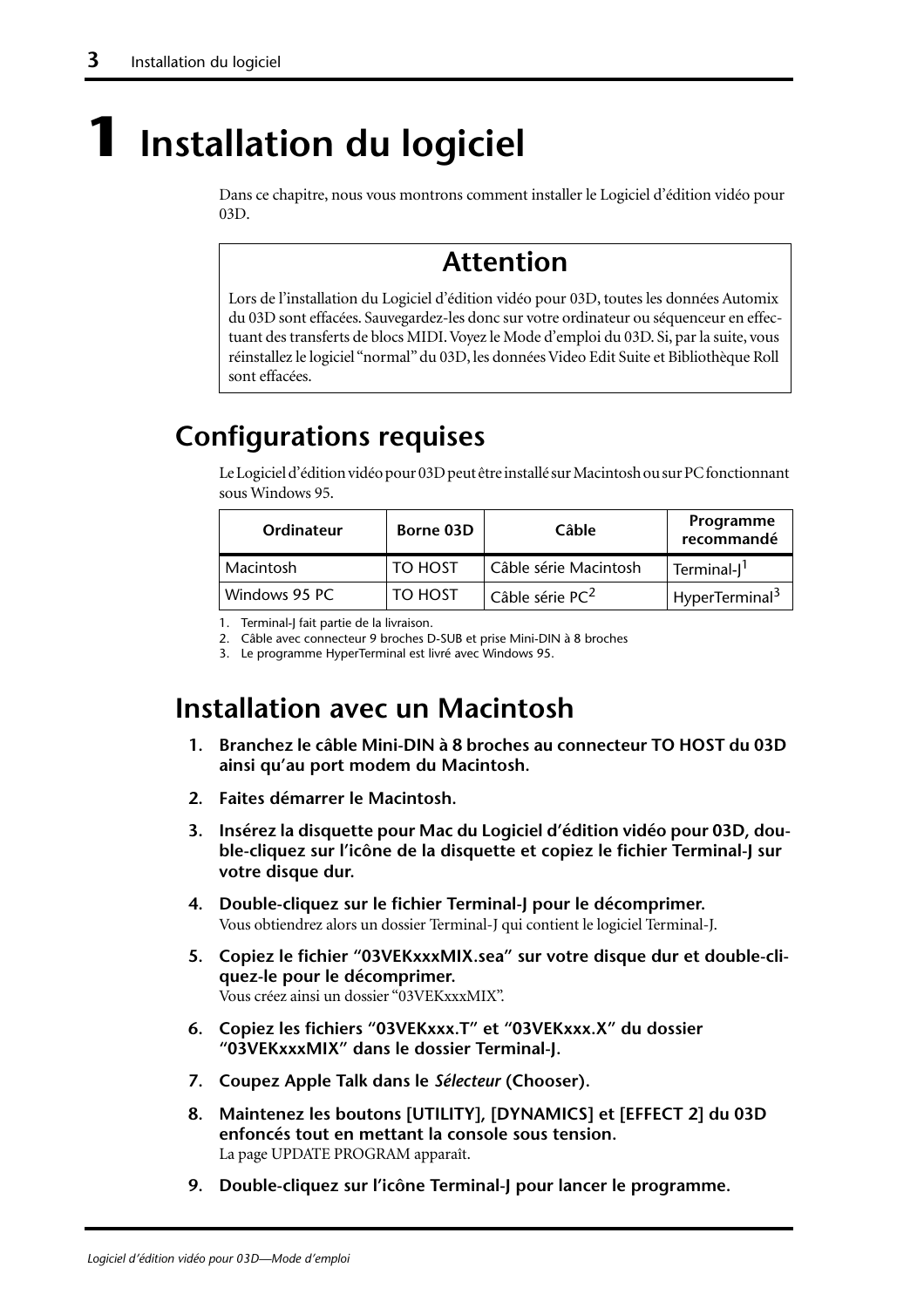# <span id="page-36-0"></span>**1 Installation du logiciel**

Dans ce chapitre, nous vous montrons comment installer le Logiciel d'édition vidéo pour 03D.

# **Attention**

Lors de l'installation du Logiciel d'édition vidéo pour 03D, toutes les données Automix du 03D sont effacées. Sauvegardez-les donc sur votre ordinateur ou séquenceur en effectuant des transferts de blocs MIDI. Voyez le Mode d'emploi du 03D. Si, par la suite, vous réinstallez le logiciel "normal" du 03D, les données Video Edit Suite et Bibliothèque Roll sont effacées.

# **Configurations requises**

Le Logiciel d'édition vidéo pour 03D peut être installé sur Macintosh ou sur PC fonctionnant sous Windows 95.

| Ordinateur    | Borne 03D | Câble                       | Programme<br>recommandé    |  |  |  |  |
|---------------|-----------|-----------------------------|----------------------------|--|--|--|--|
| Macintosh     | TO HOST   | Câble série Macintosh       | Terminal-J <sup>1</sup>    |  |  |  |  |
| Windows 95 PC | TO HOST   | Câble série PC <sup>2</sup> | HyperTerminal <sup>3</sup> |  |  |  |  |

1. Terminal-J fait partie de la livraison.

2. Câble avec connecteur 9 broches D-SUB et prise Mini-DIN à 8 broches

3. Le programme HyperTerminal est livré avec Windows 95.

## **Installation avec un Macintosh**

- **1. Branchez le câble Mini-DIN à 8 broches au connecteur TO HOST du 03D ainsi qu'au port modem du Macintosh.**
- **2. Faites démarrer le Macintosh.**
- **3. Insérez la disquette pour Mac du Logiciel d'édition vidéo pour 03D, double-cliquez sur l'icône de la disquette et copiez le fichier Terminal-J sur votre disque dur.**
- **4. Double-cliquez sur le fichier Terminal-J pour le décomprimer.** Vous obtiendrez alors un dossier Terminal-J qui contient le logiciel Terminal-J.
- **5. Copiez le fichier "03VEKxxxMIX.sea" sur votre disque dur et double-cliquez-le pour le décomprimer.** Vous créez ainsi un dossier "03VEKxxxMIX".
- **6. Copiez les fichiers "03VEKxxx.T" et "03VEKxxx.X" du dossier "03VEKxxxMIX" dans le dossier Terminal-J.**
- **7. Coupez Apple Talk dans le** *Sélecteur* **(Chooser).**
- **8. Maintenez les boutons [UTILITY], [DYNAMICS] et [EFFECT 2] du 03D enfoncés tout en mettant la console sous tension.** La page UPDATE PROGRAM apparaît.
- **9. Double-cliquez sur l'icône Terminal-J pour lancer le programme.**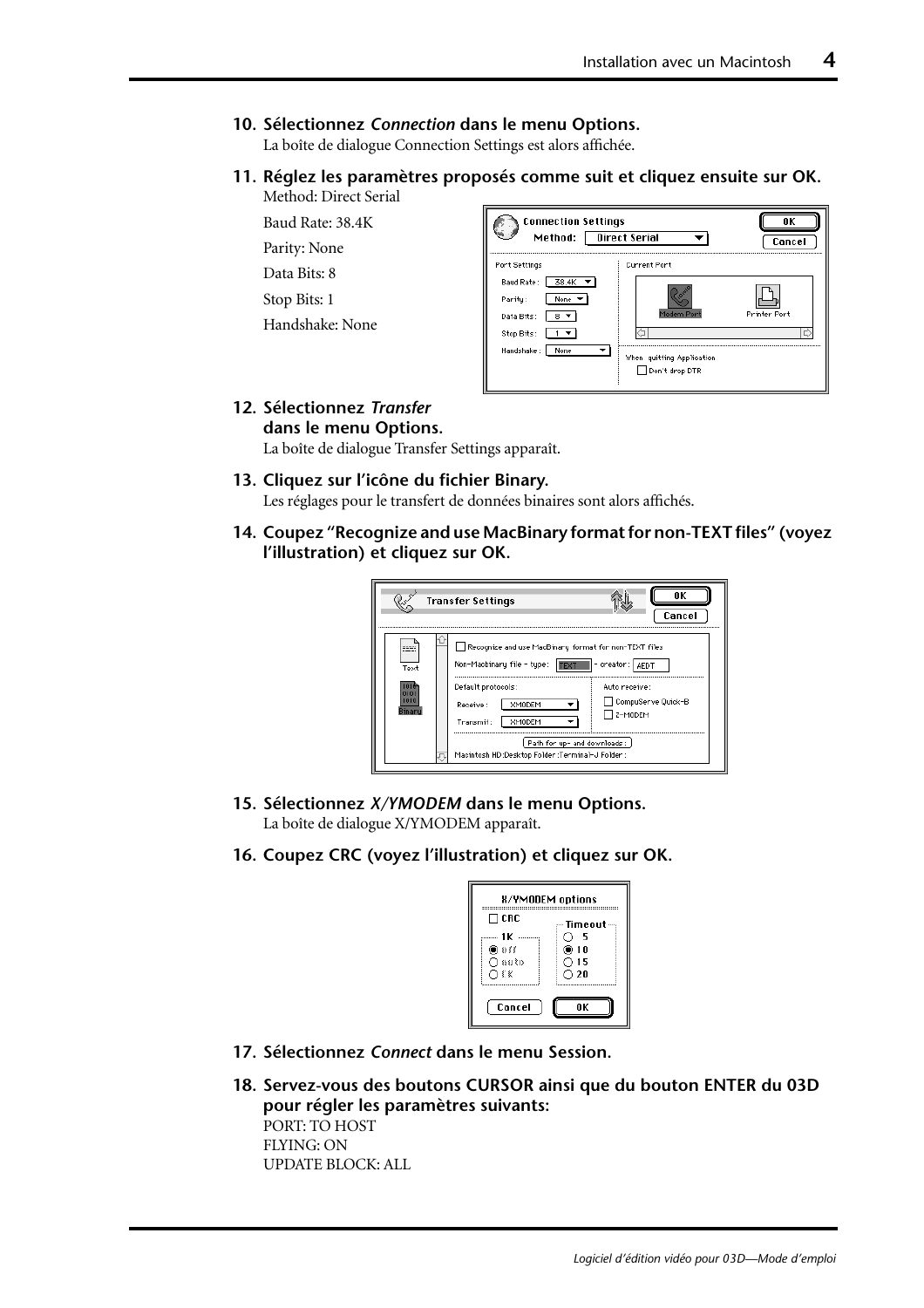#### <span id="page-37-0"></span>**10. Sélectionnez** *Connection* **dans le menu Options.**

La boîte de dialogue Connection Settings est alors affichée.

**11. Réglez les paramètres proposés comme suit et cliquez ensuite sur OK.** Method: Direct Serial

Baud Rate: 38.4K

Parity: None

Data Bits: 8

Stop Bits: 1

Handshake: None

| <b>Connection Settings</b><br>Method:                   | Direct Serial                               | ΠK<br>Cancel        |
|---------------------------------------------------------|---------------------------------------------|---------------------|
| Port Settings<br>38.4K<br>Baud Rate:<br>Parity:<br>None | <b>Current Port</b>                         |                     |
| Data Bits:<br>8<br>Stop Bits:                           | Modem Port                                  | <b>Printer Port</b> |
| Handshake:<br>None                                      | When quitting Application<br>Don't drop DTR |                     |

#### **12. Sélectionnez** *Transfer* **dans le menu Options.**

La boîte de dialogue Transfer Settings apparaît.

#### **13. Cliquez sur l'icône du fichier Binary.**

Les réglages pour le transfert de données binaires sont alors affichés.

**14. Coupez "Recognize and use MacBinary format for non-TEXT files" (voyez l'illustration) et cliquez sur OK.**

|      | <b>Transfer Settings</b>                                                                                                                                                                                                                                                 | ΠK<br>Cancel                                     |
|------|--------------------------------------------------------------------------------------------------------------------------------------------------------------------------------------------------------------------------------------------------------------------------|--------------------------------------------------|
| Text | Recognize and use MacBinary format for non-TEXT files<br>Non-Macbinary file - type:  TEXT   - creator:   AEDT<br>Default protocols:<br>Receive:<br>XMODEM<br>Transmit:<br><b>XMODEM</b><br>Path for up- and downloads:<br>Macintosh HD:Desktop Folder:Terminal-J Folder: | Auto receive:<br>CompuServe Quick-B<br>7 z-modem |

**15. Sélectionnez** *X/YMODEM* **dans le menu Options.**

La boîte de dialogue X/YMODEM apparaît.

**16. Coupez CRC (voyez l'illustration) et cliquez sur OK.**

| <b>X/YMODEM</b> options |                                |
|-------------------------|--------------------------------|
| ΠCRC                    | -- Timeout ---                 |
| 1 K<br>) ∂∂             | - 5<br>@10                     |
| ∩auto<br>O€K            | $\bigcirc$ 15<br>$\bigcirc$ 20 |
|                         |                                |
| Cancel                  | ΩK                             |

- **17. Sélectionnez** *Connect* **dans le menu Session.**
- **18. Servez-vous des boutons CURSOR ainsi que du bouton ENTER du 03D pour régler les paramètres suivants:** PORT: TO HOST FLYING: ON UPDATE BLOCK: ALL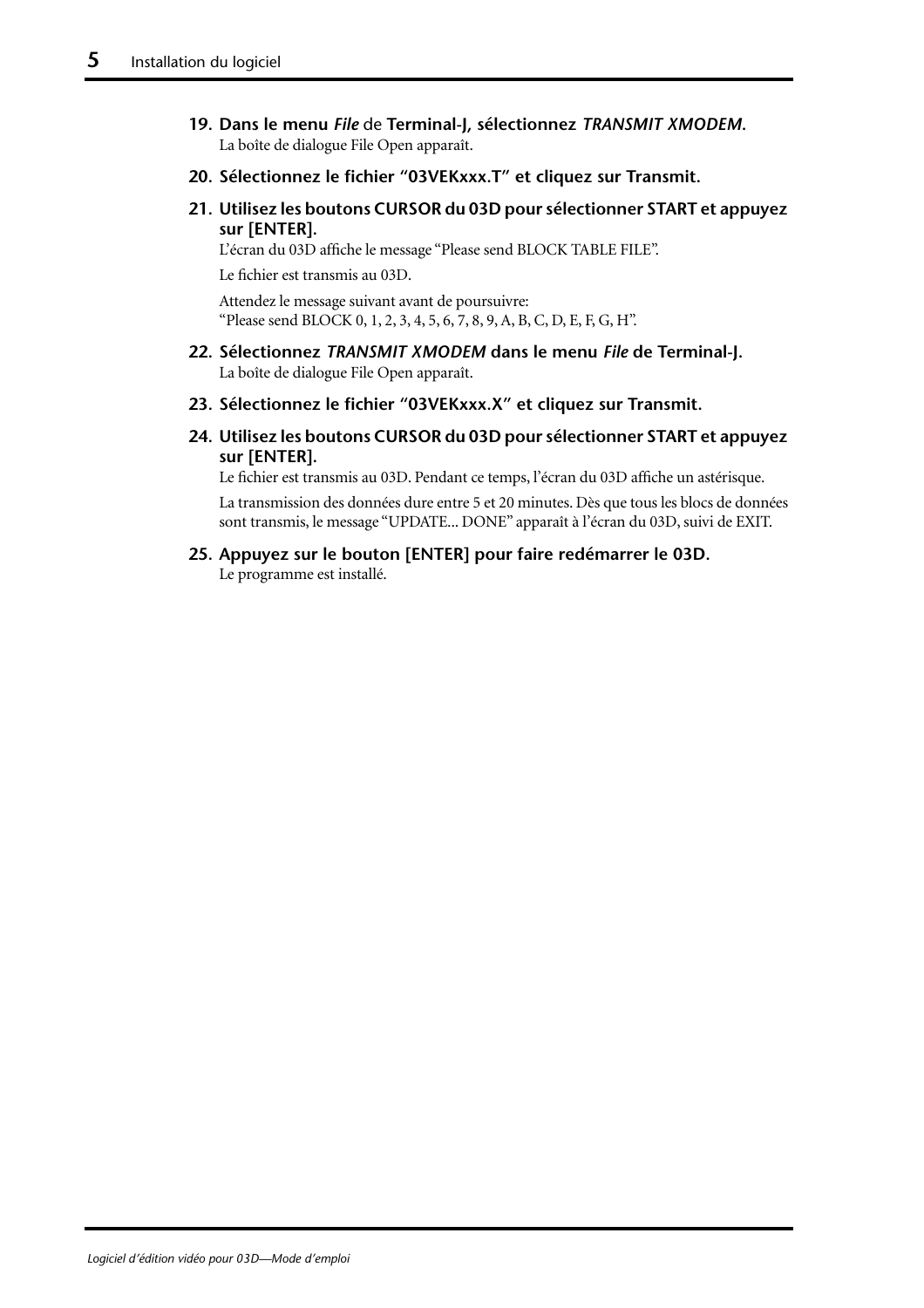- <span id="page-38-0"></span>**19. Dans le menu** *File* de **Terminal-J, sélectionnez** *TRANSMIT XMODEM***.**  La boîte de dialogue File Open apparaît.
- **20. Sélectionnez le fichier "03VEKxxx.T" et cliquez sur Transmit.**
- **21. Utilisez les boutons CURSOR du 03D pour sélectionner START et appuyez sur [ENTER].**

L'écran du 03D affiche le message "Please send BLOCK TABLE FILE".

Le fichier est transmis au 03D.

Attendez le message suivant avant de poursuivre: "Please send BLOCK 0, 1, 2, 3, 4, 5, 6, 7, 8, 9, A, B, C, D, E, F, G, H".

- **22. Sélectionnez** *TRANSMIT XMODEM* **dans le menu** *File* **de Terminal-J.**  La boîte de dialogue File Open apparaît.
- **23. Sélectionnez le fichier "03VEKxxx.X" et cliquez sur Transmit.**
- **24. Utilisez les boutons CURSOR du 03D pour sélectionner START et appuyez sur [ENTER].**

Le fichier est transmis au 03D. Pendant ce temps, l'écran du 03D affiche un astérisque.

La transmission des données dure entre 5 et 20 minutes. Dès que tous les blocs de données sont transmis, le message "UPDATE... DONE" apparaît à l'écran du 03D, suivi de EXIT.

**25. Appuyez sur le bouton [ENTER] pour faire redémarrer le 03D.** Le programme est installé.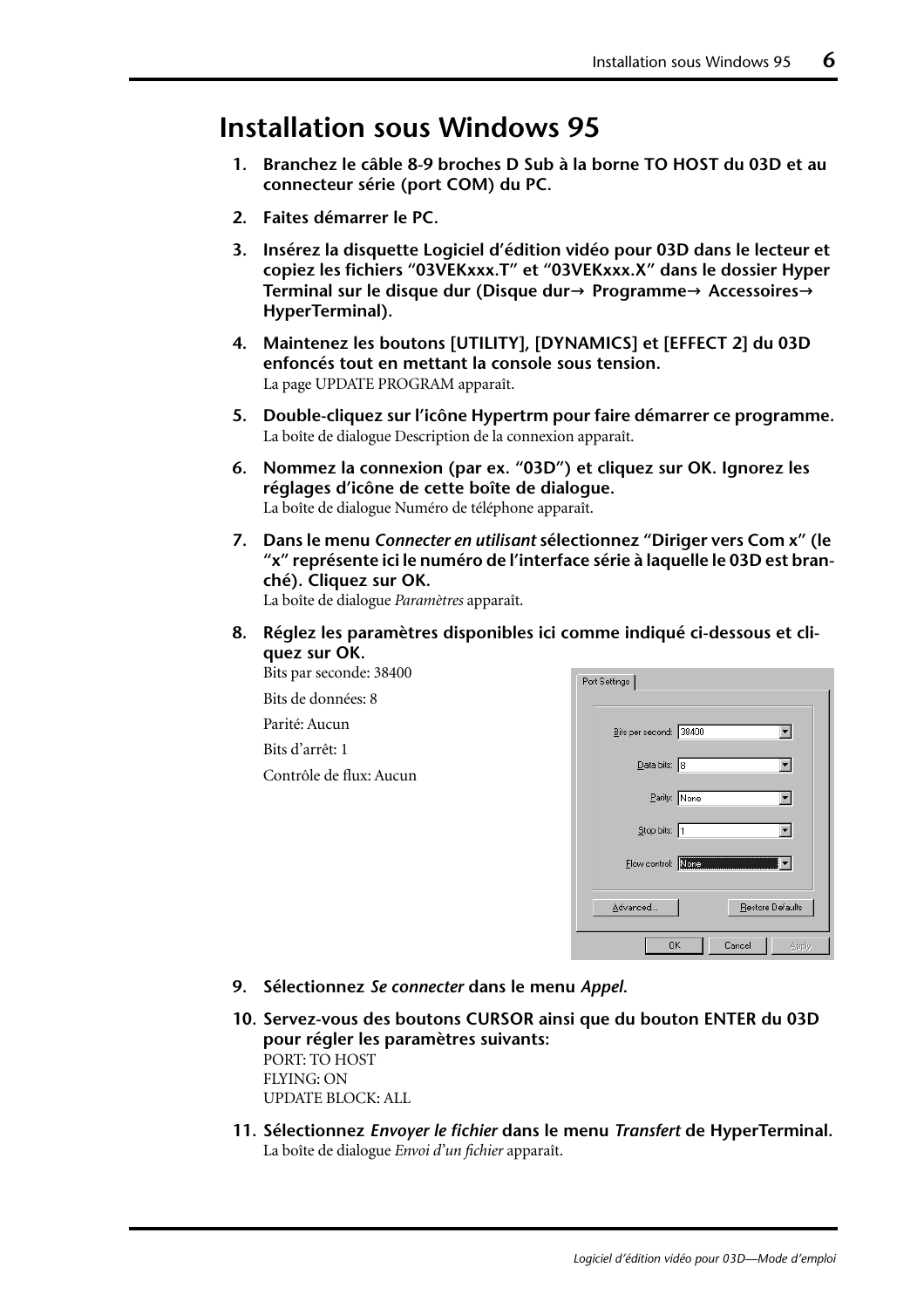### **Installation sous Windows 95**

- **1. Branchez le câble 8-9 broches D Sub à la borne TO HOST du 03D et au connecteur série (port COM) du PC.**
- **2. Faites démarrer le PC.**
- **3. Insérez la disquette Logiciel d'édition vidéo pour 03D dans le lecteur et copiez les fichiers "03VEKxxx.T" et "03VEKxxx.X" dans le dossier Hyper Terminal sur le disque dur (Disque dur**→ **Programme**→ **Accessoires**→ **HyperTerminal).**
- **4. [Maintenez les boutons \[UTILITY\], \[DYNAMICS\] et \[EFFECT 2\] du 03D](#page-36-0)  [enfoncés tout en mettant la console sous tension.](#page-36-0)** [La page UPDATE PROGRAM apparaît.](#page-36-0)
- **5. Double-cliquez sur l'icône Hypertrm pour faire démarrer ce programme.** La boîte de dialogue Description de la connexion apparaît.
- **6. Nommez la connexion (par ex. "03D") et cliquez sur OK. Ignorez les réglages d'icône de cette boîte de dialogue.** La boîte de dialogue Numéro de téléphone apparaît.
- **7. Dans le menu** *Connecter en utilisant* **sélectionnez "Diriger vers Com x" (le "x" représente ici le numéro de l'interface série à laquelle le 03D est branché). Cliquez sur OK.**

La boîte de dialogue *Paramètres* apparaît.

**8. Réglez les paramètres disponibles ici comme indiqué ci-dessous et cliquez sur OK.**

Bits par seconde: 38400 Bits de données: 8 Parité: Aucun Bits d'arrêt: 1 Contrôle de flux: Aucun

| Port Settings                       |                               |
|-------------------------------------|-------------------------------|
| Bits per second: 38400              |                               |
| $\overline{\mathsf{D}}$ ata bits: 8 |                               |
| Parity: None                        |                               |
| Stop bits: 1                        |                               |
|                                     | Flow control: None Management |
| Advanced                            | Restore Defaults              |
| 0K                                  | Cancel<br>Apply               |

- **9. Sélectionnez** *Se connecter* **dans le menu** *Appel***.**
- **10. [Servez-vous des boutons CURSOR ainsi que du bouton ENTER du 03D](#page-37-0)  [pour régler les paramètres suivants:](#page-37-0)** PORT: TO HOST FLYING: ON UPDATE BLOCK: ALL
- **11. Sélectionnez** *Envoyer le fichier* **dans le menu** *Transfert* **de HyperTerminal.** La boîte de dialogue *Envoi d'un fichier* apparaît.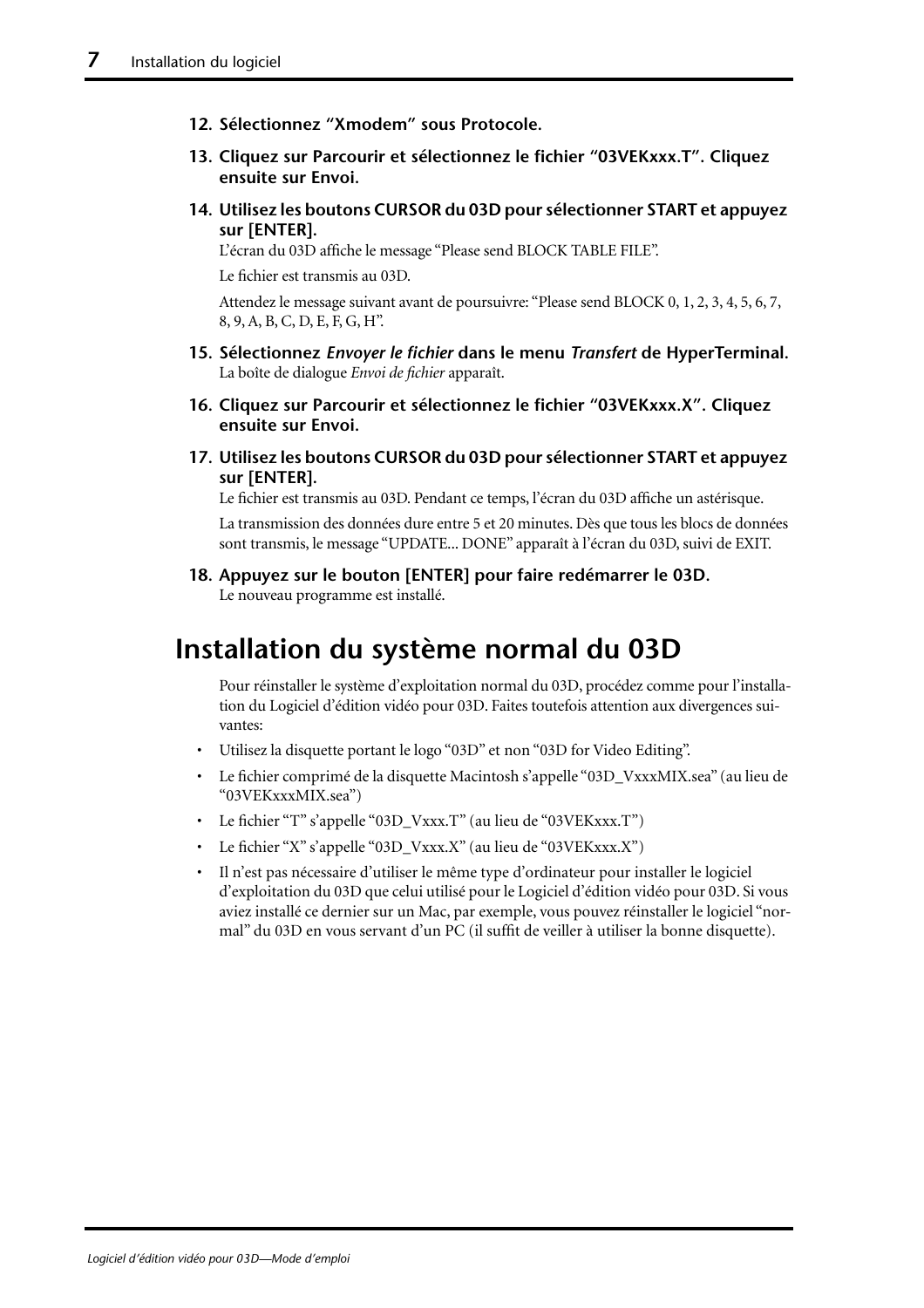- **12. Sélectionnez "Xmodem" sous Protocole.**
- **13. Cliquez sur Parcourir et sélectionnez le fichier "03VEKxxx.T". Cliquez ensuite sur Envoi.**
- **14. [Utilisez les boutons CURSOR du 03D pour sélectionner START et appuyez](#page-38-0)  [sur \[ENTER\].](#page-38-0)**

[L'écran du 03D affiche le message "Please send BLOCK TABLE FILE".](#page-38-0)

[Le fichier est transmis au 03D.](#page-38-0)

[Attendez le message suivant avant de poursuivre: "Please send BLOCK 0, 1, 2, 3, 4, 5, 6, 7,](#page-38-0)  [8, 9, A, B, C, D, E, F, G, H".](#page-38-0)

- **15. Sélectionnez** *Envoyer le fichier* **dans le menu** *Transfert* **de HyperTerminal.** La boîte de dialogue *Envoi de fichier* apparaît.
- **16. Cliquez sur Parcourir et sélectionnez le fichier "03VEKxxx.X". Cliquez ensuite sur Envoi.**
- **17. [Utilisez les boutons CURSOR du 03D pour sélectionner START et appuyez](#page-38-0)  [sur \[ENTER\].](#page-38-0)**

[Le fichier est transmis au 03D. Pendant ce temps, l'écran du 03D affiche un astérisque.](#page-38-0)

[La transmission des données dure entre 5 et 20 minutes. Dès que tous les blocs de données](#page-38-0)  [sont transmis, le message "UPDATE... DONE" apparaît à l'écran du 03D, suivi de EXIT.](#page-38-0)

**18. [Appuyez sur le bouton \[ENTER\] pour faire redémarrer le 03D.](#page-38-0)** Le nouveau programme est installé.

## **Installation du système normal du 03D**

Pour réinstaller le système d'exploitation normal du 03D, procédez comme pour l'installation du Logiciel d'édition vidéo pour 03D. Faites toutefois attention aux divergences suivantes:

- Utilisez la disquette portant le logo "03D" et non "03D for Video Editing".
- Le fichier comprimé de la disquette Macintosh s'appelle "03D\_VxxxMIX.sea" (au lieu de "03VEKxxxMIX.sea")
- Le fichier "T" s'appelle "03D\_Vxxx.T" (au lieu de "03VEKxxx.T")
- Le fichier "X" s'appelle "03D\_Vxxx.X" (au lieu de "03VEKxxx.X")
- Il n'est pas nécessaire d'utiliser le même type d'ordinateur pour installer le logiciel d'exploitation du 03D que celui utilisé pour le Logiciel d'édition vidéo pour 03D. Si vous aviez installé ce dernier sur un Mac, par exemple, vous pouvez réinstaller le logiciel "normal" du 03D en vous servant d'un PC (il suffit de veiller à utiliser la bonne disquette).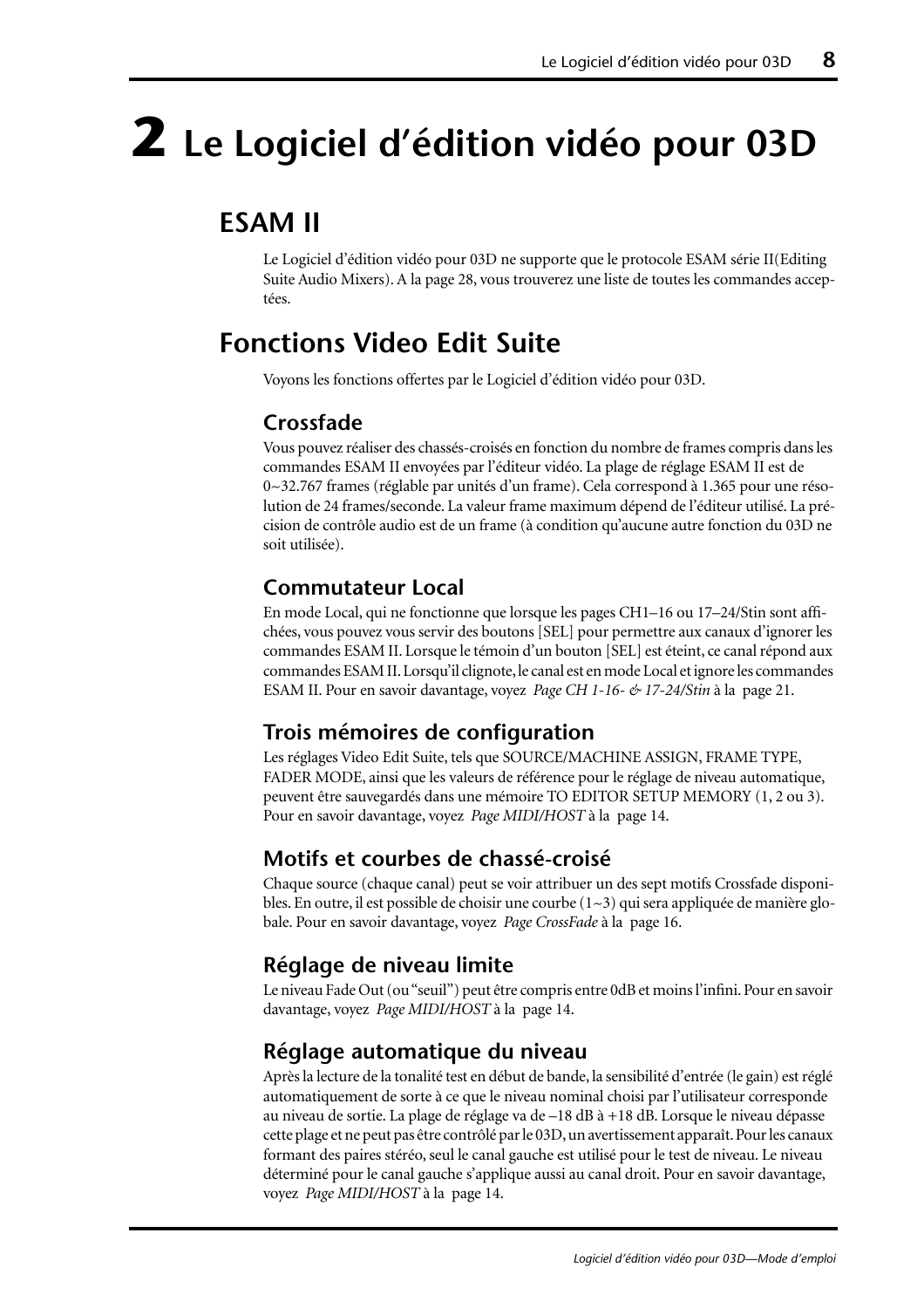# **2 Le Logiciel d'édition vidéo pour 03D**

## **ESAM II**

Le Logiciel d'édition vidéo pour 03D ne supporte que le protocole ESAM série II(Editing Suite Audio Mixers). A la [page 28,](#page-61-0) vous trouverez une liste de toutes les commandes acceptées.

## **Fonctions Video Edit Suite**

Voyons les fonctions offertes par le Logiciel d'édition vidéo pour 03D.

#### **Crossfade**

Vous pouvez réaliser des chassés-croisés en fonction du nombre de frames compris dans les commandes ESAM II envoyées par l'éditeur vidéo. La plage de réglage ESAM II est de 0~32.767 frames (réglable par unités d'un frame). Cela correspond à 1.365 pour une résolution de 24 frames/seconde. La valeur frame maximum dépend de l'éditeur utilisé. La précision de contrôle audio est de un frame (à condition qu'aucune autre fonction du 03D ne soit utilisée).

#### **Commutateur Local**

En mode Local, qui ne fonctionne que lorsque les pages CH1–16 ou 17–24/Stin sont affichées, vous pouvez vous servir des boutons [SEL] pour permettre aux canaux d'ignorer les commandes ESAM II. Lorsque le témoin d'un bouton [SEL] est éteint, ce canal répond aux commandes ESAM II. Lorsqu'il clignote, le canal est en mode Local et ignore les commandes ESAM II. [Pour en savoir davantage, voyez](#page-54-0) *Page CH 1-16- & 17-24/Stin* à la page 21.

#### **Trois mémoires de configuration**

Les réglages Video Edit Suite, tels que SOURCE/MACHINE ASSIGN, FRAME TYPE, FADER MODE, ainsi que les valeurs de référence pour le réglage de niveau automatique, peuvent être sauvegardés dans une mémoire TO EDITOR SETUP MEMORY (1, 2 ou 3). [Pour en savoir davantage, voyez](#page-47-0) *Page MIDI/HOST* à la page 14.

#### **Motifs et courbes de chassé-croisé**

Chaque source (chaque canal) peut se voir attribuer un des sept motifs Crossfade disponibles. En outre, il est possible de choisir une courbe  $(1\sim3)$  qui sera appliquée de manière globale. [Pour en savoir davantage, voyez](#page-49-0) *Page CrossFade* à la page 16.

#### **Réglage de niveau limite**

Le niveau Fade Out (ou "seuil") peut être compris entre 0dB et moins l'infini. [Pour en savoir](#page-47-0)  davantage, voyez *[Page MIDI/HOST](#page-47-0)* à la page 14.

#### **Réglage automatique du niveau**

Après la lecture de la tonalité test en début de bande, la sensibilité d'entrée (le gain) est réglé automatiquement de sorte à ce que le niveau nominal choisi par l'utilisateur corresponde au niveau de sortie. La plage de réglage va de –18 dB à +18 dB. Lorsque le niveau dépasse cette plage et ne peut pas être contrôlé par le 03D, un avertissement apparaît. Pour les canaux formant des paires stéréo, seul le canal gauche est utilisé pour le test de niveau. Le niveau déterminé pour le canal gauche s'applique aussi au canal droit. [Pour en savoir davantage,](#page-47-0)  voyez *[Page MIDI/HOST](#page-47-0)* à la page 14.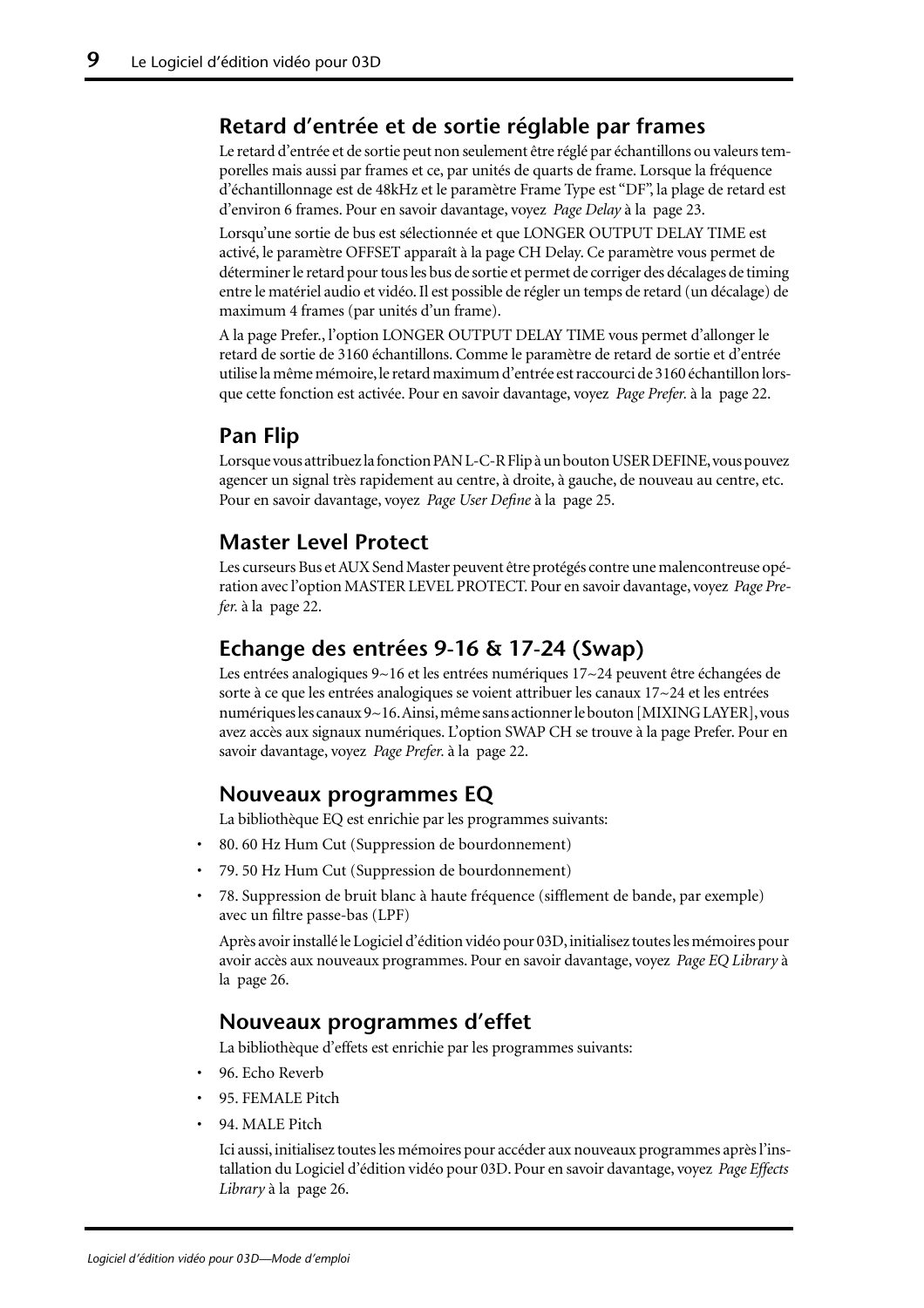#### **Retard d'entrée et de sortie réglable par frames**

Le retard d'entrée et de sortie peut non seulement être réglé par échantillons ou valeurs temporelles mais aussi par frames et ce, par unités de quarts de frame. Lorsque la fréquence d'échantillonnage est de 48kHz et le paramètre Frame Type est "DF", la plage de retard est d'environ 6 frames. [Pour en savoir davantage, voyez](#page-56-0) *Page Delay* à la page 23.

Lorsqu'une sortie de bus est sélectionnée et que LONGER OUTPUT DELAY TIME est activé, le paramètre OFFSET apparaît à la page CH Delay. Ce paramètre vous permet de déterminer le retard pour tous les bus de sortie et permet de corriger des décalages de timing entre le matériel audio et vidéo. Il est possible de régler un temps de retard (un décalage) de maximum 4 frames (par unités d'un frame).

A la page Prefer., l'option LONGER OUTPUT DELAY TIME vous permet d'allonger le retard de sortie de 3160 échantillons. Comme le paramètre de retard de sortie et d'entrée utilise la même mémoire, le retard maximum d'entrée est raccourci de 3160 échantillon lorsque cette fonction est activée. [Pour en savoir davantage, voyez](#page-55-0) *Page Prefer.* à la page 22.

#### **Pan Flip**

Lorsque vous attribuez la fonction PAN L-C-R Flip à un bouton USER DEFINE, vous pouvez agencer un signal très rapidement au centre, à droite, à gauche, de nouveau au centre, etc. [Pour en savoir davantage, voyez](#page-58-0) *Page User Define* à la page 25.

#### **Master Level Protect**

Les curseurs Bus et AUX Send Master peuvent être protégés contre une malencontreuse opération avec l'option MASTER LEVEL PROTECT. [Pour en savoir davantage, voyez](#page-55-0) *Page Prefer.* [à la page 22.](#page-55-0)

#### **Echange des entrées 9-16 & 17-24 (Swap)**

Les entrées analogiques 9~16 et les entrées numériques 17~24 peuvent être échangées de sorte à ce que les entrées analogiques se voient attribuer les canaux 17~24 et les entrées numériques les canaux 9~16. Ainsi, même sans actionner le bouton [MIXING LAYER], vous avez accès aux signaux numériques. L'option SWAP CH se trouve à la page Prefer. [Pour en](#page-55-0)  [savoir davantage, voyez](#page-55-0) *Page Prefer.* à la page 22.

#### **Nouveaux programmes EQ**

La bibliothèque EQ est enrichie par les programmes suivants:

- 80. 60 Hz Hum Cut (Suppression de bourdonnement)
- 79. 50 Hz Hum Cut (Suppression de bourdonnement)
- 78. Suppression de bruit blanc à haute fréquence (sifflement de bande, par exemple) avec un filtre passe-bas (LPF)

Après avoir installé le Logiciel d'édition vidéo pour 03D, initialisez toutes les mémoires pour avoir accès aux nouveaux programmes. [Pour en savoir davantage, voyez](#page-59-0) *Page EQ Library* à [la page 26.](#page-59-0)

#### **Nouveaux programmes d'effet**

La bibliothèque d'effets est enrichie par les programmes suivants:

- 96. Echo Reverb
- 95. FEMALE Pitch
- 94. MALE Pitch

Ici aussi, initialisez toutes les mémoires pour accéder aux nouveaux programmes après l'installation du Logiciel d'édition vidéo pour 03D. [Pour en savoir davantage, voyez](#page-59-0) *Page Effects Library* [à la page 26.](#page-59-0)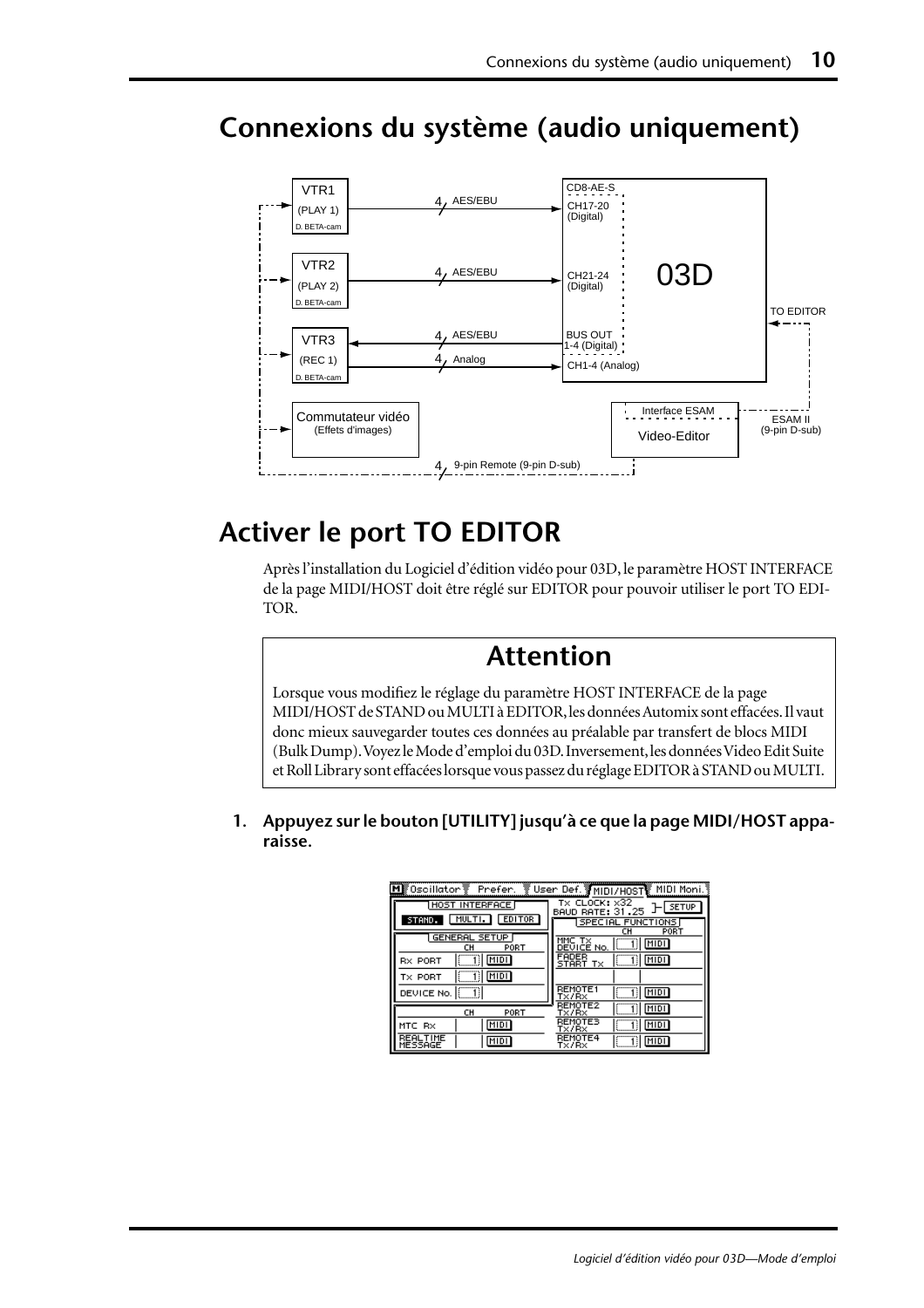

# **Connexions du système (audio uniquement)**

## **Activer le port TO EDITOR**

Après l'installation du Logiciel d'édition vidéo pour 03D, le paramètre HOST INTERFACE de la page MIDI/HOST doit être réglé sur EDITOR pour pouvoir utiliser le port TO EDI-TOR.

### **Attention**

Lorsque vous modifiez le réglage du paramètre HOST INTERFACE de la page MIDI/HOST de STAND ou MULTI à EDITOR, les données Automix sont effacées. Il vaut donc mieux sauvegarder toutes ces données au préalable par transfert de blocs MIDI (Bulk Dump). Voyez le Mode d'emploi du 03D. Inversement, les données Video Edit Suite et Roll Library sont effacées lorsque vous passez du réglage EDITOR à STAND ou MULTI.

**1. Appuyez sur le bouton [UTILITY] jusqu'à ce que la page MIDI/HOST apparaisse.**

| M 0scillator Prefer.               |                                                          |
|------------------------------------|----------------------------------------------------------|
| HOST INTERFACE                     | TX CLOCK: X32<br><b>SETUP</b><br><b>BAUD RATE: 31.25</b> |
| MULTI.<br><b>EDITOR</b><br>STAND.  | SPECIAL FUNCTIONS<br>PORT<br>cн                          |
| <b>GENERAL SETUP</b><br>PORT<br>cн | MIDI<br>DEVICE No.                                       |
| MIDI<br><b>RX PORT</b>             | FADER<br>MIDI<br>START<br>т×                             |
| MIDI<br>TX PORT                    |                                                          |
| DEVICE No.                         | <b>REMOTE1</b><br>MIDI<br>Tx/Rx                          |
| CH<br>PORT                         | REMOTE2<br>MIDI<br>T×/R×                                 |
| MIDI<br>MTC RX                     | REMOTE3<br>MIDI<br>T×/R×                                 |
| <b>REALTIME</b><br>MIDI<br>MESSAGE | REMOTE4<br>MIDI<br>Tx/Rx                                 |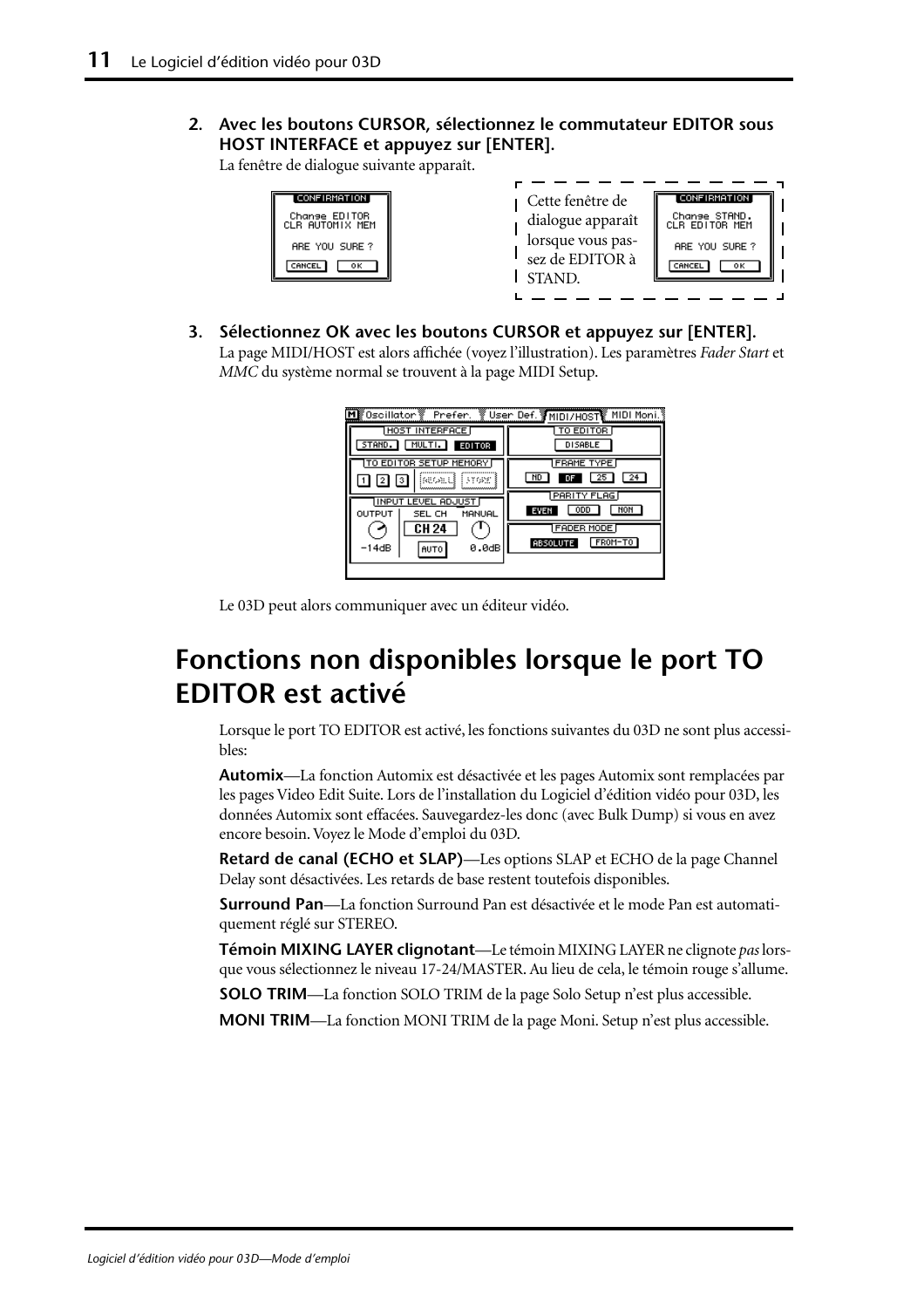**2. Avec les boutons CURSOR, sélectionnez le commutateur EDITOR sous HOST INTERFACE et appuyez sur [ENTER].**

La fenêtre de dialogue suivante apparaît.

| CONFIRMATION  <br>Change ED1T0R<br>CLR AUTOMIX MEM<br>ARE YOU SURE?<br>0K.<br>CANCEL | Cette fenêtre de<br>dialogue apparaît<br>lorsque vous pas-<br>sez de EDITOR à<br><b>STAND</b> | [CONFIRMATION]<br>Change STAND.<br>CLR EDITOR MEM<br>ARE YOU SURE?<br>CANCEL<br>ок |
|--------------------------------------------------------------------------------------|-----------------------------------------------------------------------------------------------|------------------------------------------------------------------------------------|
|                                                                                      |                                                                                               |                                                                                    |

**3. Sélectionnez OK avec les boutons CURSOR et appuyez sur [ENTER].** La page MIDI/HOST est alors affichée (voyez l'illustration). Les paramètres *Fader Start* et *MMC* du système normal se trouvent à la page MIDI Setup.

| <b>HOST INTERFACE</b><br>MULTI.<br>STAND.<br><b>EDITOR</b> | TO EDITOR<br><b>DISABLE</b>                     |
|------------------------------------------------------------|-------------------------------------------------|
| ITO EDITOR SETUP MEMORY<br>iasoali istoan<br>з             | FRAME TYPE<br>ND<br>DF                          |
| <b>IINPUT LEVEL ADJUST</b><br>OUTPUT<br>MANUAL<br>SEL CH   | <b>PARITY FLAG</b><br>NOH<br><b>ODD</b><br>EVEN |
| <b>CH 24</b><br>-14dB<br>0.0dB<br>AUTO                     | <b>FADER MODE</b><br>FROM-TO<br><b>ABSOLUTE</b> |
|                                                            |                                                 |

Le 03D peut alors communiquer avec un éditeur vidéo.

# **Fonctions non disponibles lorsque le port TO EDITOR est activé**

Lorsque le port TO EDITOR est activé, les fonctions suivantes du 03D ne sont plus accessibles:

**Automix**—La fonction Automix est désactivée et les pages Automix sont remplacées par les pages Video Edit Suite. Lors de l'installation du Logiciel d'édition vidéo pour 03D, les données Automix sont effacées. Sauvegardez-les donc (avec Bulk Dump) si vous en avez encore besoin. Voyez le Mode d'emploi du 03D.

**Retard de canal (ECHO et SLAP)**—Les options SLAP et ECHO de la page Channel Delay sont désactivées. Les retards de base restent toutefois disponibles.

**Surround Pan**—La fonction Surround Pan est désactivée et le mode Pan est automatiquement réglé sur STEREO.

**Témoin MIXING LAYER clignotant**—Le témoin MIXING LAYER ne clignote *pas* lorsque vous sélectionnez le niveau 17-24/MASTER. Au lieu de cela, le témoin rouge s'allume.

**SOLO TRIM**—La fonction SOLO TRIM de la page Solo Setup n'est plus accessible.

**MONI TRIM**—La fonction MONI TRIM de la page Moni. Setup n'est plus accessible.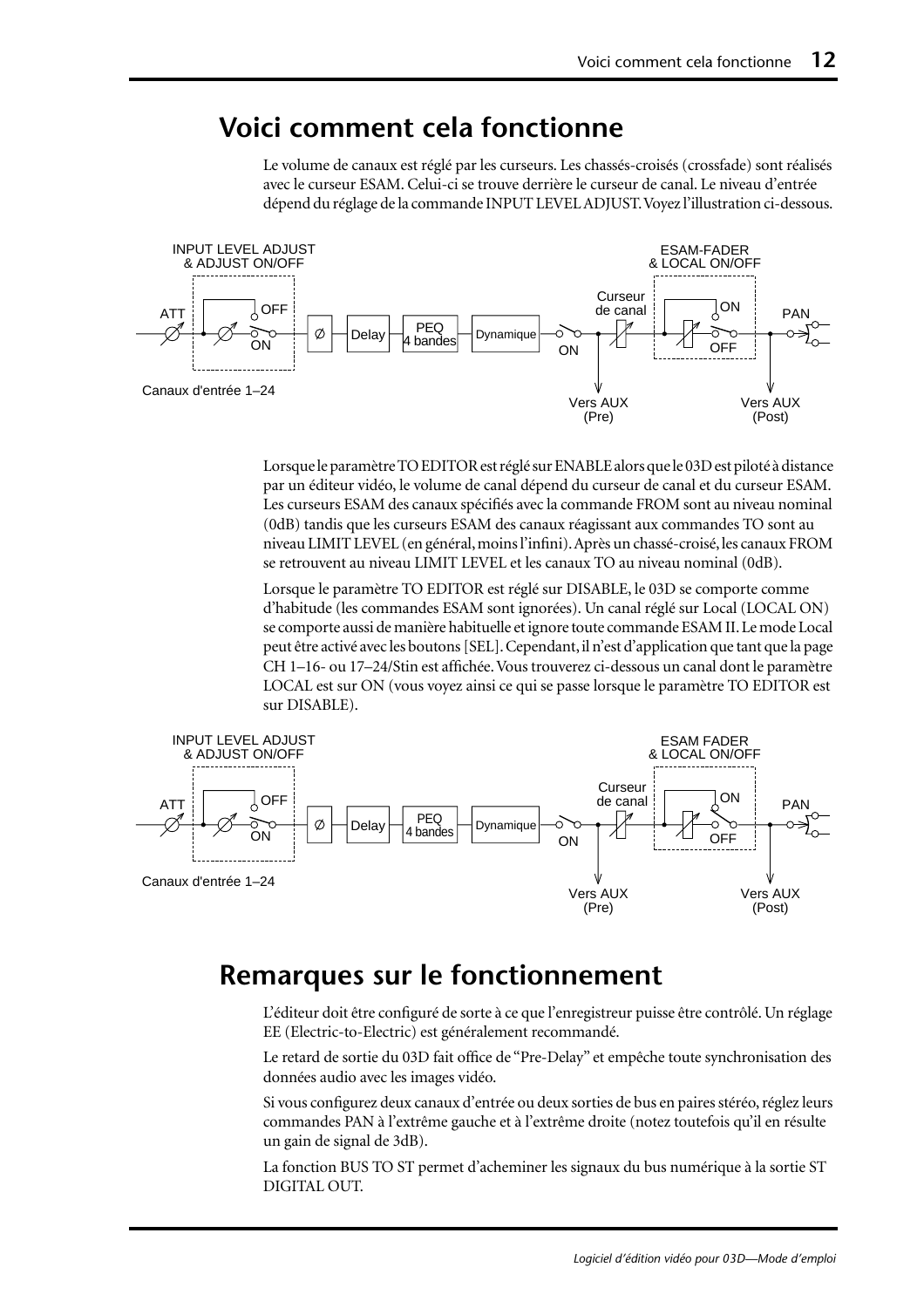### **Voici comment cela fonctionne**

Le volume de canaux est réglé par les curseurs. Les chassés-croisés (crossfade) sont réalisés avec le curseur ESAM. Celui-ci se trouve derrière le curseur de canal. Le niveau d'entrée dépend du réglage de la commande INPUT LEVEL ADJUST. Voyez l'illustration ci-dessous.



Lorsque le paramètre TO EDITOR est réglé sur ENABLE alors que le 03D est piloté à distance par un éditeur vidéo, le volume de canal dépend du curseur de canal et du curseur ESAM. Les curseurs ESAM des canaux spécifiés avec la commande FROM sont au niveau nominal (0dB) tandis que les curseurs ESAM des canaux réagissant aux commandes TO sont au niveau LIMIT LEVEL (en général, moins l'infini). Après un chassé-croisé, les canaux FROM se retrouvent au niveau LIMIT LEVEL et les canaux TO au niveau nominal (0dB).

Lorsque le paramètre TO EDITOR est réglé sur DISABLE, le 03D se comporte comme d'habitude (les commandes ESAM sont ignorées). Un canal réglé sur Local (LOCAL ON) se comporte aussi de manière habituelle et ignore toute commande ESAM II. Le mode Local peut être activé avec les boutons [SEL]. Cependant, il n'est d'application que tant que la page CH 1–16- ou 17–24/Stin est affichée. Vous trouverez ci-dessous un canal dont le paramètre LOCAL est sur ON (vous voyez ainsi ce qui se passe lorsque le paramètre TO EDITOR est sur DISABLE).



#### **Remarques sur le fonctionnement**

L'éditeur doit être configuré de sorte à ce que l'enregistreur puisse être contrôlé. Un réglage EE (Electric-to-Electric) est généralement recommandé.

Le retard de sortie du 03D fait office de "Pre-Delay" et empêche toute synchronisation des données audio avec les images vidéo.

Si vous configurez deux canaux d'entrée ou deux sorties de bus en paires stéréo, réglez leurs commandes PAN à l'extrême gauche et à l'extrême droite (notez toutefois qu'il en résulte un gain de signal de 3dB).

La fonction BUS TO ST permet d'acheminer les signaux du bus numérique à la sortie ST DIGITAL OUT.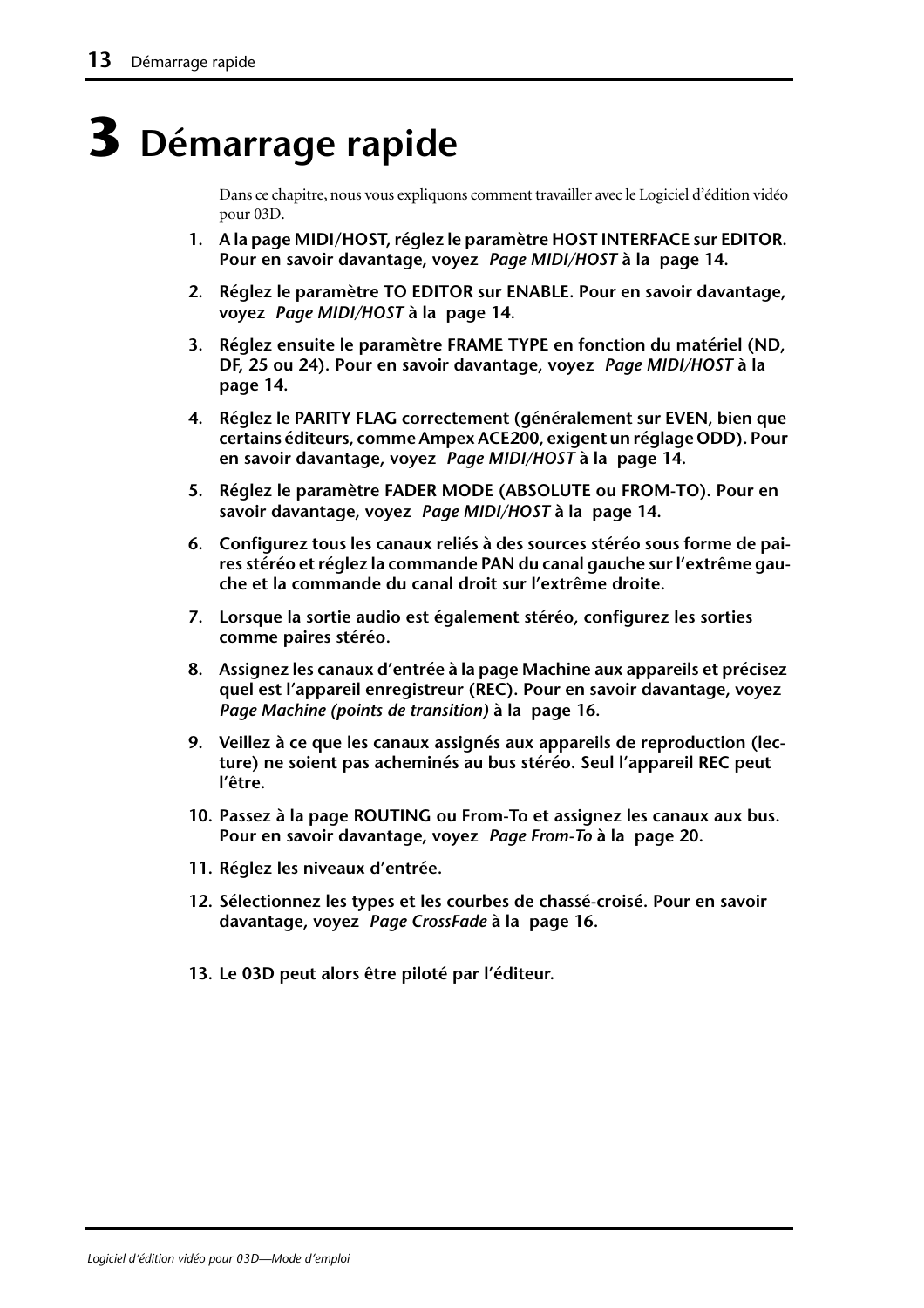# **3 Démarrage rapide**

Dans ce chapitre, nous vous expliquons comment travailler avec le Logiciel d'édition vidéo pour 03D.

- **1. A la page MIDI/HOST, réglez le paramètre HOST INTERFACE sur EDITOR. [Pour en savoir davantage, voyez](#page-47-0)** *Page MIDI/HOST* **à la page 14.**
- **2. Réglez le paramètre TO EDITOR sur ENABLE. [Pour en savoir davantage,](#page-47-0)  voyez** *[Page MIDI/HOST](#page-47-0)* **à la page 14.**
- **3. Réglez ensuite le paramètre FRAME TYPE en fonction du matériel (ND, DF, 25 ou 24). [Pour en savoir davantage, voyez](#page-47-0)** *Page MIDI/HOST* **à la [page 14.](#page-47-0)**
- **4. Réglez le PARITY FLAG correctement (généralement sur EVEN, bien que certains éditeurs, comme Ampex ACE200, exigent un réglage ODD). [Pour](#page-47-0)  [en savoir davantage, voyez](#page-47-0)** *Page MIDI/HOST* **à la page 14.**
- **5. Réglez le paramètre FADER MODE (ABSOLUTE ou FROM-TO). [Pour en](#page-47-0)  [savoir davantage, voyez](#page-47-0)** *Page MIDI/HOST* **à la page 14.**
- **6. Configurez tous les canaux reliés à des sources stéréo sous forme de paires stéréo et réglez la commande PAN du canal gauche sur l'extrême gauche et la commande du canal droit sur l'extrême droite.**
- **7. Lorsque la sortie audio est également stéréo, configurez les sorties comme paires stéréo.**
- **8. Assignez les canaux d'entrée à la page Machine aux appareils et précisez quel est l'appareil enregistreur (REC). [Pour en savoir davantage, voyez](#page-49-0)**  *[Page Machine \(points de transition\)](#page-49-0)* **à la page 16.**
- **9. Veillez à ce que les canaux assignés aux appareils de reproduction (lecture) ne soient pas acheminés au bus stéréo. Seul l'appareil REC peut l'être.**
- **10. Passez à la page ROUTING ou From-To et assignez les canaux aux bus. [Pour en savoir davantage, voyez](#page-53-0)** *Page From-To* **à la page 20.**
- **11. Réglez les niveaux d'entrée.**
- **12. Sélectionnez les types et les courbes de chassé-croisé. [Pour en savoir](#page-49-0)  [davantage, voyez](#page-49-0)** *Page CrossFade* **à la page 16.**
- **13. Le 03D peut alors être piloté par l'éditeur.**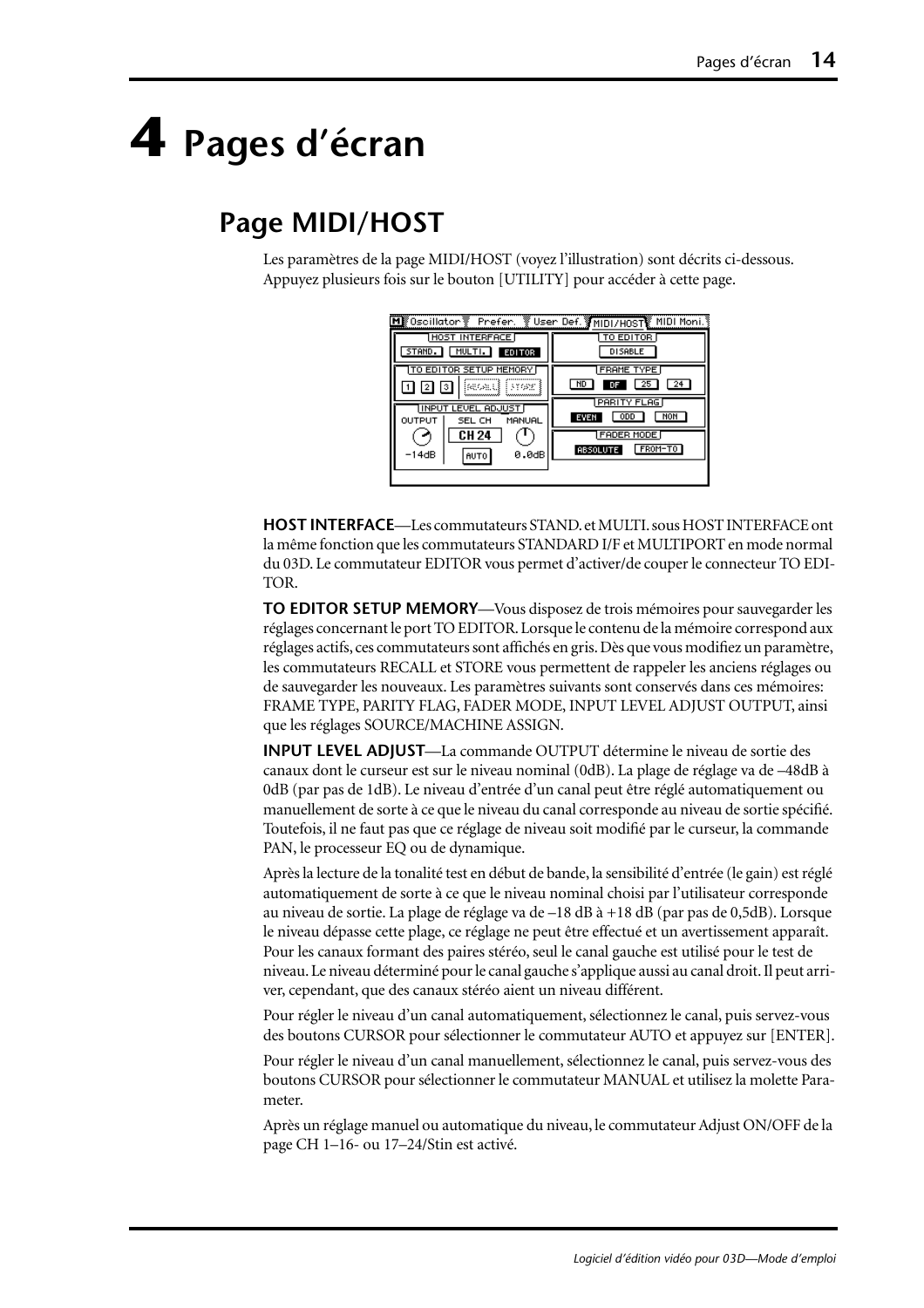# <span id="page-47-0"></span>**4 Pages d'écran**

# **Page MIDI/HOST**

Les paramètres de la page MIDI/HOST (voyez l'illustration) sont décrits ci-dessous. Appuyez plusieurs fois sur le bouton [UTILITY] pour accéder à cette page.

| Mk®Oscillator ® Prefer.<br><b>HOST INTERFACE</b><br>MULTI.<br><b>EDITOR</b><br>STAND. | User Def. MIDI/HOST MIDI Moni.<br>TO EDITOR<br><b>DISABLE</b> |
|---------------------------------------------------------------------------------------|---------------------------------------------------------------|
| TO EDITOR SETUP MEMORY<br>iseoald i Frans                                             | <b>FRAME TYPE</b><br>25<br>24<br>ND<br>DF                     |
| <b>INPUT LEVEL ADJUST</b><br>OUTPUT<br>MANUAL<br>SEL CH<br><b>CH 24</b>               | PARITY FLAG<br>NON<br><b>ODD</b><br>EVEN<br><b>FADER MODE</b> |
| 0.0dB<br>$-14dB$<br><b>AUTO</b>                                                       | FROM-TO<br><b>ABSOLUTE</b>                                    |

**HOST INTERFACE**—Les commutateurs STAND. et MULTI. sous HOST INTERFACE ont la même fonction que les commutateurs STANDARD I/F et MULTIPORT en mode normal du 03D. Le commutateur EDITOR vous permet d'activer/de couper le connecteur TO EDI-TOR.

**TO EDITOR SETUP MEMORY**—Vous disposez de trois mémoires pour sauvegarder les réglages concernant le port TO EDITOR. Lorsque le contenu de la mémoire correspond aux réglages actifs, ces commutateurs sont affichés en gris. Dès que vous modifiez un paramètre, les commutateurs RECALL et STORE vous permettent de rappeler les anciens réglages ou de sauvegarder les nouveaux. Les paramètres suivants sont conservés dans ces mémoires: FRAME TYPE, PARITY FLAG, FADER MODE, INPUT LEVEL ADJUST OUTPUT, ainsi que les réglages SOURCE/MACHINE ASSIGN.

**INPUT LEVEL ADJUST**—La commande OUTPUT détermine le niveau de sortie des canaux dont le curseur est sur le niveau nominal (0dB). La plage de réglage va de –48dB à 0dB (par pas de 1dB). Le niveau d'entrée d'un canal peut être réglé automatiquement ou manuellement de sorte à ce que le niveau du canal corresponde au niveau de sortie spécifié. Toutefois, il ne faut pas que ce réglage de niveau soit modifié par le curseur, la commande PAN, le processeur EQ ou de dynamique.

Après la lecture de la tonalité test en début de bande, la sensibilité d'entrée (le gain) est réglé automatiquement de sorte à ce que le niveau nominal choisi par l'utilisateur corresponde au niveau de sortie. La plage de réglage va de –18 dB à +18 dB (par pas de 0,5dB). Lorsque le niveau dépasse cette plage, ce réglage ne peut être effectué et un avertissement apparaît. Pour les canaux formant des paires stéréo, seul le canal gauche est utilisé pour le test de niveau. Le niveau déterminé pour le canal gauche s'applique aussi au canal droit. Il peut arriver, cependant, que des canaux stéréo aient un niveau différent.

Pour régler le niveau d'un canal automatiquement, sélectionnez le canal, puis servez-vous des boutons CURSOR pour sélectionner le commutateur AUTO et appuyez sur [ENTER].

Pour régler le niveau d'un canal manuellement, sélectionnez le canal, puis servez-vous des boutons CURSOR pour sélectionner le commutateur MANUAL et utilisez la molette Parameter.

Après un réglage manuel ou automatique du niveau, le commutateur Adjust ON/OFF de la page CH 1–16- ou 17–24/Stin est activé.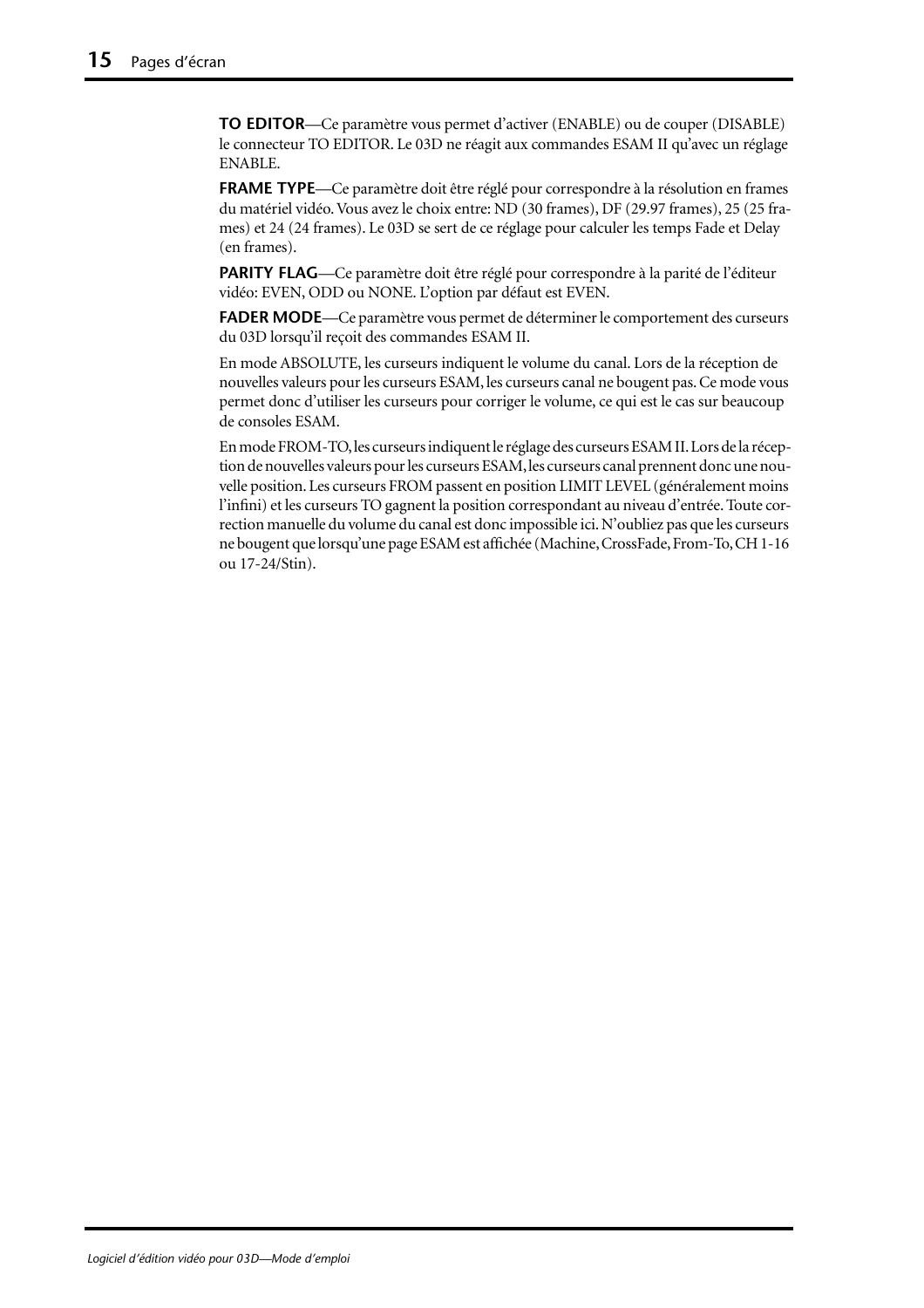**TO EDITOR**—Ce paramètre vous permet d'activer (ENABLE) ou de couper (DISABLE) le connecteur TO EDITOR. Le 03D ne réagit aux commandes ESAM II qu'avec un réglage ENABLE.

**FRAME TYPE**—Ce paramètre doit être réglé pour correspondre à la résolution en frames du matériel vidéo. Vous avez le choix entre: ND (30 frames), DF (29.97 frames), 25 (25 frames) et 24 (24 frames). Le 03D se sert de ce réglage pour calculer les temps Fade et Delay (en frames).

PARITY FLAG—Ce paramètre doit être réglé pour correspondre à la parité de l'éditeur vidéo: EVEN, ODD ou NONE. L'option par défaut est EVEN.

**FADER MODE**—Ce paramètre vous permet de déterminer le comportement des curseurs du 03D lorsqu'il reçoit des commandes ESAM II.

En mode ABSOLUTE, les curseurs indiquent le volume du canal. Lors de la réception de nouvelles valeurs pour les curseurs ESAM, les curseurs canal ne bougent pas. Ce mode vous permet donc d'utiliser les curseurs pour corriger le volume, ce qui est le cas sur beaucoup de consoles ESAM.

En mode FROM-TO, les curseurs indiquent le réglage des curseurs ESAM II. Lors de la réception de nouvelles valeurs pour les curseurs ESAM, les curseurs canal prennent donc une nouvelle position. Les curseurs FROM passent en position LIMIT LEVEL (généralement moins l'infini) et les curseurs TO gagnent la position correspondant au niveau d'entrée. Toute correction manuelle du volume du canal est donc impossible ici. N'oubliez pas que les curseurs ne bougent que lorsqu'une page ESAM est affichée (Machine, CrossFade, From-To, CH 1-16 ou 17-24/Stin).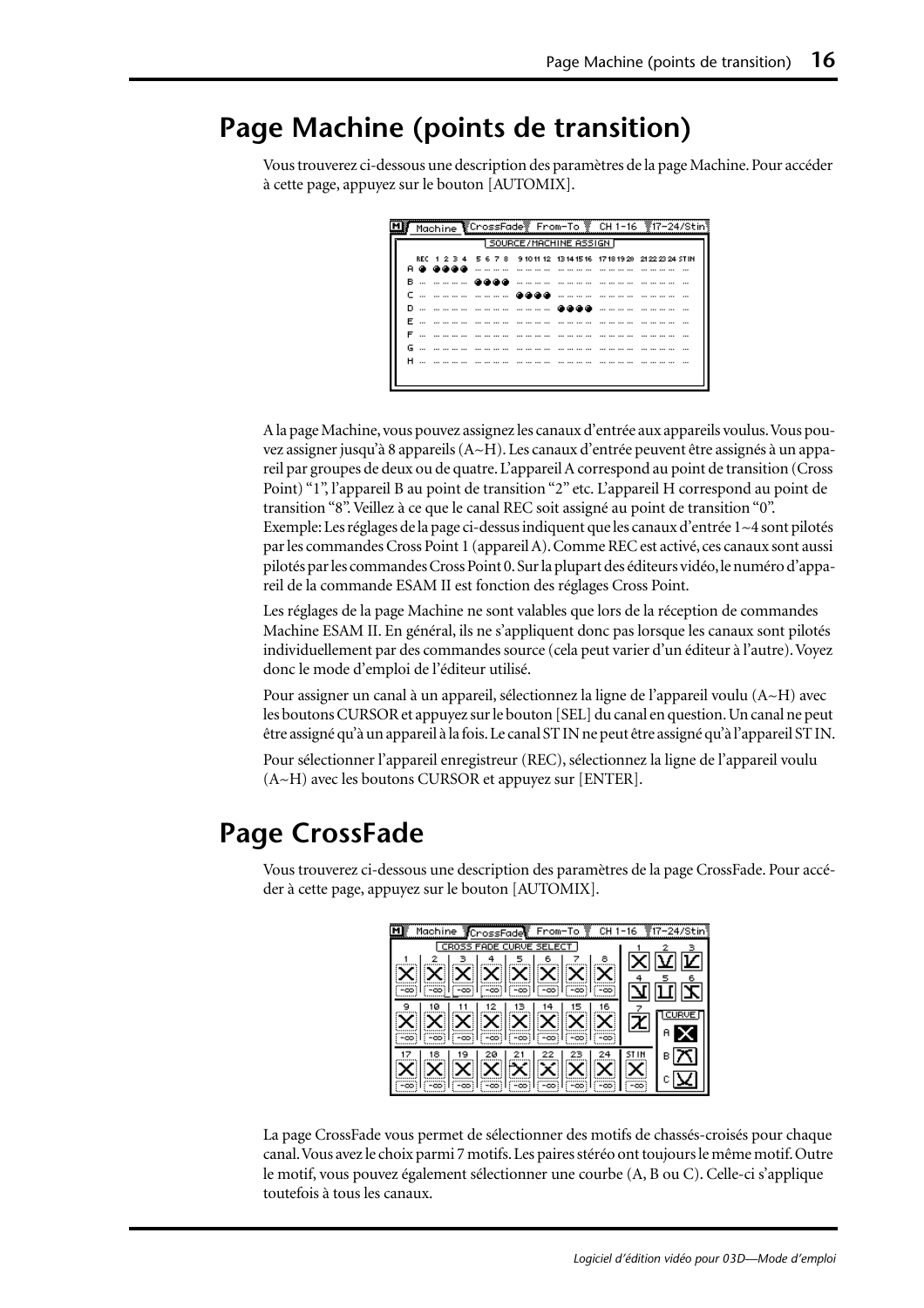## <span id="page-49-0"></span>**Page Machine (points de transition)**

Vous trouverez ci-dessous une description des paramètres de la page Machine. Pour accéder à cette page, appuyez sur le bouton [AUTOMIX].

|    |                    |  |  |   |  |                           |  |     |  |                  |  |                |                 | Machine CrossFade From-To CH1-16 17-24/Stin                             |
|----|--------------------|--|--|---|--|---------------------------|--|-----|--|------------------|--|----------------|-----------------|-------------------------------------------------------------------------|
|    |                    |  |  |   |  | 1 SOURCE/MACHINE ASSIGN F |  |     |  |                  |  |                |                 |                                                                         |
|    |                    |  |  |   |  |                           |  |     |  |                  |  |                |                 | REC 1 2 3 4 5 6 7 8 9 10 11 12 13 14 15 16 17 18 19 20 21 22 23 24 STIN |
|    | A @ @@@@           |  |  |   |  | .                         |  |     |  |                  |  | .              |                 |                                                                         |
|    | в… ……… <b>асса</b> |  |  |   |  |                           |  |     |  | ---- --- --- --- |  | -------------- |                 |                                                                         |
|    | c … ………… ……… @@@@  |  |  |   |  |                           |  |     |  |                  |  |                |                 |                                                                         |
|    |                    |  |  |   |  |                           |  | കൈക |  |                  |  |                |                 |                                                                         |
|    | F                  |  |  |   |  |                           |  |     |  |                  |  |                |                 |                                                                         |
| F. |                    |  |  | . |  |                           |  |     |  |                  |  |                |                 |                                                                         |
|    |                    |  |  |   |  |                           |  |     |  |                  |  |                | --- --- --- --- |                                                                         |
|    | <b>H</b>           |  |  |   |  |                           |  |     |  |                  |  |                |                 |                                                                         |
|    |                    |  |  |   |  |                           |  |     |  |                  |  |                |                 |                                                                         |
|    |                    |  |  |   |  |                           |  |     |  |                  |  |                |                 |                                                                         |

A la page Machine, vous pouvez assignez les canaux d'entrée aux appareils voulus. Vous pouvez assigner jusqu'à 8 appareils (A~H). Les canaux d'entrée peuvent être assignés à un appareil par groupes de deux ou de quatre. L'appareil A correspond au point de transition (Cross Point) "1", l'appareil B au point de transition "2" etc. L'appareil H correspond au point de transition "8". Veillez à ce que le canal REC soit assigné au point de transition "0". Exemple: Les réglages de la page ci-dessus indiquent que les canaux d'entrée 1~4 sont pilotés par les commandes Cross Point 1 (appareil A). Comme REC est activé, ces canaux sont aussi pilotés par les commandes Cross Point 0. Sur la plupart des éditeurs vidéo, le numéro d'appareil de la commande ESAM II est fonction des réglages Cross Point.

Les réglages de la page Machine ne sont valables que lors de la réception de commandes Machine ESAM II. En général, ils ne s'appliquent donc pas lorsque les canaux sont pilotés individuellement par des commandes source (cela peut varier d'un éditeur à l'autre). Voyez donc le mode d'emploi de l'éditeur utilisé.

Pour assigner un canal à un appareil, sélectionnez la ligne de l'appareil voulu (A~H) avec les boutons CURSOR et appuyez sur le bouton [SEL] du canal en question. Un canal ne peut être assigné qu'à un appareil à la fois. Le canal ST IN ne peut être assigné qu'à l'appareil ST IN.

Pour sélectionner l'appareil enregistreur (REC), sélectionnez la ligne de l'appareil voulu (A~H) avec les boutons CURSOR et appuyez sur [ENTER].

## **Page CrossFade**

Vous trouverez ci-dessous une description des paramètres de la page CrossFade. Pour accéder à cette page, appuyez sur le bouton [AUTOMIX].

| Machine CrossFade From-To 2 CH 1-16 217-24/Stin |  |
|-------------------------------------------------|--|
| CROSS FADE CURVE SELECT                         |  |
| 8                                               |  |
| <b>XIXIXIXIXIX</b><br>$\mathsf{X}$              |  |
|                                                 |  |
| 6                                               |  |
| ୋ⊠ା⊠ା                                           |  |
|                                                 |  |
|                                                 |  |
|                                                 |  |
|                                                 |  |

La page CrossFade vous permet de sélectionner des motifs de chassés-croisés pour chaque canal. Vous avez le choix parmi 7 motifs. Les paires stéréo ont toujours le même motif. Outre le motif, vous pouvez également sélectionner une courbe (A, B ou C). Celle-ci s'applique toutefois à tous les canaux.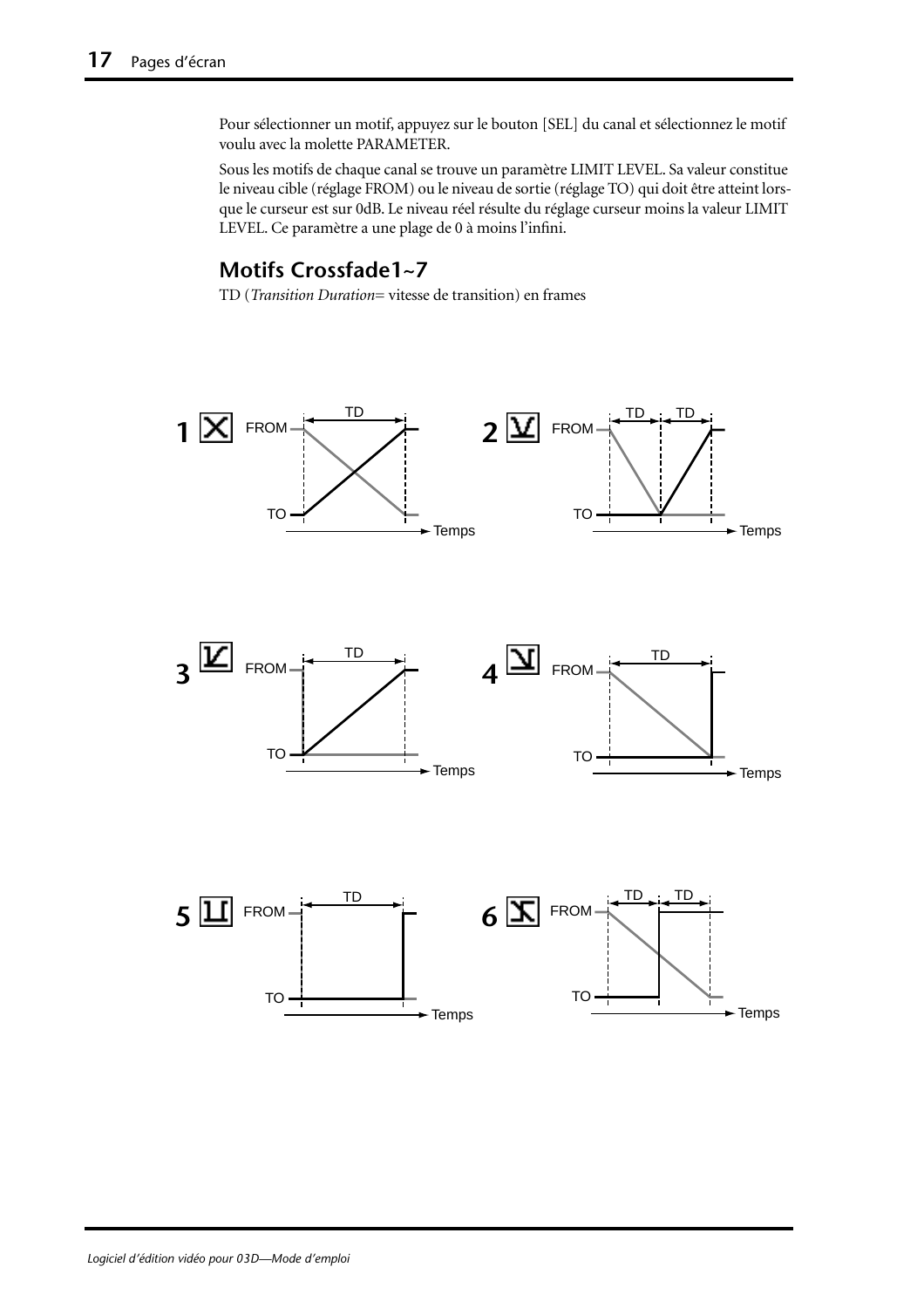Pour sélectionner un motif, appuyez sur le bouton [SEL] du canal et sélectionnez le motif voulu avec la molette PARAMETER.

Sous les motifs de chaque canal se trouve un paramètre LIMIT LEVEL. Sa valeur constitue le niveau cible (réglage FROM) ou le niveau de sortie (réglage TO) qui doit être atteint lorsque le curseur est sur 0dB. Le niveau réel résulte du réglage curseur moins la valeur LIMIT LEVEL. Ce paramètre a une plage de 0 à moins l'infini.

#### **Motifs Crossfade1~7**

TD (*Transition Duration*= vitesse de transition) en frames

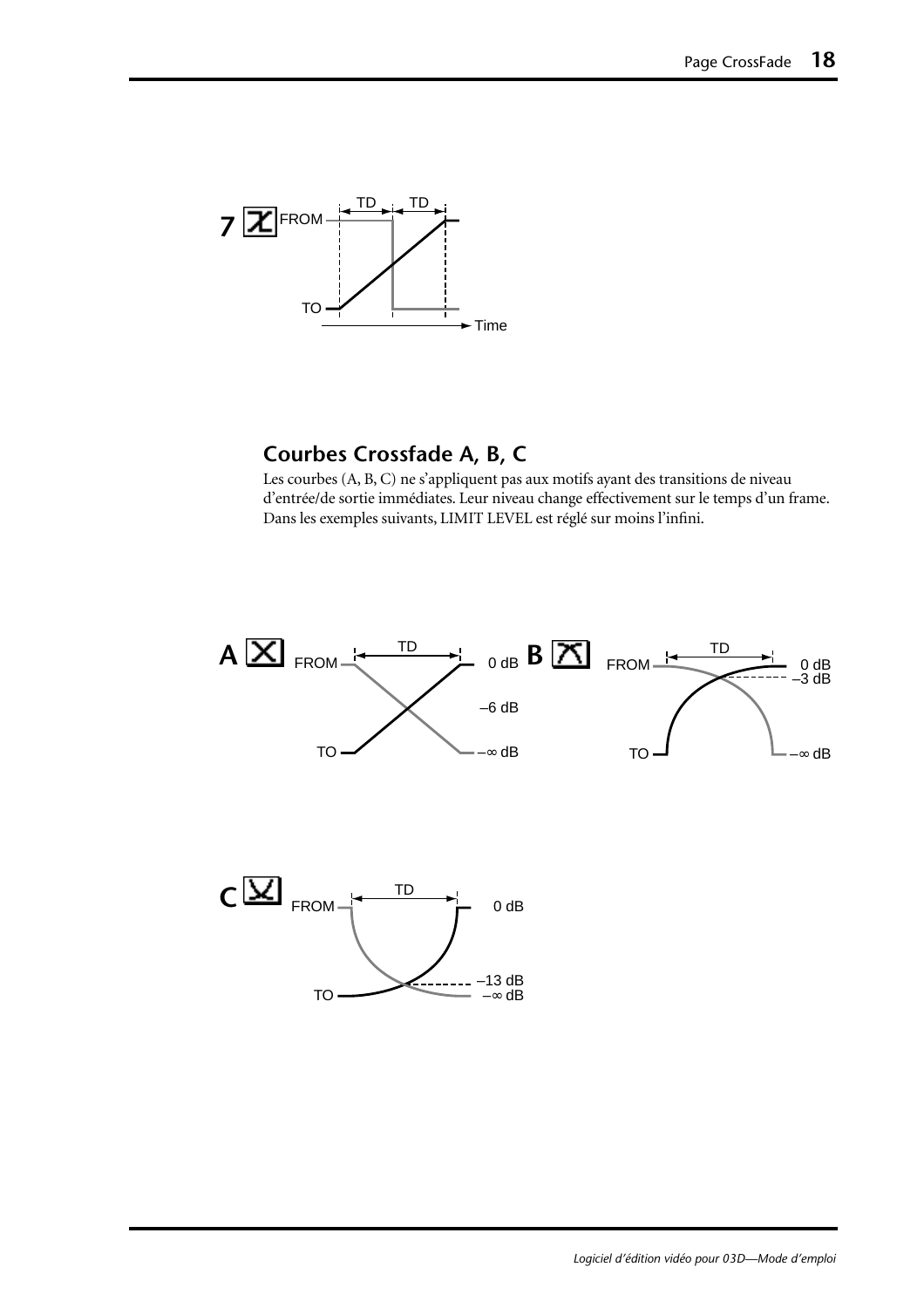

### **Courbes Crossfade A, B, C**

Les courbes (A, B, C) ne s'appliquent pas aux motifs ayant des transitions de niveau d'entrée/de sortie immédiates. Leur niveau change effectivement sur le temps d'un frame. Dans les exemples suivants, LIMIT LEVEL est réglé sur moins l'infini.



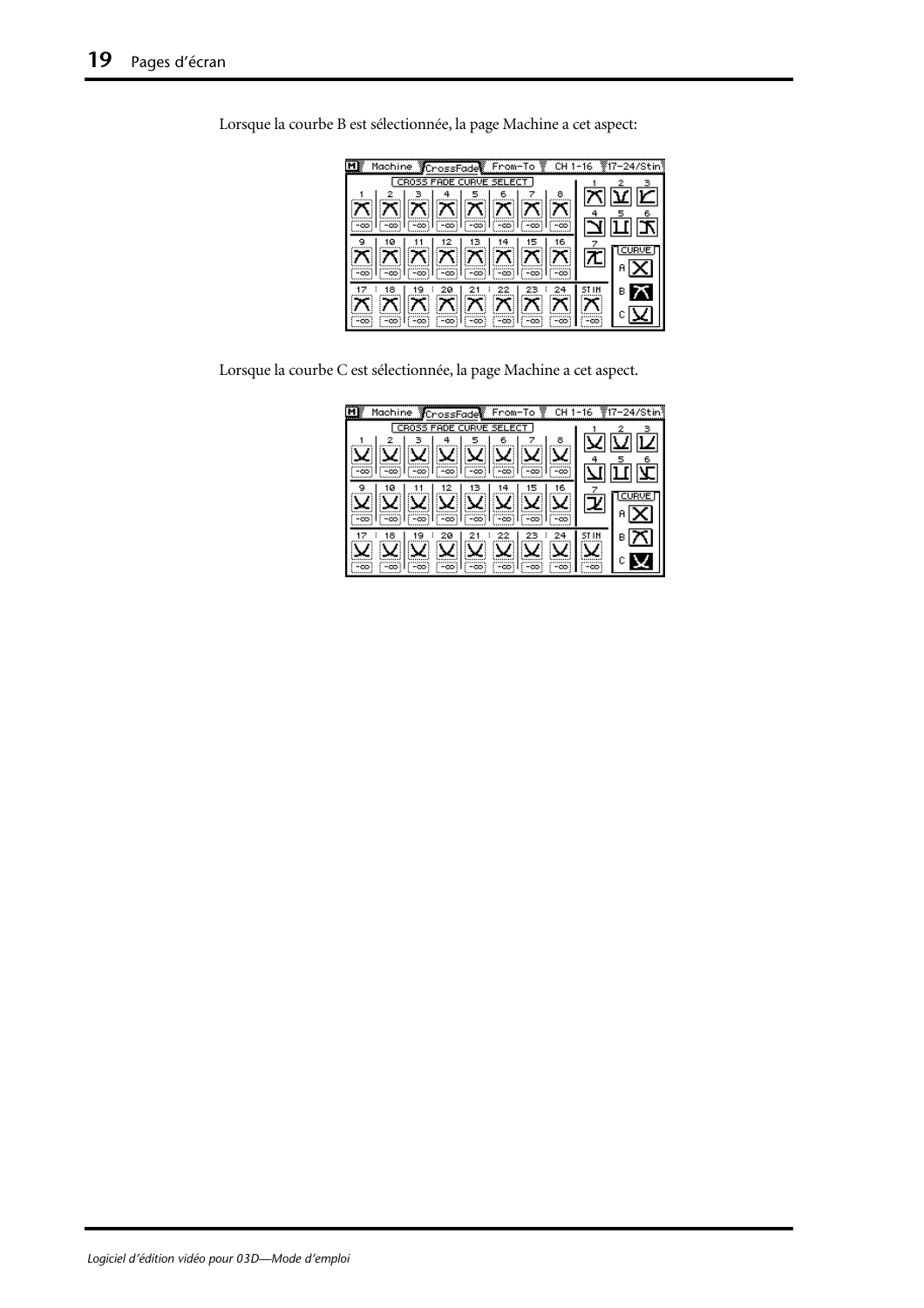| Machine CrossFade From-To LGH 1-16 17-24/Stin                                                                                                                                                                                                                                                                                                                                                                          |   |
|------------------------------------------------------------------------------------------------------------------------------------------------------------------------------------------------------------------------------------------------------------------------------------------------------------------------------------------------------------------------------------------------------------------------|---|
| CROSS FADE CURVE SELECT                                                                                                                                                                                                                                                                                                                                                                                                |   |
| ( X X X X X X X                                                                                                                                                                                                                                                                                                                                                                                                        |   |
| $\mathbb{E} \mathbb{E} \mathbb{E} \mathbb{E} \mathbb{E} \mathbb{E} \mathbb{E} \mathbb{E} \mathbb{E} \mathbb{E} \mathbb{E} \mathbb{E} \mathbb{E} \mathbb{E} \mathbb{E} \mathbb{E} \mathbb{E} \mathbb{E} \mathbb{E} \mathbb{E} \mathbb{E} \mathbb{E} \mathbb{E} \mathbb{E} \mathbb{E} \mathbb{E} \mathbb{E} \mathbb{E} \mathbb{E} \mathbb{E} \mathbb{E} \mathbb{E} \mathbb{E} \mathbb{E} \mathbb{E} \mathbb{E} \mathbb{$ |   |
| -661<br>േക്                                                                                                                                                                                                                                                                                                                                                                                                            | в |

Lorsque la courbe B est sélectionnée, la page Machine a cet aspect:

Lorsque la courbe C est sélectionnée, la page Machine a cet aspect.

| <b>YCrossFade From-To Y</b><br>Machine<br>CH. | -16 |   |
|-----------------------------------------------|-----|---|
| CR055<br><b>FADE CURVE SEI</b><br>FCT.        |     |   |
| 8<br>6                                        |     |   |
|                                               |     |   |
| -00<br>-00:                                   |     |   |
| 16<br>ø                                       |     |   |
|                                               |     |   |
| -00                                           |     |   |
| 18<br>20                                      |     | в |
|                                               |     |   |
| -00                                           | -00 |   |
|                                               |     |   |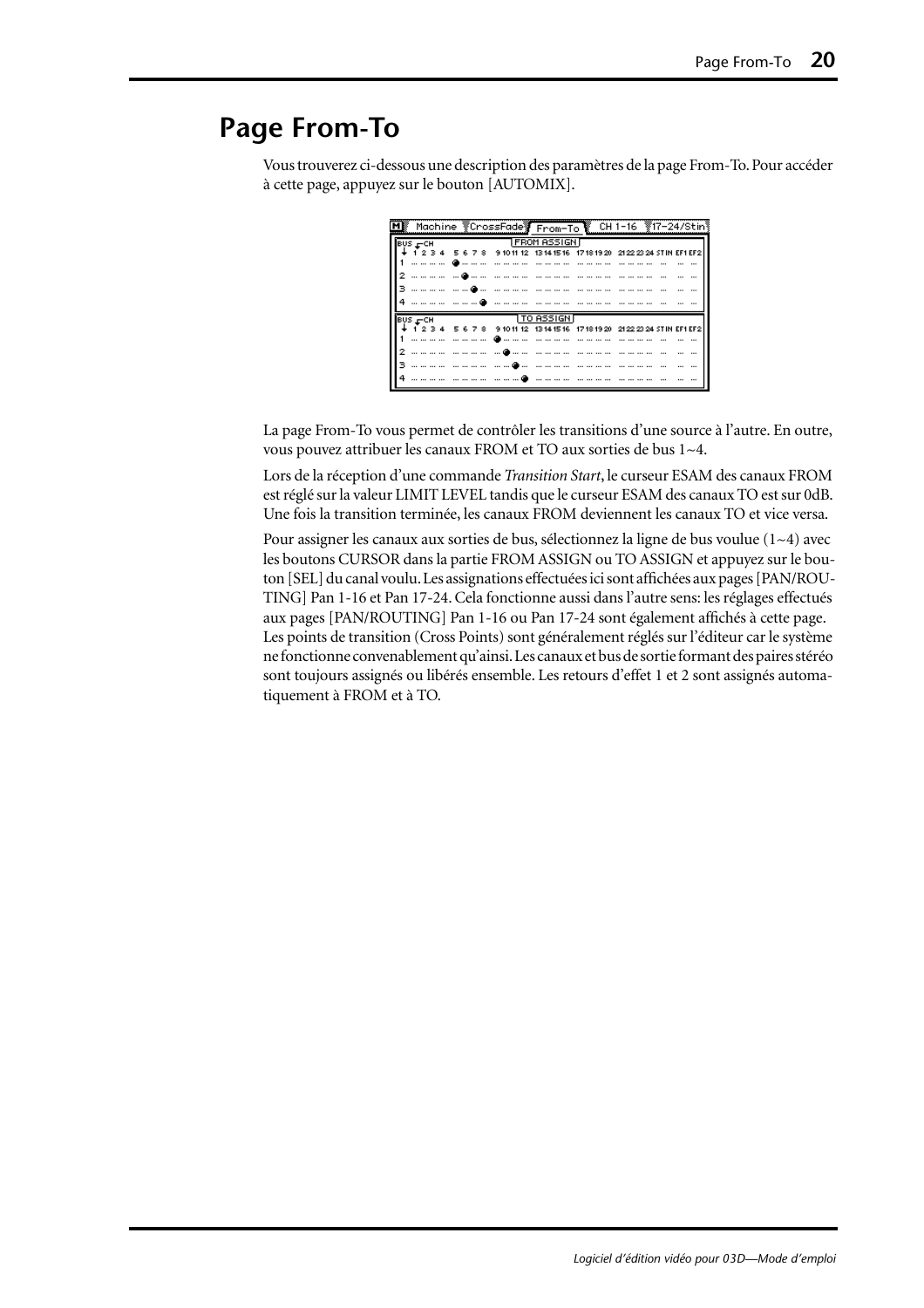## <span id="page-53-0"></span>**Page From-To**

Vous trouverez ci-dessous une description des paramètres de la page From-To. Pour accéder à cette page, appuyez sur le bouton [AUTOMIX].

|  |                |  | $BUS = CH$ |  |  |  | TFROM ASSIGN D |  |  |  |  |  |  |                                                                                         |  |
|--|----------------|--|------------|--|--|--|----------------|--|--|--|--|--|--|-----------------------------------------------------------------------------------------|--|
|  |                |  |            |  |  |  |                |  |  |  |  |  |  | 2 3 4 5 6 7 8 91011 12 1314 1516 1718 1920 2122 2324 STIN EF1 EF2                       |  |
|  |                |  |            |  |  |  |                |  |  |  |  |  |  |                                                                                         |  |
|  |                |  |            |  |  |  |                |  |  |  |  |  |  |                                                                                         |  |
|  |                |  |            |  |  |  |                |  |  |  |  |  |  |                                                                                         |  |
|  |                |  |            |  |  |  |                |  |  |  |  |  |  |                                                                                         |  |
|  | <b>BUS FCH</b> |  |            |  |  |  | TTO ASSIGN F   |  |  |  |  |  |  |                                                                                         |  |
|  |                |  |            |  |  |  |                |  |  |  |  |  |  | ↓ 1 2 3 4   5 6 7 8   9 10 11 12   13 14 15 16   17 18 19 20   21 22 23 24 STIN EF1 EF2 |  |
|  |                |  |            |  |  |  |                |  |  |  |  |  |  |                                                                                         |  |
|  |                |  |            |  |  |  |                |  |  |  |  |  |  |                                                                                         |  |
|  |                |  |            |  |  |  |                |  |  |  |  |  |  |                                                                                         |  |
|  |                |  |            |  |  |  |                |  |  |  |  |  |  |                                                                                         |  |

La page From-To vous permet de contrôler les transitions d'une source à l'autre. En outre, vous pouvez attribuer les canaux FROM et TO aux sorties de bus 1~4.

Lors de la réception d'une commande *Transition Start*, le curseur ESAM des canaux FROM est réglé sur la valeur LIMIT LEVEL tandis que le curseur ESAM des canaux TO est sur 0dB. Une fois la transition terminée, les canaux FROM deviennent les canaux TO et vice versa.

Pour assigner les canaux aux sorties de bus, sélectionnez la ligne de bus voulue  $(1-4)$  avec les boutons CURSOR dans la partie FROM ASSIGN ou TO ASSIGN et appuyez sur le bouton [SEL] du canal voulu. Les assignations effectuées ici sont affichées aux pages [PAN/ROU-TING] Pan 1-16 et Pan 17-24. Cela fonctionne aussi dans l'autre sens: les réglages effectués aux pages [PAN/ROUTING] Pan 1-16 ou Pan 17-24 sont également affichés à cette page. Les points de transition (Cross Points) sont généralement réglés sur l'éditeur car le système ne fonctionne convenablement qu'ainsi. Les canaux et bus de sortie formant des paires stéréo sont toujours assignés ou libérés ensemble. Les retours d'effet 1 et 2 sont assignés automatiquement à FROM et à TO.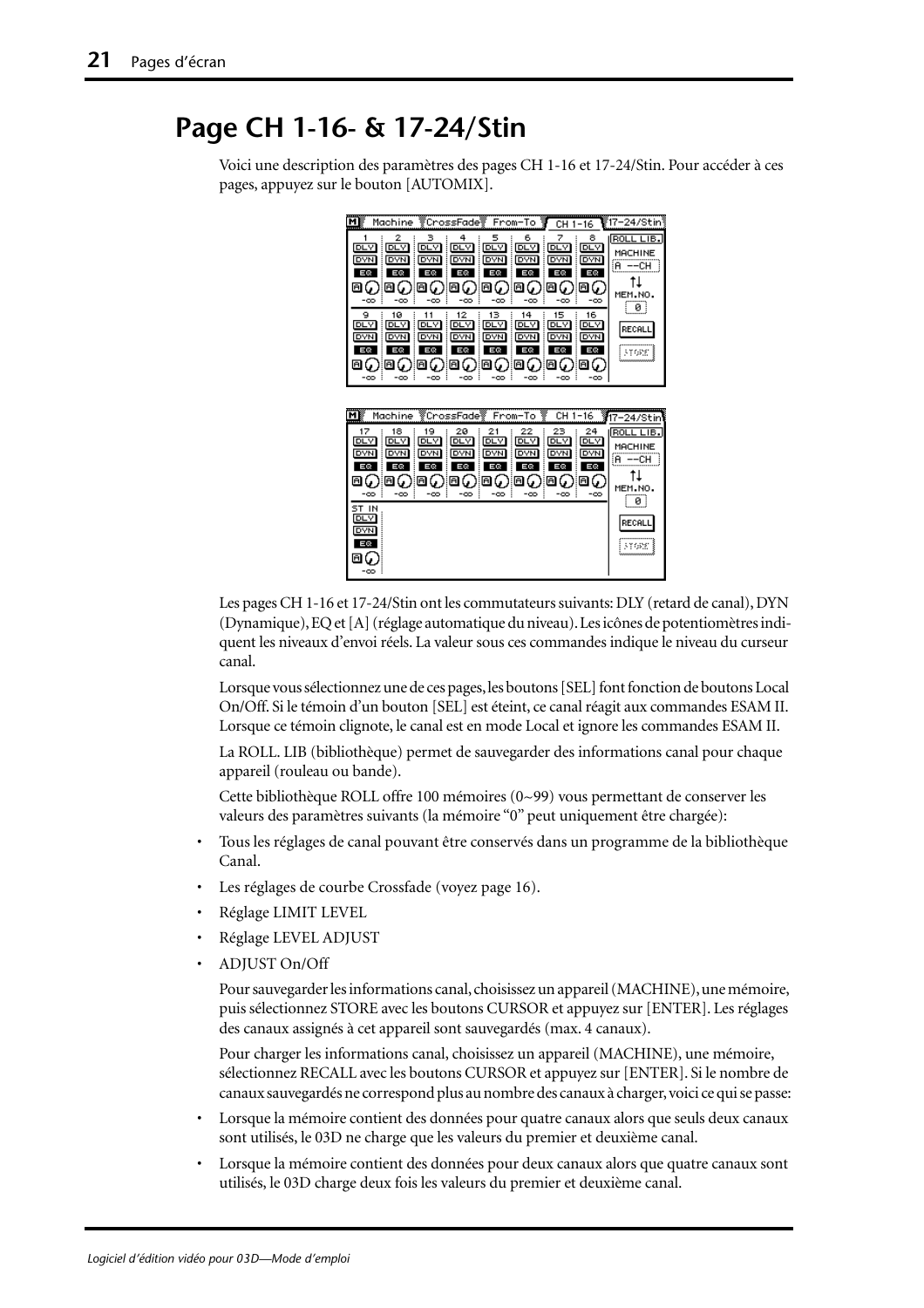## <span id="page-54-0"></span>**Page CH 1-16- & 17-24/Stin**

Voici une description des paramètres des pages CH 1-16 et 17-24/Stin. Pour accéder à ces pages, appuyez sur le bouton [AUTOMIX].



Les pages CH 1-16 et 17-24/Stin ont les commutateurs suivants: DLY (retard de canal), DYN (Dynamique), EQ et [A] (réglage automatique du niveau). Les icônes de potentiomètres indiquent les niveaux d'envoi réels. La valeur sous ces commandes indique le niveau du curseur canal.

Lorsque vous sélectionnez une de ces pages, les boutons [SEL] font fonction de boutons Local On/Off. Si le témoin d'un bouton [SEL] est éteint, ce canal réagit aux commandes ESAM II. Lorsque ce témoin clignote, le canal est en mode Local et ignore les commandes ESAM II.

La ROLL. LIB (bibliothèque) permet de sauvegarder des informations canal pour chaque appareil (rouleau ou bande).

Cette bibliothèque ROLL offre 100 mémoires (0~99) vous permettant de conserver les valeurs des paramètres suivants (la mémoire "0" peut uniquement être chargée):

- Tous les réglages de canal pouvant être conservés dans un programme de la bibliothèque Canal.
- Les réglages de courbe Crossfade [\(voyez page 16\).](#page-49-0)
- Réglage LIMIT LEVEL
- Réglage LEVEL ADJUST
- ADJUST On/Off

Pour sauvegarder les informations canal, choisissez un appareil (MACHINE), une mémoire, puis sélectionnez STORE avec les boutons CURSOR et appuyez sur [ENTER]. Les réglages des canaux assignés à cet appareil sont sauvegardés (max. 4 canaux).

Pour charger les informations canal, choisissez un appareil (MACHINE), une mémoire, sélectionnez RECALL avec les boutons CURSOR et appuyez sur [ENTER]. Si le nombre de canaux sauvegardés ne correspond plus au nombre des canaux à charger, voici ce qui se passe:

- Lorsque la mémoire contient des données pour quatre canaux alors que seuls deux canaux sont utilisés, le 03D ne charge que les valeurs du premier et deuxième canal.
- Lorsque la mémoire contient des données pour deux canaux alors que quatre canaux sont utilisés, le 03D charge deux fois les valeurs du premier et deuxième canal.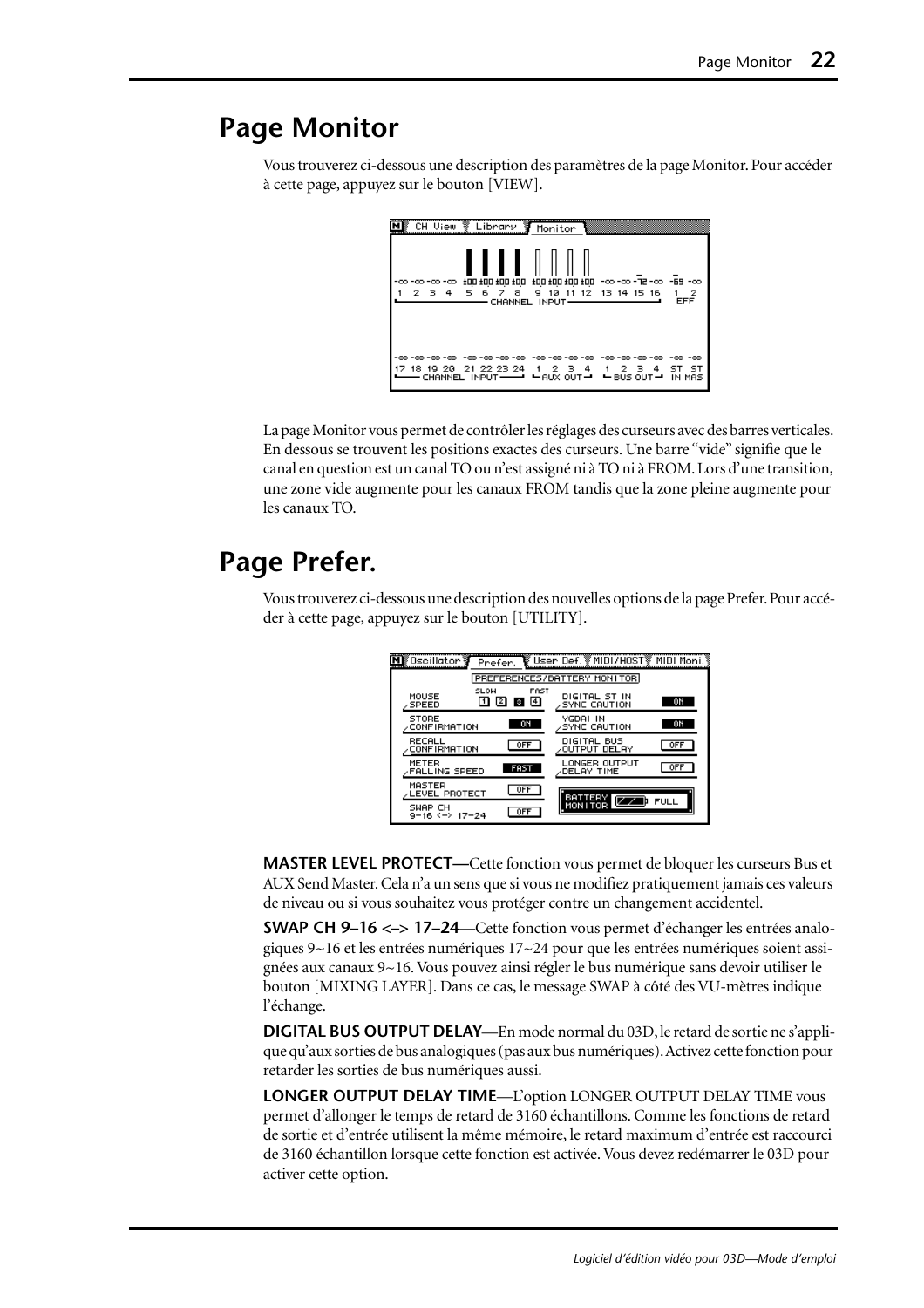## <span id="page-55-0"></span>**Page Monitor**

Vous trouverez ci-dessous une description des paramètres de la page Monitor. Pour accéder à cette page, appuyez sur le bouton [VIEW].

| CH View                    | Library Monitor             |                                                                                                                                       |                                                                  |                                 |
|----------------------------|-----------------------------|---------------------------------------------------------------------------------------------------------------------------------------|------------------------------------------------------------------|---------------------------------|
| -00 -00 -00 -00 -<br>2 3 4 | 00± 00± 00± 00±<br>5678     | CHANNEL INPUT-                                                                                                                        | co- 88- co-5F-co-co-12 001 001 001 001<br>9 10 11 12 13 14 15 16 | -2<br><b>EFF</b>                |
| -00 -00 -00 -00            | -00<br>18 19 20 21 22 23 24 | -00<br>-00 -00<br>1 2 3 4 1 2<br>CHANNEL INPUT $\longrightarrow$ $\longleftarrow$ AUX OUT $\longrightarrow$ BUS OUT $\longrightarrow$ | -00 -00<br>4<br>-3                                               | -00 -00<br>sт<br>- ST<br>IN MAS |

La page Monitor vous permet de contrôler les réglages des curseurs avec des barres verticales. En dessous se trouvent les positions exactes des curseurs. Une barre "vide" signifie que le canal en question est un canal TO ou n'est assigné ni à TO ni à FROM. Lors d'une transition, une zone vide augmente pour les canaux FROM tandis que la zone pleine augmente pour les canaux TO.

## **Page Prefer.**

Vous trouverez ci-dessous une description des nouvelles options de la page Prefer. Pour accéder à cette page, appuyez sur le bouton [UTILITY].

| M膠Oscillator 蓼<br>Prefer.                                                | िष्टु User Def. ङ्के MIDI/H0STङ्के MIDI Moni. है |
|--------------------------------------------------------------------------|--------------------------------------------------|
|                                                                          | PREFERENCES/BATTERY MONITOR                      |
| <b>SLOW</b><br><b>FAST</b><br>MOUSE<br>$\sqrt{4}$<br>i 3<br><b>SPEED</b> | DIGITAL ST IN<br>0N<br><b>SYNC CAUTION</b>       |
| <b>STORE</b><br>ON<br><b>CONFIRMATION</b>                                | YGDAI IN<br>ON<br><b>SYNC CAUTION</b>            |
| RECALL<br><b>OFF</b><br><b>CONFIRMATION</b>                              | DIGITAL BUS<br><b>OFF</b><br><b>OUTPUT DELAY</b> |
| METER<br><b>FAST</b><br><b>FALLING SPEED</b>                             | LONGER OUTPUT<br><b>OFF</b><br>DELAY TIME        |
| MASTER<br><b>OFF</b><br><b>ALEVEL PROTECT</b>                            | <b>BATTERY</b>                                   |
| SWAP CH<br><b>OFF</b><br>9-16 <-> 17-24                                  | <b>FULL</b><br>MONITOR                           |

**MASTER LEVEL PROTECT—**Cette fonction vous permet de bloquer les curseurs Bus et AUX Send Master. Cela n'a un sens que si vous ne modifiez pratiquement jamais ces valeurs de niveau ou si vous souhaitez vous protéger contre un changement accidentel.

**SWAP CH 9–16 <–> 17–24**—Cette fonction vous permet d'échanger les entrées analogiques  $9~16$  et les entrées numériques  $17~24$  pour que les entrées numériques soient assignées aux canaux 9~16. Vous pouvez ainsi régler le bus numérique sans devoir utiliser le bouton [MIXING LAYER]. Dans ce cas, le message SWAP à côté des VU-mètres indique l'échange.

**DIGITAL BUS OUTPUT DELAY**—En mode normal du 03D, le retard de sortie ne s'applique qu'aux sorties de bus analogiques (pas aux bus numériques). Activez cette fonction pour retarder les sorties de bus numériques aussi.

**LONGER OUTPUT DELAY TIME**—L'option LONGER OUTPUT DELAY TIME vous permet d'allonger le temps de retard de 3160 échantillons. Comme les fonctions de retard de sortie et d'entrée utilisent la même mémoire, le retard maximum d'entrée est raccourci de 3160 échantillon lorsque cette fonction est activée. Vous devez redémarrer le 03D pour activer cette option.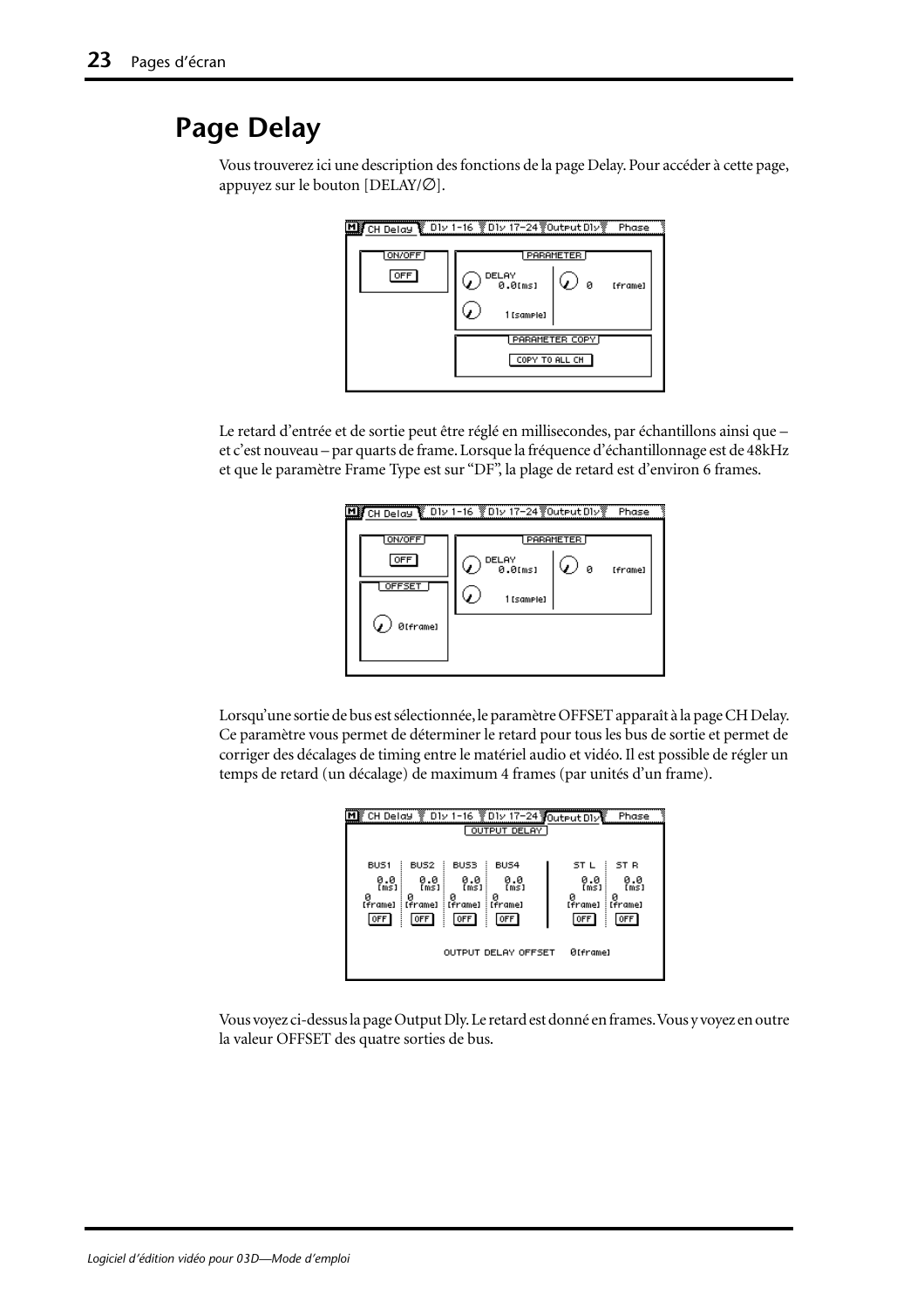## <span id="page-56-0"></span>**Page Delay**

Vous trouverez ici une description des fonctions de la page Delay. Pour accéder à cette page, appuyez sur le bouton [DELAY/∅].



Le retard d'entrée et de sortie peut être réglé en millisecondes, par échantillons ainsi que – et c'est nouveau – par quarts de frame. Lorsque la fréquence d'échantillonnage est de 48kHz et que le paramètre Frame Type est sur "DF", la plage de retard est d'environ 6 frames.

|                         | MI CH Delay & D1v 1-16 YO1v 17-24 YOutput D1vY<br>Phase             |
|-------------------------|---------------------------------------------------------------------|
| ON/OFF<br>OFF<br>OFFSET | PARAMETER<br>DELAY<br><b>0.0</b> [ms]<br>ø<br>[frame]<br>1 [samele] |
| ØIframe]                |                                                                     |

Lorsqu'une sortie de bus est sélectionnée, le paramètre OFFSET apparaît à la page CH Delay. Ce paramètre vous permet de déterminer le retard pour tous les bus de sortie et permet de corriger des décalages de timing entre le matériel audio et vidéo. Il est possible de régler un temps de retard (un décalage) de maximum 4 frames (par unités d'un frame).

| DIv 1-16 2DIv 17-24 Output DIV<br>CH Delay<br><b>OUTPUT DELAY</b>                                                                                                                                                           | Phase                                                                                        |
|-----------------------------------------------------------------------------------------------------------------------------------------------------------------------------------------------------------------------------|----------------------------------------------------------------------------------------------|
| BUS <sub>1</sub><br>BUS4<br>BUS <sub>2</sub><br>BUS3<br>0.0<br>0.0<br>0.0<br>0.0<br>[ms]<br>[ms]<br>[ms]<br>ms1<br>ø<br>ø<br>ø<br>[frame]<br>: [frame]<br>: [frame]<br>[frame]<br>OFF <sup>1</sup><br>OFF<br>  OFF<br>  OFF | i ST R<br>ST L<br>0.0<br>[ms]<br>0.0<br>[ms]<br>ø<br>ø<br>: [frame]<br>[frame]<br>0FF<br>0FF |
| OUTPUT DELAY OFFSET                                                                                                                                                                                                         | ØIframel                                                                                     |

Vous voyez ci-dessus la page Output Dly. Le retard est donné en frames. Vous y voyez en outre la valeur OFFSET des quatre sorties de bus.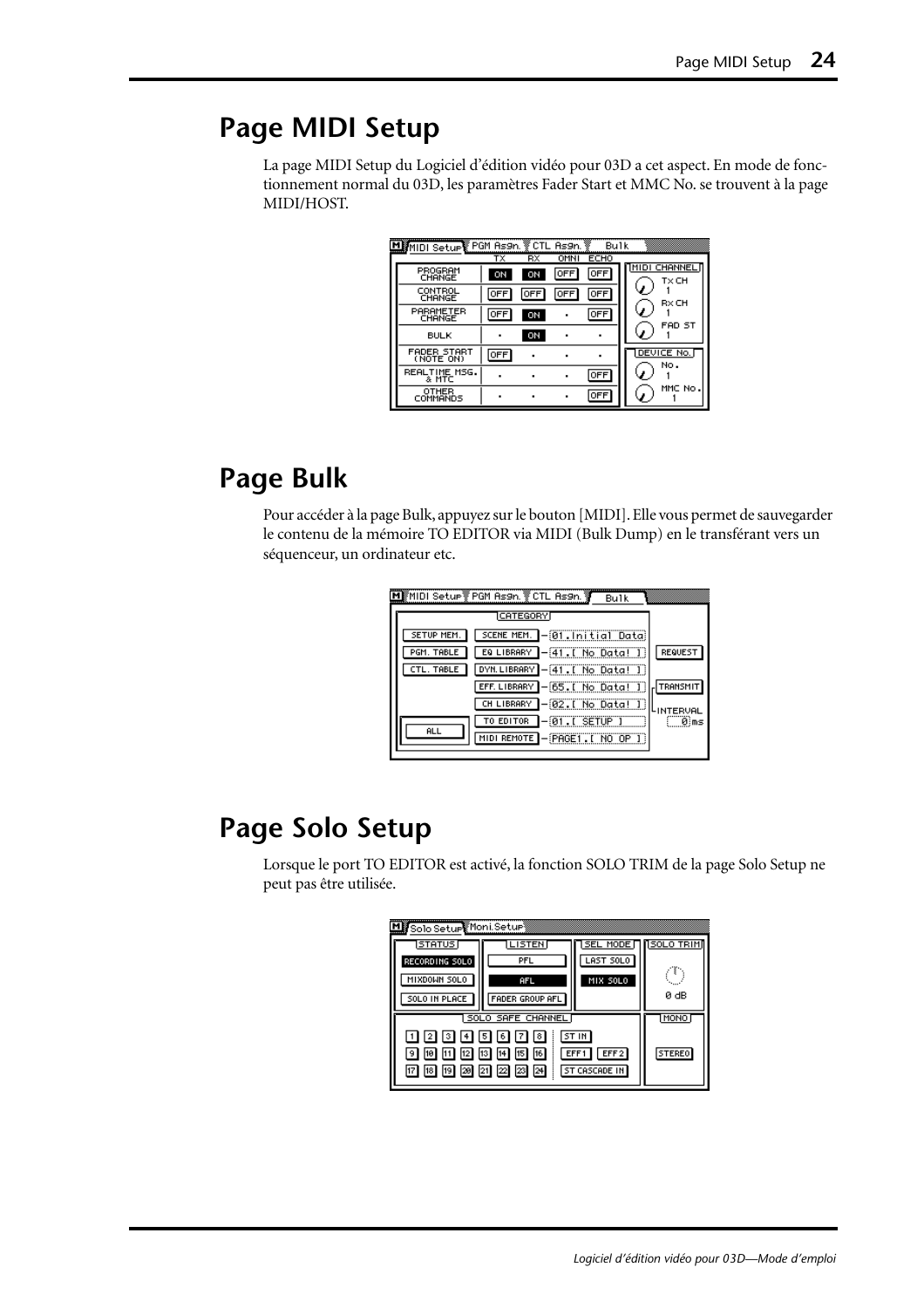# **Page MIDI Setup**

La page MIDI Setup du Logiciel d'édition vidéo pour 03D a cet aspect. En mode de fonctionnement normal du 03D, les paramètres Fader Start et MMC No. se trouvent à la page MIDI/HOST.

| MIDI Setup PGM As9n. VCTL As9n. |          |            |             | Bulk                      |                       |
|---------------------------------|----------|------------|-------------|---------------------------|-----------------------|
| PROGRAM<br>CHANGE               | тχ<br>ON | RX<br>ON   | OMNI<br>OFF | <b>ECHO</b><br><b>OFF</b> | IMIDI CHANNEL<br>TxCH |
| CONTROL<br>CHANGE               | OFF      | <b>OFF</b> | OFF         | OFF                       | RxCH                  |
| PARAMETER<br>CHANGE             | OFF      | ON         |             | <b>OFF</b>                |                       |
| <b>BULK</b>                     | ٠        | ON         |             |                           | FAD ST                |
| FADER START<br>(NOTE ON)        | OFF      |            |             |                           | DEVICE No.<br>No.     |
| REALTIME MSG.<br>& MTC          |          |            |             | OFF                       |                       |
| OTHER<br>COMMANDS               | ٠        |            |             | OFF                       | MMC No                |

# **Page Bulk**

Pour accéder à la page Bulk, appuyez sur le bouton [MIDI]. Elle vous permet de sauvegarder le contenu de la mémoire TO EDITOR via MIDI (Bulk Dump) en le transférant vers un séquenceur, un ordinateur etc.

| Bulk                                          |           |
|-----------------------------------------------|-----------|
| <b>ICATEGORY</b>                              |           |
| SCENE MEM. - 01. Initial Data)<br>SETUP MEM.  |           |
| 1-41.[ No Data! ]<br>EQ LIBRARY<br>PGM. TABLE | REQUEST   |
| DYN.LIBRARY -[41. [ No Data! ]]<br>CTL. TABLE |           |
| ]-[65.[ No Data! ]<br>EFF. LIBRARY            | TRANSMIT  |
| 1-02.[ No Data! 1<br>CH LIBRARY               | -INTERVAL |
| $-0.1$ . I SETUP<br>TO EDITOR                 | ®ìms      |
|                                               |           |
| <b>ALL</b><br>MIDI REMOTE - PAGE1. I NO OP I  |           |

# **Page Solo Setup**

Lorsque le port TO EDITOR est activé, la fonction SOLO TRIM de la page Solo Setup ne peut pas être utilisée.

| My Solo Setup Moni Setup        |                        |                 |                   |
|---------------------------------|------------------------|-----------------|-------------------|
| <b>STATUS</b>                   | <b>LISTEN</b>          | <b>SEL MODE</b> | <b>NSOLO TRIM</b> |
| RECORDING SOLO                  | PFL                    | LAST SOLO       |                   |
| MIXDOWN SOLO                    | AFL                    | MIX SOLO        |                   |
| SOLO IN PLACE                   | <b>FADER GROUP AFL</b> |                 | 0 dB              |
|                                 | SOLO SAFE CHANNEL      |                 | MONO              |
| [1] [2] [3] [4] [5] [6] [7] [8] |                        |                 |                   |
| 10 <br>131<br>112 1             | <b>STEREO</b>          |                 |                   |
| 17 18 19 20 21 22 23 24         |                        |                 |                   |
|                                 |                        |                 |                   |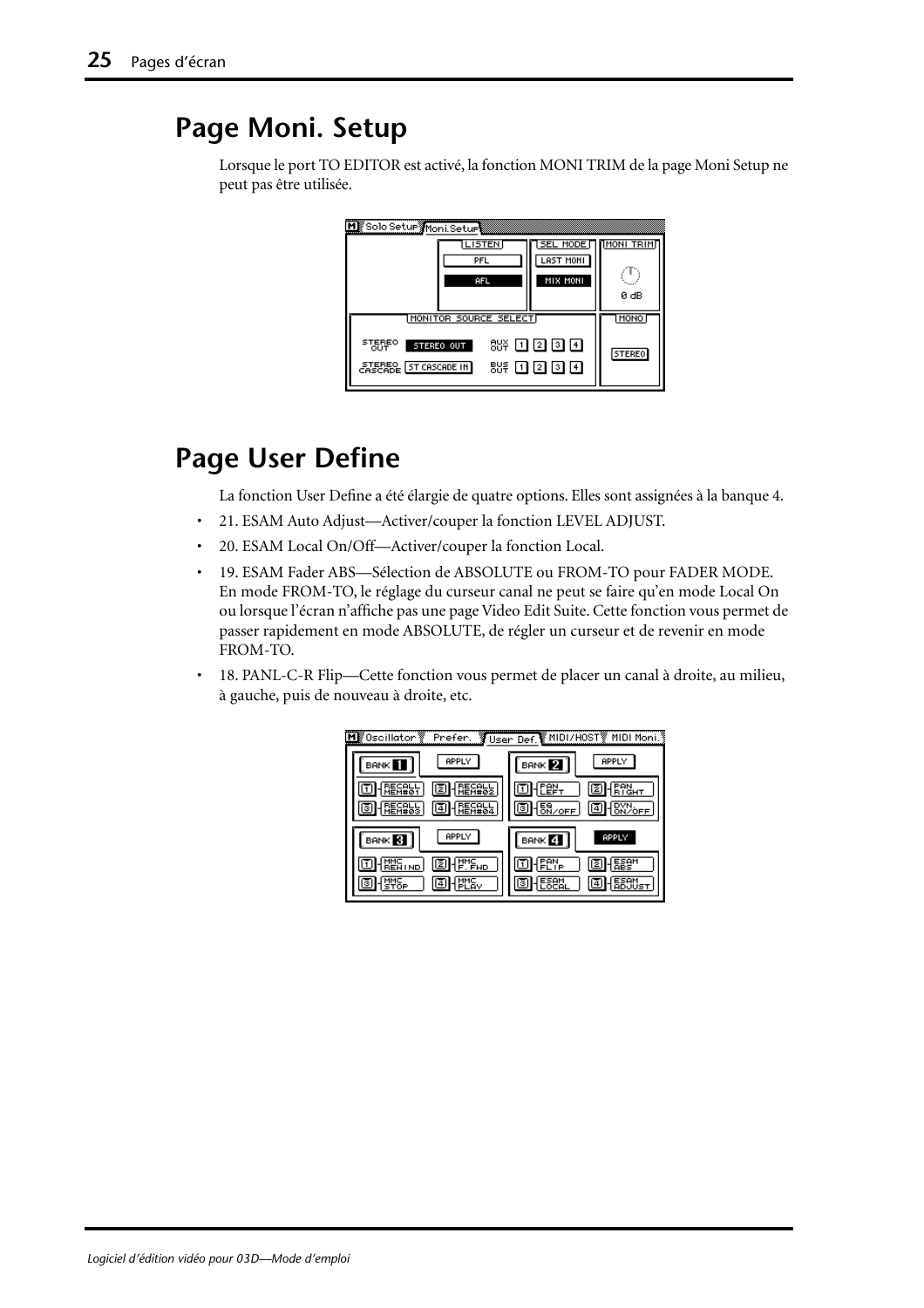# <span id="page-58-0"></span>**Page Moni. Setup**

Lorsque le port TO EDITOR est activé, la fonction MONI TRIM de la page Moni Setup ne peut pas être utilisée.

| Solo Setur Moni Seturi<br><b>LISTEN</b><br>PFL<br>AFL                                                                                   | <b>MODE</b><br>MONI TRIM<br>SEL.<br>LAST MONI<br>MIX MONI<br>0 dB |
|-----------------------------------------------------------------------------------------------------------------------------------------|-------------------------------------------------------------------|
| MONITOR SOURCE SELECT<br><b>STEREO</b><br>88¥ OO 20 OO 140<br>STEREO OUT<br>OUT<br><b><i>CASCADE</i></b> [ST CASCADE IN]<br>88후 ① ② ③ ④ | MONO<br><b>STEREO</b>                                             |

## **Page User Define**

La fonction User Define a été élargie de quatre options. Elles sont assignées à la banque 4.

- 21. ESAM Auto Adjust—Activer/couper la fonction LEVEL ADJUST.
- 20. ESAM Local On/Off—Activer/couper la fonction Local.
- 19. ESAM Fader ABS—Sélection de ABSOLUTE ou FROM-TO pour FADER MODE. En mode FROM-TO, le réglage du curseur canal ne peut se faire qu'en mode Local On ou lorsque l'écran n'affiche pas une page Video Edit Suite. Cette fonction vous permet de passer rapidement en mode ABSOLUTE, de régler un curseur et de revenir en mode FROM-TO.
- 18. PANL-C-R Flip—Cette fonction vous permet de placer un canal à droite, au milieu, à gauche, puis de nouveau à droite, etc.

| ∭0scillator'<br>Prefer.<br>M | 夏User Def.鬢MIDI/HOST▒…<br>MIDI Moni.                  |
|------------------------------|-------------------------------------------------------|
| APPLY<br><b>BANK</b>         | APPLY<br>$B$ ANK $\boxed{2}$                          |
|                              |                                                       |
|                              | $\frac{58}{6 \text{N/OFF}}$<br>回<br>C<br>2ò <u>FF</u> |
| APPLY<br><b>BANK</b>         | APPLY<br>BANK 4                                       |
| IzI<br>ND                    | z                                                     |
| 4                            | з                                                     |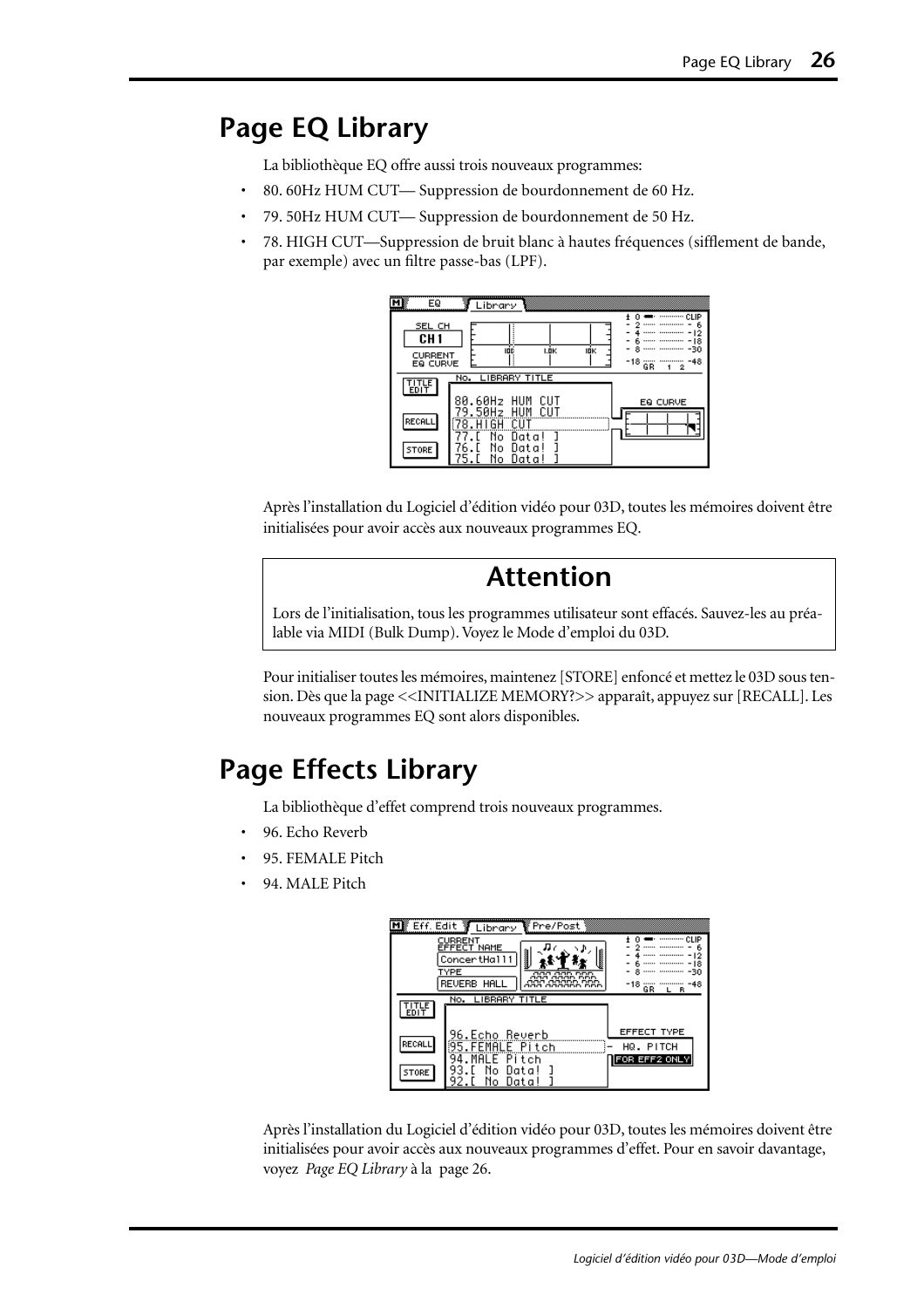## <span id="page-59-0"></span>**Page EQ Library**

La bibliothèque EQ offre aussi trois nouveaux programmes:

- 80. 60Hz HUM CUT— Suppression de bourdonnement de 60 Hz.
- 79. 50Hz HUM CUT— Suppression de bourdonnement de 50 Hz.
- 78. HIGH CUT—Suppression de bruit blanc à hautes fréquences (sifflement de bande, par exemple) avec un filtre passe-bas (LPF).

| EQ<br>м                                                 | Library<br>CLIP                                                      |
|---------------------------------------------------------|----------------------------------------------------------------------|
| SEL CH<br>CH <sub>1</sub><br><b>CURRENT</b><br>EQ CURVE | 8<br>-30<br>IDÉ<br>I.ÖK<br>10K<br>-18<br>-48                         |
| 땞                                                       | GR<br>2<br>No. LIBRARY TITLE                                         |
| RECALL                                                  | 80.60Hz HUM<br>CUT<br>EQ CURVE<br>.50Hz<br>HUM<br>CUT<br>N٥<br>Data! |
| STORE                                                   | No.<br>Data<br>Ν٥<br>Uata<br>כ                                       |

Après l'installation du Logiciel d'édition vidéo pour 03D, toutes les mémoires doivent être initialisées pour avoir accès aux nouveaux programmes EQ.

### **Attention**

Lors de l'initialisation, tous les programmes utilisateur sont effacés. Sauvez-les au préalable via MIDI (Bulk Dump). Voyez le Mode d'emploi du 03D.

Pour initialiser toutes les mémoires, maintenez [STORE] enfoncé et mettez le 03D sous tension. Dès que la page <<INITIALIZE MEMORY?>> apparaît, appuyez sur [RECALL]. Les nouveaux programmes EQ sont alors disponibles.

## **Page Effects Library**

La bibliothèque d'effet comprend trois nouveaux programmes.

- 96. Echo Reverb
- 95. FEMALE Pitch
- 94. MALE Pitch

|              | Eff. Edit TLibrary<br>¶Pre/Post<br><br>CHP.<br>CURRENT                                            |
|--------------|---------------------------------------------------------------------------------------------------|
|              | EFFECT NAME<br>ConcertHall1                                                                       |
|              | TYPE<br><br>aaa<br><b>DDD</b><br><b>REVERB</b><br>HALI<br>ooc<br>-18<br>aaa aaaann nni<br>GR<br>в |
| EDIT         | No. LIBRARY TITLE                                                                                 |
| RECALL       | <b>EFFECT TYPE</b><br>96.Echo Reverb<br>5.FEMALE Pitch<br>HQ. PITCH                               |
| <b>STORE</b> | Pitch<br>FOR EFF2 ONLY<br>Uata<br>Uata.<br>N٥                                                     |

Après l'installation du Logiciel d'édition vidéo pour 03D, toutes les mémoires doivent être initialisées pour avoir accès aux nouveaux programmes d'effet. Pour en savoir davantage, voyez *Page EQ Library* à la page 26.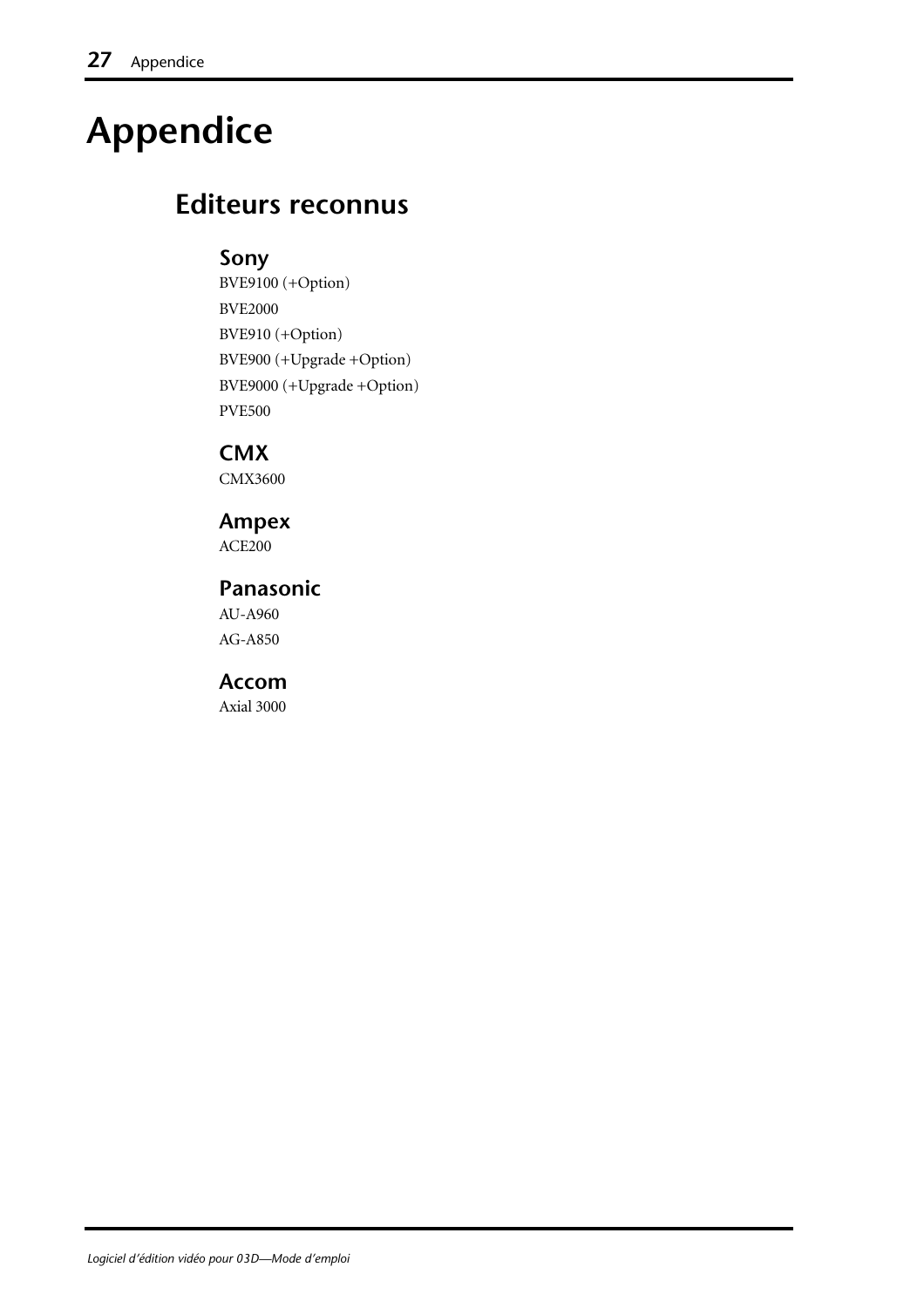# **Appendice**

## **Editeurs reconnus**

#### **Sony**

BVE9100 (+Option) BVE2000 BVE910 (+Option) BVE900 (+Upgrade +Option) BVE9000 (+Upgrade +Option) PVE500

**CMX**

CMX3600

**Ampex** ACE200

**Panasonic** AU-A960 AG-A850

**Accom**

Axial 3000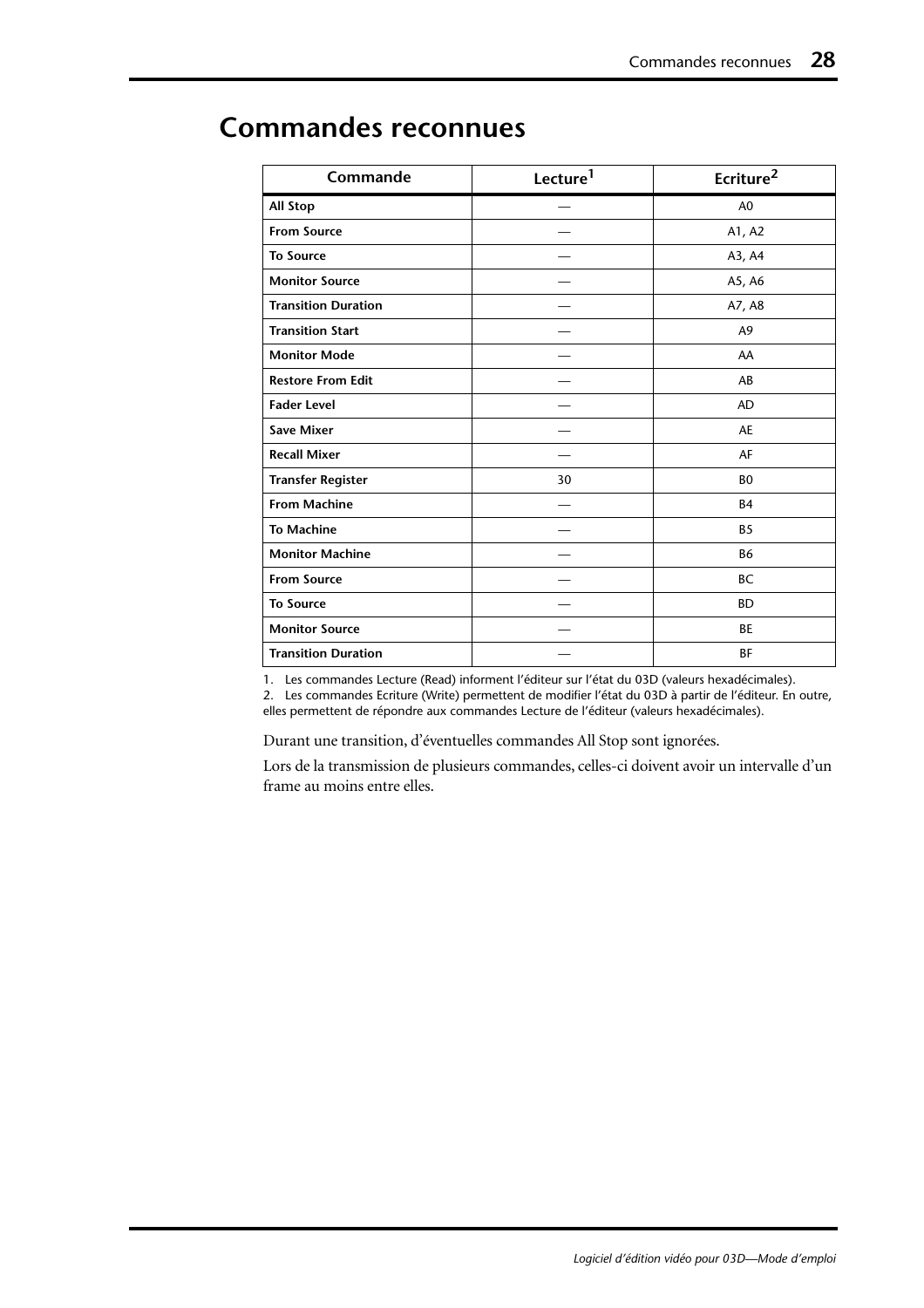| Commande                   | Lecture <sup>1</sup> | Ecriture <sup>2</sup> |
|----------------------------|----------------------|-----------------------|
| <b>All Stop</b>            |                      | A <sub>0</sub>        |
| <b>From Source</b>         |                      | A1, A2                |
| <b>To Source</b>           |                      | A3, A4                |
| <b>Monitor Source</b>      |                      | A5, A6                |
| <b>Transition Duration</b> |                      | A7, A8                |
| <b>Transition Start</b>    |                      | A9                    |
| <b>Monitor Mode</b>        |                      | AA                    |
| <b>Restore From Edit</b>   |                      | AB                    |
| <b>Fader Level</b>         |                      | <b>AD</b>             |
| <b>Save Mixer</b>          |                      | <b>AE</b>             |
| <b>Recall Mixer</b>        |                      | AF                    |
| <b>Transfer Register</b>   | 30                   | B <sub>0</sub>        |
| <b>From Machine</b>        |                      | <b>B4</b>             |
| <b>To Machine</b>          |                      | B <sub>5</sub>        |
| <b>Monitor Machine</b>     |                      | B6                    |
| <b>From Source</b>         |                      | <b>BC</b>             |
| <b>To Source</b>           |                      | <b>BD</b>             |
| <b>Monitor Source</b>      |                      | <b>BE</b>             |
| <b>Transition Duration</b> |                      | ΒF                    |

## <span id="page-61-0"></span>**Commandes reconnues**

1. Les commandes Lecture (Read) informent l'éditeur sur l'état du 03D (valeurs hexadécimales).

2. Les commandes Ecriture (Write) permettent de modifier l'état du 03D à partir de l'éditeur. En outre, elles permettent de répondre aux commandes Lecture de l'éditeur (valeurs hexadécimales).

Durant une transition, d'éventuelles commandes All Stop sont ignorées.

Lors de la transmission de plusieurs commandes, celles-ci doivent avoir un intervalle d'un frame au moins entre elles.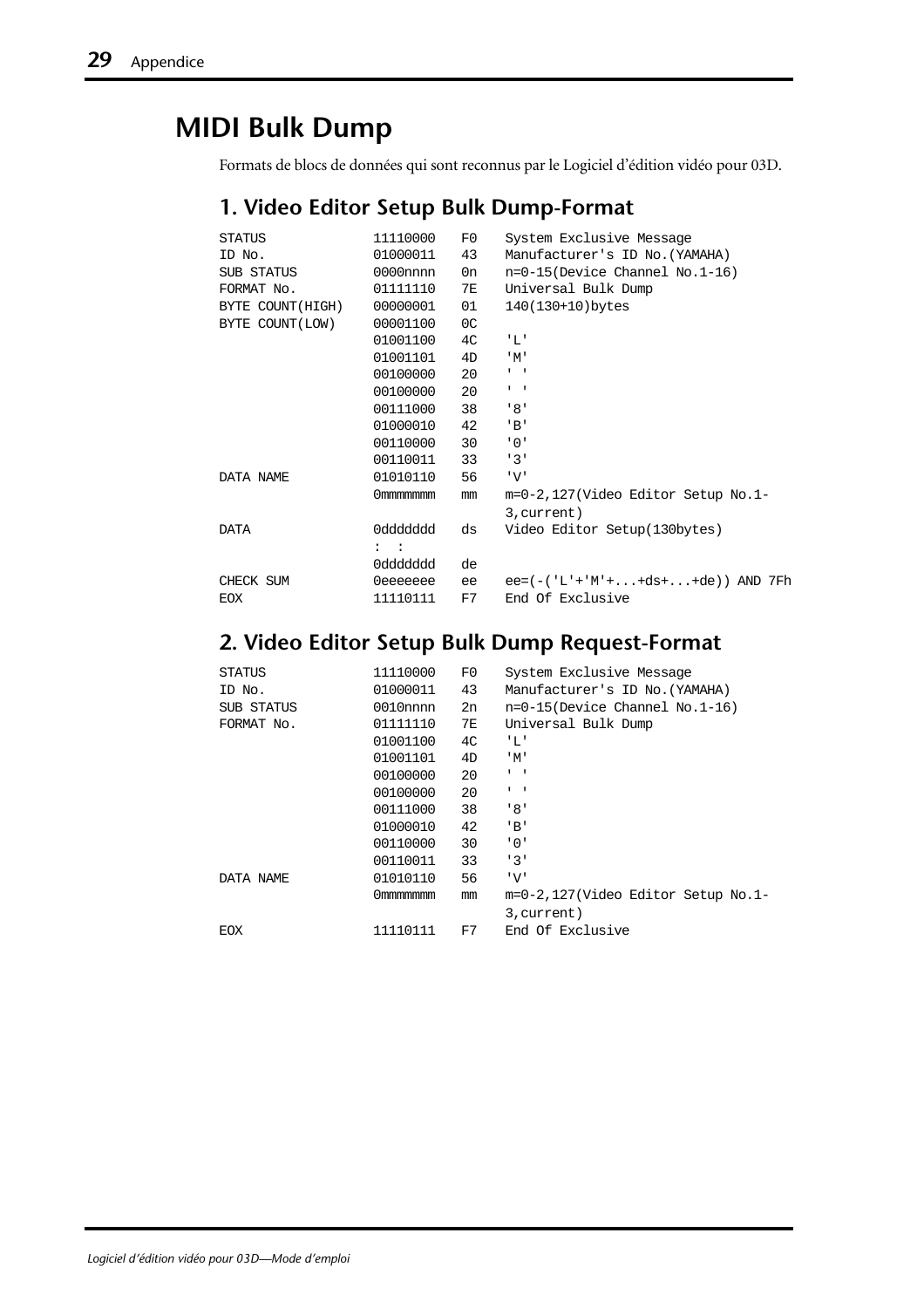## **MIDI Bulk Dump**

Formats de blocs de données qui sont reconnus par le Logiciel d'édition vidéo pour 03D.

#### **1. Video Editor Setup Bulk Dump-Format**

| <b>STATUS</b>    | 11110000     | F0 | System Exclusive Message           |
|------------------|--------------|----|------------------------------------|
| ID No.           | 01000011     | 43 | Manufacturer's ID No. (YAMAHA)     |
| SUB STATUS       | $0000$ nnnn  | 0n | $n=0-15$ (Device Channel No.1-16)  |
| FORMAT No.       | 01111110     | 7E | Universal Bulk Dump                |
| BYTE COUNT(HIGH) | 00000001     | 01 | 140(130+10)bytes                   |
| BYTE COUNT(LOW)  | 00001100     | 0C |                                    |
|                  | 01001100     | 4C | 'L'                                |
|                  | 01001101     | 4D | 'M'                                |
|                  | 00100000     | 20 | $\mathbf{I}=\mathbf{I}$            |
|                  | 00100000     | 20 | $\mathbf{I} = \mathbf{I}$          |
|                  | 00111000     | 38 | 181                                |
|                  | 01000010     | 42 | ' B'                               |
|                  | 00110000     | 30 | $'$ 0 $'$                          |
|                  | 00110011     | 33 | 131                                |
| DATA NAME        | 01010110     | 56 | 'V'                                |
|                  | Ommmmmmm     | mm | m=0-2,127(Video Editor Setup No.1- |
|                  |              |    | 3, current)                        |
| DATA             | 0ddddddd     | ds | Video Editor Setup(130bytes)       |
|                  | $\mathbf{1}$ |    |                                    |
|                  | 0ddddddd     | de |                                    |
| CHECK SUM        | 0eeeeeee     | ee | $ee=(-('L'+'M'++ds++de))$ AND 7Fh  |
| <b>EOX</b>       | 11110111     | F7 | End Of Exclusive                   |
|                  |              |    |                                    |

#### **2. Video Editor Setup Bulk Dump Request-Format**

| <b>STATUS</b> | 11110000 | F0 | System Exclusive Message           |
|---------------|----------|----|------------------------------------|
| ID No.        | 01000011 | 43 | Manufacturer's ID No. (YAMAHA)     |
| SUB STATUS    | 0010nnn  | 2n | $n=0-15$ (Device Channel No.1-16)  |
| FORMAT No.    | 01111110 | 7Е | Universal Bulk Dump                |
|               | 01001100 | 4C | 'L'                                |
|               | 01001101 | 4D | $^{\prime}$ M $^{\prime}$          |
|               | 00100000 | 20 | $1 - 1$                            |
|               | 00100000 | 20 | $1 - 1$                            |
|               | 00111000 | 38 | '8'                                |
|               | 01000010 | 42 | 'B'                                |
|               | 00110000 | 30 | י 0 י                              |
|               | 00110011 | 33 | 131                                |
| DATA NAME     | 01010110 | 56 | 'V'                                |
|               | Ommmmmmm | mm | m=0-2,127(Video Editor Setup No.1- |
|               |          |    | 3, current)                        |
| EOX           | 11110111 | F7 | End Of Exclusive                   |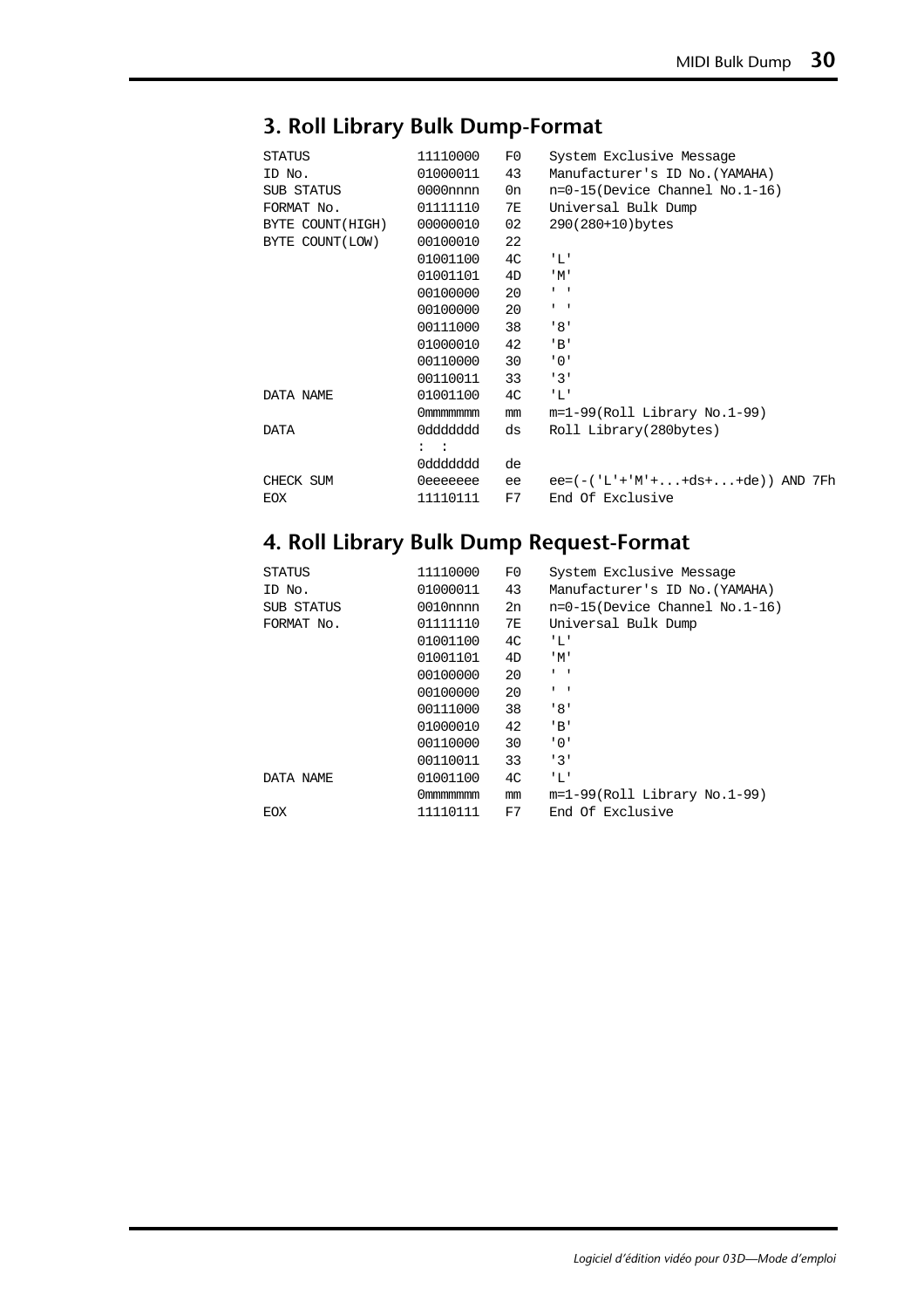| STATUS           | 11110000       | F0             | System Exclusive Message          |
|------------------|----------------|----------------|-----------------------------------|
| ID No.           | 01000011       | 43             | Manufacturer's ID No. (YAMAHA)    |
| SUB STATUS       | $0000$ nnnn    | 0n             | $n=0-15$ (Device Channel No.1-16) |
| FORMAT No.       | 01111110       | 7E             | Universal Bulk Dump               |
| BYTE COUNT(HIGH) | 00000010       | 02             | 290(280+10)bytes                  |
| BYTE COUNT(LOW)  | 00100010       | 22             |                                   |
|                  | 01001100       | 4C             | 'L'                               |
|                  | 01001101       | 4D             | $^{\prime}$ M $^{\prime}$         |
|                  | 00100000       | 20             | $\mathbf{I}=\mathbf{I}$           |
|                  | 00100000       | 20             | $1 - 1$                           |
|                  | 00111000       | 38             | 181                               |
|                  | 01000010       | 42             | ' B'                              |
|                  | 00110000       | 30             | '0'                               |
|                  | 00110011       | 33             | 131                               |
| DATA NAME        | 01001100       | 4 <sup>C</sup> | 'L'                               |
|                  | Ommmmmmm       | mm             | $m=1-99(Roll Library No.1-99)$    |
| <b>DATA</b>      | 0ddddddd       | ds             | Roll Library(280bytes)            |
|                  | $\mathbf{z}$ : |                |                                   |
|                  | 0ddddddd       | de             |                                   |
| CHECK SUM        | 0eeeeeee       | ee             | $ee=(-('L'+'M'++ds++de))$ AND 7Fh |
| <b>EOX</b>       | 11110111       | F7             | End Of Exclusive                  |
|                  |                |                |                                   |

#### **3. Roll Library Bulk Dump-Format**

#### **4. Roll Library Bulk Dump Request-Format**

| <b>STATUS</b> | 11110000    | F0 | System Exclusive Message          |
|---------------|-------------|----|-----------------------------------|
| ID No.        | 01000011    | 43 | Manufacturer's ID No. (YAMAHA)    |
| SUB STATUS    | $0010$ nnnn | 2n | $n=0-15$ (Device Channel No.1-16) |
| FORMAT No.    | 01111110    | 7E | Universal Bulk Dump               |
|               | 01001100    | 4C | 'L'                               |
|               | 01001101    | 4D | $^{\prime}$ M $^{\prime}$         |
|               | 00100000    | 20 | $1 - 1$                           |
|               | 00100000    | 20 | $1 - 1$                           |
|               | 00111000    | 38 | '8'                               |
|               | 01000010    | 42 | ' B'                              |
|               | 00110000    | 30 | '0'                               |
|               | 00110011    | 33 | 131                               |
| DATA NAME     | 01001100    | 4C | 'L'                               |
|               | Ommmmmmm    | mm | $m=1-99(Roll Library No.1-99)$    |
| EOX           | 11110111    | F7 | End Of Exclusive                  |
|               |             |    |                                   |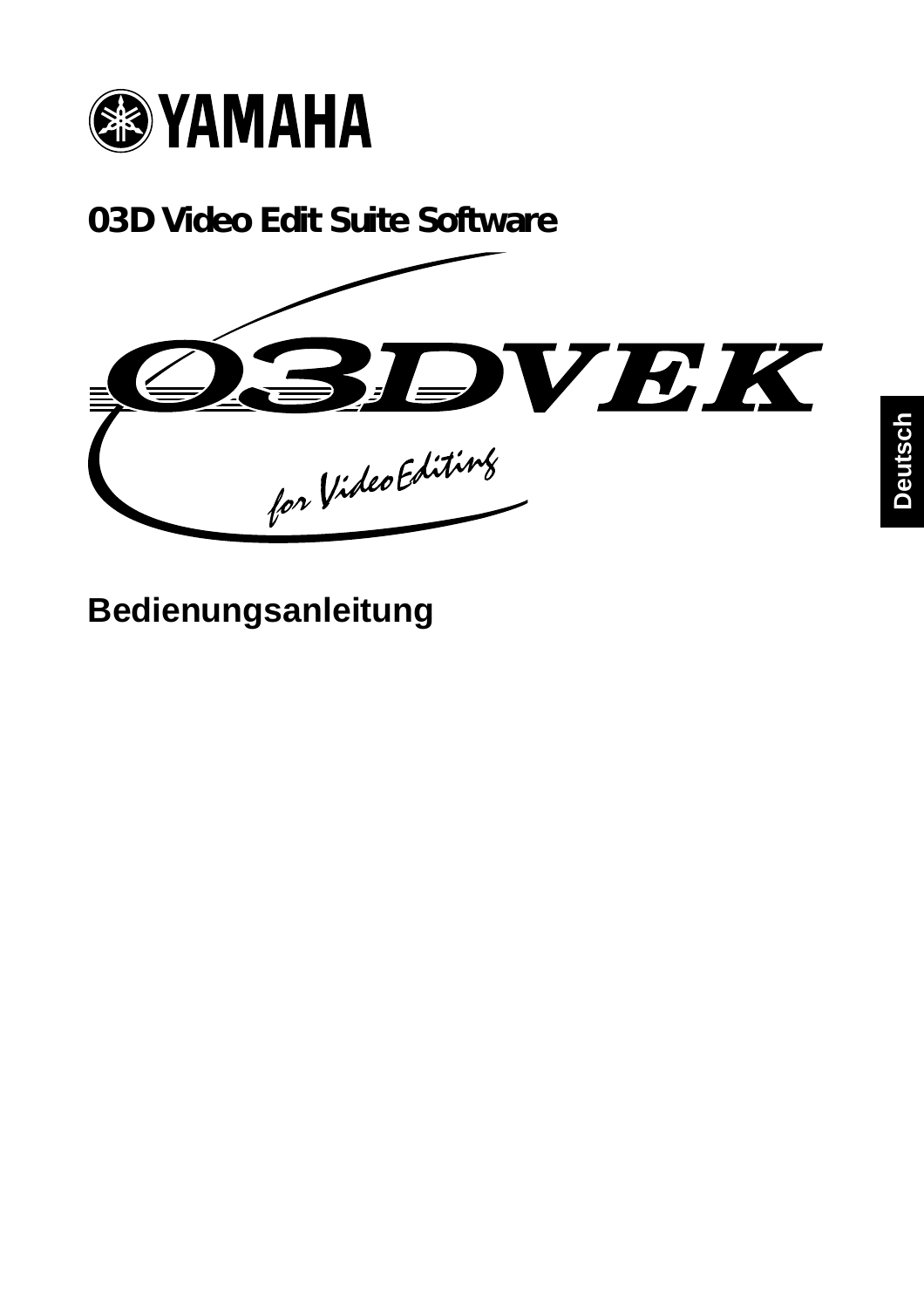

**03D Video Edit Suite Software**



**Bedienungsanleitung**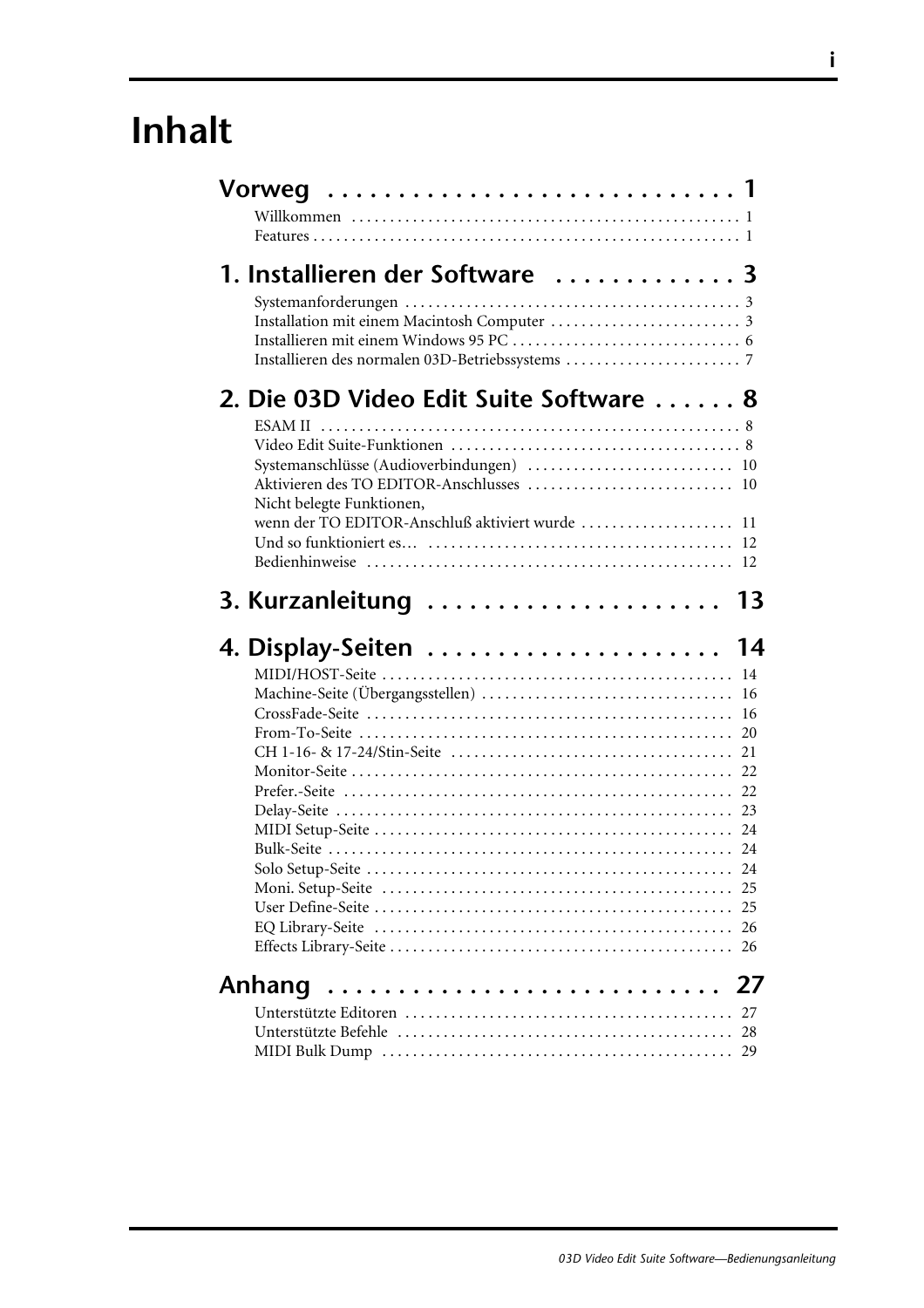# **Inhalt**

| 1. Installieren der Software  3                                                                                          |                |
|--------------------------------------------------------------------------------------------------------------------------|----------------|
| 2. Die 03D Video Edit Suite Software  8                                                                                  |                |
| Systemanschlüsse (Audioverbindungen)  10<br>Nicht belegte Funktionen,<br>wenn der TO EDITOR-Anschluß aktiviert wurde  11 |                |
| 3. Kurzanleitung  13                                                                                                     |                |
|                                                                                                                          |                |
| 4. Display-Seiten                                                                                                        | 14<br>16<br>16 |
| Anhang                                                                                                                   | 27             |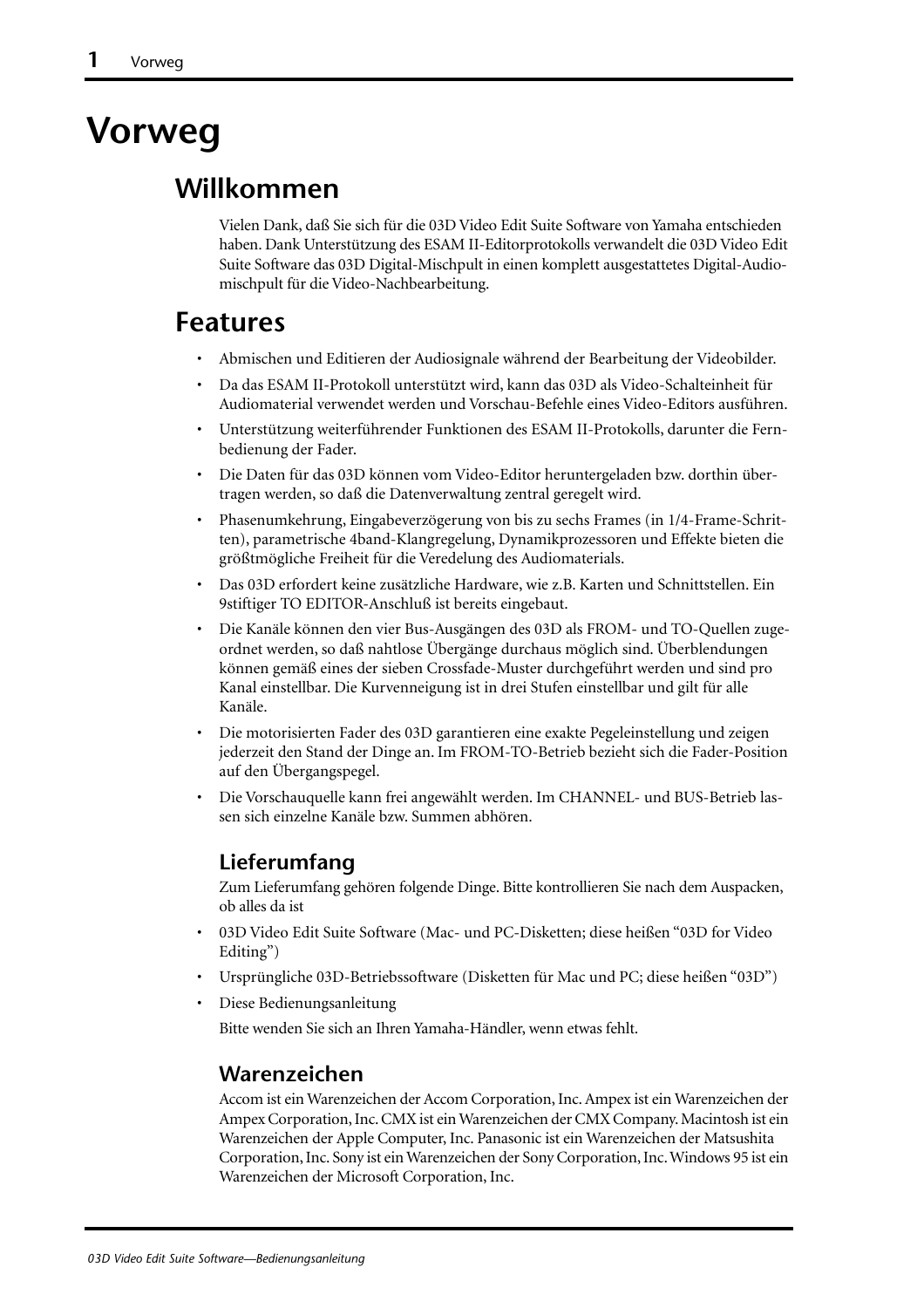# **Vorweg**

### **Willkommen**

Vielen Dank, daß Sie sich für die 03D Video Edit Suite Software von Yamaha entschieden haben. Dank Unterstützung des ESAM II-Editorprotokolls verwandelt die 03D Video Edit Suite Software das 03D Digital-Mischpult in einen komplett ausgestattetes Digital-Audiomischpult für die Video-Nachbearbeitung.

## **Features**

- Abmischen und Editieren der Audiosignale während der Bearbeitung der Videobilder.
- Da das ESAM II-Protokoll unterstützt wird, kann das 03D als Video-Schalteinheit für Audiomaterial verwendet werden und Vorschau-Befehle eines Video-Editors ausführen.
- Unterstützung weiterführender Funktionen des ESAM II-Protokolls, darunter die Fernbedienung der Fader.
- Die Daten für das 03D können vom Video-Editor heruntergeladen bzw. dorthin übertragen werden, so daß die Datenverwaltung zentral geregelt wird.
- Phasenumkehrung, Eingabeverzögerung von bis zu sechs Frames (in 1/4-Frame-Schritten), parametrische 4band-Klangregelung, Dynamikprozessoren und Effekte bieten die größtmögliche Freiheit für die Veredelung des Audiomaterials.
- Das 03D erfordert keine zusätzliche Hardware, wie z.B. Karten und Schnittstellen. Ein 9stiftiger TO EDITOR-Anschluß ist bereits eingebaut.
- Die Kanäle können den vier Bus-Ausgängen des 03D als FROM- und TO-Quellen zugeordnet werden, so daß nahtlose Übergänge durchaus möglich sind. Überblendungen können gemäß eines der sieben Crossfade-Muster durchgeführt werden und sind pro Kanal einstellbar. Die Kurvenneigung ist in drei Stufen einstellbar und gilt für alle Kanäle.
- Die motorisierten Fader des 03D garantieren eine exakte Pegeleinstellung und zeigen jederzeit den Stand der Dinge an. Im FROM-TO-Betrieb bezieht sich die Fader-Position auf den Übergangspegel.
- Die Vorschauquelle kann frei angewählt werden. Im CHANNEL- und BUS-Betrieb lassen sich einzelne Kanäle bzw. Summen abhören.

#### **Lieferumfang**

Zum Lieferumfang gehören folgende Dinge. Bitte kontrollieren Sie nach dem Auspacken, ob alles da ist

- 03D Video Edit Suite Software (Mac- und PC-Disketten; diese heißen "03D for Video Editing")
- Ursprüngliche 03D-Betriebssoftware (Disketten für Mac und PC; diese heißen "03D")
- Diese Bedienungsanleitung

Bitte wenden Sie sich an Ihren Yamaha-Händler, wenn etwas fehlt.

#### **Warenzeichen**

Accom ist ein Warenzeichen der Accom Corporation, Inc. Ampex ist ein Warenzeichen der Ampex Corporation, Inc. CMX ist ein Warenzeichen der CMX Company. Macintosh ist ein Warenzeichen der Apple Computer, Inc. Panasonic ist ein Warenzeichen der Matsushita Corporation, Inc. Sony ist ein Warenzeichen der Sony Corporation, Inc. Windows 95 ist ein Warenzeichen der Microsoft Corporation, Inc.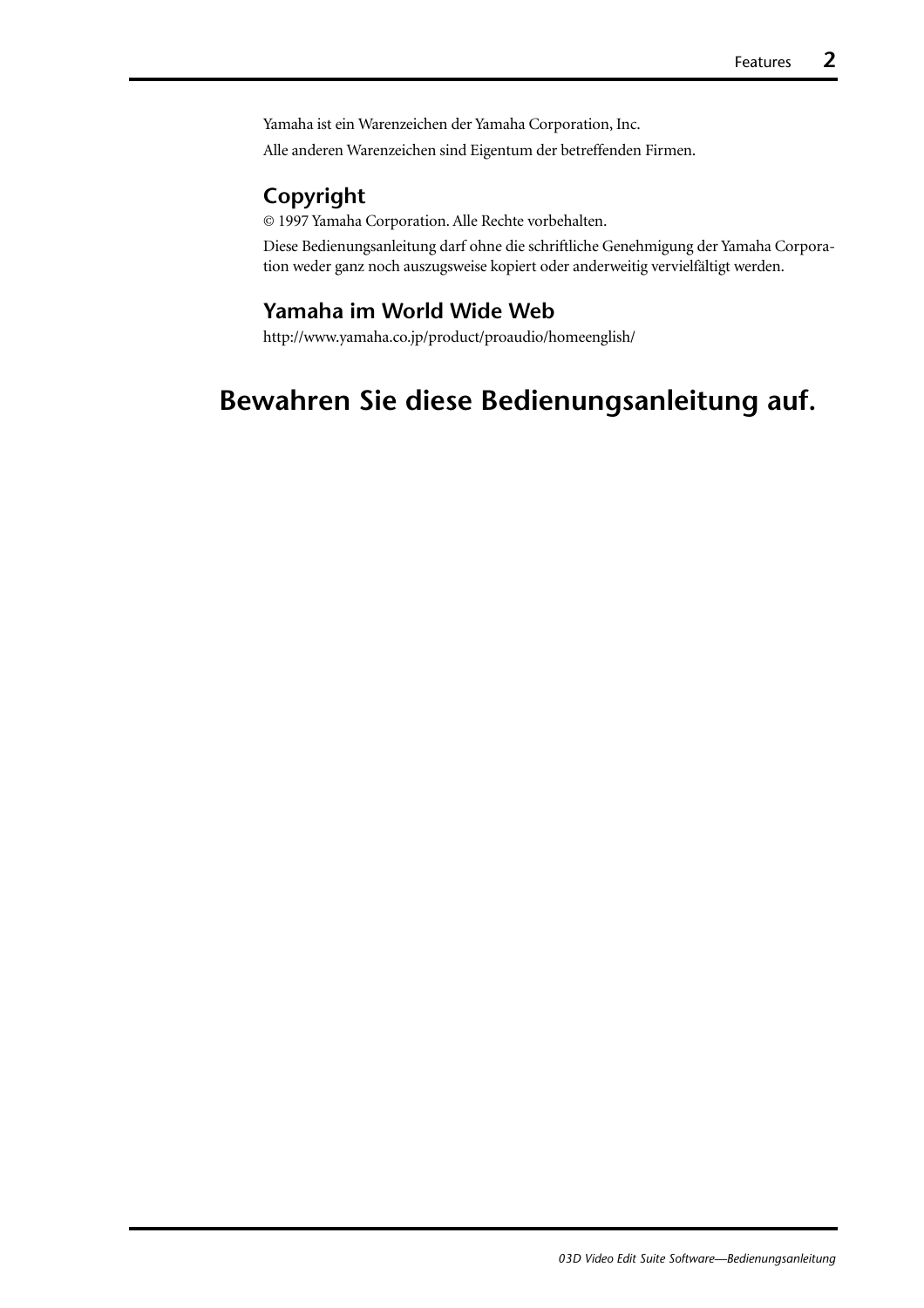Yamaha ist ein Warenzeichen der Yamaha Corporation, Inc. Alle anderen Warenzeichen sind Eigentum der betreffenden Firmen.

#### **Copyright**

© 1997 Yamaha Corporation. Alle Rechte vorbehalten.

Diese Bedienungsanleitung darf ohne die schriftliche Genehmigung der Yamaha Corporation weder ganz noch auszugsweise kopiert oder anderweitig vervielfältigt werden.

#### **Yamaha im World Wide Web**

http://www.yamaha.co.jp/product/proaudio/homeenglish/

# **Bewahren Sie diese Bedienungsanleitung auf.**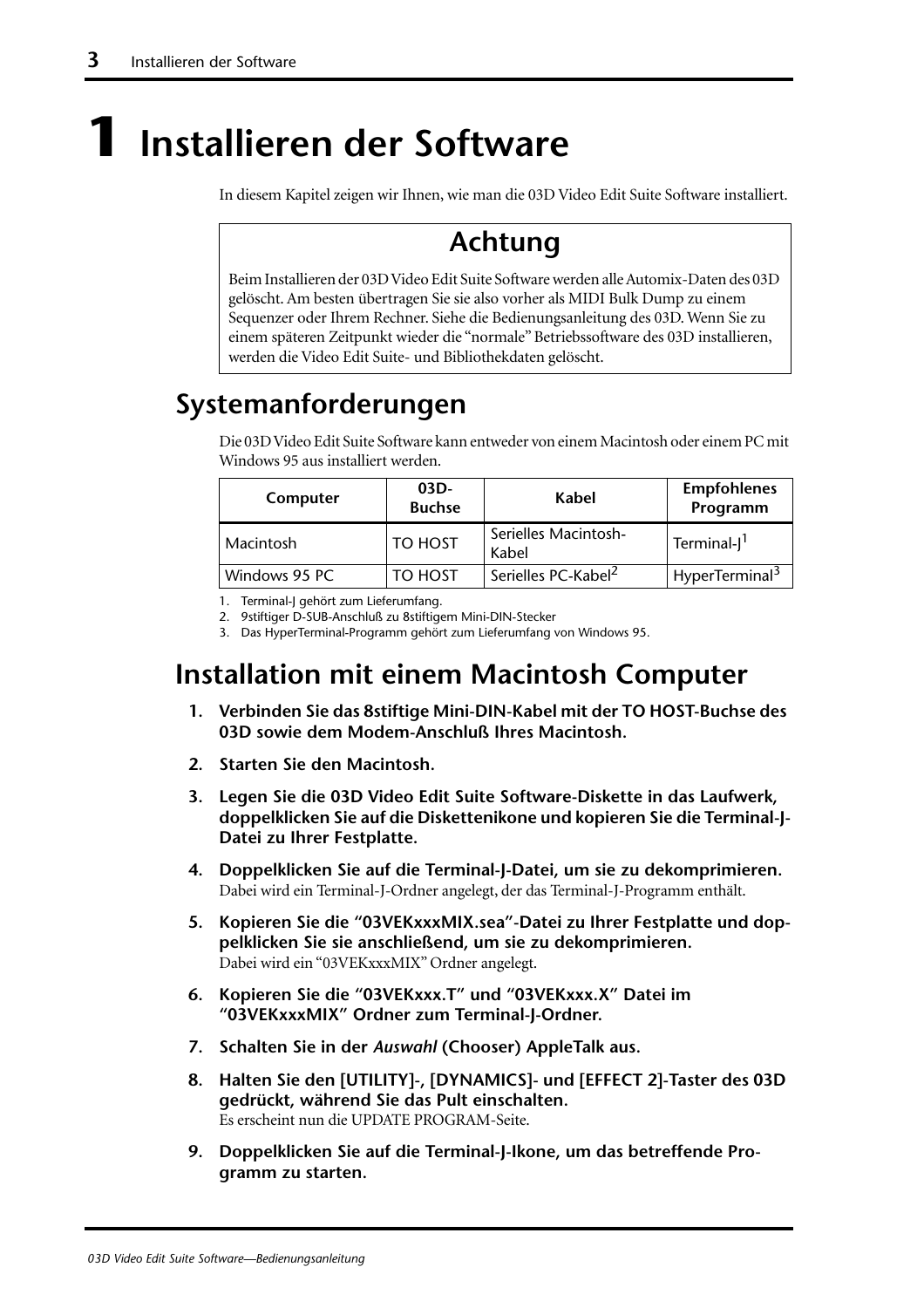# <span id="page-68-0"></span>**1 Installieren der Software**

In diesem Kapitel zeigen wir Ihnen, wie man die 03D Video Edit Suite Software installiert.

# **Achtung**

Beim Installieren der 03D Video Edit Suite Software werden alle Automix-Daten des 03D gelöscht. Am besten übertragen Sie sie also vorher als MIDI Bulk Dump zu einem Sequenzer oder Ihrem Rechner. Siehe die Bedienungsanleitung des 03D. Wenn Sie zu einem späteren Zeitpunkt wieder die "normale" Betriebssoftware des 03D installieren, werden die Video Edit Suite- und Bibliothekdaten gelöscht.

# **Systemanforderungen**

Die 03D Video Edit Suite Software kann entweder von einem Macintosh oder einem PC mit Windows 95 aus installiert werden.

| Computer      | $03D -$<br><b>Buchse</b> | Kabel                           | <b>Empfohlenes</b><br>Programm |
|---------------|--------------------------|---------------------------------|--------------------------------|
| Macintosh     | TO HOST                  | Serielles Macintosh-<br>Kabel   | Terminal- $]$ <sup>1</sup>     |
| Windows 95 PC | TO HOST                  | Serielles PC-Kabel <sup>2</sup> | HyperTerminal <sup>3</sup>     |

1. Terminal-J gehört zum Lieferumfang.

3. Das HyperTerminal-Programm gehört zum Lieferumfang von Windows 95.

## **Installation mit einem Macintosh Computer**

- **1. Verbinden Sie das 8stiftige Mini-DIN-Kabel mit der TO HOST-Buchse des 03D sowie dem Modem-Anschluß Ihres Macintosh.**
- **2. Starten Sie den Macintosh.**
- **3. Legen Sie die 03D Video Edit Suite Software-Diskette in das Laufwerk, doppelklicken Sie auf die Diskettenikone und kopieren Sie die Terminal-J-Datei zu Ihrer Festplatte.**
- **4. Doppelklicken Sie auf die Terminal-J-Datei, um sie zu dekomprimieren.** Dabei wird ein Terminal-J-Ordner angelegt, der das Terminal-J-Programm enthält.
- **5. Kopieren Sie die "03VEKxxxMIX.sea"-Datei zu Ihrer Festplatte und doppelklicken Sie sie anschließend, um sie zu dekomprimieren.** Dabei wird ein "03VEKxxxMIX" Ordner angelegt.
- **6. Kopieren Sie die "03VEKxxx.T" und "03VEKxxx.X" Datei im "03VEKxxxMIX" Ordner zum Terminal-J-Ordner.**
- **7. Schalten Sie in der** *Auswahl* **(Chooser) AppleTalk aus.**
- **8. Halten Sie den [UTILITY]-, [DYNAMICS]- und [EFFECT 2]-Taster des 03D gedrückt, während Sie das Pult einschalten.** Es erscheint nun die UPDATE PROGRAM-Seite.
- **9. Doppelklicken Sie auf die Terminal-J-Ikone, um das betreffende Programm zu starten.**

<sup>2. 9</sup>stiftiger D-SUB-Anschluß zu 8stiftigem Mini-DIN-Stecker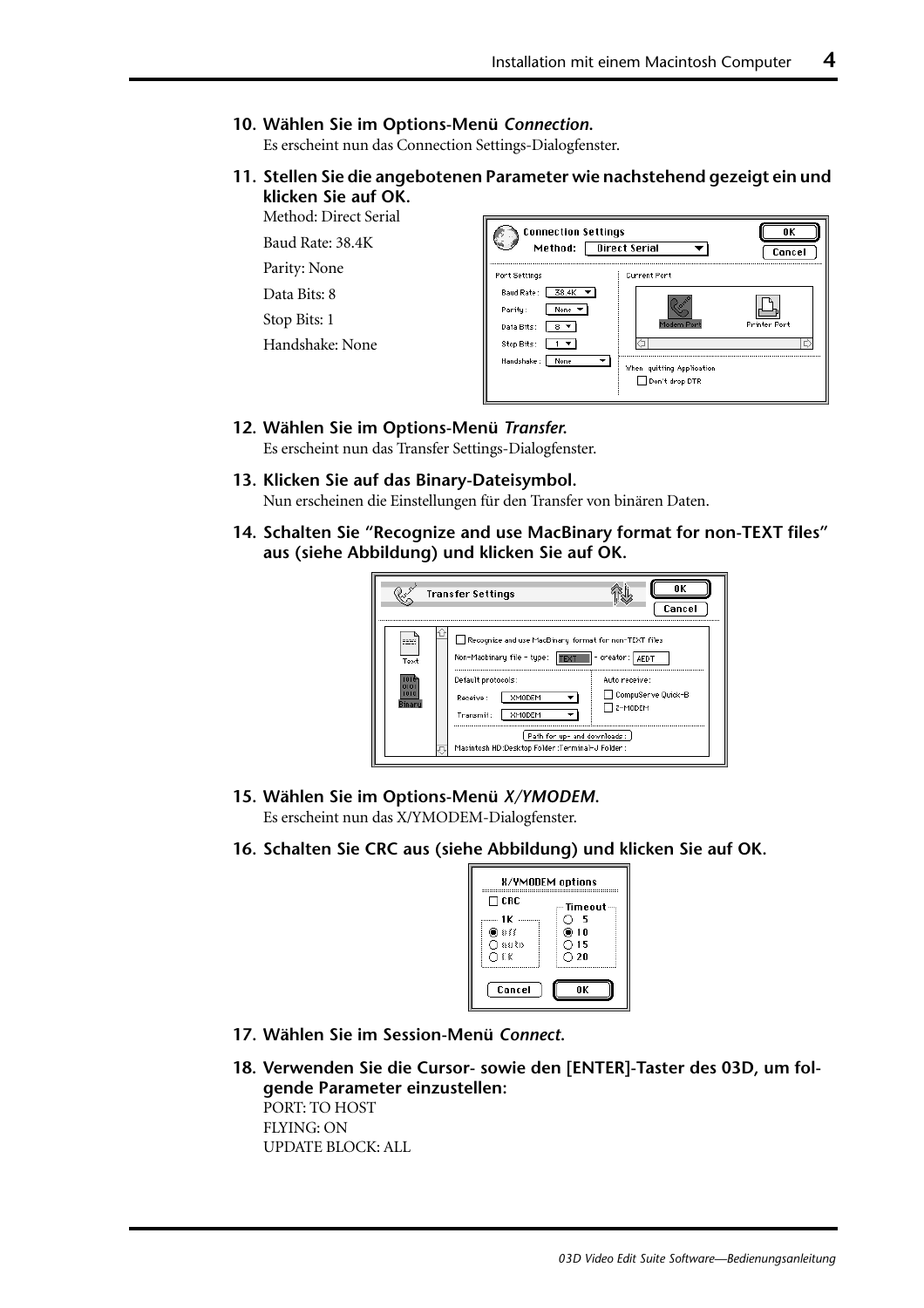#### <span id="page-69-0"></span>**10. Wählen Sie im Options-Menü** *Connection***.**

Es erscheint nun das Connection Settings-Dialogfenster.

**11. Stellen Sie die angebotenen Parameter wie nachstehend gezeigt ein und klicken Sie auf OK.**

Method: Direct Serial

Baud Rate: 38.4K

Parity: None

Data Bits: 8

Stop Bits: 1

Handshake: None

| <b>Connection Settings</b><br>Method:                                                    | ΠK<br>Cancel                                              |                           |
|------------------------------------------------------------------------------------------|-----------------------------------------------------------|---------------------------|
| Port Settings                                                                            | <b>Current Port</b>                                       |                           |
| Baud Rate:<br>38.4K<br>Parity:<br>None<br>Data Bits:<br>Stop Bits:<br>Handshake:<br>None | Modem Port<br>When quitting Application<br>Don't drop DTR | <b>Printer Port</b><br>Ę) |

#### **12. Wählen Sie im Options-Menü** *Transfer***.**

Es erscheint nun das Transfer Settings-Dialogfenster.

- **13. Klicken Sie auf das Binary-Dateisymbol.** Nun erscheinen die Einstellungen für den Transfer von binären Daten.
- **14. Schalten Sie "Recognize and use MacBinary format for non-TEXT files" aus (siehe Abbildung) und klicken Sie auf OK.**

|                         | <b>Transfer Settings</b>                                                                                                                                                                                                                                                           | ΠK<br>Cancel                                     |
|-------------------------|------------------------------------------------------------------------------------------------------------------------------------------------------------------------------------------------------------------------------------------------------------------------------------|--------------------------------------------------|
| --<br>Text<br>mı<br>mır | Recognize and use MacBinary format for non-TEXT files<br>Non-Macbinary file - type:  FEXT   - creator:   AEDT<br>Default protocols:<br><b>XMODEM</b><br>Receive:<br><b>XMODEM</b><br>Transmit:<br>Path for up- and downloads:<br>Macintosh HD :Desktop Folder :Terminal-J Folder : | Auto receive:<br>CompuServe Quick-B<br>7 z-modem |

**15. Wählen Sie im Options-Menü** *X/YMODEM***.**

Es erscheint nun das X/YMODEM-Dialogfenster.

**16. Schalten Sie CRC aus (siehe Abbildung) und klicken Sie auf OK.**

| <b>H/YMODEM options</b>     |                            |  |  |
|-----------------------------|----------------------------|--|--|
| ΠCRC                        | Timeout –                  |  |  |
| 1 K<br>) ∂∂<br>∩auto<br>O€K | - 5<br>@10<br>೧ 15<br>○ 20 |  |  |
| Cancel                      | ΠK                         |  |  |

- **17. Wählen Sie im Session-Menü** *Connect***.**
- **18. Verwenden Sie die Cursor- sowie den [ENTER]-Taster des 03D, um folgende Parameter einzustellen:** PORT: TO HOST

FLYING: ON UPDATE BLOCK: ALL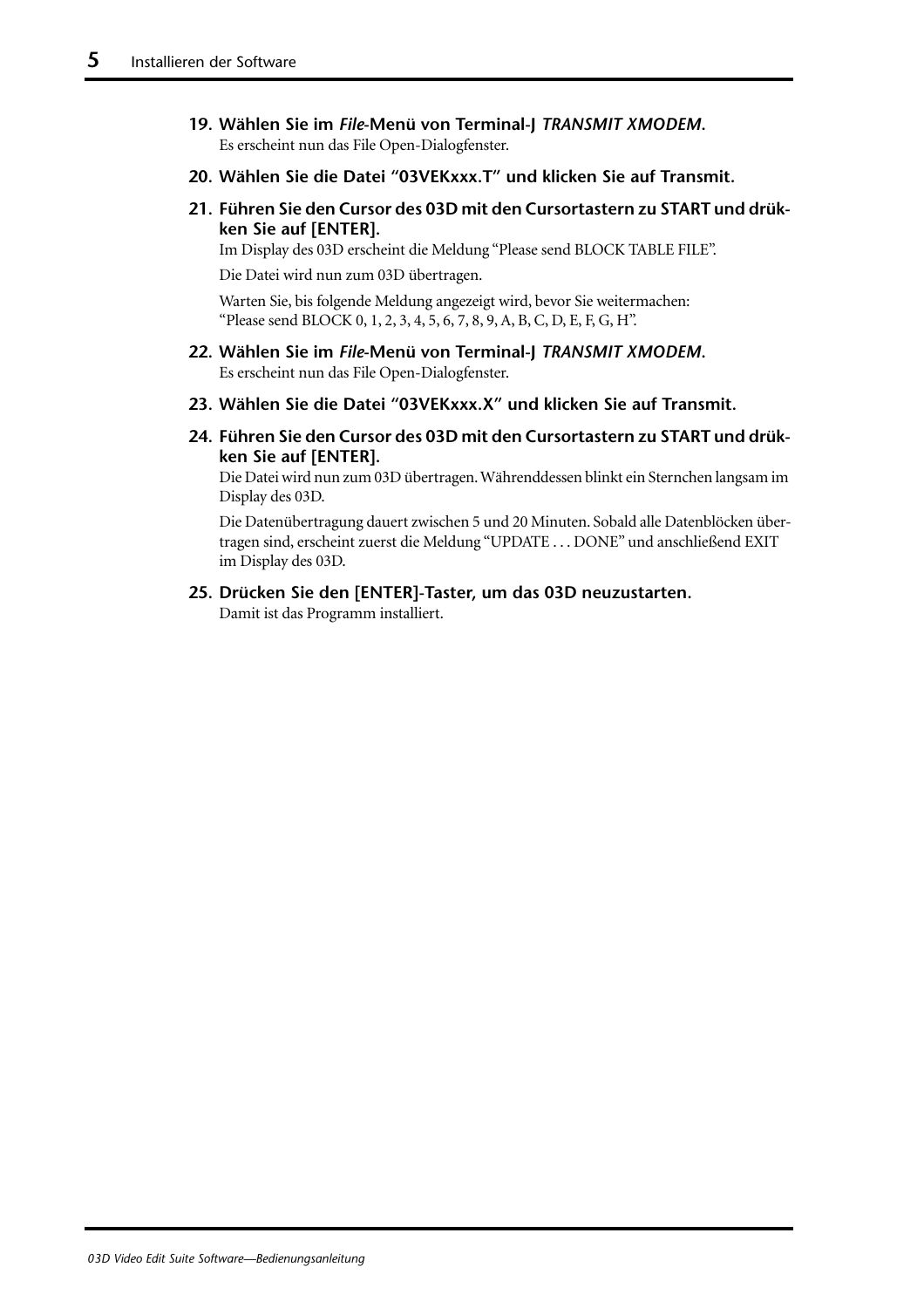- **19. Wählen Sie im** *File***-Menü von Terminal-J** *TRANSMIT XMODEM***.**  Es erscheint nun das File Open-Dialogfenster.
- **20. Wählen Sie die Datei "03VEKxxx.T" und klicken Sie auf Transmit.**
- **21. Führen Sie den Cursor des 03D mit den Cursortastern zu START und drükken Sie auf [ENTER].**

Im Display des 03D erscheint die Meldung "Please send BLOCK TABLE FILE".

Die Datei wird nun zum 03D übertragen.

Warten Sie, bis folgende Meldung angezeigt wird, bevor Sie weitermachen: "Please send BLOCK 0, 1, 2, 3, 4, 5, 6, 7, 8, 9, A, B, C, D, E, F, G, H".

- **22. Wählen Sie im** *File***-Menü von Terminal-J** *TRANSMIT XMODEM***.**  Es erscheint nun das File Open-Dialogfenster.
- **23. Wählen Sie die Datei "03VEKxxx.X" und klicken Sie auf Transmit.**
- **24. Führen Sie den Cursor des 03D mit den Cursortastern zu START und drükken Sie auf [ENTER].**

Die Datei wird nun zum 03D übertragen. Währenddessen blinkt ein Sternchen langsam im Display des 03D.

Die Datenübertragung dauert zwischen 5 und 20 Minuten. Sobald alle Datenblöcken übertragen sind, erscheint zuerst die Meldung "UPDATE . . . DONE" und anschließend EXIT im Display des 03D.

**25. Drücken Sie den [ENTER]-Taster, um das 03D neuzustarten.** Damit ist das Programm installiert.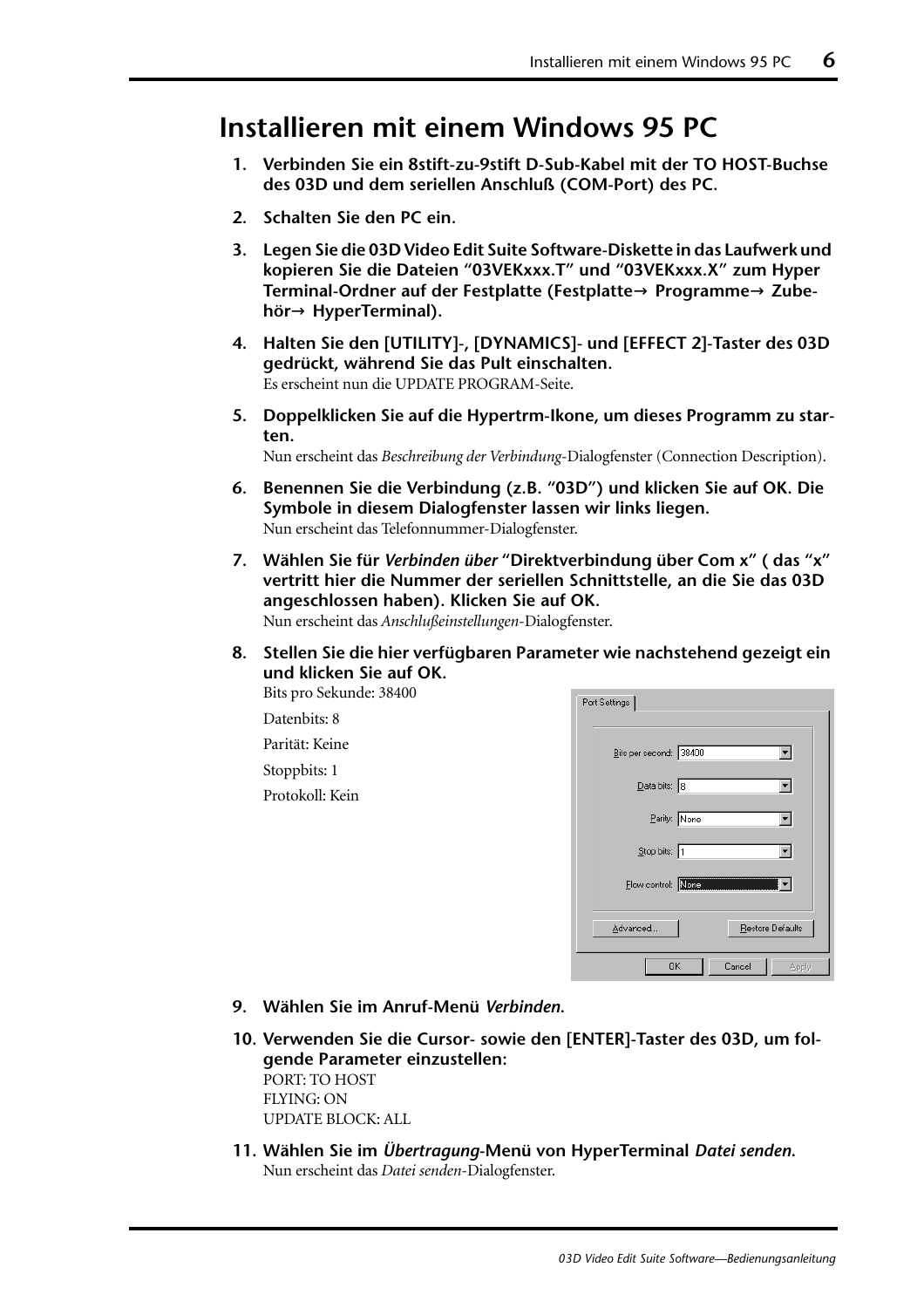### **Installieren mit einem Windows 95 PC**

- **1. Verbinden Sie ein 8stift-zu-9stift D-Sub-Kabel mit der TO HOST-Buchse des 03D und dem seriellen Anschluß (COM-Port) des PC.**
- **2. Schalten Sie den PC ein.**
- **3. Legen Sie die 03D Video Edit Suite Software-Diskette in das Laufwerk und kopieren Sie die Dateien "03VEKxxx.T" und "03VEKxxx.X" zum Hyper Terminal-Ordner auf der Festplatte (Festplatte**→ **Programme**→ **Zubehör**→ **HyperTerminal).**
- **4. [Halten Sie den \[UTILITY\]-, \[DYNAMICS\]- und \[EFFECT 2\]-Taster des 03D](#page-68-0)  [gedrückt, während Sie das Pult einschalten.](#page-68-0)** [Es erscheint nun die UPDATE PROGRAM-Seite.](#page-68-0)
- **5. Doppelklicken Sie auf die Hypertrm-Ikone, um dieses Programm zu starten.**

Nun erscheint das *Beschreibung der Verbindung*-Dialogfenster (Connection Description).

- **6. Benennen Sie die Verbindung (z.B. "03D") und klicken Sie auf OK. Die Symbole in diesem Dialogfenster lassen wir links liegen.** Nun erscheint das Telefonnummer-Dialogfenster.
- **7. Wählen Sie für** *Verbinden über* **"Direktverbindung über Com x" ( das "x" vertritt hier die Nummer der seriellen Schnittstelle, an die Sie das 03D angeschlossen haben). Klicken Sie auf OK.** Nun erscheint das *Anschlußeinstellungen*-Dialogfenster.
- **8. Stellen Sie die hier verfügbaren Parameter wie nachstehend gezeigt ein und klicken Sie auf OK.**

Bits pro Sekunde: 38400

Datenbits: 8 Parität: Keine Stoppbits: 1 Protokoll: Kein

| Port Settings                |  |
|------------------------------|--|
| Bits per second: 38400       |  |
| $2$ ata bits: 8              |  |
| Parity: None                 |  |
| Stop bits: 1                 |  |
| Flow control: None           |  |
| Advanced<br>Restore Defaults |  |
| Cancel<br><b>OK</b><br>Apply |  |

- **9. Wählen Sie im Anruf-Menü** *Verbinden***.**
- **10. [Verwenden Sie die Cursor- sowie den \[ENTER\]-Taster des 03D, um fol](#page-69-0)[gende Parameter einzustellen:](#page-69-0)** PORT: TO HOST FLYING: ON UPDATE BLOCK: ALL
- **11. Wählen Sie im** *Übertragung***-Menü von HyperTerminal** *Datei senden***.** Nun erscheint das *Datei senden*-Dialogfenster.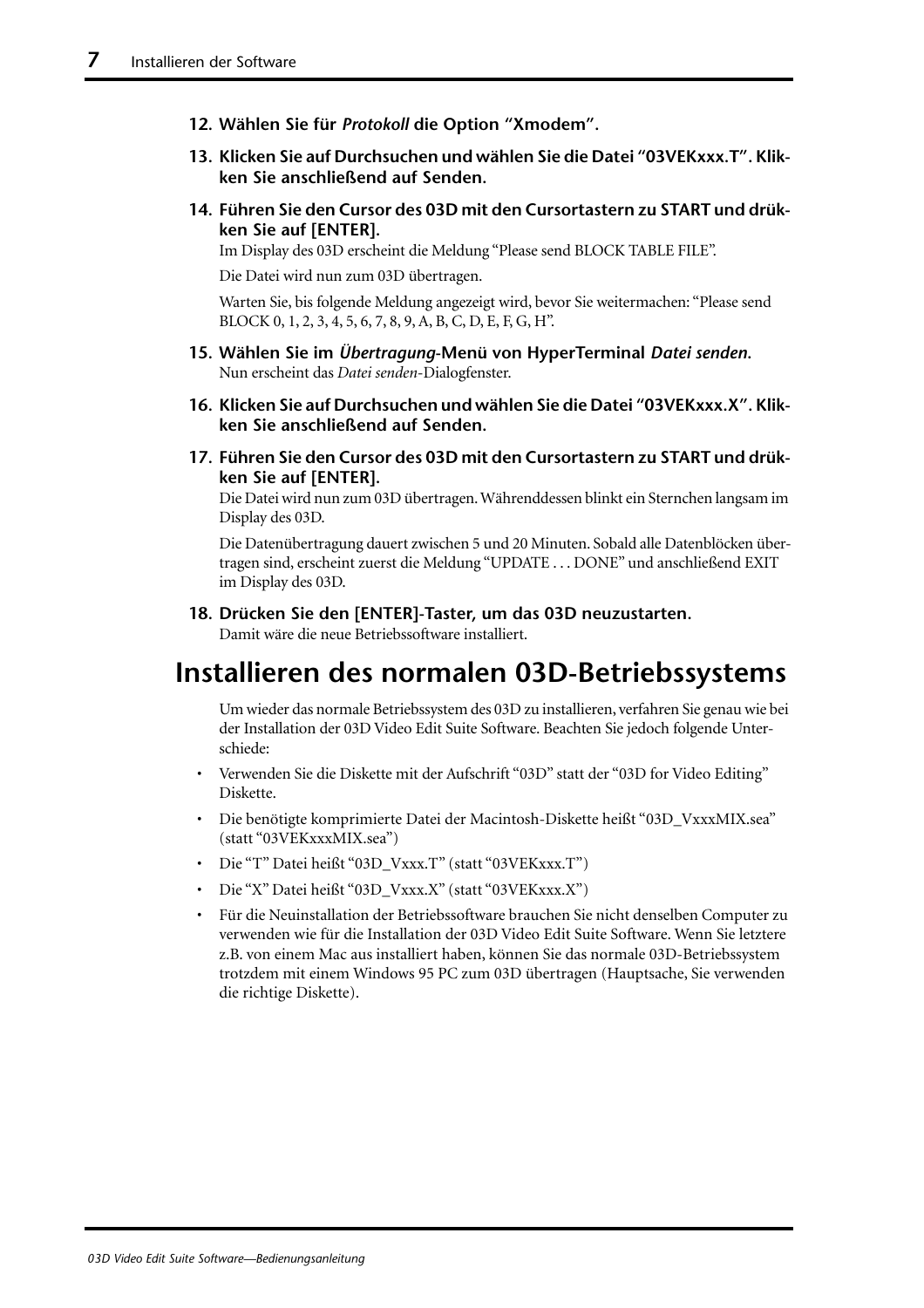- **12. Wählen Sie für** *Protokoll* **die Option "Xmodem".**
- **13. Klicken Sie auf Durchsuchen und wählen Sie die Datei "03VEKxxx.T". Klikken Sie anschließend auf Senden.**
- **14. [Führen Sie den Cursor des 03D mit den Cursortastern zu START und drük](#page-70-0)[ken Sie auf \[ENTER\].](#page-70-0)**

[Im Display des 03D erscheint die Meldung "Please send BLOCK TABLE FILE".](#page-70-0)

[Die Datei wird nun zum 03D übertragen.](#page-70-0)

[Warten Sie, bis folgende Meldung angezeigt wird, bevor Sie weitermachen: "Please send](#page-70-0)  [BLOCK 0, 1, 2, 3, 4, 5, 6, 7, 8, 9, A, B, C, D, E, F, G, H".](#page-70-0)

- **15. Wählen Sie im** *Übertragung***-Menü von HyperTerminal** *Datei senden***.** Nun erscheint das *Datei senden*-Dialogfenster.
- **16. Klicken Sie auf Durchsuchen und wählen Sie die Datei "03VEKxxx.X". Klikken Sie anschließend auf Senden.**
- **17. [Führen Sie den Cursor des 03D mit den Cursortastern zu START und drük](#page-70-0)[ken Sie auf \[ENTER\].](#page-70-0)**

[Die Datei wird nun zum 03D übertragen. Währenddessen blinkt ein Sternchen langsam im](#page-70-0)  [Display des 03D.](#page-70-0)

[Die Datenübertragung dauert zwischen 5 und 20 Minuten. Sobald alle Datenblöcken über](#page-70-0)[tragen sind, erscheint zuerst die Meldung "UPDATE . . . DONE" und anschließend EXIT](#page-70-0)  [im Display des 03D.](#page-70-0)

**18. [Drücken Sie den \[ENTER\]-Taster, um das 03D neuzustarten.](#page-70-0)**

Damit wäre die neue Betriebssoftware installiert.

### **Installieren des normalen 03D-Betriebssystems**

Um wieder das normale Betriebssystem des 03D zu installieren, verfahren Sie genau wie bei der Installation der 03D Video Edit Suite Software. Beachten Sie jedoch folgende Unterschiede:

- Verwenden Sie die Diskette mit der Aufschrift "03D" statt der "03D for Video Editing" Diskette.
- Die benötigte komprimierte Datei der Macintosh-Diskette heißt "03D\_VxxxMIX.sea" (statt "03VEKxxxMIX.sea")
- Die "T" Datei heißt "03D\_Vxxx.T" (statt "03VEKxxx.T")
- Die "X" Datei heißt "03D\_Vxxx.X" (statt "03VEKxxx.X")
- Für die Neuinstallation der Betriebssoftware brauchen Sie nicht denselben Computer zu verwenden wie für die Installation der 03D Video Edit Suite Software. Wenn Sie letztere z.B. von einem Mac aus installiert haben, können Sie das normale 03D-Betriebssystem trotzdem mit einem Windows 95 PC zum 03D übertragen (Hauptsache, Sie verwenden die richtige Diskette).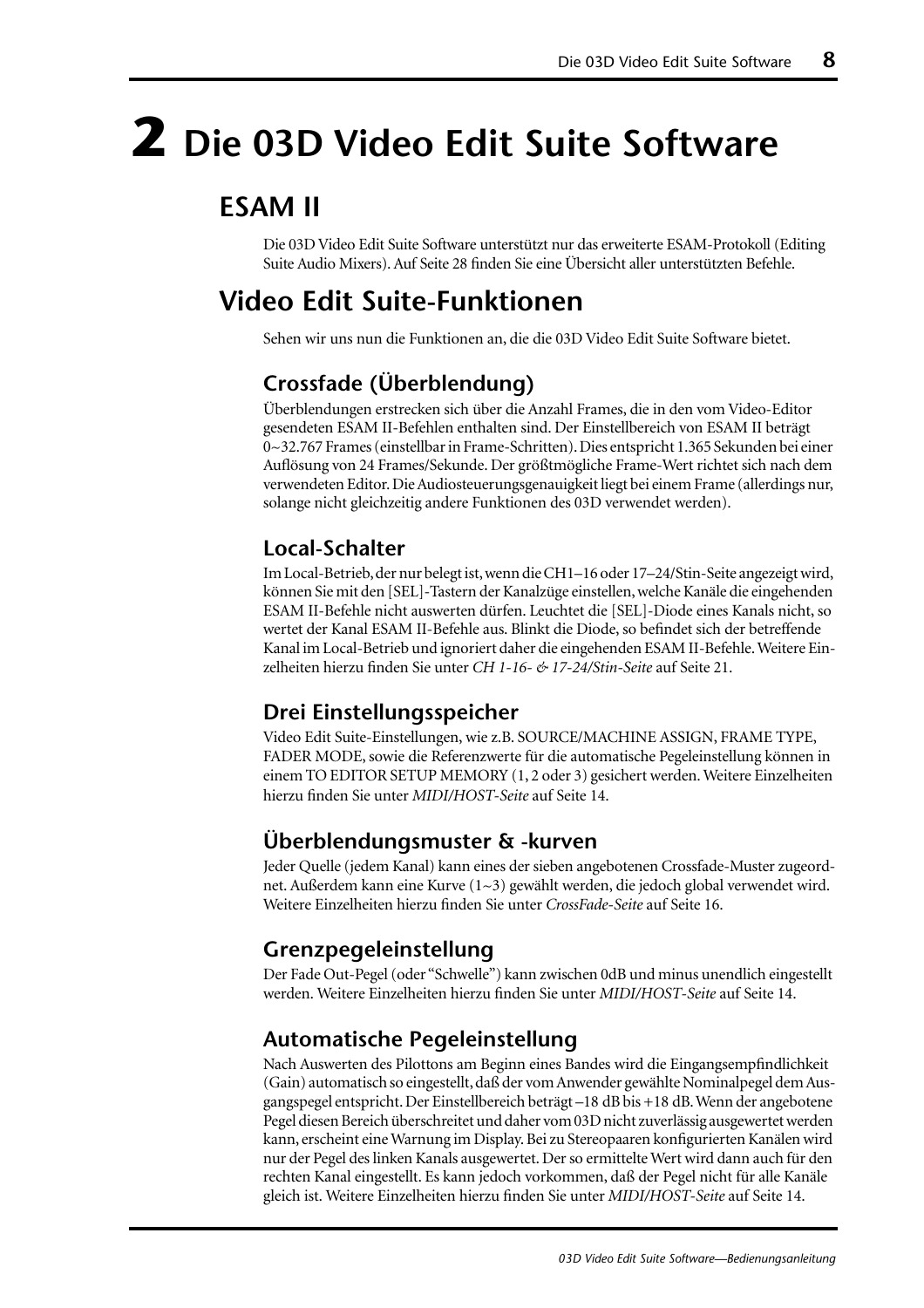# **2 Die 03D Video Edit Suite Software**

## **ESAM II**

Die 03D Video Edit Suite Software unterstützt nur das erweiterte ESAM-Protokoll (Editing Suite Audio Mixers). Auf [Seite 28](#page-93-0) finden Sie eine Übersicht aller unterstützten Befehle.

## **Video Edit Suite-Funktionen**

Sehen wir uns nun die Funktionen an, die die 03D Video Edit Suite Software bietet.

#### **Crossfade (Überblendung)**

Überblendungen erstrecken sich über die Anzahl Frames, die in den vom Video-Editor gesendeten ESAM II-Befehlen enthalten sind. Der Einstellbereich von ESAM II beträgt 0~32.767 Frames (einstellbar in Frame-Schritten). Dies entspricht 1.365 Sekunden bei einer Auflösung von 24 Frames/Sekunde. Der größtmögliche Frame-Wert richtet sich nach dem verwendeten Editor. Die Audiosteuerungsgenauigkeit liegt bei einem Frame (allerdings nur, solange nicht gleichzeitig andere Funktionen des 03D verwendet werden).

#### **Local-Schalter**

Im Local-Betrieb, der nur belegt ist, wenn die CH1–16 oder 17–24/Stin-Seite angezeigt wird, können Sie mit den [SEL]-Tastern der Kanalzüge einstellen, welche Kanäle die eingehenden ESAM II-Befehle nicht auswerten dürfen. Leuchtet die [SEL]-Diode eines Kanals nicht, so wertet der Kanal ESAM II-Befehle aus. Blinkt die Diode, so befindet sich der betreffende Kanal im Local-Betrieb und ignoriert daher die eingehenden ESAM II-Befehle. [Weitere Ein](#page-86-0)[zelheiten hierzu finden Sie unter](#page-86-0) *CH 1-16- & 17-24/Stin-Seite* auf Seite 21.

#### **Drei Einstellungsspeicher**

Video Edit Suite-Einstellungen, wie z.B. SOURCE/MACHINE ASSIGN, FRAME TYPE, FADER MODE, sowie die Referenzwerte für die automatische Pegeleinstellung können in einem TO EDITOR SETUP MEMORY (1, 2 oder 3) gesichert werden. [Weitere Einzelheiten](#page-79-0)  [hierzu finden Sie unter](#page-79-0) *MIDI/HOST-Seite* auf Seite 14.

#### **Überblendungsmuster & -kurven**

Jeder Quelle (jedem Kanal) kann eines der sieben angebotenen Crossfade-Muster zugeordnet. Außerdem kann eine Kurve (1~3) gewählt werden, die jedoch global verwendet wird. [Weitere Einzelheiten hierzu finden Sie unter](#page-81-0) *CrossFade-Seite* auf Seite 16.

#### **Grenzpegeleinstellung**

Der Fade Out-Pegel (oder "Schwelle") kann zwischen 0dB und minus unendlich eingestellt werden. [Weitere Einzelheiten hierzu finden Sie unter](#page-79-0) *MIDI/HOST-Seite* auf Seite 14.

#### **Automatische Pegeleinstellung**

Nach Auswerten des Pilottons am Beginn eines Bandes wird die Eingangsempfindlichkeit (Gain) automatisch so eingestellt, daß der vom Anwender gewählte Nominalpegel dem Ausgangspegel entspricht. Der Einstellbereich beträgt –18 dB bis +18 dB. Wenn der angebotene Pegel diesen Bereich überschreitet und daher vom 03D nicht zuverlässig ausgewertet werden kann, erscheint eine Warnung im Display. Bei zu Stereopaaren konfigurierten Kanälen wird nur der Pegel des linken Kanals ausgewertet. Der so ermittelte Wert wird dann auch für den rechten Kanal eingestellt. Es kann jedoch vorkommen, daß der Pegel nicht für alle Kanäle gleich ist. [Weitere Einzelheiten hierzu finden Sie unter](#page-79-0) *MIDI/HOST-Seite* auf Seite 14.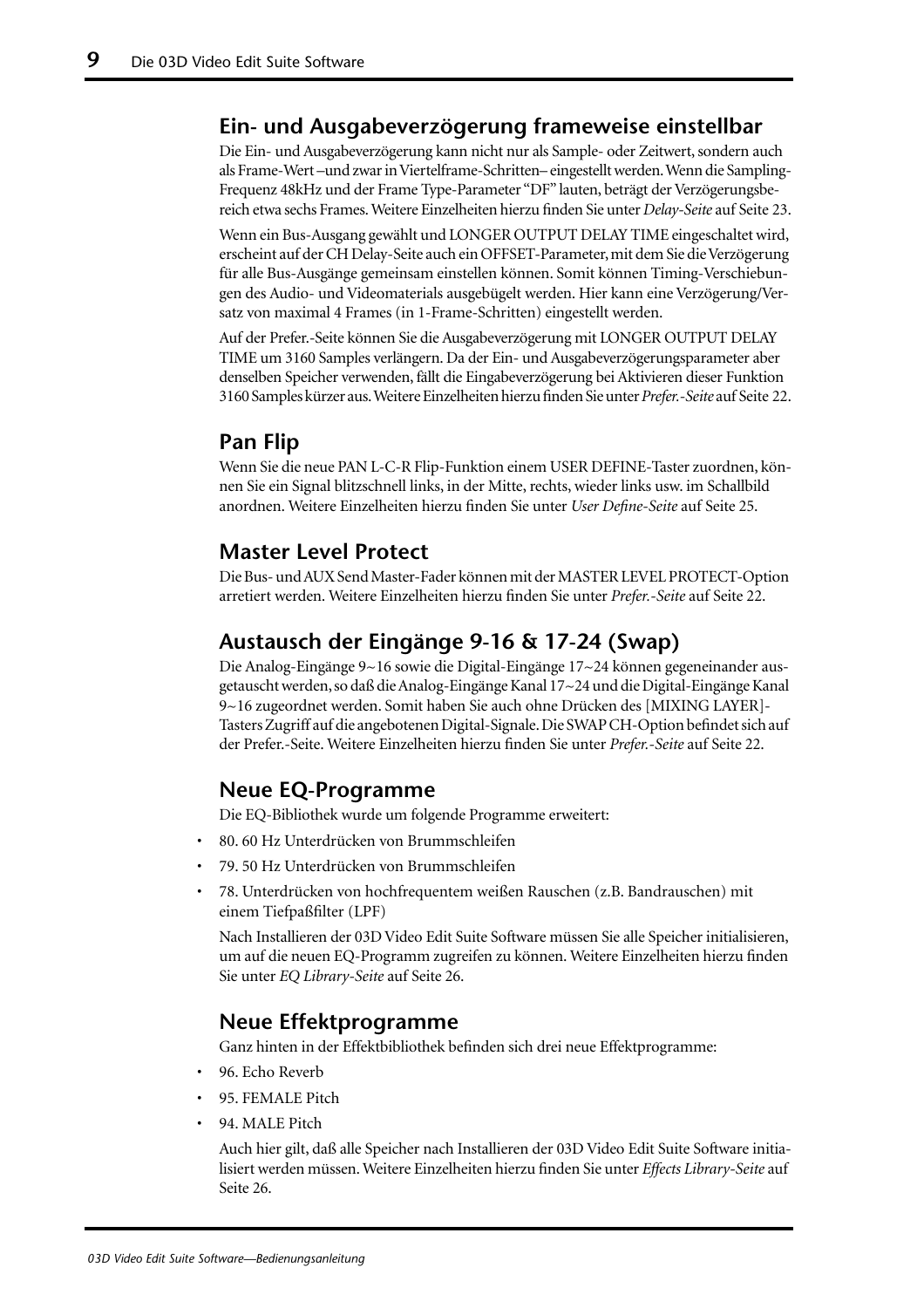#### **Ein- und Ausgabeverzögerung frameweise einstellbar**

Die Ein- und Ausgabeverzögerung kann nicht nur als Sample- oder Zeitwert, sondern auch als Frame-Wert –und zwar in Viertelframe-Schritten– eingestellt werden. Wenn die Sampling-Frequenz 48kHz und der Frame Type-Parameter "DF" lauten, beträgt der Verzögerungsbereich etwa sechs Frames. [Weitere Einzelheiten hierzu finden Sie unter](#page-88-0) *Delay-Seite* auf Seite 23.

Wenn ein Bus-Ausgang gewählt und LONGER OUTPUT DELAY TIME eingeschaltet wird, erscheint auf der CH Delay-Seite auch ein OFFSET-Parameter, mit dem Sie die Verzögerung für alle Bus-Ausgänge gemeinsam einstellen können. Somit können Timing-Verschiebungen des Audio- und Videomaterials ausgebügelt werden. Hier kann eine Verzögerung/Versatz von maximal 4 Frames (in 1-Frame-Schritten) eingestellt werden.

Auf der Prefer.-Seite können Sie die Ausgabeverzögerung mit LONGER OUTPUT DELAY TIME um 3160 Samples verlängern. Da der Ein- und Ausgabeverzögerungsparameter aber denselben Speicher verwenden, fällt die Eingabeverzögerung bei Aktivieren dieser Funktion 3160 Samples kürzer aus. [Weitere Einzelheiten hierzu finden Sie unter](#page-87-0) *Prefer.-Seite* auf Seite 22.

#### **Pan Flip**

Wenn Sie die neue PAN L-C-R Flip-Funktion einem USER DEFINE-Taster zuordnen, können Sie ein Signal blitzschnell links, in der Mitte, rechts, wieder links usw. im Schallbild anordnen. [Weitere Einzelheiten hierzu finden Sie unter](#page-90-0) *User Define-Seite* auf Seite 25.

#### **Master Level Protect**

Die Bus- und AUX Send Master-Fader können mit der MASTER LEVEL PROTECT-Option arretiert werden. [Weitere Einzelheiten hierzu finden Sie unter](#page-87-0) *Prefer.-Seite* auf Seite 22.

#### **Austausch der Eingänge 9-16 & 17-24 (Swap)**

Die Analog-Eingänge 9~16 sowie die Digital-Eingänge 17~24 können gegeneinander ausgetauscht werden, so daß die Analog-Eingänge Kanal 17~24 und die Digital-Eingänge Kanal 9~16 zugeordnet werden. Somit haben Sie auch ohne Drücken des [MIXING LAYER]- Tasters Zugriff auf die angebotenen Digital-Signale. Die SWAP CH-Option befindet sich auf der Prefer.-Seite. [Weitere Einzelheiten hierzu finden Sie unter](#page-87-0) *Prefer.-Seite* auf Seite 22.

#### **Neue EQ-Programme**

Die EQ-Bibliothek wurde um folgende Programme erweitert:

- 80. 60 Hz Unterdrücken von Brummschleifen
- 79. 50 Hz Unterdrücken von Brummschleifen
- 78. Unterdrücken von hochfrequentem weißen Rauschen (z.B. Bandrauschen) mit einem Tiefpaßfilter (LPF)

Nach Installieren der 03D Video Edit Suite Software müssen Sie alle Speicher initialisieren, um auf die neuen EQ-Programm zugreifen zu können. [Weitere Einzelheiten hierzu finden](#page-91-0)  Sie unter *[EQ Library-Seite](#page-91-0)* auf Seite 26.

#### **Neue Effektprogramme**

Ganz hinten in der Effektbibliothek befinden sich drei neue Effektprogramme:

- 96. Echo Reverb
- 95. FEMALE Pitch
- 94. MALE Pitch

Auch hier gilt, daß alle Speicher nach Installieren der 03D Video Edit Suite Software initialisiert werden müssen. [Weitere Einzelheiten hierzu finden Sie unter](#page-91-0) *Effects Library-Seite* auf [Seite 26.](#page-91-0)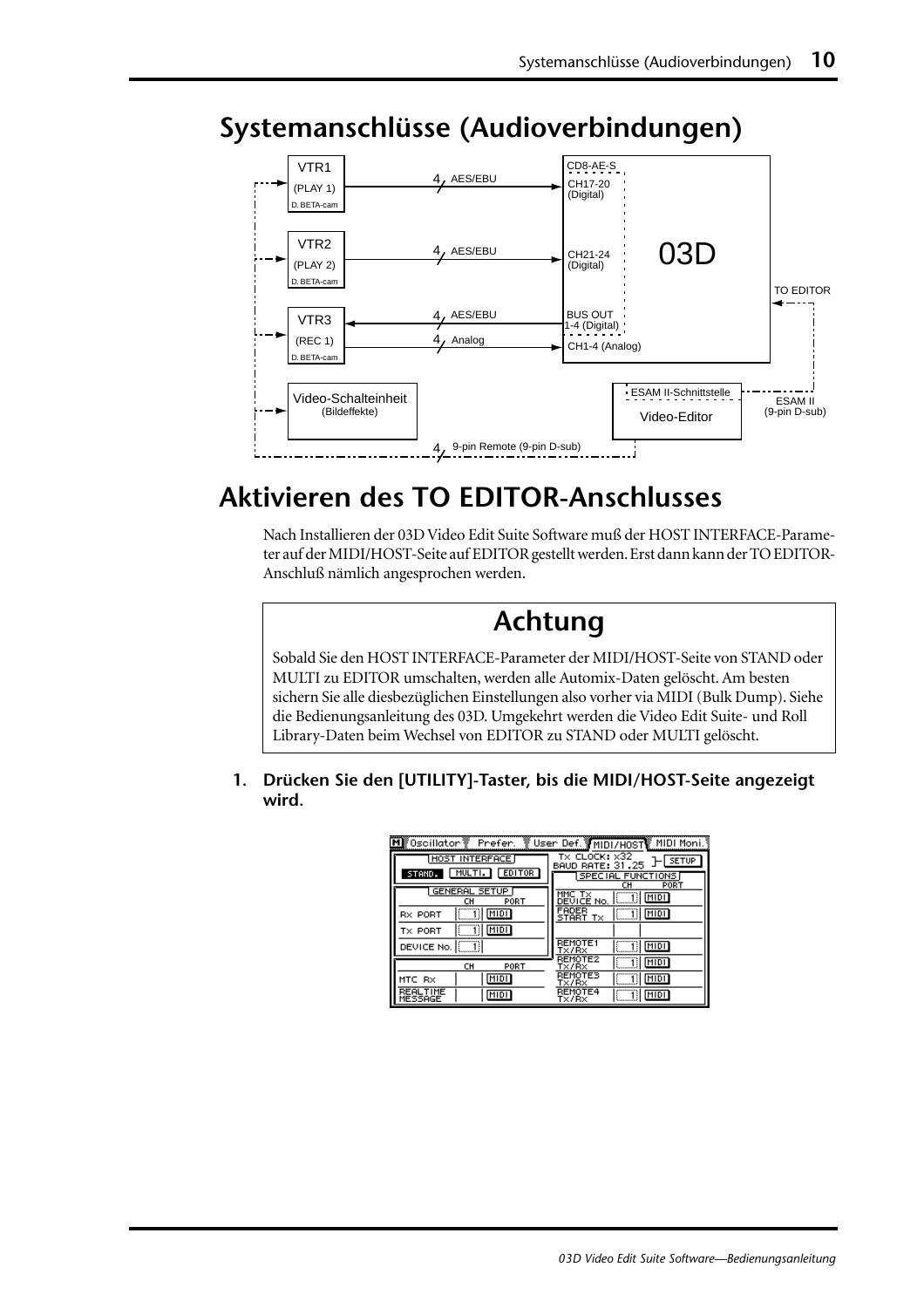

## **Systemanschlüsse (Audioverbindungen)**

## **Aktivieren des TO EDITOR-Anschlusses**

Nach Installieren der 03D Video Edit Suite Software muß der HOST INTERFACE-Parameter auf der MIDI/HOST-Seite auf EDITOR gestellt werden. Erst dann kann der TO EDITOR-Anschluß nämlich angesprochen werden.

## **Achtung**

Sobald Sie den HOST INTERFACE-Parameter der MIDI/HOST-Seite von STAND oder MULTI zu EDITOR umschalten, werden alle Automix-Daten gelöscht. Am besten sichern Sie alle diesbezüglichen Einstellungen also vorher via MIDI (Bulk Dump). Siehe die Bedienungsanleitung des 03D. Umgekehrt werden die Video Edit Suite- und Roll Library-Daten beim Wechsel von EDITOR zu STAND oder MULTI gelöscht.

**1. Drücken Sie den [UTILITY]-Taster, bis die MIDI/HOST-Seite angezeigt wird.**

|                                   | MI Oscillator Prefer. V User Def. MIDI/HOST MIDI Moni.      |
|-----------------------------------|-------------------------------------------------------------|
| HOST INTERFACE                    | $tx$ CLOCK: $\times 32$<br><b>SETUP</b><br>BAUD RATE: 31.25 |
| <b>EDITOR</b><br>MULTI.<br>STAND. | SPECIAL FUNCTIONS<br>PORT<br>сн                             |
| GENERAL SETUP<br>PORT<br>cн       | MIDI<br>DEVICE No.                                          |
| î)  <u>Midi</u><br><b>RX PORT</b> | FADER<br>MIDI<br>START<br>Tx                                |
| î   <u>Midi</u><br>TX PORT        |                                                             |
| - TII<br>DEVICE No.               | <b>REMOTE1</b><br><b>MIDI</b><br>TX/RX                      |
| CH<br>PORT                        | <b>REMOTE2</b><br>MIDI<br>Tx/Rx                             |
| MIDI<br>MTC RX                    | REMOTES<br>MIDI<br>T×/R×                                    |
| BEAL.<br>MIDI<br>MESSAGE          | REMOTE4<br>MIDI<br>Tx/Rx                                    |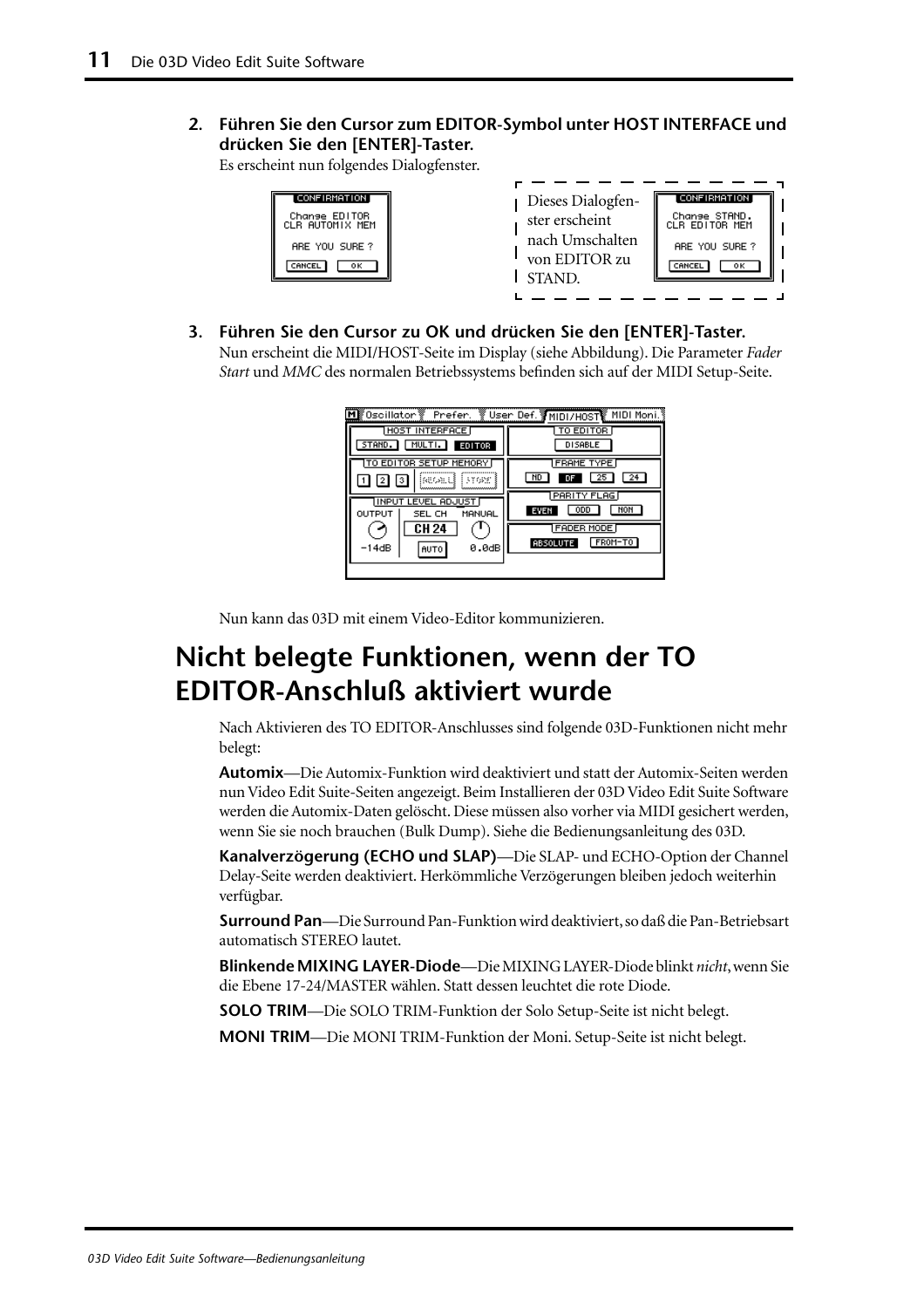**2. Führen Sie den Cursor zum EDITOR-Symbol unter HOST INTERFACE und drücken Sie den [ENTER]-Taster.**

Es erscheint nun folgendes Dialogfenster.

| CONFIRMATION  <br>Change EDITOR<br>CLR AUTOMIX MEM<br>ARE YOU SURE?<br>oк.<br>CANCEL | Dieses Dialogfen-<br>ster erscheint<br>nach Umschalten<br>von EDITOR zu<br><b>STAND</b> | [CONFIRMATION]<br>Change STAND.<br>CLR EDITOR MEM<br>ARE YOU SURE?<br>CANCEL<br>oκ |  |
|--------------------------------------------------------------------------------------|-----------------------------------------------------------------------------------------|------------------------------------------------------------------------------------|--|
|--------------------------------------------------------------------------------------|-----------------------------------------------------------------------------------------|------------------------------------------------------------------------------------|--|

**3. Führen Sie den Cursor zu OK und drücken Sie den [ENTER]-Taster.** Nun erscheint die MIDI/HOST-Seite im Display (siehe Abbildung). Die Parameter *Fader Start* und *MMC* des normalen Betriebssystems befinden sich auf der MIDI Setup-Seite.

| ∭Oscillator 》 Prefer. 》User Def. 》 MIDI/H0ST MIDI Moni. |                            |  |  |  |  |  |  |  |  |
|---------------------------------------------------------|----------------------------|--|--|--|--|--|--|--|--|
| <b>HOST INTERFACE</b>                                   | TO EDITOR                  |  |  |  |  |  |  |  |  |
| MULTI.<br>STAND. I<br><b>EDITOR</b>                     | <b>DISABLE</b>             |  |  |  |  |  |  |  |  |
| TO EDITOR SETUP MEMORY                                  | <b>FRAME TYPE</b>          |  |  |  |  |  |  |  |  |
| iseoald i Franc                                         | ND                         |  |  |  |  |  |  |  |  |
| <b>INPUT LEVEL ADJUST</b>                               | <b>PARITY FLAG</b>         |  |  |  |  |  |  |  |  |
| OUTPUT<br>MANUAL<br>SEL CH                              | NOH<br><b>ODD</b><br>EWEN: |  |  |  |  |  |  |  |  |
| CH 24                                                   | <b>FADER MODE</b>          |  |  |  |  |  |  |  |  |
| -14dB<br>0.0dB<br>AUTO                                  | FROM-TO<br><b>ABSOLUTE</b> |  |  |  |  |  |  |  |  |
|                                                         |                            |  |  |  |  |  |  |  |  |

Nun kann das 03D mit einem Video-Editor kommunizieren.

## **Nicht belegte Funktionen, wenn der TO EDITOR-Anschluß aktiviert wurde**

Nach Aktivieren des TO EDITOR-Anschlusses sind folgende 03D-Funktionen nicht mehr belegt:

**Automix**—Die Automix-Funktion wird deaktiviert und statt der Automix-Seiten werden nun Video Edit Suite-Seiten angezeigt. Beim Installieren der 03D Video Edit Suite Software werden die Automix-Daten gelöscht. Diese müssen also vorher via MIDI gesichert werden, wenn Sie sie noch brauchen (Bulk Dump). Siehe die Bedienungsanleitung des 03D.

**Kanalverzögerung (ECHO und SLAP)**—Die SLAP- und ECHO-Option der Channel Delay-Seite werden deaktiviert. Herkömmliche Verzögerungen bleiben jedoch weiterhin verfügbar.

**Surround Pan**—Die Surround Pan-Funktion wird deaktiviert, so daß die Pan-Betriebsart automatisch STEREO lautet.

**BlinkendeMIXING LAYER-Diode**—Die MIXING LAYER-Diode blinkt *nicht*, wenn Sie die Ebene 17-24/MASTER wählen. Statt dessen leuchtet die rote Diode.

**SOLO TRIM**—Die SOLO TRIM-Funktion der Solo Setup-Seite ist nicht belegt.

**MONI TRIM**—Die MONI TRIM-Funktion der Moni. Setup-Seite ist nicht belegt.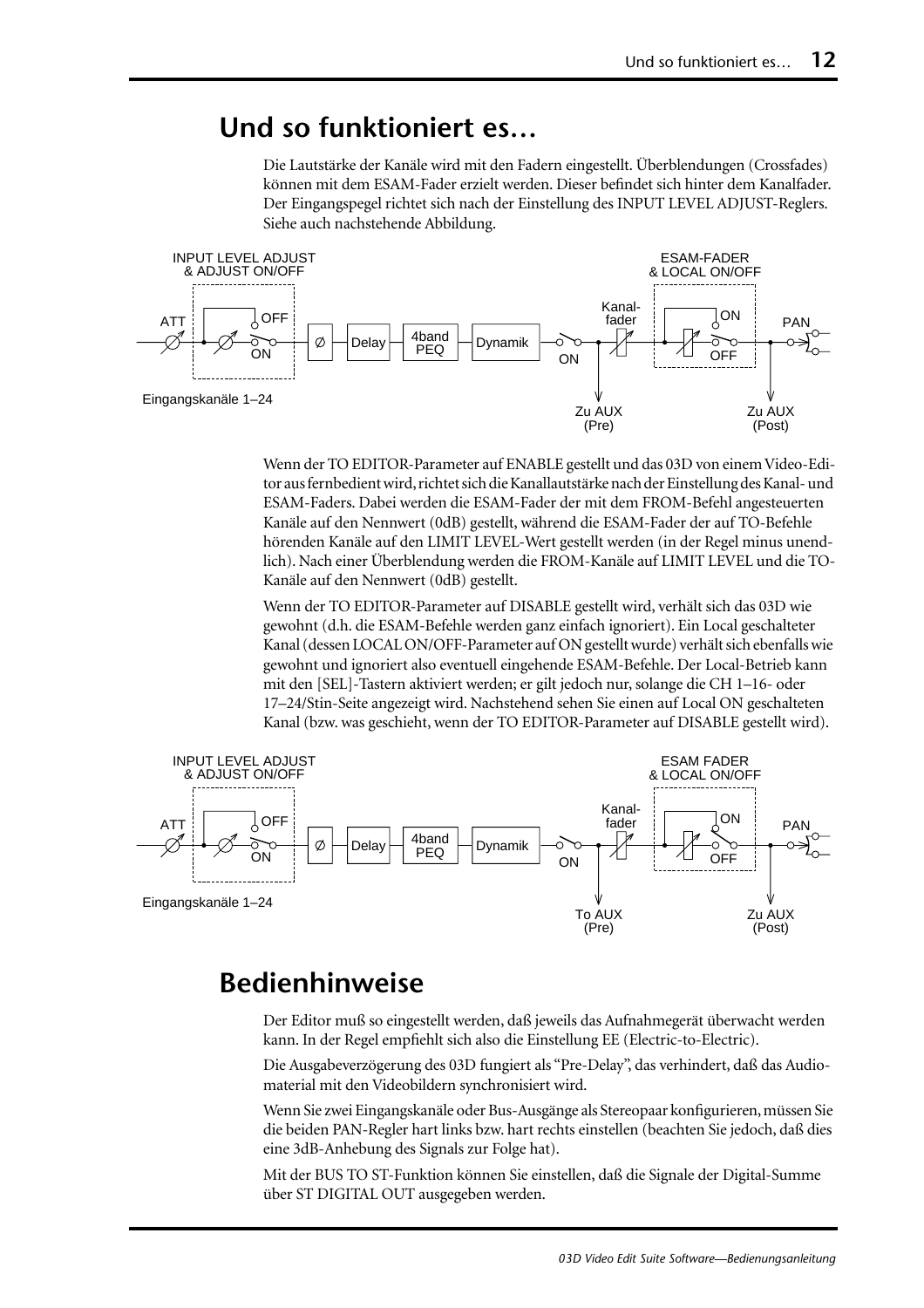#### **Und so funktioniert es…**

Die Lautstärke der Kanäle wird mit den Fadern eingestellt. Überblendungen (Crossfades) können mit dem ESAM-Fader erzielt werden. Dieser befindet sich hinter dem Kanalfader. Der Eingangspegel richtet sich nach der Einstellung des INPUT LEVEL ADJUST-Reglers. Siehe auch nachstehende Abbildung.



Wenn der TO EDITOR-Parameter auf ENABLE gestellt und das 03D von einem Video-Editor aus fernbedient wird, richtet sich die Kanallautstärke nach der Einstellung des Kanal- und ESAM-Faders. Dabei werden die ESAM-Fader der mit dem FROM-Befehl angesteuerten Kanäle auf den Nennwert (0dB) gestellt, während die ESAM-Fader der auf TO-Befehle hörenden Kanäle auf den LIMIT LEVEL-Wert gestellt werden (in der Regel minus unendlich). Nach einer Überblendung werden die FROM-Kanäle auf LIMIT LEVEL und die TO-Kanäle auf den Nennwert (0dB) gestellt.

Wenn der TO EDITOR-Parameter auf DISABLE gestellt wird, verhält sich das 03D wie gewohnt (d.h. die ESAM-Befehle werden ganz einfach ignoriert). Ein Local geschalteter Kanal (dessen LOCAL ON/OFF-Parameter auf ON gestellt wurde) verhält sich ebenfalls wie gewohnt und ignoriert also eventuell eingehende ESAM-Befehle. Der Local-Betrieb kann mit den [SEL]-Tastern aktiviert werden; er gilt jedoch nur, solange die CH 1–16- oder 17–24/Stin-Seite angezeigt wird. Nachstehend sehen Sie einen auf Local ON geschalteten Kanal (bzw. was geschieht, wenn der TO EDITOR-Parameter auf DISABLE gestellt wird).



#### **Bedienhinweise**

Der Editor muß so eingestellt werden, daß jeweils das Aufnahmegerät überwacht werden kann. In der Regel empfiehlt sich also die Einstellung EE (Electric-to-Electric).

Die Ausgabeverzögerung des 03D fungiert als "Pre-Delay", das verhindert, daß das Audiomaterial mit den Videobildern synchronisiert wird.

Wenn Sie zwei Eingangskanäle oder Bus-Ausgänge als Stereopaar konfigurieren, müssen Sie die beiden PAN-Regler hart links bzw. hart rechts einstellen (beachten Sie jedoch, daß dies eine 3dB-Anhebung des Signals zur Folge hat).

Mit der BUS TO ST-Funktion können Sie einstellen, daß die Signale der Digital-Summe über ST DIGITAL OUT ausgegeben werden.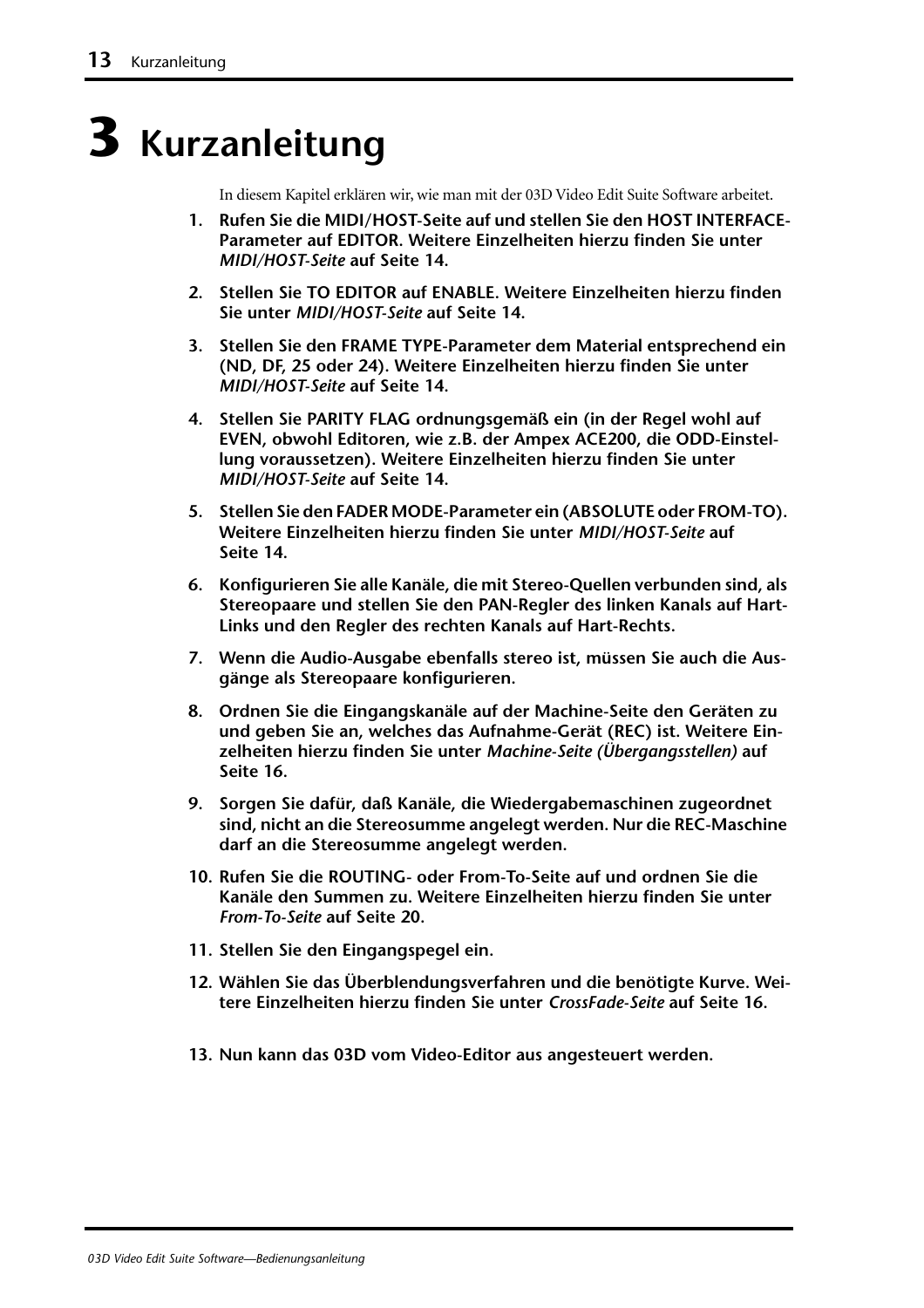## **3 Kurzanleitung**

In diesem Kapitel erklären wir, wie man mit der 03D Video Edit Suite Software arbeitet.

- **1. Rufen Sie die MIDI/HOST-Seite auf und stellen Sie den HOST INTERFACE-Parameter auf EDITOR. [Weitere Einzelheiten hierzu finden Sie unter](#page-79-0)**  *[MIDI/HOST-Seite](#page-79-0)* **auf Seite 14.**
- **2. Stellen Sie TO EDITOR auf ENABLE. [Weitere Einzelheiten hierzu finden](#page-79-0)  Sie unter** *[MIDI/HOST-Seite](#page-79-0)* **auf Seite 14.**
- **3. Stellen Sie den FRAME TYPE-Parameter dem Material entsprechend ein (ND, DF, 25 oder 24). [Weitere Einzelheiten hierzu finden Sie unter](#page-79-0)**  *[MIDI/HOST-Seite](#page-79-0)* **auf Seite 14.**
- **4. Stellen Sie PARITY FLAG ordnungsgemäß ein (in der Regel wohl auf EVEN, obwohl Editoren, wie z.B. der Ampex ACE200, die ODD-Einstellung voraussetzen). [Weitere Einzelheiten hierzu finden Sie unter](#page-79-0)**  *[MIDI/HOST-Seite](#page-79-0)* **auf Seite 14.**
- **5. Stellen Sie den FADER MODE-Parameter ein (ABSOLUTE oder FROM-TO). [Weitere Einzelheiten hierzu finden Sie unter](#page-79-0)** *MIDI/HOST-Seite* **auf [Seite 14.](#page-79-0)**
- **6. Konfigurieren Sie alle Kanäle, die mit Stereo-Quellen verbunden sind, als Stereopaare und stellen Sie den PAN-Regler des linken Kanals auf Hart-Links und den Regler des rechten Kanals auf Hart-Rechts.**
- **7. Wenn die Audio-Ausgabe ebenfalls stereo ist, müssen Sie auch die Ausgänge als Stereopaare konfigurieren.**
- **8. Ordnen Sie die Eingangskanäle auf der Machine-Seite den Geräten zu und geben Sie an, welches das Aufnahme-Gerät (REC) ist. [Weitere Ein](#page-81-0)[zelheiten hierzu finden Sie unter](#page-81-0)** *Machine-Seite (Übergangsstellen)* **auf [Seite 16.](#page-81-0)**
- **9. Sorgen Sie dafür, daß Kanäle, die Wiedergabemaschinen zugeordnet sind, nicht an die Stereosumme angelegt werden. Nur die REC-Maschine darf an die Stereosumme angelegt werden.**
- **10. Rufen Sie die ROUTING- oder From-To-Seite auf und ordnen Sie die Kanäle den Summen zu. [Weitere Einzelheiten hierzu finden Sie unter](#page-85-0)**  *From-To-Seite* **[auf Seite 20.](#page-85-0)**
- **11. Stellen Sie den Eingangspegel ein.**
- **12. Wählen Sie das Überblendungsverfahren und die benötigte Kurve. [Wei](#page-81-0)[tere Einzelheiten hierzu finden Sie unter](#page-81-0)** *CrossFade-Seite* **auf Seite 16.**
- **13. Nun kann das 03D vom Video-Editor aus angesteuert werden.**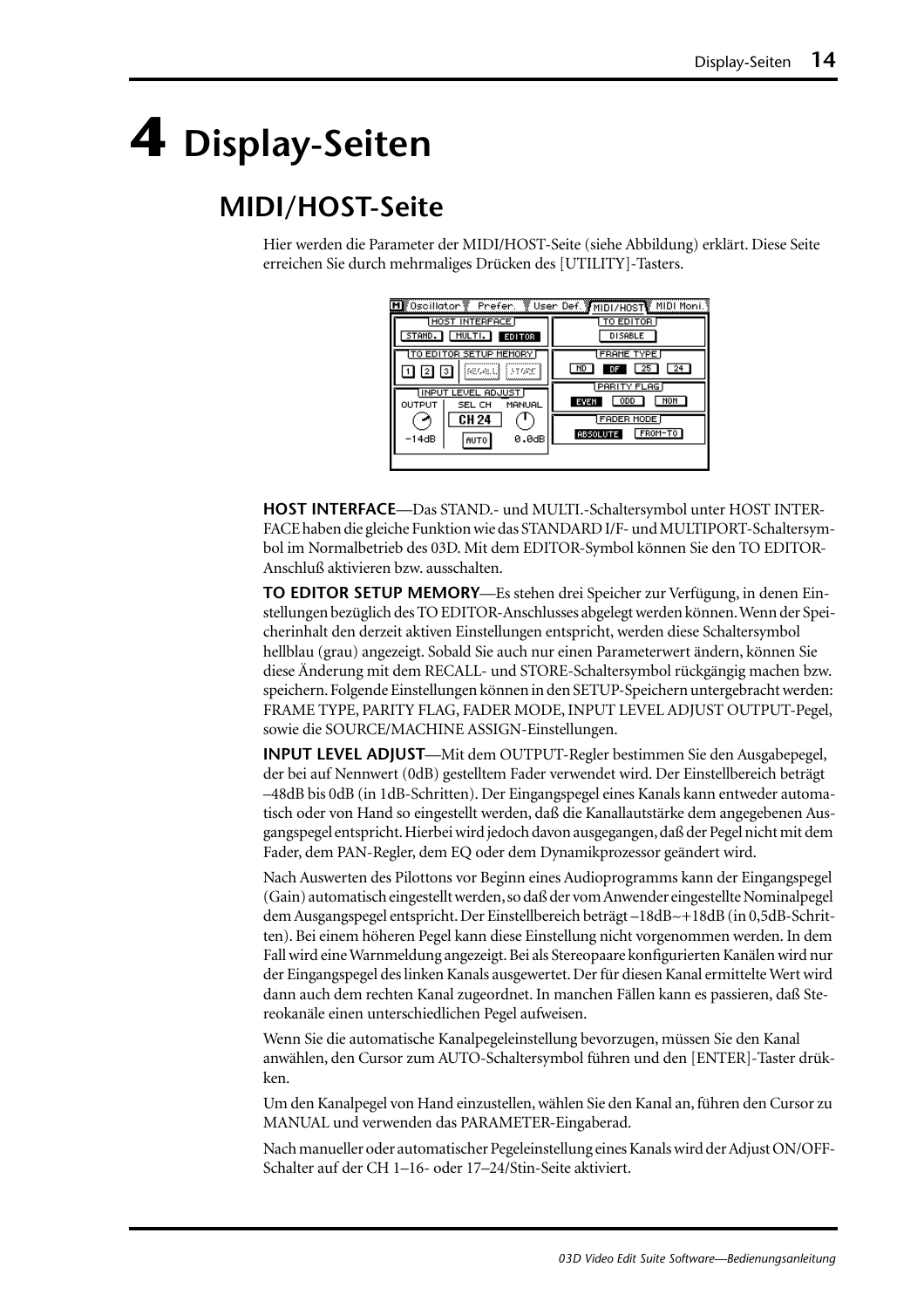## <span id="page-79-0"></span>**4 Display-Seiten**

## **MIDI/HOST-Seite**

Hier werden die Parameter der MIDI/HOST-Seite (siehe Abbildung) erklärt. Diese Seite erreichen Sie durch mehrmaliges Drücken des [UTILITY]-Tasters.

| M∭0scillator <sup>w</sup> Prefer.                   | ें Vser Def. अला पारा साहित हैं MIDI Moni. १ |
|-----------------------------------------------------|----------------------------------------------|
| HOST INTERFACE<br>MULTI.<br>STAND.<br><b>EDITOR</b> | TO EDITOR<br><b>DISABLE</b>                  |
| TO EDITOR SETUP MEMORY<br>iseoald i Frans<br>(3)    | <b>FRAME TYPE</b><br>ND<br>25<br>24<br>DF    |
| IINPUT LEVEL ADJUST<br>OUTPUT<br>MANUAL<br>SEL CH   | PARITY FLAG<br>NOH<br><b>ODD</b><br>EVEN     |
| CH 24<br>$-14dB$<br>0.0dB<br>AUTO                   | FADER MODE<br>FROM-TO<br><b>ABSOLUTE</b>     |
|                                                     |                                              |

**HOST INTERFACE**—Das STAND.- und MULTI.-Schaltersymbol unter HOST INTER-FACE haben die gleiche Funktion wie das STANDARD I/F- und MULTIPORT-Schaltersymbol im Normalbetrieb des 03D. Mit dem EDITOR-Symbol können Sie den TO EDITOR-Anschluß aktivieren bzw. ausschalten.

**TO EDITOR SETUP MEMORY**—Es stehen drei Speicher zur Verfügung, in denen Einstellungen bezüglich des TO EDITOR-Anschlusses abgelegt werden können. Wenn der Speicherinhalt den derzeit aktiven Einstellungen entspricht, werden diese Schaltersymbol hellblau (grau) angezeigt. Sobald Sie auch nur einen Parameterwert ändern, können Sie diese Änderung mit dem RECALL- und STORE-Schaltersymbol rückgängig machen bzw. speichern. Folgende Einstellungen können in den SETUP-Speichern untergebracht werden: FRAME TYPE, PARITY FLAG, FADER MODE, INPUT LEVEL ADJUST OUTPUT-Pegel, sowie die SOURCE/MACHINE ASSIGN-Einstellungen.

**INPUT LEVEL ADJUST**—Mit dem OUTPUT-Regler bestimmen Sie den Ausgabepegel, der bei auf Nennwert (0dB) gestelltem Fader verwendet wird. Der Einstellbereich beträgt –48dB bis 0dB (in 1dB-Schritten). Der Eingangspegel eines Kanals kann entweder automatisch oder von Hand so eingestellt werden, daß die Kanallautstärke dem angegebenen Ausgangspegel entspricht. Hierbei wird jedoch davon ausgegangen, daß der Pegel nicht mit dem Fader, dem PAN-Regler, dem EQ oder dem Dynamikprozessor geändert wird.

Nach Auswerten des Pilottons vor Beginn eines Audioprogramms kann der Eingangspegel (Gain) automatisch eingestellt werden, so daß der vom Anwender eingestellte Nominalpegel dem Ausgangspegel entspricht. Der Einstellbereich beträgt –18dB~+18dB (in 0,5dB-Schritten). Bei einem höheren Pegel kann diese Einstellung nicht vorgenommen werden. In dem Fall wird eine Warnmeldung angezeigt. Bei als Stereopaare konfigurierten Kanälen wird nur der Eingangspegel des linken Kanals ausgewertet. Der für diesen Kanal ermittelte Wert wird dann auch dem rechten Kanal zugeordnet. In manchen Fällen kann es passieren, daß Stereokanäle einen unterschiedlichen Pegel aufweisen.

Wenn Sie die automatische Kanalpegeleinstellung bevorzugen, müssen Sie den Kanal anwählen, den Cursor zum AUTO-Schaltersymbol führen und den [ENTER]-Taster drükken.

Um den Kanalpegel von Hand einzustellen, wählen Sie den Kanal an, führen den Cursor zu MANUAL und verwenden das PARAMETER-Eingaberad.

Nach manueller oder automatischer Pegeleinstellung eines Kanals wird der Adjust ON/OFF-Schalter auf der CH 1–16- oder 17–24/Stin-Seite aktiviert.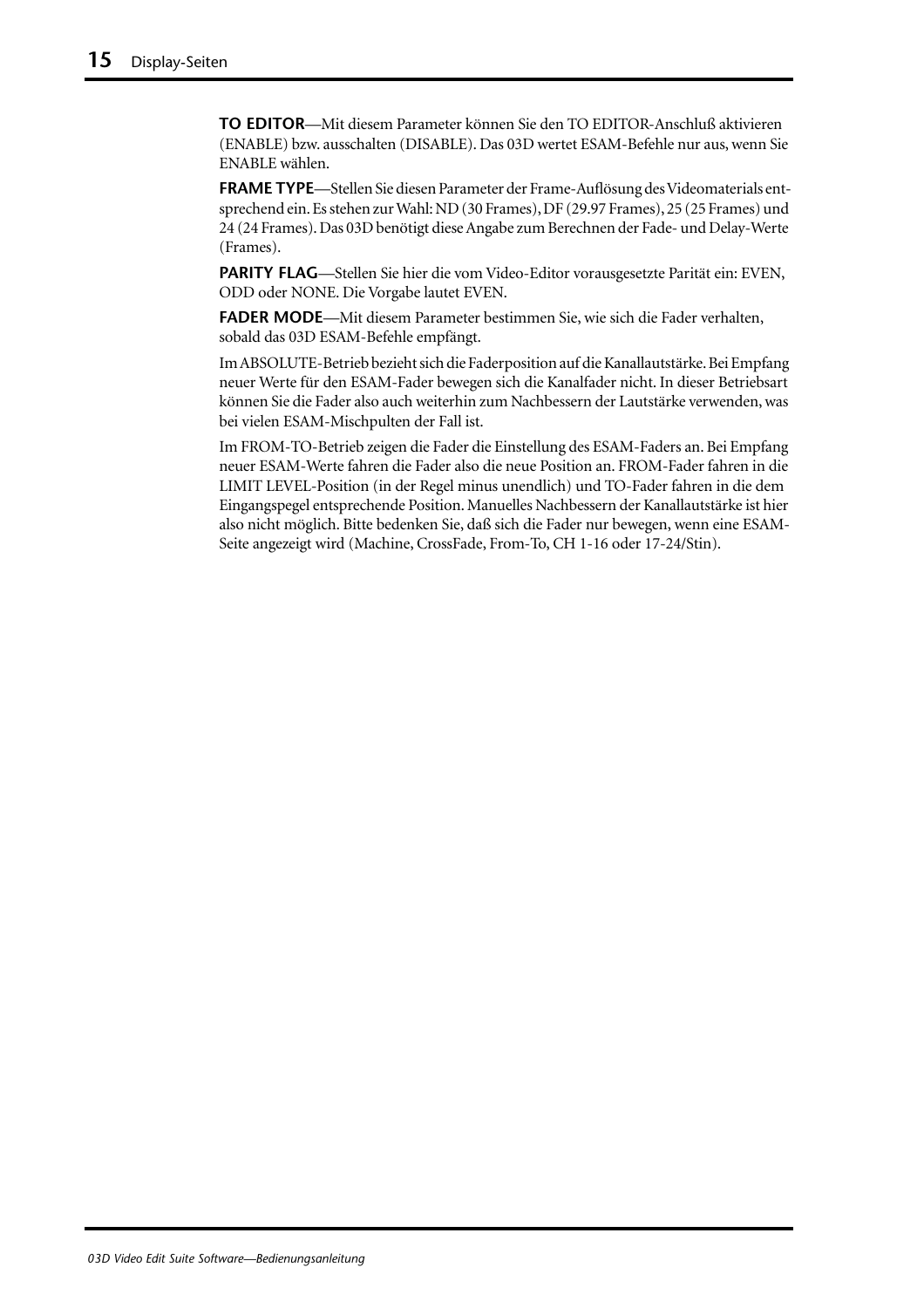**TO EDITOR**—Mit diesem Parameter können Sie den TO EDITOR-Anschluß aktivieren (ENABLE) bzw. ausschalten (DISABLE). Das 03D wertet ESAM-Befehle nur aus, wenn Sie ENABLE wählen.

**FRAME TYPE**—Stellen Sie diesen Parameter der Frame-Auflösung des Videomaterials entsprechend ein. Es stehen zur Wahl: ND (30 Frames), DF (29.97 Frames), 25 (25 Frames) und 24 (24 Frames). Das 03D benötigt diese Angabe zum Berechnen der Fade- und Delay-Werte (Frames).

**PARITY FLAG**—Stellen Sie hier die vom Video-Editor vorausgesetzte Parität ein: EVEN, ODD oder NONE. Die Vorgabe lautet EVEN.

**FADER MODE**—Mit diesem Parameter bestimmen Sie, wie sich die Fader verhalten, sobald das 03D ESAM-Befehle empfängt.

Im ABSOLUTE-Betrieb bezieht sich die Faderposition auf die Kanallautstärke. Bei Empfang neuer Werte für den ESAM-Fader bewegen sich die Kanalfader nicht. In dieser Betriebsart können Sie die Fader also auch weiterhin zum Nachbessern der Lautstärke verwenden, was bei vielen ESAM-Mischpulten der Fall ist.

Im FROM-TO-Betrieb zeigen die Fader die Einstellung des ESAM-Faders an. Bei Empfang neuer ESAM-Werte fahren die Fader also die neue Position an. FROM-Fader fahren in die LIMIT LEVEL-Position (in der Regel minus unendlich) und TO-Fader fahren in die dem Eingangspegel entsprechende Position. Manuelles Nachbessern der Kanallautstärke ist hier also nicht möglich. Bitte bedenken Sie, daß sich die Fader nur bewegen, wenn eine ESAM-Seite angezeigt wird (Machine, CrossFade, From-To, CH 1-16 oder 17-24/Stin).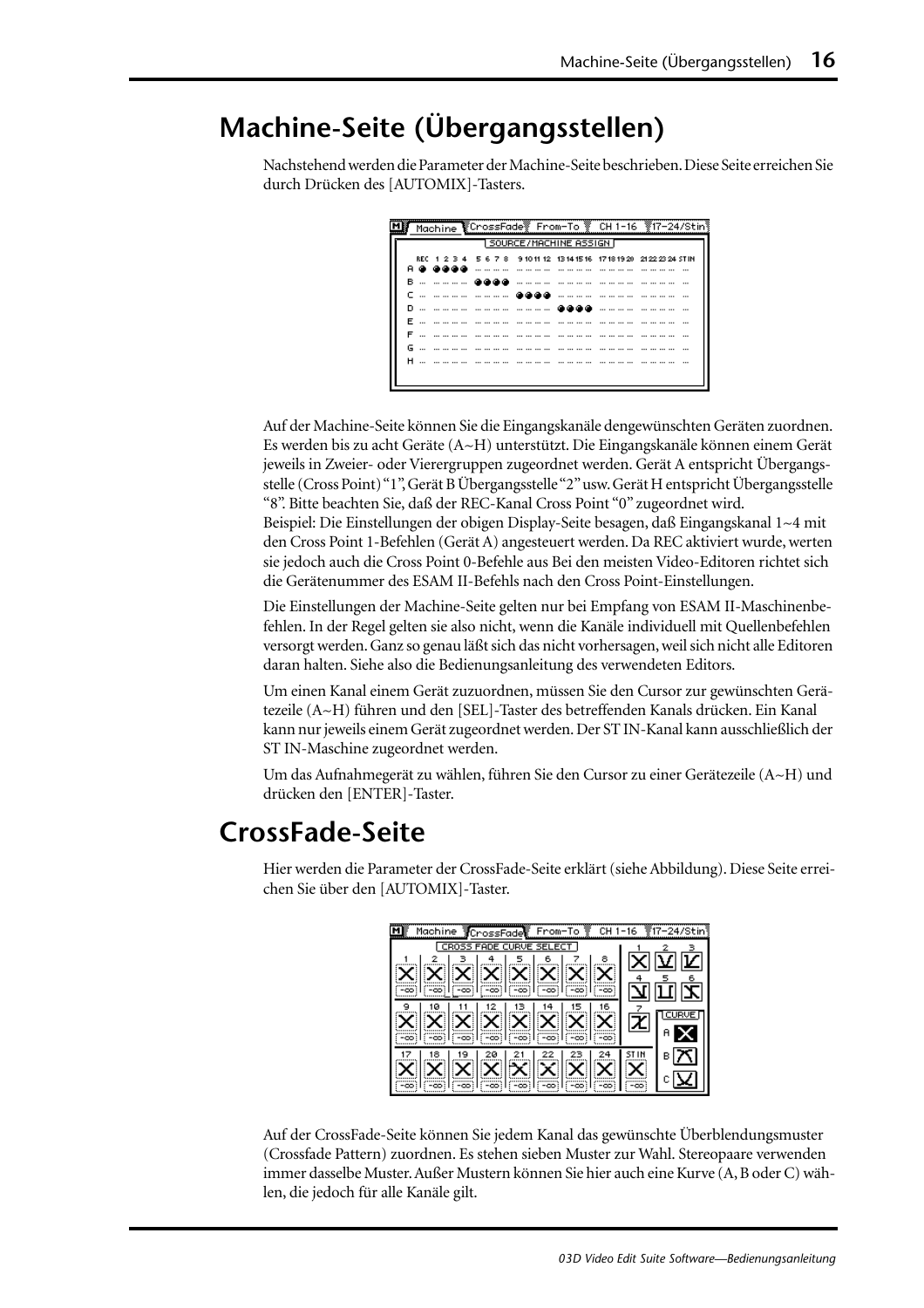## <span id="page-81-0"></span>**Machine-Seite (Übergangsstellen)**

Nachstehend werden die Parameter der Machine-Seite beschrieben. Diese Seite erreichen Sie durch Drücken des [AUTOMIX]-Tasters.

|                           |                           |  |  |  |  |  |  |  |  |  |  |  |     |                 |               |  |   |  | Machine CrossFade From-To @ CH 1-16 #17-24/Stin                         |
|---------------------------|---------------------------|--|--|--|--|--|--|--|--|--|--|--|-----|-----------------|---------------|--|---|--|-------------------------------------------------------------------------|
| 1 SOURCE/MACHINE ASSIGN D |                           |  |  |  |  |  |  |  |  |  |  |  |     |                 |               |  |   |  |                                                                         |
|                           |                           |  |  |  |  |  |  |  |  |  |  |  |     |                 |               |  |   |  | REC 1 2 3 4 5 6 7 8 9 10 11 12 13 14 15 16 17 18 19 20 21 22 23 24 STIN |
|                           | A @ @@@@                  |  |  |  |  |  |  |  |  |  |  |  |     | --- --- --- --- | .             |  |   |  | $\cdots$                                                                |
|                           | в… ……… <b>ассо</b>        |  |  |  |  |  |  |  |  |  |  |  | .   |                 |               |  |   |  |                                                                         |
|                           | c … ………… ……… <b></b>      |  |  |  |  |  |  |  |  |  |  |  |     |                 | ------------- |  |   |  |                                                                         |
|                           | <u>D … ………… …………… ………</u> |  |  |  |  |  |  |  |  |  |  |  | കൈക |                 |               |  | . |  |                                                                         |
|                           | F                         |  |  |  |  |  |  |  |  |  |  |  |     |                 |               |  |   |  |                                                                         |
| F                         | --- --- --- --- ---       |  |  |  |  |  |  |  |  |  |  |  | .   |                 |               |  |   |  |                                                                         |
|                           | G                         |  |  |  |  |  |  |  |  |  |  |  |     | --- --- --- --- |               |  |   |  |                                                                         |
|                           | <b>H</b>                  |  |  |  |  |  |  |  |  |  |  |  |     |                 |               |  |   |  |                                                                         |
|                           |                           |  |  |  |  |  |  |  |  |  |  |  |     |                 |               |  |   |  |                                                                         |

Auf der Machine-Seite können Sie die Eingangskanäle dengewünschten Geräten zuordnen. Es werden bis zu acht Geräte (A~H) unterstützt. Die Eingangskanäle können einem Gerät jeweils in Zweier- oder Vierergruppen zugeordnet werden. Gerät A entspricht Übergangsstelle (Cross Point) "1", Gerät B Übergangsstelle "2" usw. Gerät H entspricht Übergangsstelle "8". Bitte beachten Sie, daß der REC-Kanal Cross Point "0" zugeordnet wird. Beispiel: Die Einstellungen der obigen Display-Seite besagen, daß Eingangskanal 1~4 mit den Cross Point 1-Befehlen (Gerät A) angesteuert werden. Da REC aktiviert wurde, werten sie jedoch auch die Cross Point 0-Befehle aus Bei den meisten Video-Editoren richtet sich die Gerätenummer des ESAM II-Befehls nach den Cross Point-Einstellungen.

Die Einstellungen der Machine-Seite gelten nur bei Empfang von ESAM II-Maschinenbefehlen. In der Regel gelten sie also nicht, wenn die Kanäle individuell mit Quellenbefehlen versorgt werden. Ganz so genau läßt sich das nicht vorhersagen, weil sich nicht alle Editoren daran halten. Siehe also die Bedienungsanleitung des verwendeten Editors.

Um einen Kanal einem Gerät zuzuordnen, müssen Sie den Cursor zur gewünschten Gerätezeile (A~H) führen und den [SEL]-Taster des betreffenden Kanals drücken. Ein Kanal kann nur jeweils einem Gerät zugeordnet werden. Der ST IN-Kanal kann ausschließlich der ST IN-Maschine zugeordnet werden.

Um das Aufnahmegerät zu wählen, führen Sie den Cursor zu einer Gerätezeile (A~H) und drücken den [ENTER]-Taster.

### **CrossFade-Seite**

Hier werden die Parameter der CrossFade-Seite erklärt (siehe Abbildung). Diese Seite erreichen Sie über den [AUTOMIX]-Taster.

| Machine CrossFade From-To   CH 1-16 17-24/Stin                 |     |
|----------------------------------------------------------------|-----|
| CROSS FADE CURVE SELECT                                        |     |
| 6                                                              | 区区区 |
| $\ \mathbf{x}\ \mathbf{x}\ \mathbf{x}\ \mathbf{x}\ \mathbf{x}$ |     |
|                                                                | エヱ  |
| 16                                                             |     |
|                                                                |     |
|                                                                | я   |
|                                                                |     |
|                                                                |     |
|                                                                |     |
|                                                                |     |

Auf der CrossFade-Seite können Sie jedem Kanal das gewünschte Überblendungsmuster (Crossfade Pattern) zuordnen. Es stehen sieben Muster zur Wahl. Stereopaare verwenden immer dasselbe Muster. Außer Mustern können Sie hier auch eine Kurve (A, B oder C) wählen, die jedoch für alle Kanäle gilt.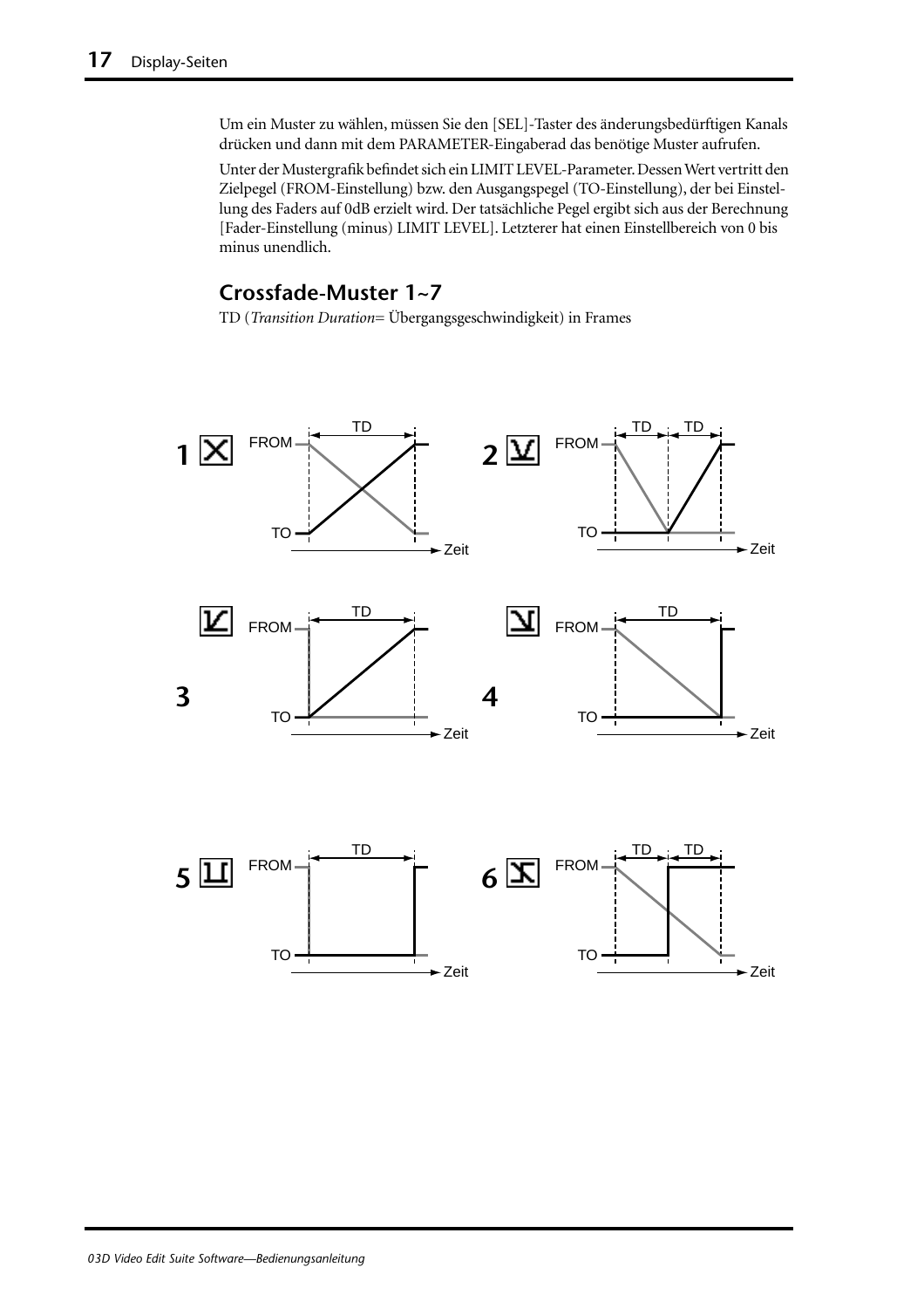Um ein Muster zu wählen, müssen Sie den [SEL]-Taster des änderungsbedürftigen Kanals drücken und dann mit dem PARAMETER-Eingaberad das benötige Muster aufrufen.

Unter der Mustergrafik befindet sich ein LIMIT LEVEL-Parameter. Dessen Wert vertritt den Zielpegel (FROM-Einstellung) bzw. den Ausgangspegel (TO-Einstellung), der bei Einstellung des Faders auf 0dB erzielt wird. Der tatsächliche Pegel ergibt sich aus der Berechnung [Fader-Einstellung (minus) LIMIT LEVEL]. Letzterer hat einen Einstellbereich von 0 bis minus unendlich.

#### **Crossfade-Muster 1~7**

TD (*Transition Duration*= Übergangsgeschwindigkeit) in Frames

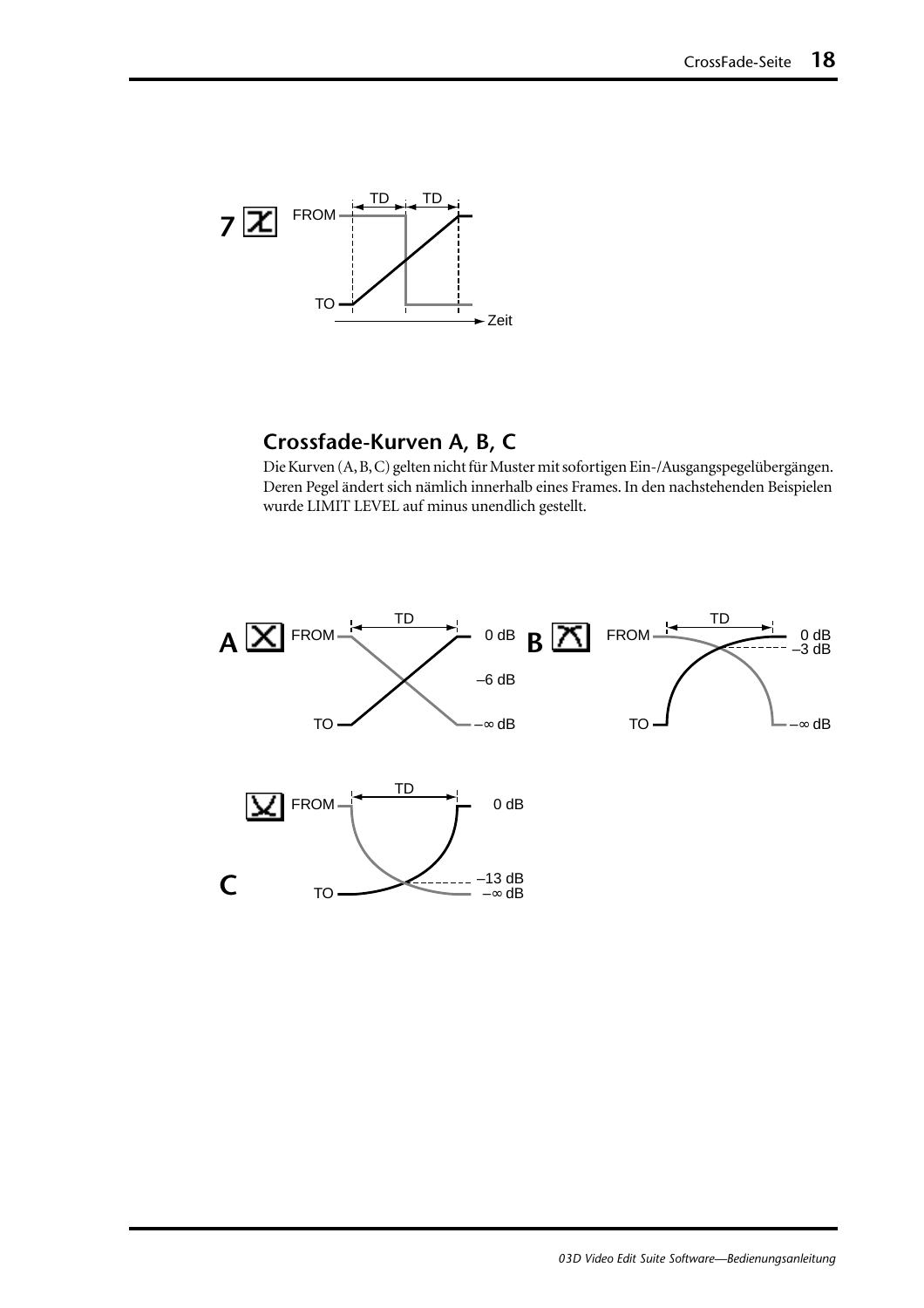

#### **Crossfade-Kurven A, B, C**

Die Kurven (A, B, C) gelten nicht für Muster mit sofortigen Ein-/Ausgangspegelübergängen. Deren Pegel ändert sich nämlich innerhalb eines Frames. In den nachstehenden Beispielen wurde LIMIT LEVEL auf minus unendlich gestellt.

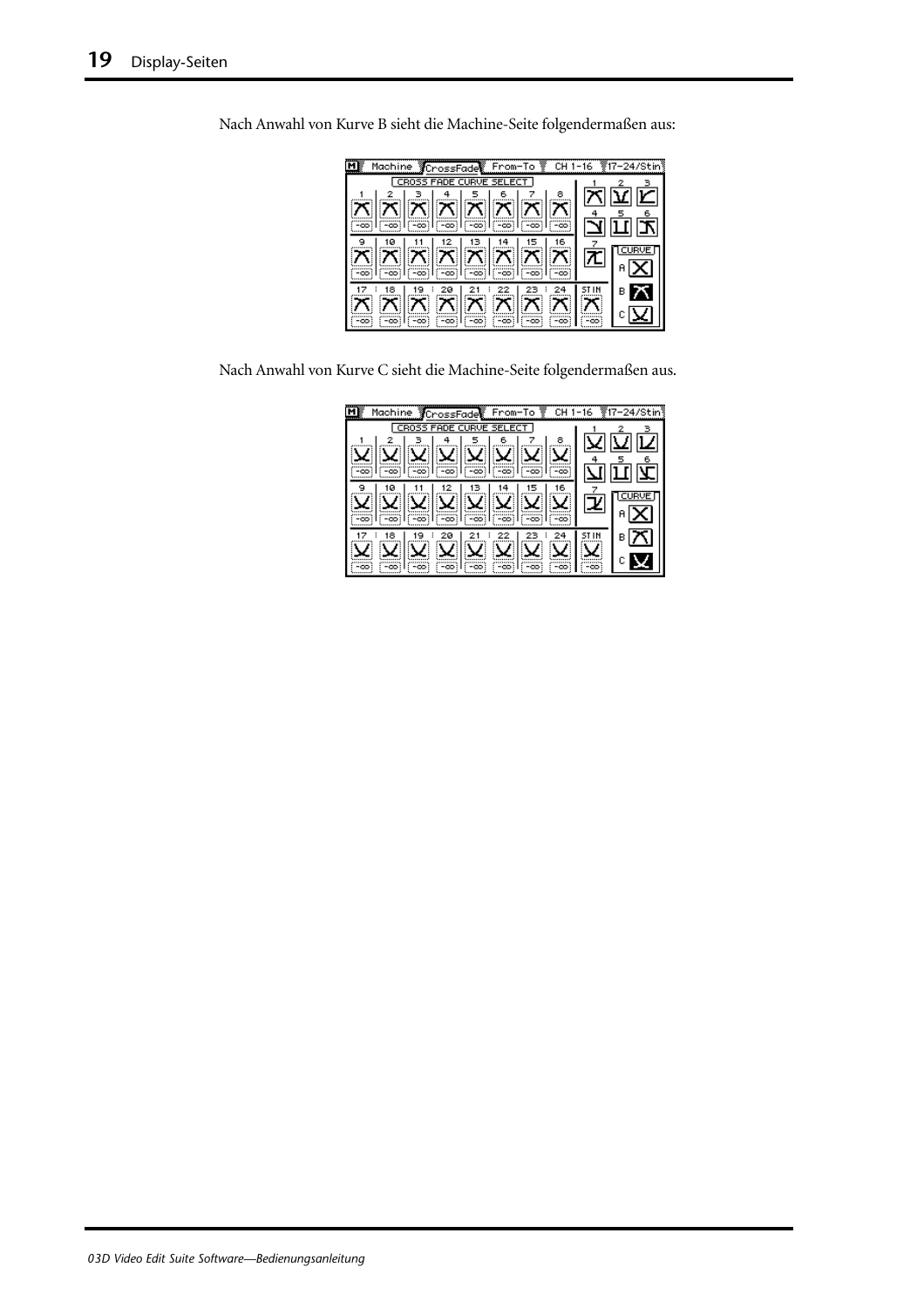| Machine CrossFade From-To LH 1-16 17-24/Stin |   |
|----------------------------------------------|---|
| CROSS FADE CURVE SELECT                      |   |
|                                              |   |
|                                              |   |
| X  X  X  X  X  X                             |   |
|                                              |   |
|                                              | в |
| (=ထ) (=ထ)<br>അി<br>-00:                      |   |

Nach Anwahl von Kurve B sieht die Machine-Seite folgendermaßen aus:

Nach Anwahl von Kurve C sieht die Machine-Seite folgendermaßen aus.

| <b>YCrossFade From-To Y</b><br>Machine<br>CH. | -16 |   |
|-----------------------------------------------|-----|---|
| CR055<br><b>FADE CURVE SEI</b><br>FCT.        |     |   |
| 8<br>6                                        |     |   |
|                                               |     |   |
| -00<br>-00:                                   |     |   |
| 16<br>ø                                       |     |   |
|                                               |     |   |
| -00                                           |     |   |
| 18<br>20                                      |     | в |
|                                               |     |   |
| -00                                           | -00 |   |
|                                               |     |   |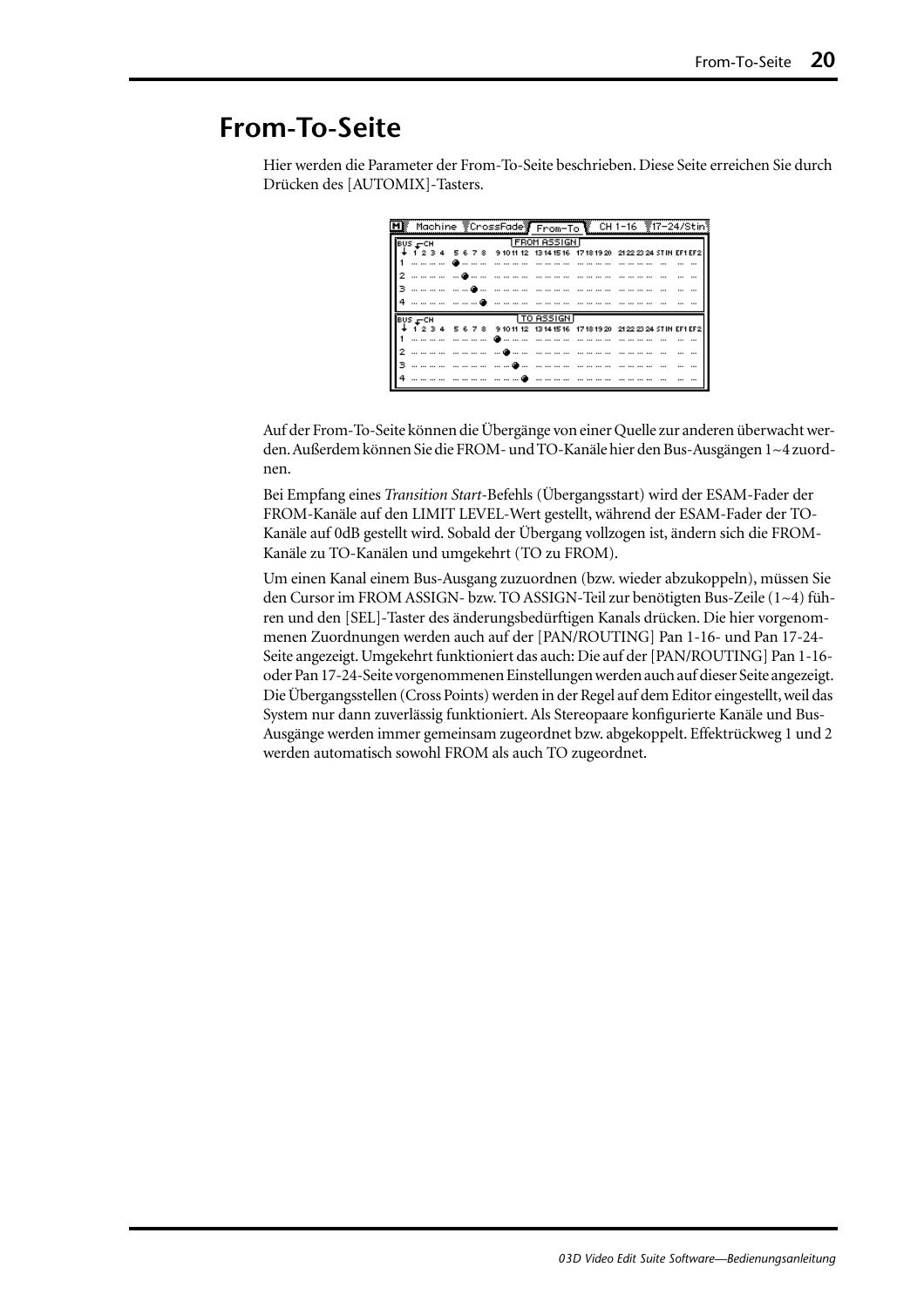### <span id="page-85-0"></span>**From-To-Seite**

Hier werden die Parameter der From-To-Seite beschrieben. Diese Seite erreichen Sie durch Drücken des [AUTOMIX]-Tasters.

| MI Machine VCrossFadey From-To U.CH 1-16 V17-24/Stin |                                                                         |  |  |  |  |  |  |  |                       |  |  |  |  |  |  |  |  |  |
|------------------------------------------------------|-------------------------------------------------------------------------|--|--|--|--|--|--|--|-----------------------|--|--|--|--|--|--|--|--|--|
| $BUS = CH$                                           |                                                                         |  |  |  |  |  |  |  | <b>TEROM ASSIGNIT</b> |  |  |  |  |  |  |  |  |  |
|                                                      | ↓ 1 2 3 4 5 6 7 8 9 10 11 12 1314 1516 1718 1920 2122 2324 STIN EF1 EF2 |  |  |  |  |  |  |  |                       |  |  |  |  |  |  |  |  |  |
|                                                      |                                                                         |  |  |  |  |  |  |  |                       |  |  |  |  |  |  |  |  |  |
|                                                      |                                                                         |  |  |  |  |  |  |  |                       |  |  |  |  |  |  |  |  |  |
|                                                      |                                                                         |  |  |  |  |  |  |  |                       |  |  |  |  |  |  |  |  |  |
|                                                      |                                                                         |  |  |  |  |  |  |  |                       |  |  |  |  |  |  |  |  |  |
|                                                      | TO ASSIGNT<br><b>BUS FCH</b>                                            |  |  |  |  |  |  |  |                       |  |  |  |  |  |  |  |  |  |
|                                                      |                                                                         |  |  |  |  |  |  |  |                       |  |  |  |  |  |  |  |  |  |
|                                                      |                                                                         |  |  |  |  |  |  |  |                       |  |  |  |  |  |  |  |  |  |
|                                                      |                                                                         |  |  |  |  |  |  |  |                       |  |  |  |  |  |  |  |  |  |
|                                                      |                                                                         |  |  |  |  |  |  |  |                       |  |  |  |  |  |  |  |  |  |
|                                                      |                                                                         |  |  |  |  |  |  |  |                       |  |  |  |  |  |  |  |  |  |

Auf der From-To-Seite können die Übergänge von einer Quelle zur anderen überwacht werden. Außerdem können Sie die FROM- und TO-Kanäle hier den Bus-Ausgängen 1~4 zuordnen.

Bei Empfang eines *Transition Start*-Befehls (Übergangsstart) wird der ESAM-Fader der FROM-Kanäle auf den LIMIT LEVEL-Wert gestellt, während der ESAM-Fader der TO-Kanäle auf 0dB gestellt wird. Sobald der Übergang vollzogen ist, ändern sich die FROM-Kanäle zu TO-Kanälen und umgekehrt (TO zu FROM).

Um einen Kanal einem Bus-Ausgang zuzuordnen (bzw. wieder abzukoppeln), müssen Sie den Cursor im FROM ASSIGN- bzw. TO ASSIGN-Teil zur benötigten Bus-Zeile (1~4) führen und den [SEL]-Taster des änderungsbedürftigen Kanals drücken. Die hier vorgenommenen Zuordnungen werden auch auf der [PAN/ROUTING] Pan 1-16- und Pan 17-24- Seite angezeigt. Umgekehrt funktioniert das auch: Die auf der [PAN/ROUTING] Pan 1-16 oder Pan 17-24-Seite vorgenommenen Einstellungen werden auch auf dieser Seite angezeigt. Die Übergangsstellen (Cross Points) werden in der Regel auf dem Editor eingestellt, weil das System nur dann zuverlässig funktioniert. Als Stereopaare konfigurierte Kanäle und Bus-Ausgänge werden immer gemeinsam zugeordnet bzw. abgekoppelt. Effektrückweg 1 und 2 werden automatisch sowohl FROM als auch TO zugeordnet.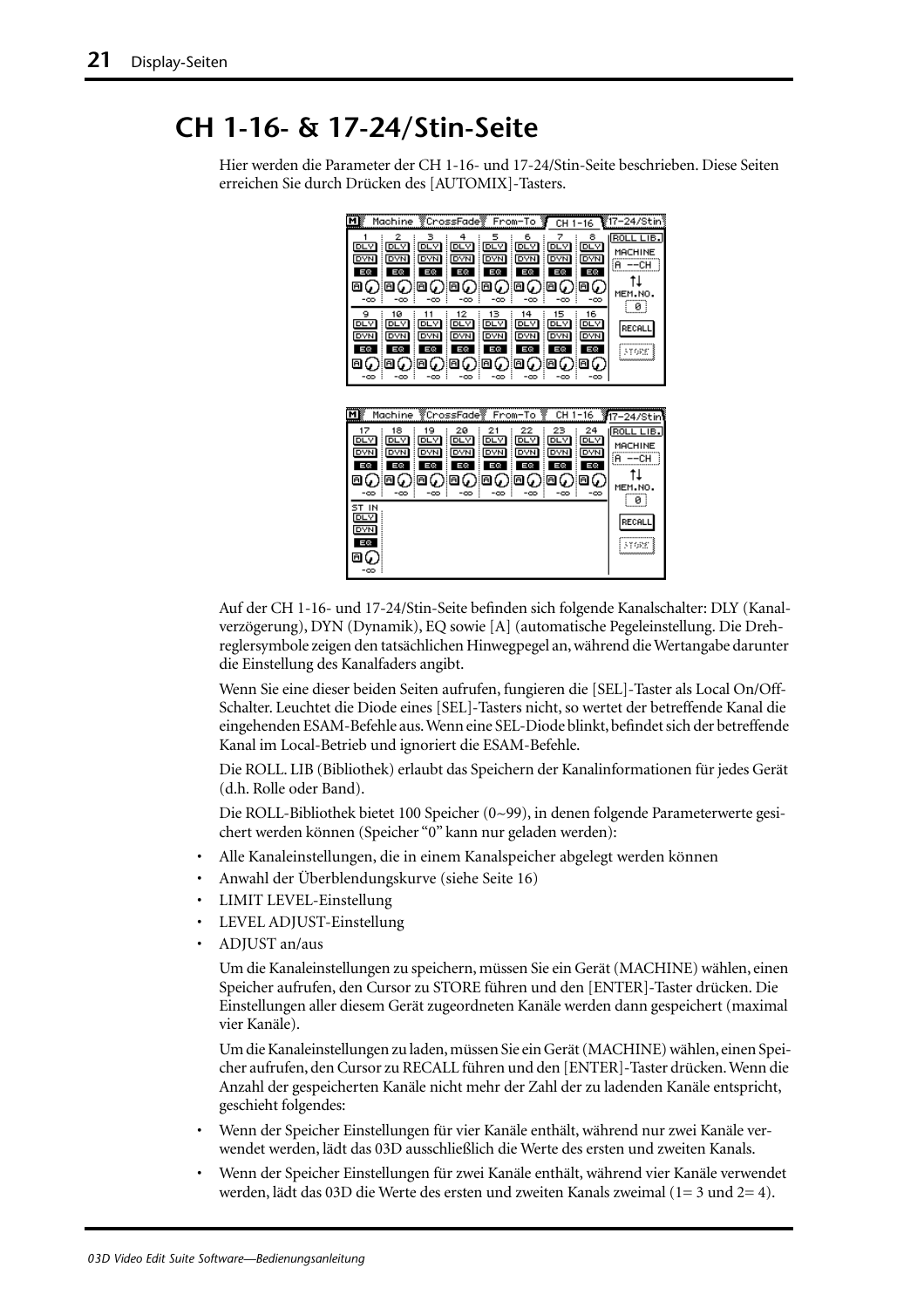### <span id="page-86-0"></span>**CH 1-16- & 17-24/Stin-Seite**

Hier werden die Parameter der CH 1-16- und 17-24/Stin-Seite beschrieben. Diese Seiten erreichen Sie durch Drücken des [AUTOMIX]-Tasters.



Auf der CH 1-16- und 17-24/Stin-Seite befinden sich folgende Kanalschalter: DLY (Kanalverzögerung), DYN (Dynamik), EQ sowie [A] (automatische Pegeleinstellung. Die Drehreglersymbole zeigen den tatsächlichen Hinwegpegel an, während die Wertangabe darunter die Einstellung des Kanalfaders angibt.

Wenn Sie eine dieser beiden Seiten aufrufen, fungieren die [SEL]-Taster als Local On/Off-Schalter. Leuchtet die Diode eines [SEL]-Tasters nicht, so wertet der betreffende Kanal die eingehenden ESAM-Befehle aus. Wenn eine SEL-Diode blinkt, befindet sich der betreffende Kanal im Local-Betrieb und ignoriert die ESAM-Befehle.

Die ROLL. LIB (Bibliothek) erlaubt das Speichern der Kanalinformationen für jedes Gerät (d.h. Rolle oder Band).

Die ROLL-Bibliothek bietet 100 Speicher (0~99), in denen folgende Parameterwerte gesichert werden können (Speicher "0" kann nur geladen werden):

- Alle Kanaleinstellungen, die in einem Kanalspeicher abgelegt werden können
- Anwahl der Überblendungskurve [\(siehe Seite 16\)](#page-81-0)
- LIMIT LEVEL-Einstellung
- LEVEL ADJUST-Einstellung
- ADJUST an/aus

Um die Kanaleinstellungen zu speichern, müssen Sie ein Gerät (MACHINE) wählen, einen Speicher aufrufen, den Cursor zu STORE führen und den [ENTER]-Taster drücken. Die Einstellungen aller diesem Gerät zugeordneten Kanäle werden dann gespeichert (maximal vier Kanäle).

Um die Kanaleinstellungen zu laden, müssen Sie ein Gerät (MACHINE) wählen, einen Speicher aufrufen, den Cursor zu RECALL führen und den [ENTER]-Taster drücken. Wenn die Anzahl der gespeicherten Kanäle nicht mehr der Zahl der zu ladenden Kanäle entspricht, geschieht folgendes:

- Wenn der Speicher Einstellungen für vier Kanäle enthält, während nur zwei Kanäle verwendet werden, lädt das 03D ausschließlich die Werte des ersten und zweiten Kanals.
- Wenn der Speicher Einstellungen für zwei Kanäle enthält, während vier Kanäle verwendet werden, lädt das 03D die Werte des ersten und zweiten Kanals zweimal (1= 3 und 2= 4).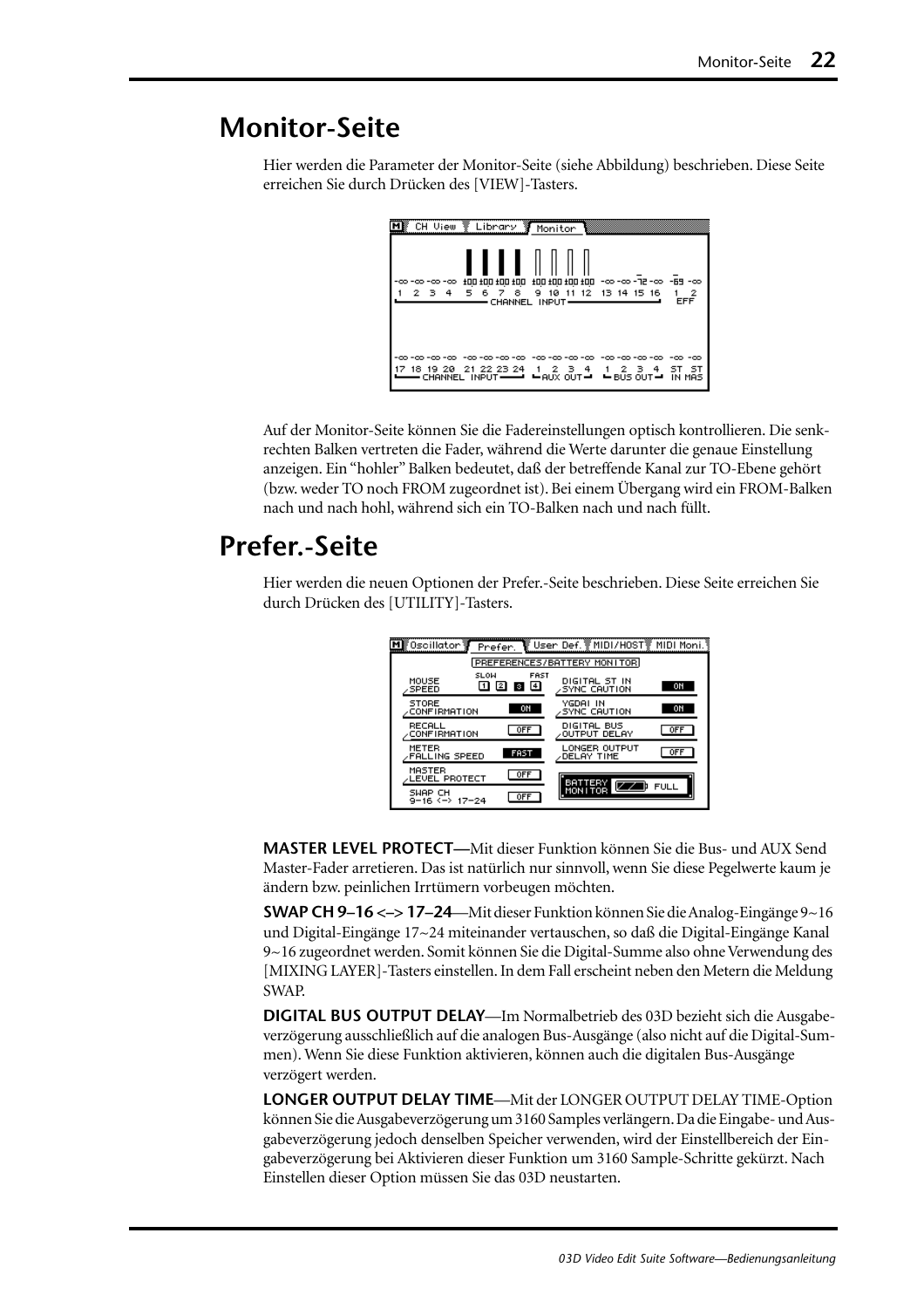## <span id="page-87-0"></span>**Monitor-Seite**

Hier werden die Parameter der Monitor-Seite (siehe Abbildung) beschrieben. Diese Seite erreichen Sie durch Drücken des [VIEW]-Tasters.

|                          | CH View Library Monitor |                                                                                                  |                                           |                               |
|--------------------------|-------------------------|--------------------------------------------------------------------------------------------------|-------------------------------------------|-------------------------------|
| -00 -00 -00 -00<br>2 3 4 | 100 100 100 100         | 5 6 7 8 9 10 11 12 13 14 15 16<br>CHANNEL INPUT-                                                 | co- 88-100 100 100 co-co- 901 001 001 001 | -2<br><b>EFF</b>              |
| -00 -00 -00              | -00 -00                 | -00-00-00-00<br>18 19 20 21 22 23 24 1 2 3 4 1 2<br>CHANNEL INPUT -- ' - AUX OUT -' - BUS OUT -' | -00 -00 -00 -00<br>4<br>-3-               | -00 -00<br>5T<br>sт<br>IN MAS |

Auf der Monitor-Seite können Sie die Fadereinstellungen optisch kontrollieren. Die senkrechten Balken vertreten die Fader, während die Werte darunter die genaue Einstellung anzeigen. Ein "hohler" Balken bedeutet, daß der betreffende Kanal zur TO-Ebene gehört (bzw. weder TO noch FROM zugeordnet ist). Bei einem Übergang wird ein FROM-Balken nach und nach hohl, während sich ein TO-Balken nach und nach füllt.

### **Prefer.-Seite**

Hier werden die neuen Optionen der Prefer.-Seite beschrieben. Diese Seite erreichen Sie durch Drücken des [UTILITY]-Tasters.

| ®๊Oscillator <b>ซั</b>              | Prefer.     |                             | ि User Def. ▒ MIDI/H0ST▒ MIDI Moni. १ |             |  |  |  |  |
|-------------------------------------|-------------|-----------------------------|---------------------------------------|-------------|--|--|--|--|
| PREFERENCES/BATTERY MONITOR         |             |                             |                                       |             |  |  |  |  |
| MOUSE<br><b>SPEED</b>               | <b>SLOW</b> | FAST<br>$\overline{4}$<br>з | DIGITAL ST IN<br><b>SYNC CAUTION</b>  | ON          |  |  |  |  |
| <b>STORE</b><br><b>CONFIRMATION</b> |             | ON                          | YGDAI IN<br>SYNC CAUTION              | ON          |  |  |  |  |
| RECALL<br><b>CONFIRMATION</b>       |             | <b>OFF</b>                  | DIGITAL BUS<br>OUTPUT DELAY           | <b>OFF</b>  |  |  |  |  |
| METER<br><b>FALLING SPEED</b>       |             | <b>FAST</b>                 | LONGER OUTPUT<br>∕DELAY TIME          | <b>OFF</b>  |  |  |  |  |
| MASTER<br>LEVEL PROTECT             |             | 0FF                         | BATTERY                               |             |  |  |  |  |
| SWAP CH<br>9-16 <-> 17-24           |             | <b>OFF</b>                  | MON I TOR                             | <b>FULL</b> |  |  |  |  |

**MASTER LEVEL PROTECT—**Mit dieser Funktion können Sie die Bus- und AUX Send Master-Fader arretieren. Das ist natürlich nur sinnvoll, wenn Sie diese Pegelwerte kaum je ändern bzw. peinlichen Irrtümern vorbeugen möchten.

**SWAP CH 9–16 <–> 17–24**—Mit dieser Funktion können Sie die Analog-Eingänge 9~16 und Digital-Eingänge 17~24 miteinander vertauschen, so daß die Digital-Eingänge Kanal 9~16 zugeordnet werden. Somit können Sie die Digital-Summe also ohne Verwendung des [MIXING LAYER]-Tasters einstellen. In dem Fall erscheint neben den Metern die Meldung SWAP.

**DIGITAL BUS OUTPUT DELAY**—Im Normalbetrieb des 03D bezieht sich die Ausgabeverzögerung ausschließlich auf die analogen Bus-Ausgänge (also nicht auf die Digital-Summen). Wenn Sie diese Funktion aktivieren, können auch die digitalen Bus-Ausgänge verzögert werden.

**LONGER OUTPUT DELAY TIME**—Mit der LONGER OUTPUT DELAY TIME-Option können Sie die Ausgabeverzögerung um 3160 Samples verlängern. Da die Eingabe- und Ausgabeverzögerung jedoch denselben Speicher verwenden, wird der Einstellbereich der Eingabeverzögerung bei Aktivieren dieser Funktion um 3160 Sample-Schritte gekürzt. Nach Einstellen dieser Option müssen Sie das 03D neustarten.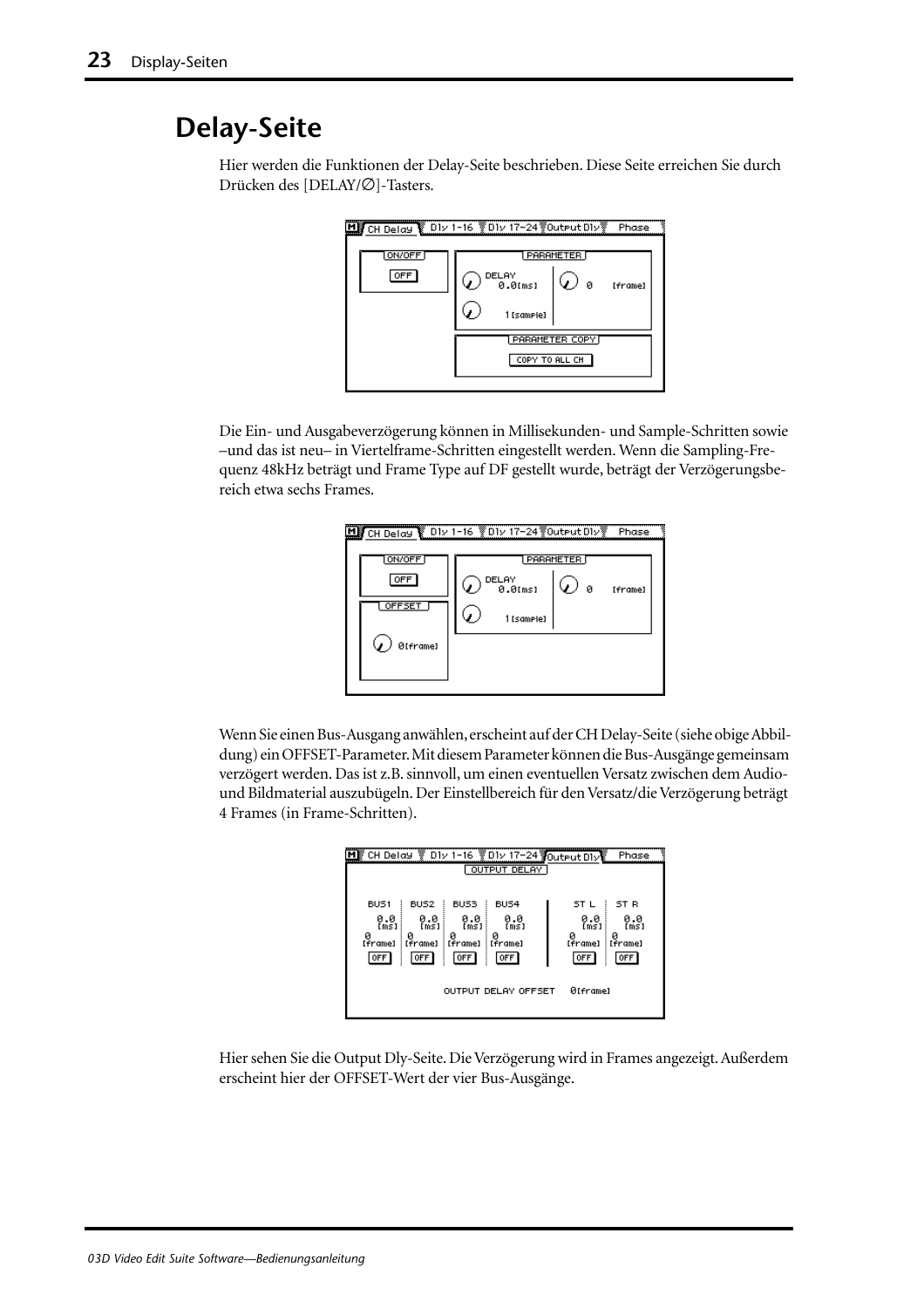## <span id="page-88-0"></span>**Delay-Seite**

Hier werden die Funktionen der Delay-Seite beschrieben. Diese Seite erreichen Sie durch Drücken des [DELAY/∅]-Tasters.



Die Ein- und Ausgabeverzögerung können in Millisekunden- und Sample-Schritten sowie –und das ist neu– in Viertelframe-Schritten eingestellt werden. Wenn die Sampling-Frequenz 48kHz beträgt und Frame Type auf DF gestellt wurde, beträgt der Verzögerungsbereich etwa sechs Frames.

| 비        | CH Delay © D1v 1-16 VD1v 17-24 VOutput D1vV |   | Phase   |
|----------|---------------------------------------------|---|---------|
| ON/OFF   | <b>PARAMETER</b>                            |   |         |
| OFF      | DELAY<br>0.0 <sub>[ms]</sub>                | ø | [frame] |
| OFFSET   | 1 [sample]                                  |   |         |
| ØIframel |                                             |   |         |
|          |                                             |   |         |

Wenn Sie einen Bus-Ausgang anwählen, erscheint auf der CH Delay-Seite (siehe obige Abbildung) ein OFFSET-Parameter. Mit diesem Parameter können die Bus-Ausgänge gemeinsam verzögert werden. Das ist z.B. sinnvoll, um einen eventuellen Versatz zwischen dem Audiound Bildmaterial auszubügeln. Der Einstellbereich für den Versatz/die Verzögerung beträgt 4 Frames (in Frame-Schritten).

|                                                                     |                                                                     |                                                           |                                                          | CH Delay 201v 1-16 201v 17-24 Output DIV<br>Phase                                          |  |  |  |
|---------------------------------------------------------------------|---------------------------------------------------------------------|-----------------------------------------------------------|----------------------------------------------------------|--------------------------------------------------------------------------------------------|--|--|--|
|                                                                     | OUTPUT DELAY                                                        |                                                           |                                                          |                                                                                            |  |  |  |
| BUS <sub>1</sub><br>0.0<br>(m <sub>S</sub> )<br>ø<br>[frame]<br>OFF | BUS <sub>2</sub><br>0.0<br>[ms]<br>Й<br>[frame]<br>OFF <sup>1</sup> | BUS3<br>0.0<br>[ms]<br>Й<br>: [frame]<br>OFF <sup>1</sup> | BUS4<br>0.0<br>$\overline{m51}$<br>ø<br>: [frame]<br>OFF | ST R<br>ST L<br>0.0<br>0.0<br>[ms]<br>(ms)<br>Й<br>и<br>: [frame]<br>[frame]<br>OFF<br>0FF |  |  |  |
| ØIframel<br><b>OUTPUT DELAY OFFSET</b>                              |                                                                     |                                                           |                                                          |                                                                                            |  |  |  |
|                                                                     |                                                                     |                                                           |                                                          |                                                                                            |  |  |  |

Hier sehen Sie die Output Dly-Seite. Die Verzögerung wird in Frames angezeigt. Außerdem erscheint hier der OFFSET-Wert der vier Bus-Ausgänge.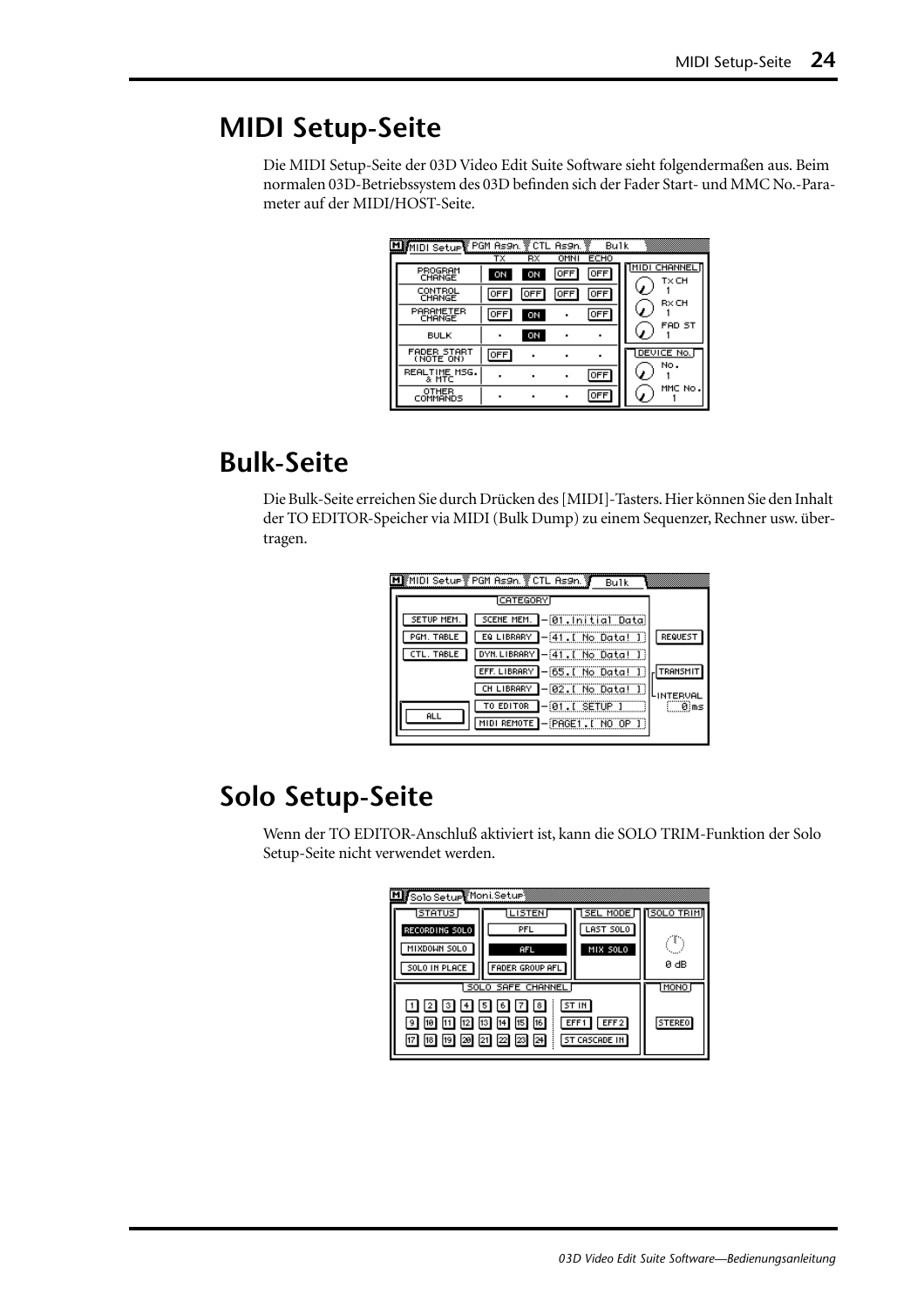## **MIDI Setup-Seite**

Die MIDI Setup-Seite der 03D Video Edit Suite Software sieht folgendermaßen aus. Beim normalen 03D-Betriebssystem des 03D befinden sich der Fader Start- und MMC No.-Parameter auf der MIDI/HOST-Seite.

| MIMIDI Setup PGM As9n. VCTL As9n. | тχ             | RX         | OMNI       | Bulk<br><b>ECHO</b> |                              |
|-----------------------------------|----------------|------------|------------|---------------------|------------------------------|
| PROGRAM<br>CHANGE                 | ON             | ON         | OFF        | 0FF                 | <b>MIDI CHANNEL</b><br>T× CH |
| CONTROL<br>CHANGE                 | OFF            | <b>OFF</b> | <b>OFF</b> | <b>OFF</b>          | RxCH                         |
| PARAMETER<br>CHANGE               | OFF            | ON         |            | OFF                 | J.                           |
| <b>BULK</b>                       | ٠              | ON         |            |                     | FAD ST                       |
| <b>FADER START</b><br>(NOTE ON)   | OFF            |            |            |                     | DEVICE No.<br>No.            |
| REALTIME MSG.<br>& MTC            |                |            |            | <b>OFF</b>          |                              |
| <b>OTHER</b><br>COMMANDS          | $\blacksquare$ |            |            | OFF                 | MMC No                       |

## **Bulk-Seite**

Die Bulk-Seite erreichen Sie durch Drücken des [MIDI]-Tasters. Hier können Sie den Inhalt der TO EDITOR-Speicher via MIDI (Bulk Dump) zu einem Sequenzer, Rechner usw. übertragen.

| ∭MIDI Setur ▒ PGM As9n. ▒ CTL As9n. ▒<br>Bulk             |           |
|-----------------------------------------------------------|-----------|
| ICATEGORYI                                                |           |
| SCENE MEM. - 01. Initial Data)<br><b>SETUP MEM</b>        |           |
| PGM. TABLE<br>EQ LIBRARY<br>-41.[ No Data! 1              | REQUEST   |
| $-[41]$ . No Data! I<br>DYN. LIBRARY<br><b>CTL. TABLE</b> |           |
| EFF. LIBRARY - [65. [ No Data! ]                          | TRANSMIT  |
| $-@2.$ [ No Data! ]<br>CH LIBRARY                         | LINTERVAL |
| $-01$ . $I$ SETUP $I$<br>TO EDITOR                        | 0}ms      |
| MIDI REMOTE - PAGET. [ NO OP ]                            |           |
| <b>ALL</b>                                                |           |

## **Solo Setup-Seite**

Wenn der TO EDITOR-Anschluß aktiviert ist, kann die SOLO TRIM-Funktion der Solo Setup-Seite nicht verwendet werden.

| Misolo Setupe Moni Setup |                                                                               |                        |               |
|--------------------------|-------------------------------------------------------------------------------|------------------------|---------------|
| [STATUS]                 | <b>LISTEN</b>                                                                 | SEL MODE∏    SOLO TRIM |               |
| RECORDING SOLO           | PFL                                                                           | LAST SOLO              |               |
| MIXDOWN SOLO             | AFL                                                                           | MIX SOLO               | ٤             |
| SOLO IN PLACE            | FADER GROUP AFL                                                               |                        | 0 dB          |
| SOLO SAFE CHANNEL        | MONO                                                                          |                        |               |
| 1 2 3 4 5 6 7 8          |                                                                               |                        |               |
| 10 <br>19 I              | $\boxed{11}$ $\boxed{12}$ $\boxed{13}$ $\boxed{14}$ $\boxed{15}$ $\boxed{16}$ | EFF1<br>EFF2           | <b>STEREO</b> |
| 17 18 19 20 21 22 23 24  |                                                                               | ST CASCADE IN          |               |
|                          |                                                                               |                        |               |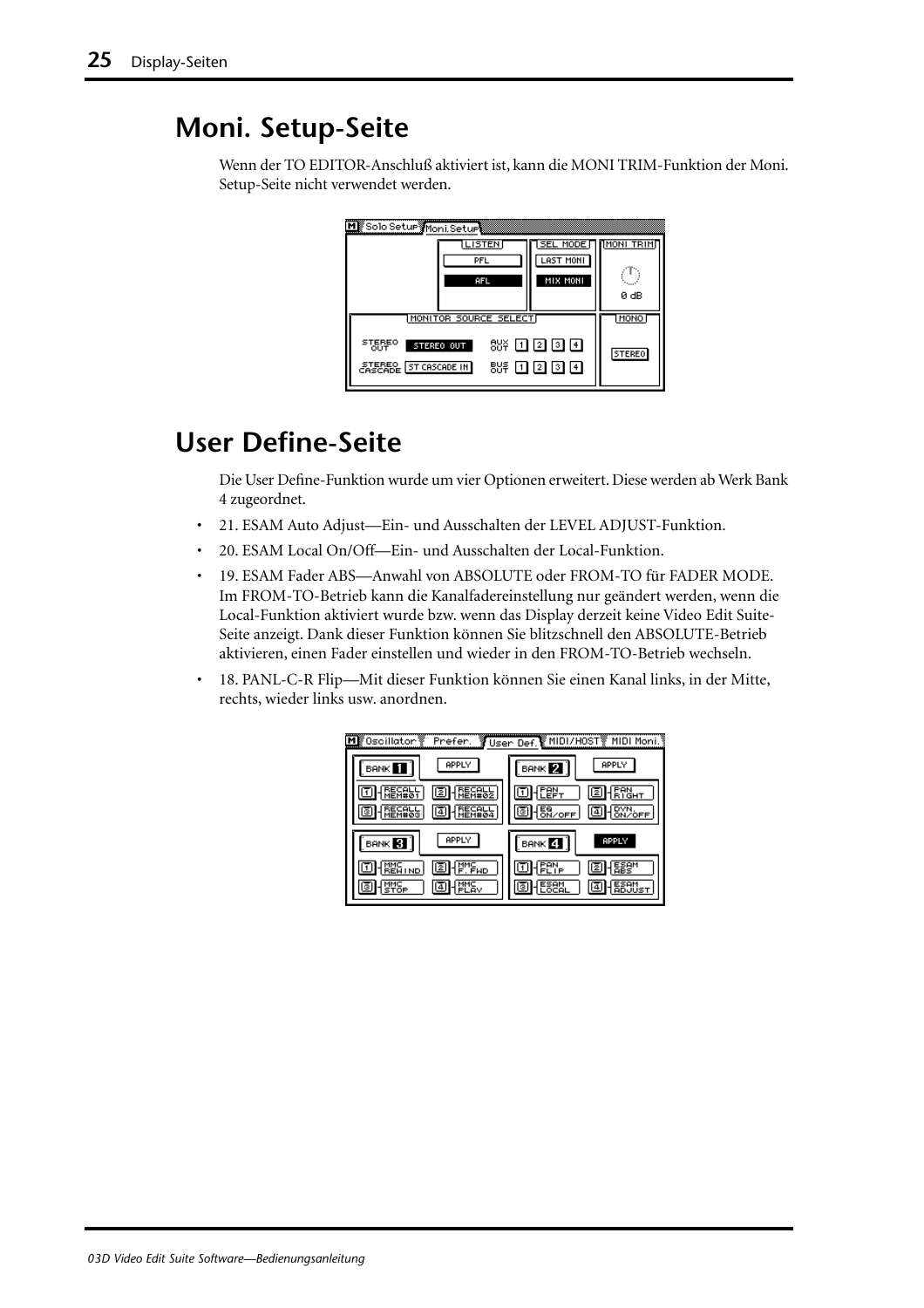## <span id="page-90-0"></span>**Moni. Setup-Seite**

Wenn der TO EDITOR-Anschluß aktiviert ist, kann die MONI TRIM-Funktion der Moni. Setup-Seite nicht verwendet werden.

| M Solo Setur Moni Seture<br><b>LISTEN</b><br>PFL<br>AFL                                              | <b>SEL MODE</b><br>LAST MONI<br>MIX MONI | <b>NONI TRIME</b><br>0 dB    |
|------------------------------------------------------------------------------------------------------|------------------------------------------|------------------------------|
| MONITOR SOURCE SELECT<br><b>STEREO</b><br>STEREO OUT<br>ΌÜΤ<br><b><i>CASCADE</i></b> [ST CASCADE IN] | 88¥ OO 20 OO 140<br>88후 ① ② ③ ④          | <b>MONO</b><br><b>STEREO</b> |

## **User Define-Seite**

Die User Define-Funktion wurde um vier Optionen erweitert. Diese werden ab Werk Bank 4 zugeordnet.

- 21. ESAM Auto Adjust—Ein- und Ausschalten der LEVEL ADJUST-Funktion.
- 20. ESAM Local On/Off—Ein- und Ausschalten der Local-Funktion.
- 19. ESAM Fader ABS—Anwahl von ABSOLUTE oder FROM-TO für FADER MODE. Im FROM-TO-Betrieb kann die Kanalfadereinstellung nur geändert werden, wenn die Local-Funktion aktiviert wurde bzw. wenn das Display derzeit keine Video Edit Suite-Seite anzeigt. Dank dieser Funktion können Sie blitzschnell den ABSOLUTE-Betrieb aktivieren, einen Fader einstellen und wieder in den FROM-TO-Betrieb wechseln.
- 18. PANL-C-R Flip—Mit dieser Funktion können Sie einen Kanal links, in der Mitte, rechts, wieder links usw. anordnen.

| Mg Oscillator     | Prefer.                    | <mark></mark> User Def.【 <u>MIDI/H</u> OST》 | MIDI Moni.                |
|-------------------|----------------------------|---------------------------------------------|---------------------------|
| <b>BANK</b>       | APPLY                      | BANK <sup>2</sup>                           | APPLY                     |
|                   |                            | ES OFF                                      | 4                         |
| <b>BANK</b><br>81 | APPLY                      | BANK 4                                      | <sup>2</sup> òFF<br>APPLY |
| <b>ND</b>         | hue <sup>Mu</sup><br>112 I |                                             | 12                        |
|                   | 4                          |                                             | 4                         |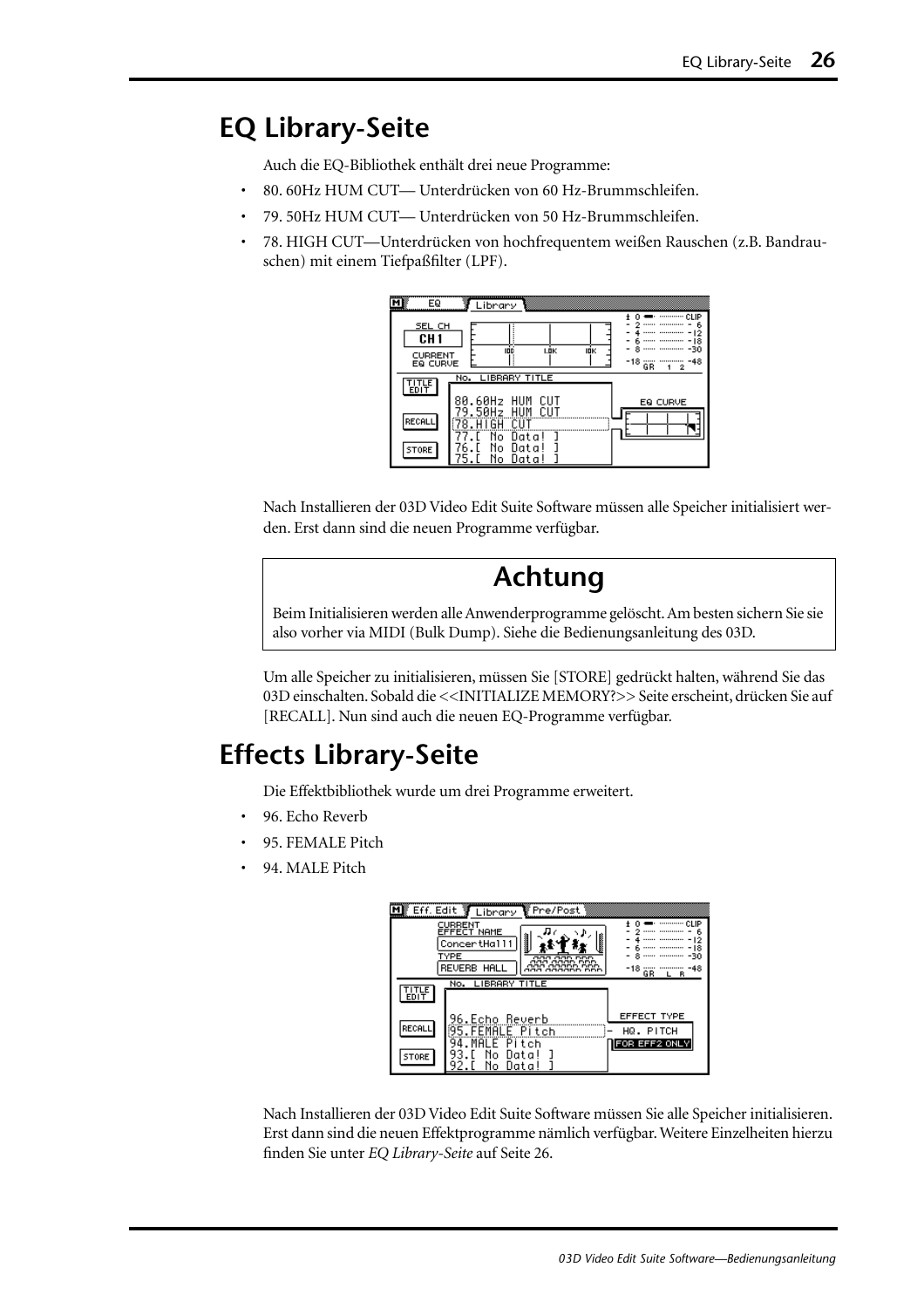## <span id="page-91-0"></span>**EQ Library-Seite**

Auch die EQ-Bibliothek enthält drei neue Programme:

- 80. 60Hz HUM CUT— Unterdrücken von 60 Hz-Brummschleifen.
- 79. 50Hz HUM CUT— Unterdrücken von 50 Hz-Brummschleifen.
- 78. HIGH CUT—Unterdrücken von hochfrequentem weißen Rauschen (z.B. Bandrauschen) mit einem Tiefpaßfilter (LPF).

| EQ                                               | Library                                                                                                 |
|--------------------------------------------------|---------------------------------------------------------------------------------------------------------|
| SEL CH<br>CH <sub>1</sub><br>CURRENT<br>EQ CURVE | CLIP<br><br>ь<br>о<br>8<br>-30<br>IDÉ<br>I.ÖK<br>IOK<br>-48<br>-18<br>GR<br>2                           |
| TITLE<br>EDIT                                    | No. LIBRARY TITLE                                                                                       |
| RECALL<br>STORE                                  | 80.60Hz<br>HUM<br>CUT<br>EQ CURVE<br>.50Hz<br>٩<br>HUM<br>No.<br>Data!<br>N٥<br>Data<br>No<br>Uata<br>5 |

Nach Installieren der 03D Video Edit Suite Software müssen alle Speicher initialisiert werden. Erst dann sind die neuen Programme verfügbar.

## **Achtung**

Beim Initialisieren werden alle Anwenderprogramme gelöscht. Am besten sichern Sie sie also vorher via MIDI (Bulk Dump). Siehe die Bedienungsanleitung des 03D.

Um alle Speicher zu initialisieren, müssen Sie [STORE] gedrückt halten, während Sie das 03D einschalten. Sobald die <<INITIALIZE MEMORY?>> Seite erscheint, drücken Sie auf [RECALL]. Nun sind auch die neuen EQ-Programme verfügbar.

## **Effects Library-Seite**

Die Effektbibliothek wurde um drei Programme erweitert.

- 96. Echo Reverb
- 95. FEMALE Pitch
- 94. MALE Pitch



Nach Installieren der 03D Video Edit Suite Software müssen Sie alle Speicher initialisieren. Erst dann sind die neuen Effektprogramme nämlich verfügbar. Weitere Einzelheiten hierzu finden Sie unter *EQ Library-Seite* auf Seite 26.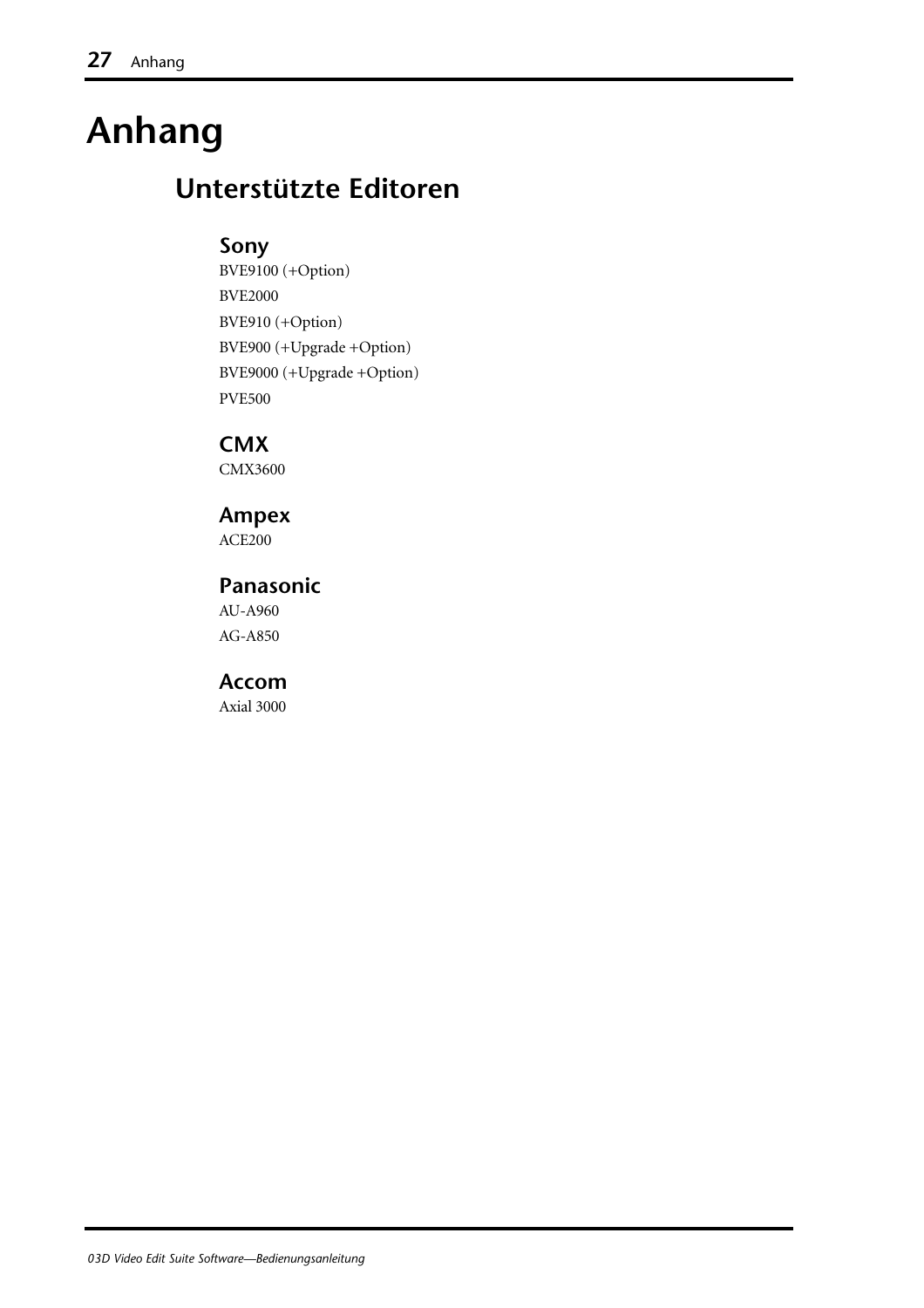## **Anhang**

## **Unterstützte Editoren**

#### **Sony**

BVE9100 (+Option) BVE2000 BVE910 (+Option) BVE900 (+Upgrade +Option) BVE9000 (+Upgrade +Option) PVE500

**CMX** CMX3600

#### **Ampex**

ACE200

#### **Panasonic**

AU-A960 AG-A850

#### **Accom**

Axial 3000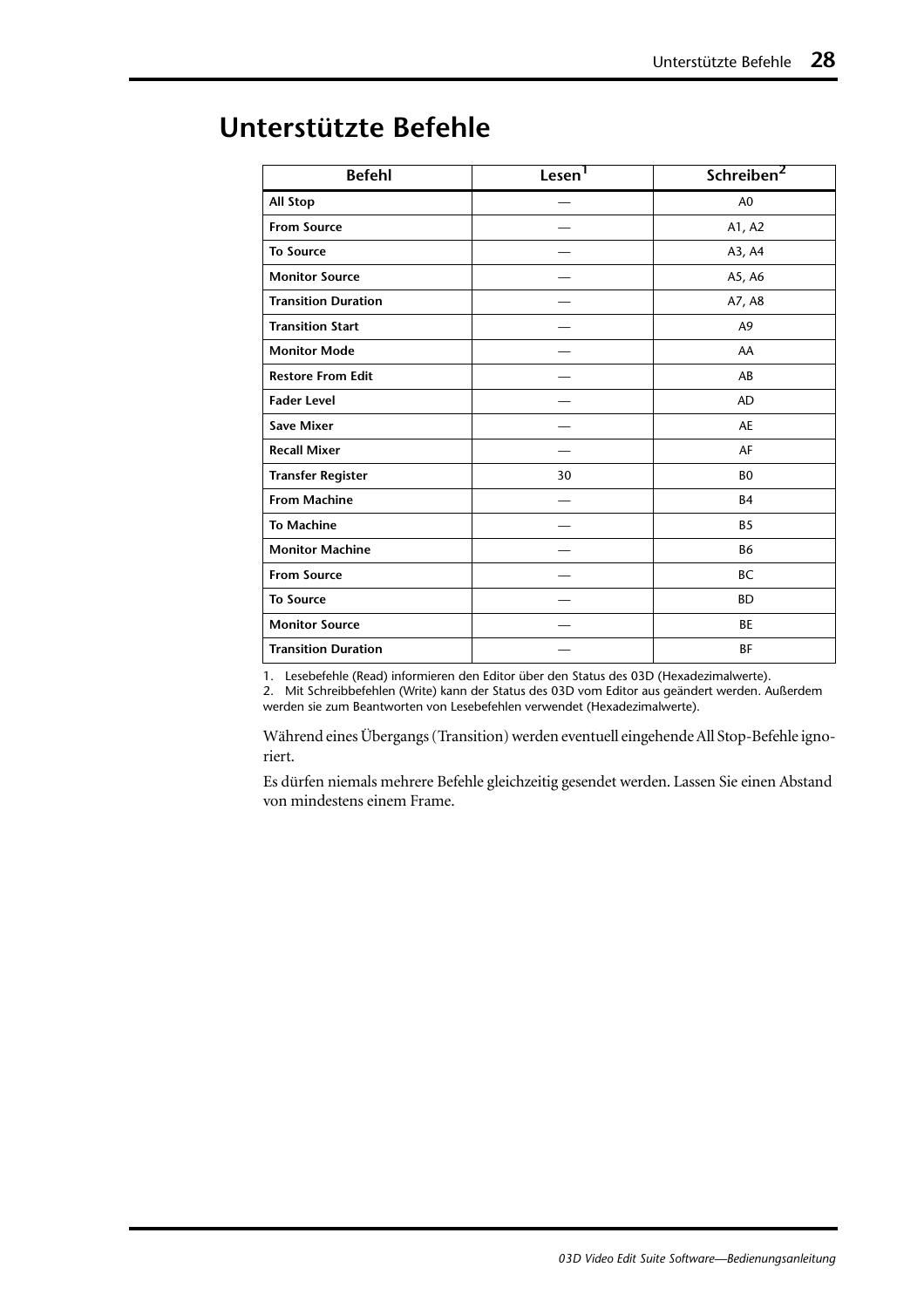| <b>Befehl</b>              | Lesen <sup>1</sup> | Schreiben <sup>2</sup> |
|----------------------------|--------------------|------------------------|
| <b>All Stop</b>            |                    | A <sub>0</sub>         |
| <b>From Source</b>         |                    | A1, A2                 |
| <b>To Source</b>           |                    | A3, A4                 |
| <b>Monitor Source</b>      |                    | A5, A6                 |
| <b>Transition Duration</b> |                    | A7, A8                 |
| <b>Transition Start</b>    |                    | A <sub>9</sub>         |
| <b>Monitor Mode</b>        |                    | AA                     |
| <b>Restore From Edit</b>   |                    | AB                     |
| <b>Fader Level</b>         |                    | <b>AD</b>              |
| <b>Save Mixer</b>          |                    | AE                     |
| <b>Recall Mixer</b>        |                    | AF                     |
| <b>Transfer Register</b>   | 30                 | B <sub>0</sub>         |
| <b>From Machine</b>        |                    | <b>B4</b>              |
| <b>To Machine</b>          |                    | B <sub>5</sub>         |
| <b>Monitor Machine</b>     |                    | <b>B6</b>              |
| <b>From Source</b>         |                    | <b>BC</b>              |
| <b>To Source</b>           |                    | <b>BD</b>              |
| <b>Monitor Source</b>      |                    | <b>BE</b>              |
| <b>Transition Duration</b> |                    | <b>BF</b>              |

## <span id="page-93-0"></span>**Unterstützte Befehle**

1. Lesebefehle (Read) informieren den Editor über den Status des 03D (Hexadezimalwerte).

2. Mit Schreibbefehlen (Write) kann der Status des 03D vom Editor aus geändert werden. Außerdem werden sie zum Beantworten von Lesebefehlen verwendet (Hexadezimalwerte).

Während eines Übergangs (Transition) werden eventuell eingehende All Stop-Befehle ignoriert.

Es dürfen niemals mehrere Befehle gleichzeitig gesendet werden. Lassen Sie einen Abstand von mindestens einem Frame.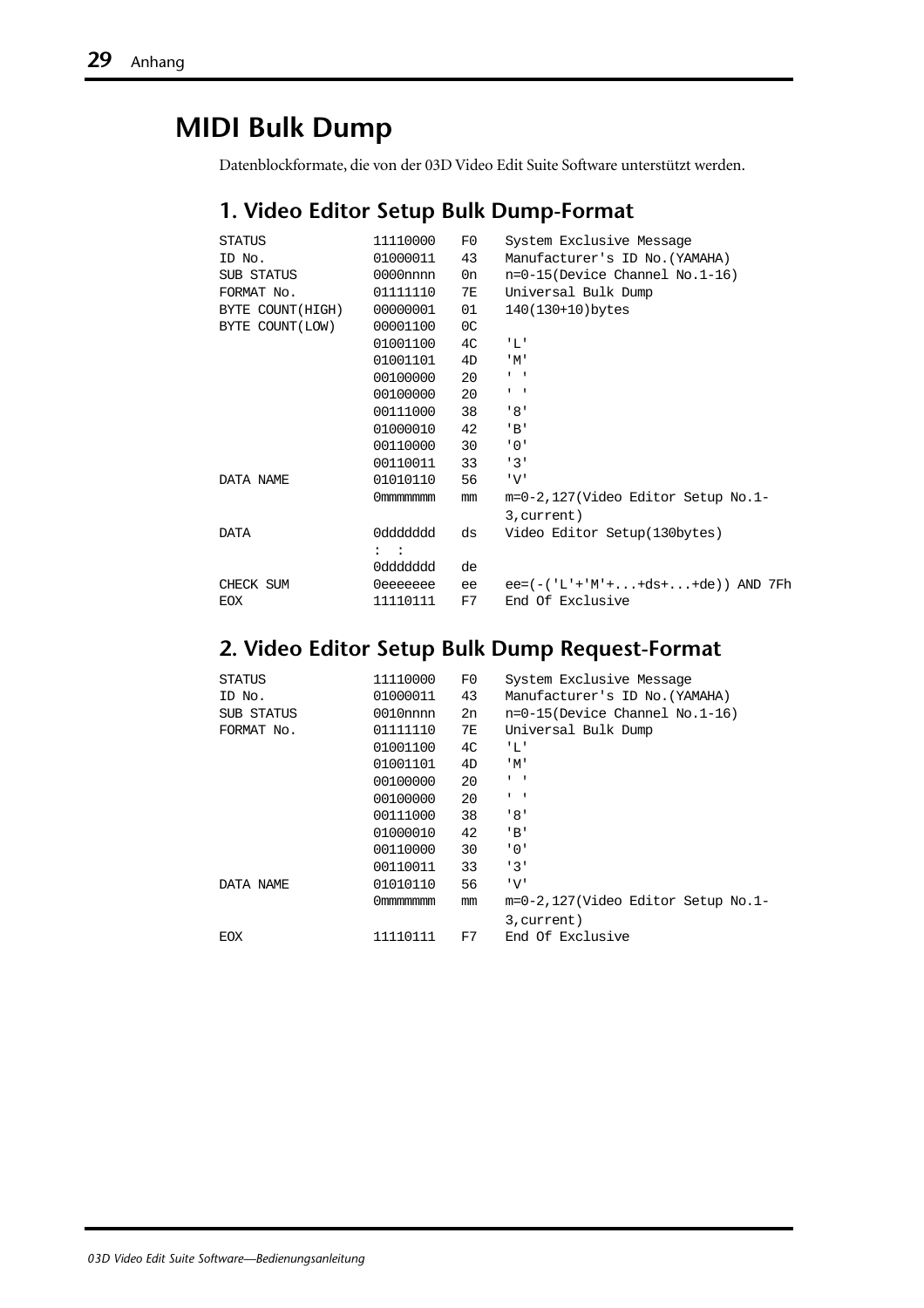## **MIDI Bulk Dump**

Datenblockformate, die von der 03D Video Edit Suite Software unterstützt werden.

#### **1. Video Editor Setup Bulk Dump-Format**

| <b>STATUS</b>     | 11110000       | F0 | System Exclusive Message           |
|-------------------|----------------|----|------------------------------------|
| ID No.            | 01000011       | 43 | Manufacturer's ID No. (YAMAHA)     |
| SUB STATUS        | $0000$ nnnn    | 0n | $n=0-15$ (Device Channel No.1-16)  |
| FORMAT No.        | 01111110       | 7E | Universal Bulk Dump                |
| BYTE COUNT (HIGH) | 00000001       | 01 | 140(130+10)bytes                   |
| BYTE COUNT (LOW)  | 00001100       | 0C |                                    |
|                   | 01001100       | 4C | ' L'                               |
|                   | 01001101       | 4D | 'M'                                |
|                   | 00100000       | 20 | $\mathbf{I}=\mathbf{I}$            |
|                   | 00100000       | 20 | $\mathbf{I}=\mathbf{I}$            |
|                   | 00111000       | 38 | '8'                                |
|                   | 01000010       | 42 | $'$ B'                             |
|                   | 00110000       | 30 | י 0 י                              |
|                   | 00110011       | 33 | 131                                |
| DATA NAME         | 01010110       | 56 | 'V'                                |
|                   | 0mmmmmmm       | mm | m=0-2,127(Video Editor Setup No.1- |
|                   |                |    | 3, current)                        |
| <b>DATA</b>       | 0ddddddd       | ds | Video Editor Setup(130bytes)       |
|                   | $\mathbf{1}$ : |    |                                    |
|                   | 0ddddddd       | de |                                    |
| CHECK SUM         | 0eeeeeee       | ee | $ee=(-('L'+'M'++ds++de))$ AND 7Fh  |
| <b>EOX</b>        | 11110111       | F7 | End Of Exclusive                   |

#### **2. Video Editor Setup Bulk Dump Request-Format**

| 11110000    | F0 | System Exclusive Message           |
|-------------|----|------------------------------------|
| 01000011    | 43 | Manufacturer's ID No. (YAMAHA)     |
| $0010$ nnnn | 2n | $n=0-15$ (Device Channel No.1-16)  |
| 01111110    | 7E | Universal Bulk Dump                |
| 01001100    | 4C | 'L'                                |
| 01001101    | 4D | $^{\prime}$ M $^{\prime}$          |
| 00100000    | 20 | $1 - 1$                            |
| 00100000    | 20 | $\mathbf{I}$ $\mathbf{I}$          |
| 00111000    | 38 | '8'                                |
| 01000010    | 42 | ' B'                               |
| 00110000    | 30 | י 0 י                              |
| 00110011    | 33 | 131                                |
| 01010110    | 56 | 'V'                                |
| Ommmmmmm    | mm | m=0-2,127(Video Editor Setup No.1- |
|             |    | 3, current)                        |
| 11110111    | F7 | End Of Exclusive                   |
|             |    |                                    |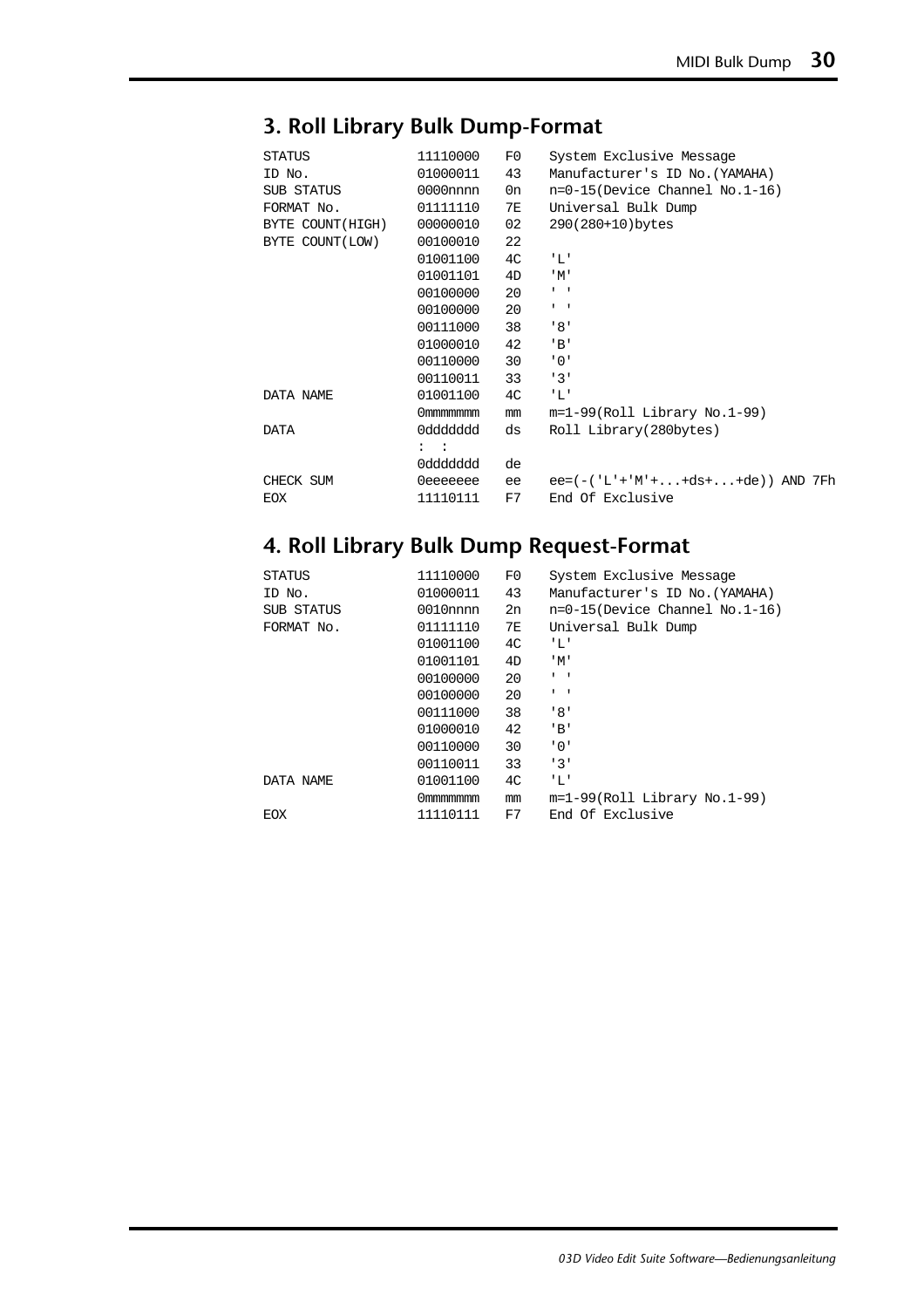#### **3. Roll Library Bulk Dump-Format**

| <b>STATUS</b>    | 11110000       | F0 | System Exclusive Message          |
|------------------|----------------|----|-----------------------------------|
| ID No.           | 01000011       | 43 | Manufacturer's ID No. (YAMAHA)    |
| SUB STATUS       | $0000$ nnnn    | 0n | $n=0-15$ (Device Channel No.1-16) |
| FORMAT No.       | 01111110       | 7E | Universal Bulk Dump               |
| BYTE COUNT(HIGH) | 00000010       | 02 | 290(280+10)bytes                  |
| BYTE COUNT(LOW)  | 00100010       | 22 |                                   |
|                  | 01001100       | 4C | 'L'                               |
|                  | 01001101       | 4D | 'M'                               |
|                  | 00100000       | 20 | $\mathbf{I}=\mathbf{I}$           |
|                  | 00100000       | 20 | $\mathbf{I}=\mathbf{I}$           |
|                  | 00111000       | 38 | ' 8'                              |
|                  | 01000010       | 42 | 'B'                               |
|                  | 00110000       | 30 | '0'                               |
|                  | 00110011       | 33 | 131                               |
| DATA NAME        | 01001100       | 4C | ' L'                              |
|                  | 0mmmmmmm       | mm | $m=1-99(Roll Library No.1-99)$    |
| DATA             | 0ddddddd       | ds | Roll Library(280bytes)            |
|                  | $\mathbf{z}$ : |    |                                   |
|                  | 0ddddddd       | de |                                   |
| CHECK SUM        | 0eeeeeee       | ee | $ee=(-('L'+'M'++ds++de))$ AND 7Fh |
| <b>EOX</b>       | 11110111       | F7 | End Of Exclusive                  |

#### **4. Roll Library Bulk Dump Request-Format**

| <b>STATUS</b> | 11110000    | F0             | System Exclusive Message          |
|---------------|-------------|----------------|-----------------------------------|
| ID No.        | 01000011    | 43             | Manufacturer's ID No. (YAMAHA)    |
| SUB STATUS    | $0010$ nnnn | 2n             | $n=0-15$ (Device Channel No.1-16) |
| FORMAT No.    | 01111110    | 7E             | Universal Bulk Dump               |
|               | 01001100    | 4C             | 'L'                               |
|               | 01001101    | 4D             | $^{\prime}$ M $^{\prime}$         |
|               | 00100000    | 20             | $1 - 1$                           |
|               | 00100000    | 20             | $\mathbf{I}$ $\mathbf{I}$         |
|               | 00111000    | 38             | '8'                               |
|               | 01000010    | 42             | $'$ B'                            |
|               | 00110000    | 30             | '0'                               |
|               | 00110011    | 33             | 131                               |
| DATA NAME     | 01001100    | 4 <sup>C</sup> | 'L'                               |
|               | Ommmmmmm    | mm             | $m=1-99(Roll Library No.1-99)$    |
| EOX           | 11110111    | F7             | End Of Exclusive                  |
|               |             |                |                                   |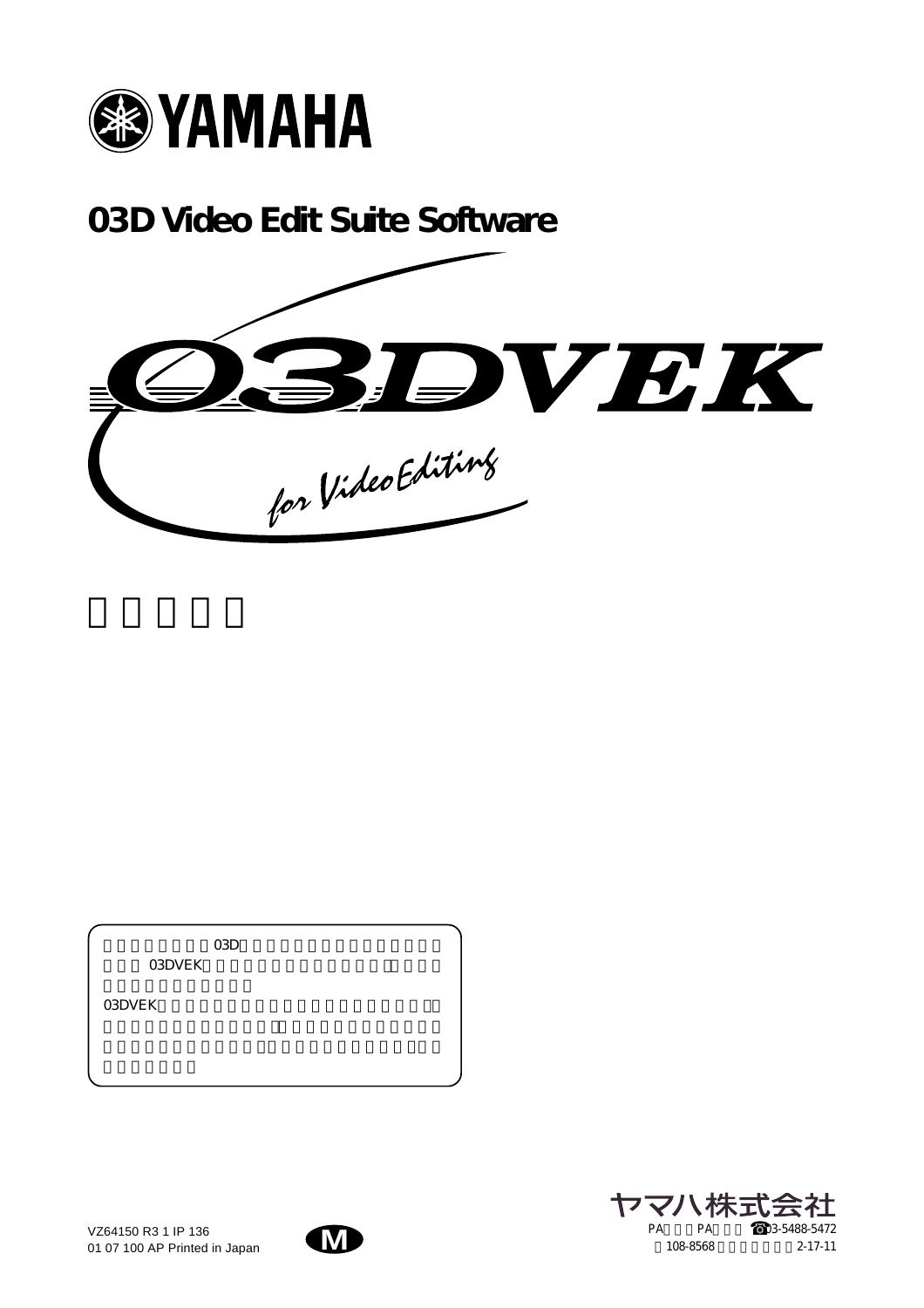

**03D Video Edit Suite Software**



 $\rm O3D$ O3DVEK

03DVEK



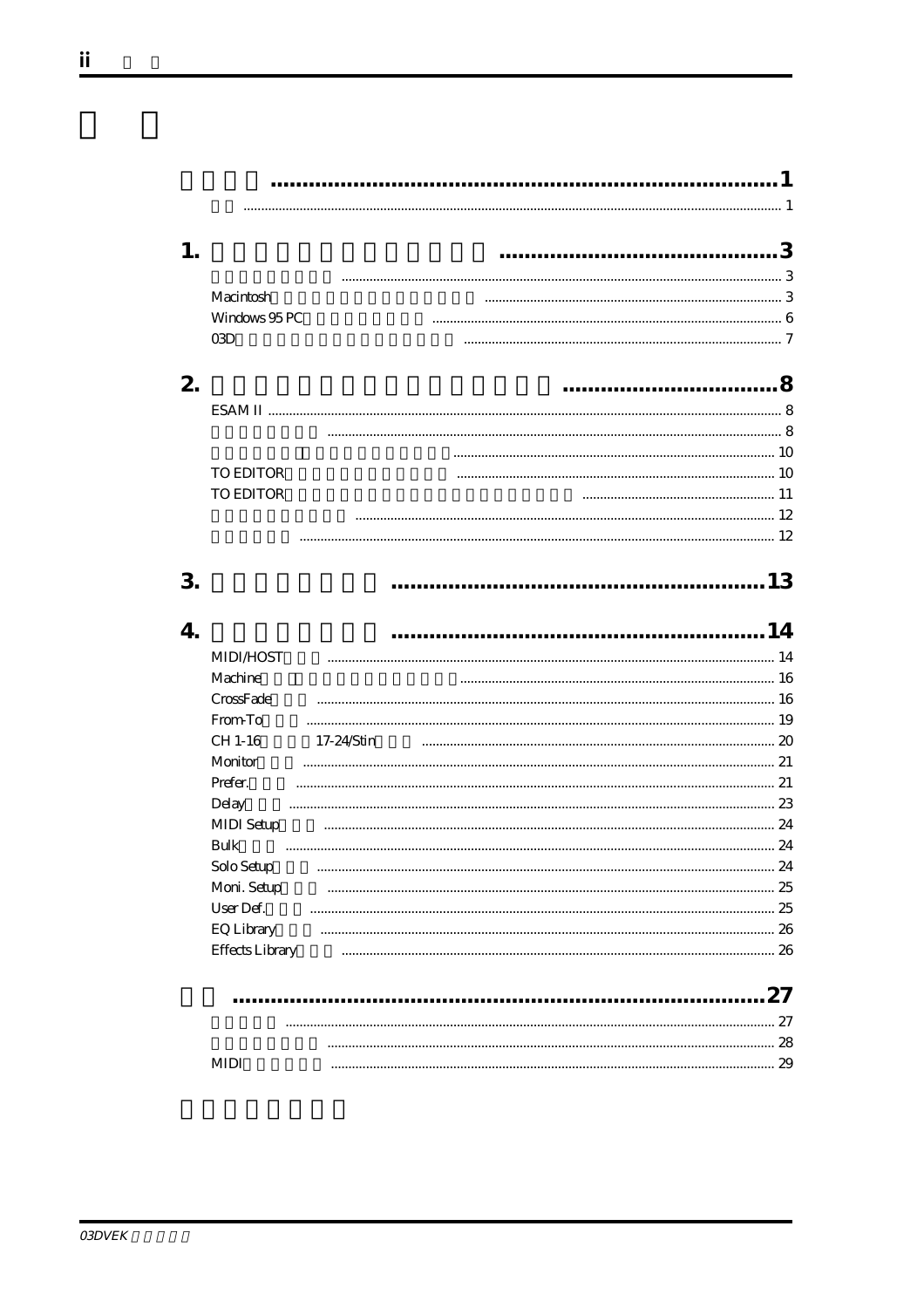1. Macintosh Windows 95 PC  $O3D$ 2. TO EDITOR **TO EDITOR**  $\sim$  12 3.  $\overline{4}$ **MIDI/HOST** Machine  $\frac{16}{16}$ CrossFade From To CH 1-16 17-24/Stin Monitor Profer  $\sim$  21 Delay **MIDI** Setup Bulk Solo Setup Moni. Setup User Def. **EQ Library**  $\frac{26}{26}$ **Effects Library**  $\frac{26}{26}$  $27$ **MIDI**  $\sim$  29

Ϊİ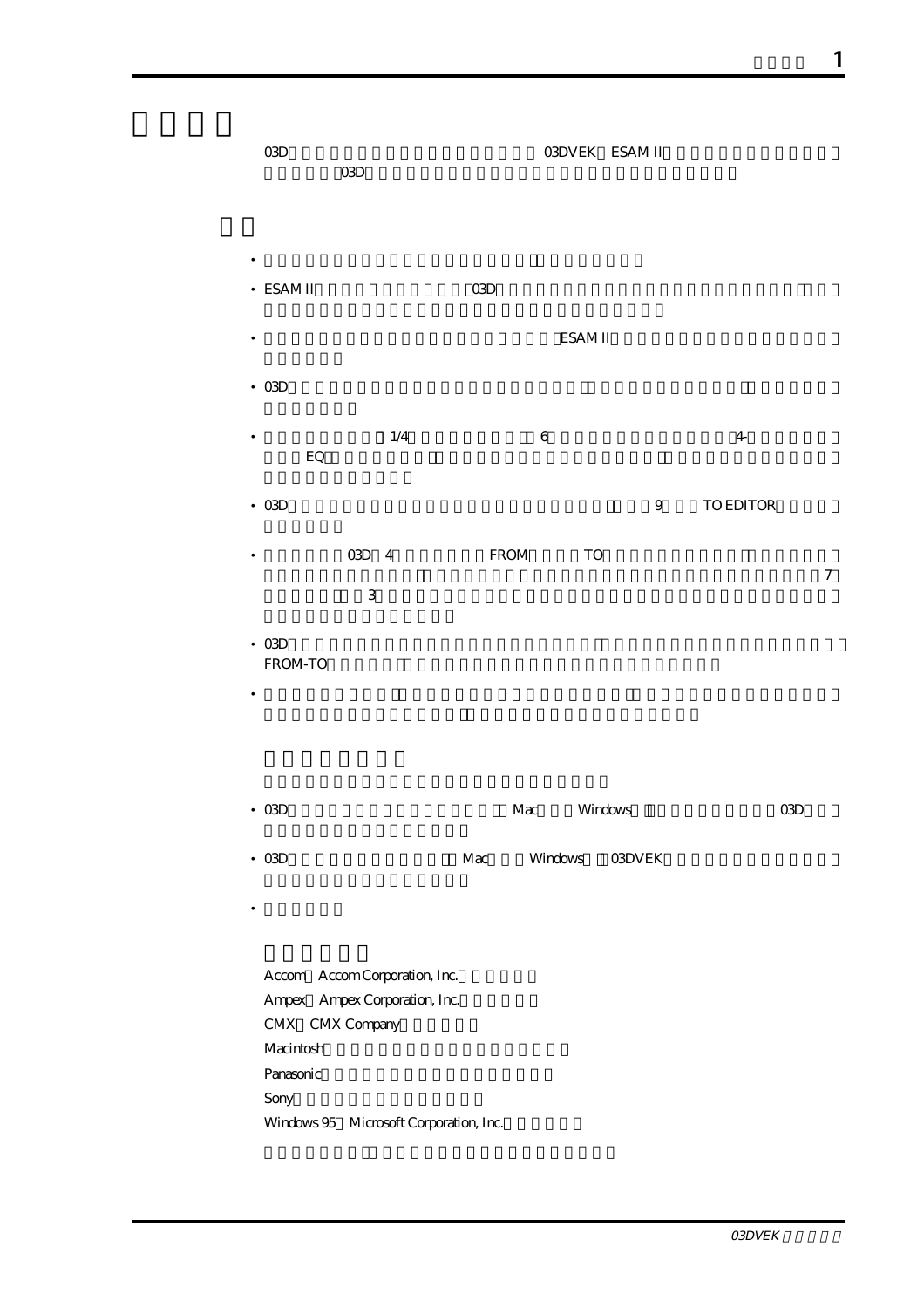- 03D O3DVEK ESAM II  $\text{O3D}$
- $\blacksquare$
- ESAM II STATE THE COSD TEST AND THE USE THE USE THE USE THE USE THE USE THE USE THE USE THE USE THE USE THE U
- SAM II SAM II
- $\alpha$
- $1/4$  6  $\mathrm{Eq}\,$
- 03Dはボードや端子など余分なハードウェアは不要です。標準で9ピンのTO EDITOR端子を搭載
- 603D 4 FROM TO  $\gamma$  $\overline{3}$
- $\alpha$ FROM-TO • モニターする場合は、プレビューソースを選択することで、チャンネルモードとバスモードで
- 03D $\blacksquare$ 
	- 03D標準ソフトウェアディスク(MacおよびWindows用)03DVEKをインストールしていない標
	- Accom Accom Corporation, Inc. Ampex Ampex Corporation, Inc. CMX CMX Company Macintosh Panasonic Sony Windows 95 Microsoft Corporation, Inc.

• **• a**  $\mathbb{R}$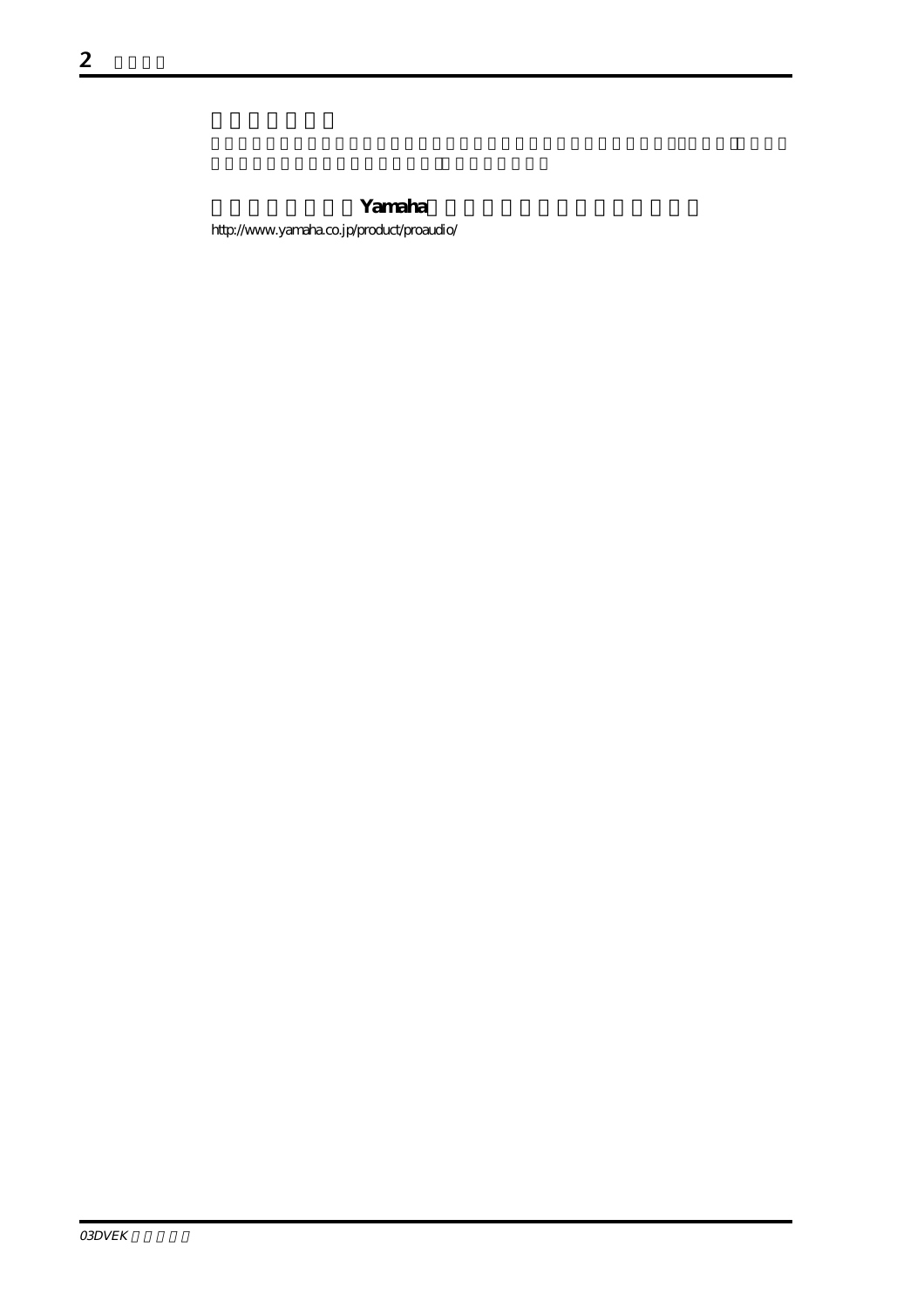Yamaha http://www.yamaha.co.jp/product/proaudio/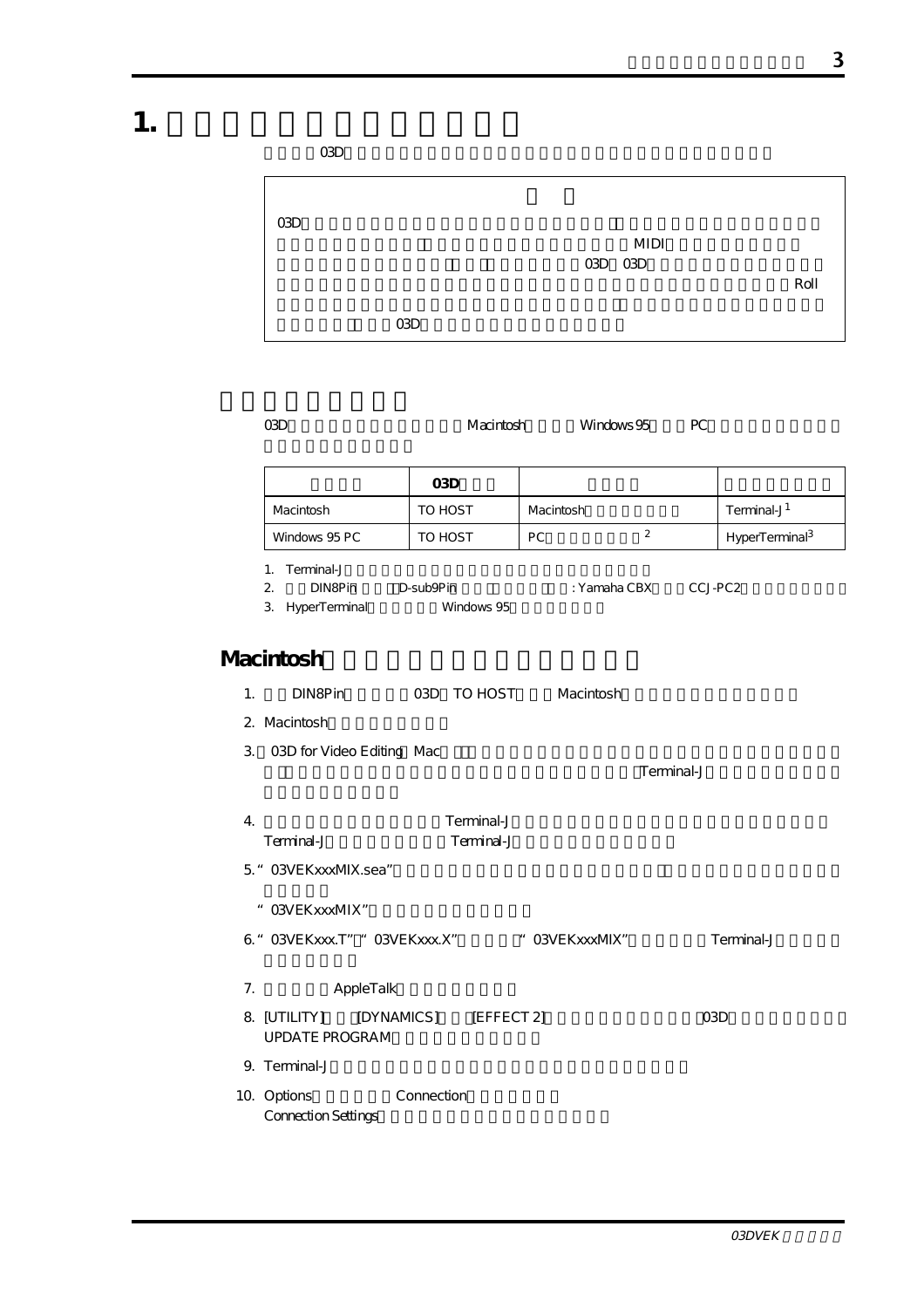**1. ソフトウェアのインストール**

| 03D |  |  |  |  |
|-----|--|--|--|--|
|     |  |  |  |  |

| O(3D) |       |                        |      |
|-------|-------|------------------------|------|
|       |       | <b>MIDI</b><br>03D 03D | Roll |
|       | O(3D) |                        |      |

|--|

|               | 03D     |           |                            |
|---------------|---------|-----------|----------------------------|
| Macintosh     | TO HOST | Macintosh | Terminal-J <sup>1</sup>    |
| Windows 95 PC | TO HOST | PC.       | HyperTerminal <sup>3</sup> |

1. Terminal-J

- 2. DIN8Pin D-sub9Pin( $\overline{D}$ : Yamaha CBX CCJ-PC2
- 3. HyperTerminal Windows 95

#### **Macintosh**

- 1. DIN8Pin 03D TO HOST Macintosh
- 2. Macintosh
- 3. O3D for Video Editing Mac

Terminal-J

| 4.         | Terminal-J |
|------------|------------|
| Terminal-J | Terminal-J |

- 5." 03VEKxxxMIX.sea"
- " O3VEKxxxMIX"
- 6." 03VEKxxx.T" " 03VEKxxx.X" "O3VEKxxxMIX" Terminal-J
- 7. AppleTalk
- 8. [UTILITY] [DYNAMICS] [EFFECT 2] 03D UPDATE PROGRAM
- 9. Terminal-J
- 10. Options Connection Connection Settings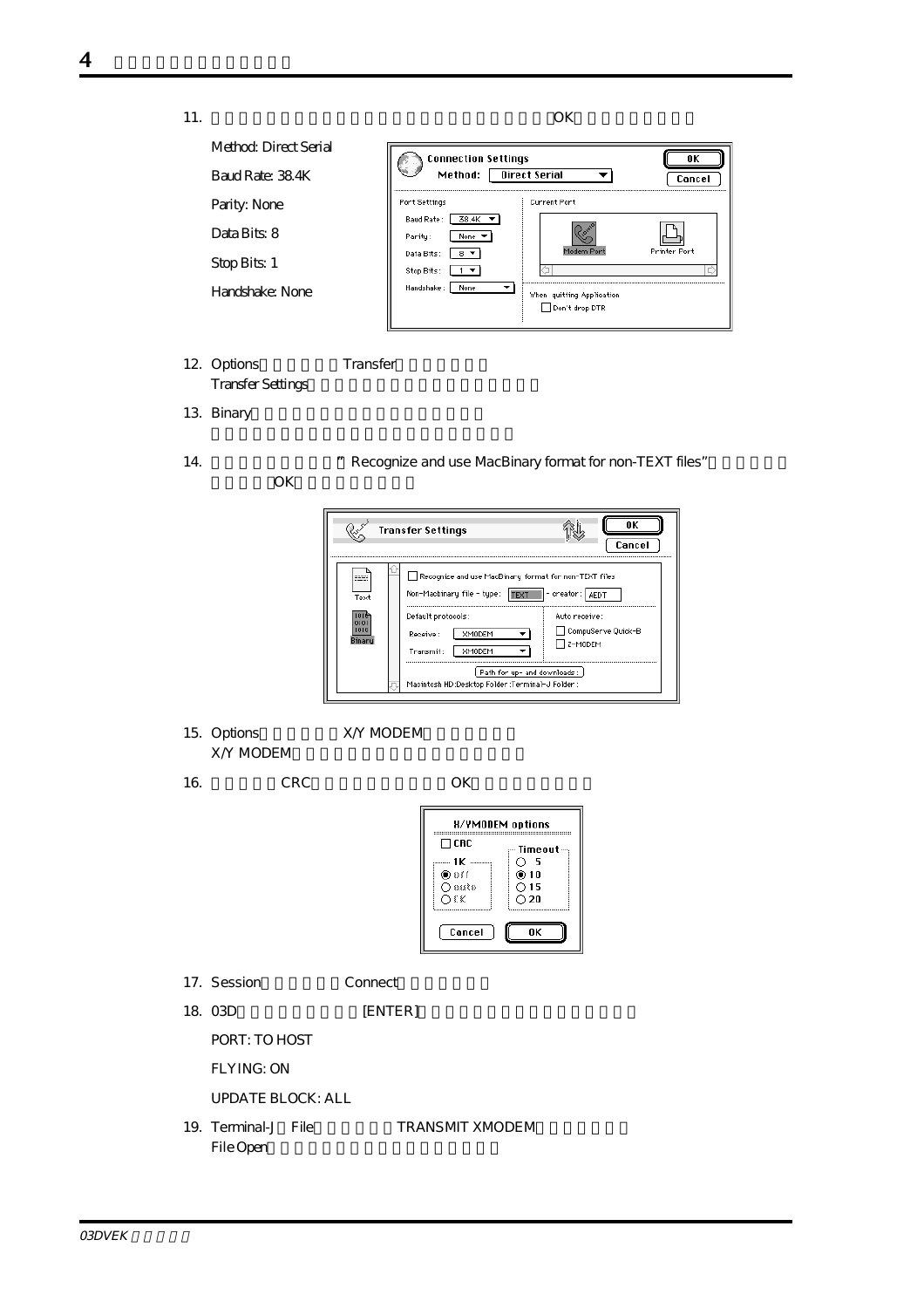

12. Options Transfer **Transfer Settings** 

13. Binary

14. The cognize and use MacBinary format for non-TEXT files"

OK COMPONENT CONSUMING



15. Options X/Y MODEM X/Y MODEM

16. CRC $\qquad \qquad \text{OK}$ 



- 17. Session Connect
- 18. 03D [ENTER]

PORT: TO HOST

FLYING: ON

UPDATE BLOCK: ALL

19. Terminal-J File
TRANSMIT XMODEM File Open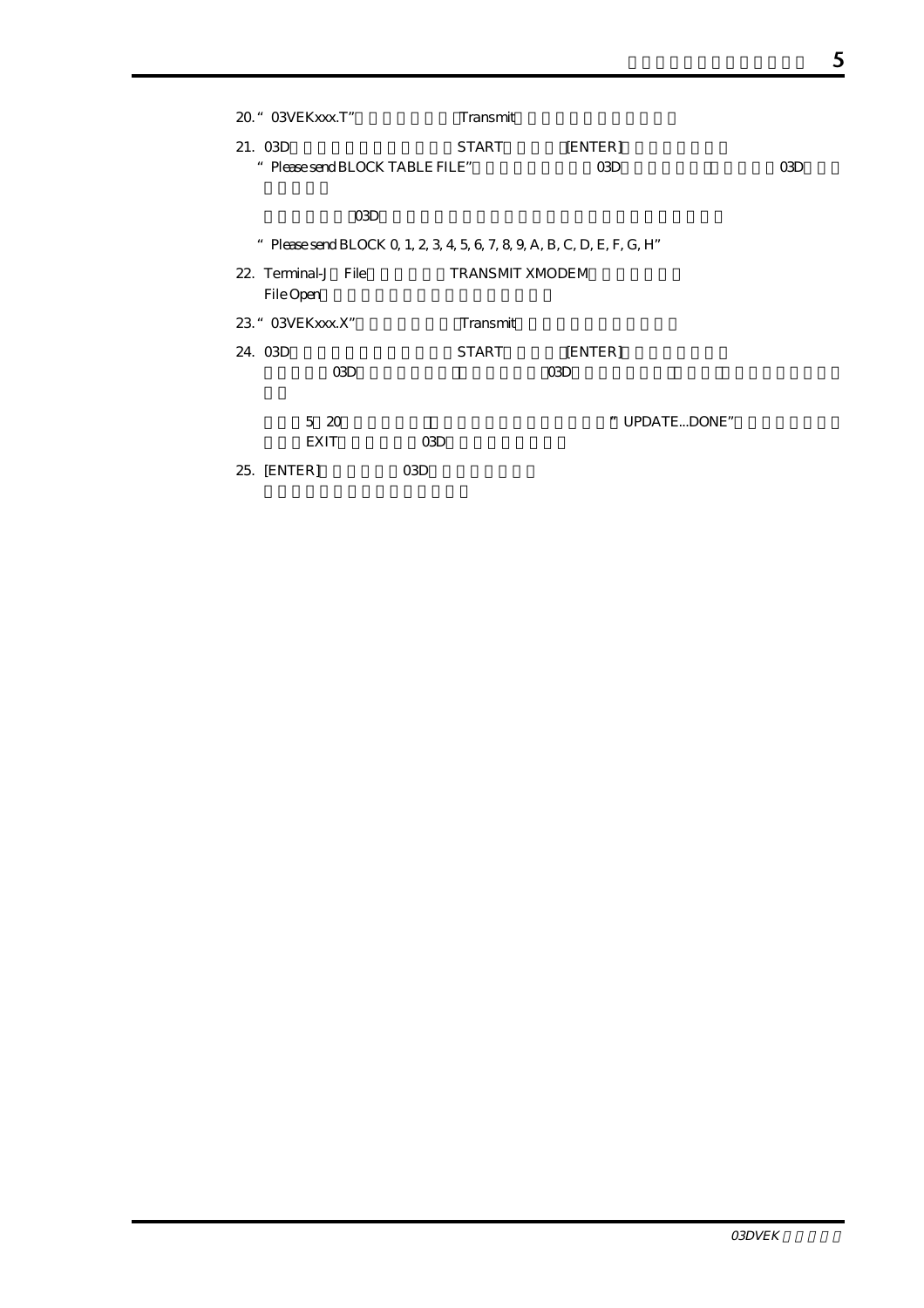| 20. " 03VE K x x x T"         | Transmit                                                                 |               |     |
|-------------------------------|--------------------------------------------------------------------------|---------------|-----|
| 21. 03D                       | START                                                                    | [ENTER]       |     |
| Please send BLOCK TABLE FILE" |                                                                          | 03D           | 03D |
|                               |                                                                          |               |     |
| O3D                           |                                                                          |               |     |
|                               | " Please send BLOCK Q 1, 2, 3, 4, 5, 6, 7, 8, 9, A, B, C, D, E, F, G, H" |               |     |
| 22. Terminal-J File           | <b>TRANSMIT XMODEM</b>                                                   |               |     |
| File Open                     |                                                                          |               |     |
| 23. " 03VE K x x x . X"       | Transmit                                                                 |               |     |
| 24. O3D                       | <b>START</b>                                                             | [ENTER]       |     |
| <b>CGD</b>                    |                                                                          | 03D           |     |
|                               |                                                                          |               |     |
| $5\,20$                       |                                                                          | " UPDATEDONE" |     |
| <b>EXIT</b>                   | 03D                                                                      |               |     |
| 25. [ENTER]                   | O <sub>3</sub> D                                                         |               |     |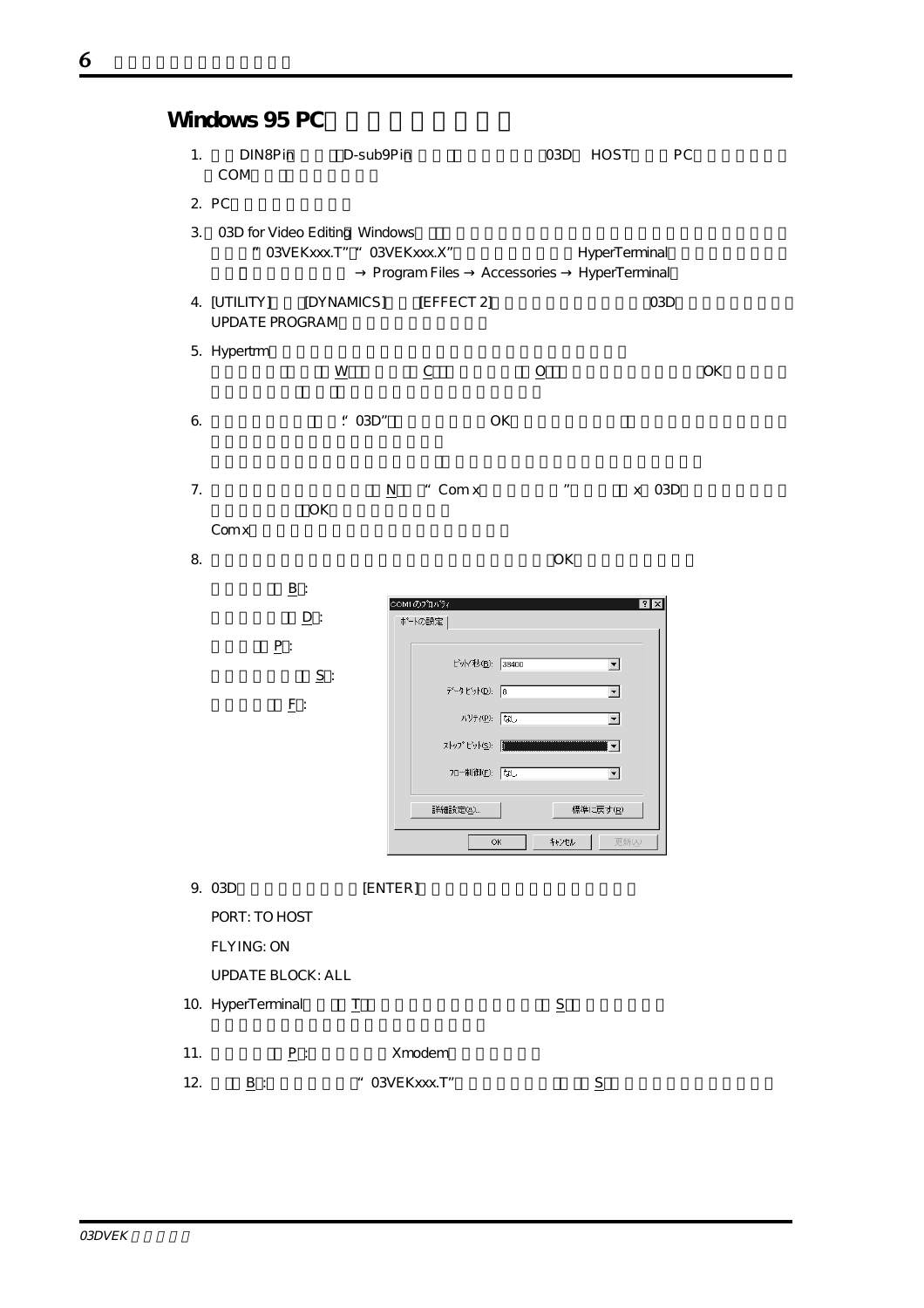|                | Windows 95 PC                         |                                                              |                          |                           |                                |     |
|----------------|---------------------------------------|--------------------------------------------------------------|--------------------------|---------------------------|--------------------------------|-----|
| 1.             | DIN8Pin<br>COM                        | D-sub9Pin                                                    |                          | O3D                       | <b>HOST</b>                    | PC  |
|                | 2. PC                                 |                                                              |                          |                           |                                |     |
| 3.             |                                       | 03D for Video Editing Windows<br>" O3VEKXXX.T" " O3VEKXXX.X" |                          | Program Files Accessories | HyperTerminal<br>HyperTerminal |     |
|                | 4. [UTILITY]<br><b>UPDATE PROGRAM</b> | [DYNAMICS]                                                   | [EFFECT 2]               |                           |                                | O3D |
|                | 5. Hypertrm                           | $\underline{W}$                                              | $\underline{\mathsf{C}}$ | $\overline{O}$            |                                | OK  |
| 6.             |                                       | : 03D"                                                       |                          | OK                        |                                |     |
| 7 <sub>1</sub> | Comx                                  | N<br>OK                                                      | " Com x                  | $\boldsymbol{n}$          | X                              | 03D |
| 8.             |                                       |                                                              |                          | OK                        |                                |     |
|                | $\underline{\mathbf{B}}$ :            |                                                              |                          |                           | $\overline{?}$                 |     |
|                | $\underline{\mathsf{D}}$ :            |                                                              | COM1のプロパティ<br>ボートの設定     |                           |                                |     |
|                | $\underline{\mathbf{P}}$ :            | $\underline{S}$ :                                            | ビット/秒(B): 38400          |                           | ▼                              |     |

 $\underline{\mathbf{F}}$  :

|                                         | OК                       |
|-----------------------------------------|--------------------------|
| COM1のプロパティ<br>ボートの設定                    | $ ?  \times$             |
| ビット/秒(B): 38400                         |                          |
| $\ddot{\cdot}$<br>データビット( <u>D</u> ): 8 | $\blacktriangledown$     |
| <b>パリティ(P): なし</b>                      | $\blacktriangledown$     |
| ストップ ビット(S): 1                          |                          |
| <b>Jロー制御(F): なし</b>                     | $\overline{\phantom{a}}$ |
| 詳細設定(A)                                 | 標準に戻す(R)                 |
|                                         | キャンセル<br>更新(A)<br>OK     |

|                 | 9. 03D                   | [ENTER]                           |                |                |
|-----------------|--------------------------|-----------------------------------|----------------|----------------|
|                 | PORT: TO HOST            |                                   |                |                |
|                 | <b>FLYING: ON</b>        |                                   |                |                |
|                 | <b>UPDATE BLOCK: ALL</b> |                                   |                |                |
|                 | 10. HyperTerminal        |                                   | $\overline{S}$ |                |
|                 |                          |                                   |                |                |
| 11.             | P:                       | Xmodem                            |                |                |
| 12 <sub>1</sub> | B:                       | O3VEK xxx. T"<br>$\boldsymbol{u}$ |                | $\overline{S}$ |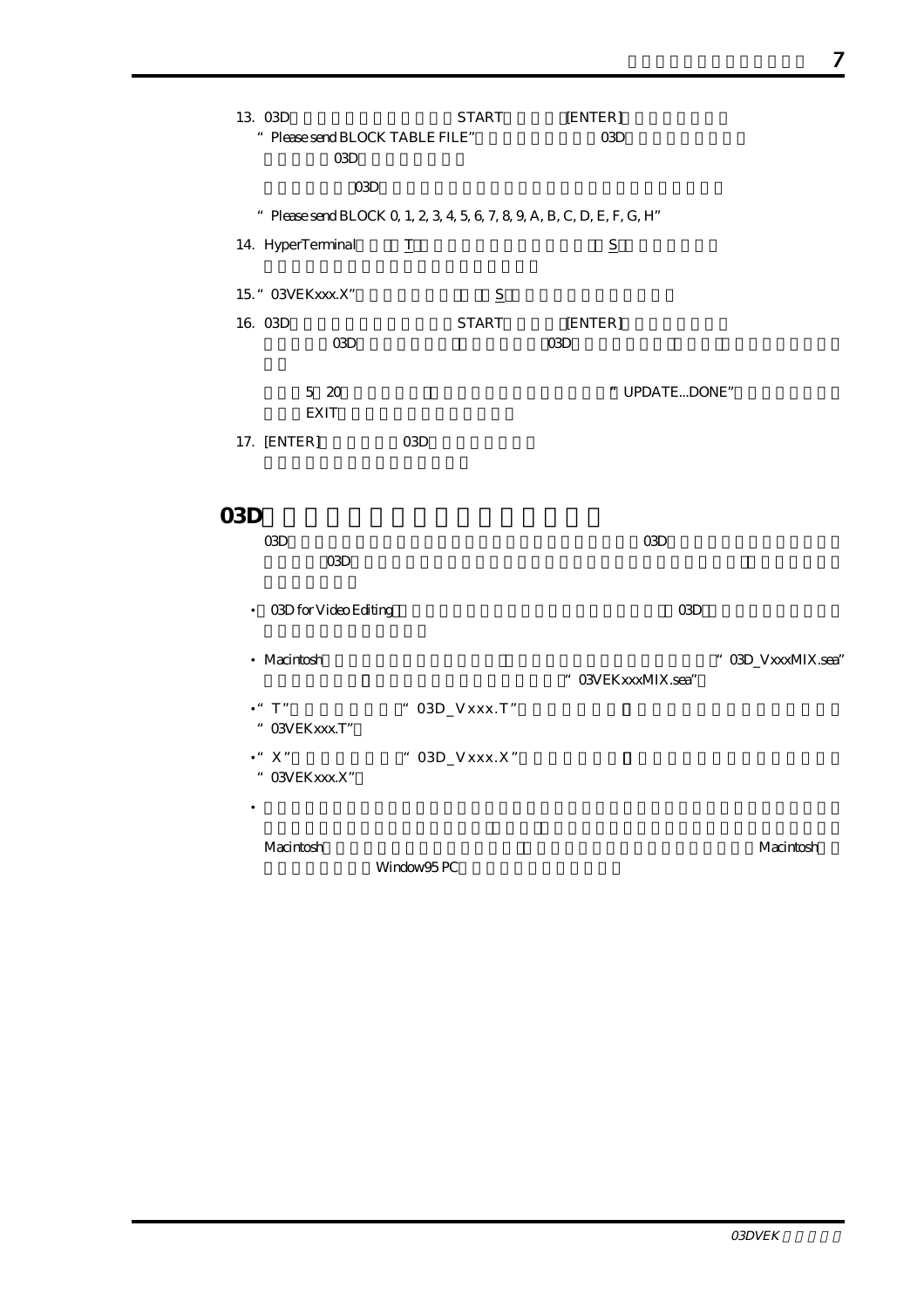| 13. O3D<br>" Please send BLOCK TABLE FILE"<br><b>CGD</b> | START<br>03D                                                             | [ENTER]<br><b>CGD</b>       |                    |
|----------------------------------------------------------|--------------------------------------------------------------------------|-----------------------------|--------------------|
|                                                          | " Please send BLOCK Q 1, 2, 3, 4, 5, 6, 7, 8, 9, A, B, C, D, E, F, G, H" |                             |                    |
| 14. HyperTerminal                                        | I                                                                        | $\underline{\underline{S}}$ |                    |
| 15. " O3VEKxxx.X"                                        | S                                                                        |                             |                    |
| 16. 03D<br><b>CBD</b>                                    | <b>START</b>                                                             | [ENTER]<br>O3D              |                    |
| 5 20<br><b>EXIT</b>                                      |                                                                          | " UPDATEDONE"               |                    |
| 17. [ENTER]                                              | O <sub>3</sub> D                                                         |                             |                    |
| 03D                                                      |                                                                          |                             |                    |
| <b>CGD</b><br>03D                                        |                                                                          | <b>CGD</b>                  |                    |
| 03D for Video Editing<br>$\bullet$                       |                                                                          | O3D                         |                    |
| • Macintosh                                              |                                                                          | " O3VEKxxxMIX.sea"          | " O3D_VxxxMIX.sea" |
| $\cdot$ " $T$ "<br>" OSVEKXXX.T"                         | $"$ 03D_Vxxx.T"                                                          |                             |                    |
| $\bullet$ " $\;$ X"<br>" OSVEKXXX.X"                     | $^{\circ}$ 03D_Vxxx.X"                                                   |                             |                    |
|                                                          |                                                                          |                             |                    |
| Macintosh                                                | Window95 PC                                                              |                             | Macintosh          |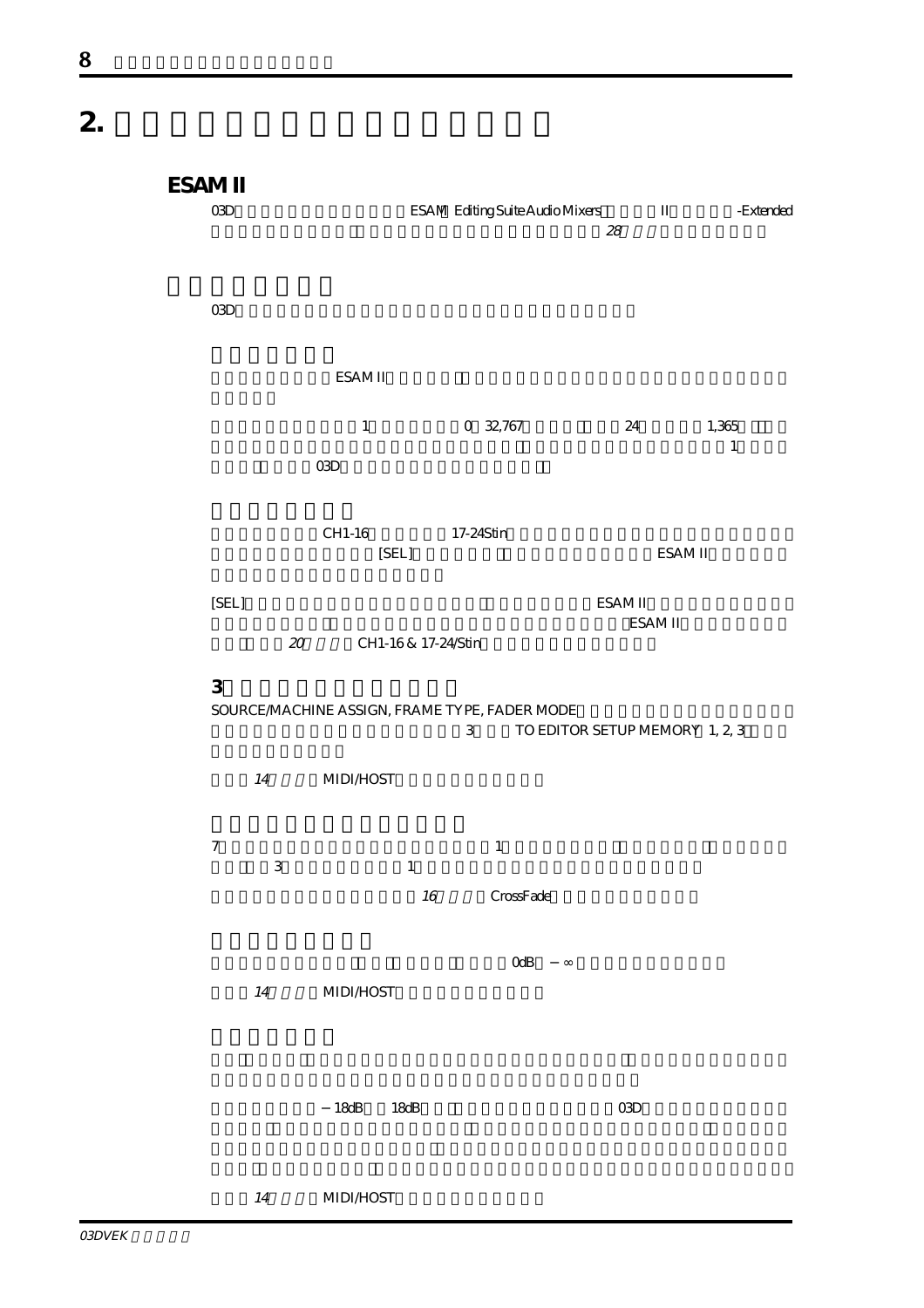**2.**  $\blacksquare$ 

| ESAM II<br>O3D   |        |                                              |                        |                      | ESAM Editing Suite Audio Mixers II<br>$2\!8$ | -Extended        |  |
|------------------|--------|----------------------------------------------|------------------------|----------------------|----------------------------------------------|------------------|--|
| O3D              |        |                                              |                        |                      |                                              |                  |  |
|                  |        | ESAM II                                      |                        |                      |                                              |                  |  |
|                  |        | $\,1\,$                                      |                        | 0 32,767             | 24                                           | 1,365<br>$\,1\,$ |  |
|                  |        | O3D                                          |                        |                      |                                              |                  |  |
|                  |        | CH1-16<br>[SEL]                              |                        | 17-24Stin            |                                              | ESAM II          |  |
| [SEL]            | $20\,$ |                                              | CH1-16 & 17-24 Stin    |                      | ESAM II                                      | ESAM II          |  |
| 3                |        | SOURCEMACHINE ASSIGN, FRAME TYPE, FADER MODE |                        | $\,3$                | TO EDITOR SETUP MEMORY 1, 2, 3               |                  |  |
|                  | $14\,$ | <b>MIDI/HOST</b>                             |                        |                      |                                              |                  |  |
| $\boldsymbol{7}$ | 3      |                                              | $\mathbf{1}$<br>$16\,$ | $\,1\,$<br>CrossFade |                                              |                  |  |
|                  | $14\,$ | <b>MIDI/HOST</b>                             |                        | OdB                  |                                              |                  |  |
|                  |        | $18dB$                                       | $18dB$                 |                      | $\alpha$                                     |                  |  |
|                  | 14     | <b>MIDI/HOST</b>                             |                        |                      |                                              |                  |  |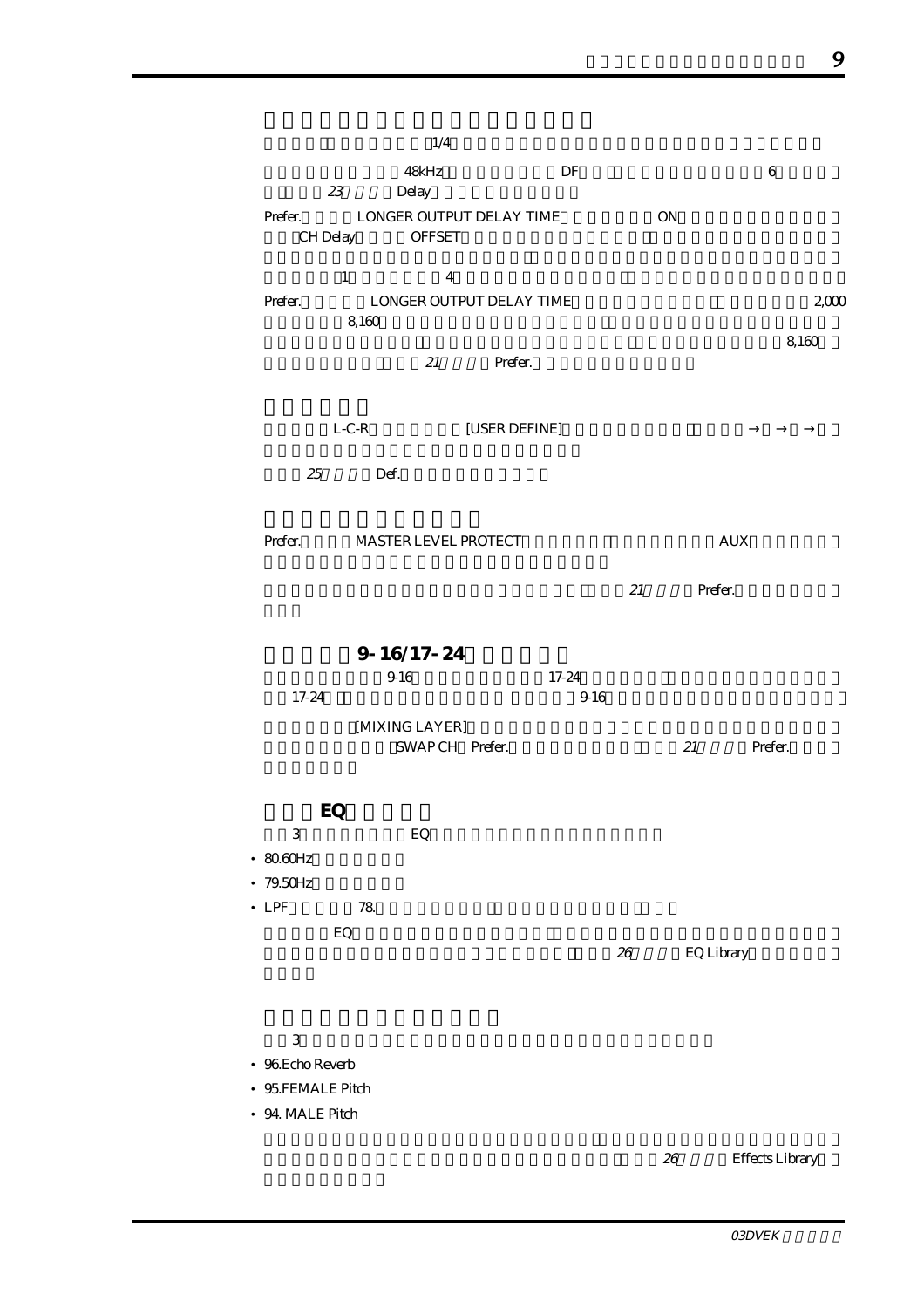| 23<br>Prefer.<br>CH Delay                                                 | 1/4<br>48kHz<br>Delay<br>LONGER OUTPUT DELAY TIME<br><b>OFFSET</b> |               | DF            |    | $\mathop{\rm ON}\nolimits$ | $\,6\,$       |
|---------------------------------------------------------------------------|--------------------------------------------------------------------|---------------|---------------|----|----------------------------|---------------|
| $\mathbf{1}$<br>Prefer.                                                   | $\overline{4}$<br>LONGER OUTPUT DELAY TIME<br>8,160<br>21          | Prefer.       |               |    |                            | 2000<br>8,160 |
| 25                                                                        | $L-C-R$<br>Def.                                                    | [USER DEFINE] |               |    |                            |               |
| Prefer.                                                                   | MASTER LEVEL PROTECT                                               |               |               |    | <b>AUX</b><br>$21$ Prefer. |               |
| 17-24                                                                     | $9 - 16/17 - 24$<br>916<br>[MIXING LAYER]<br>SWAPCH Prefer.        |               | 17-24<br>9.16 |    | 21                         | Prefer.       |
| EQ<br>3<br>$\cdot$ 80.60Hz<br>$-79.50Hz$<br>$\bullet$ LPF<br>EQ           | ${\rm EQ}$<br>$78$                                                 |               |               |    |                            |               |
| $\,3$<br>$\bullet$ 96 Echo Reverb<br>• 95.FEMALE Pitch<br>• 94 MALE Pitch |                                                                    |               |               | 26 | <b>EQ Library</b>          |               |

26 Effects Library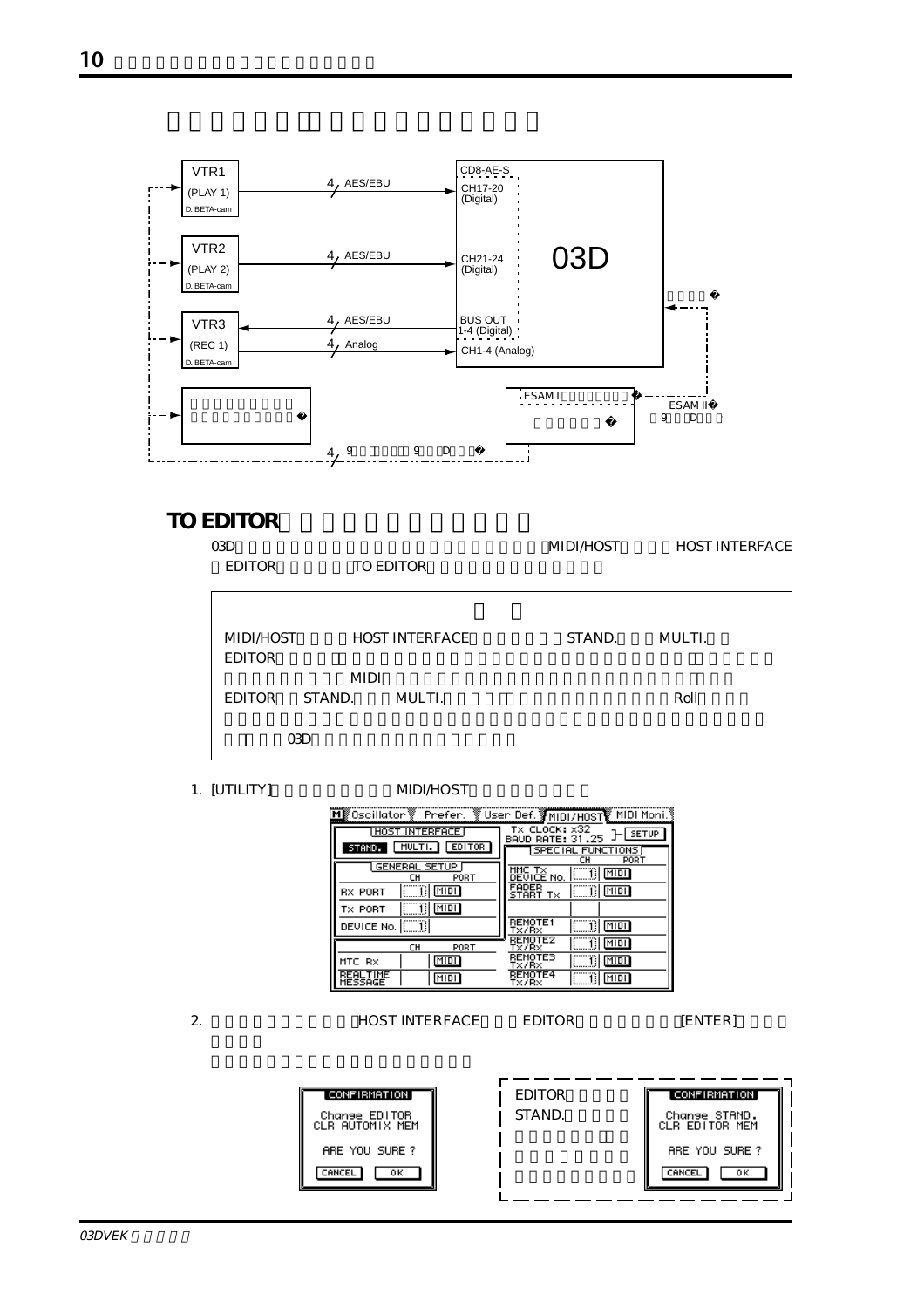

#### **TO EDITOR**

|            |        | MIDI/HOST                                                          | <b>HOST INTERFACE</b> |
|------------|--------|--------------------------------------------------------------------|-----------------------|
|            |        |                                                                    |                       |
|            |        |                                                                    |                       |
| MIDI/HOST  |        | STAND.                                                             | MULTI.                |
|            |        |                                                                    |                       |
|            |        |                                                                    | Roll                  |
|            |        |                                                                    |                       |
| <b>CRD</b> |        |                                                                    |                       |
|            | STAND. | <b>TO EDITOR</b><br><b>HOST INTERFACE</b><br><b>MIDI</b><br>MULTI. |                       |

#### 1. [UTILITY] MIDI/HOST

|                                           | <u>MK Oscillator ※ Prefer. ※ User Def. 《MIDI/HOST》 MIDI Moni.》</u>            |
|-------------------------------------------|-------------------------------------------------------------------------------|
| HOST INTERFACE<br>MULTI. EDITOR<br>STAND. | TX CLOCK: x32<br><b>SETUP</b><br><b>BAUD RATE: 31.25</b><br>SPECIAL FUNCTIONS |
| <b>GENERAL SETUP</b><br>PORT<br>cн        | PORT<br>cн<br>MMC TX<br>MIDI<br>DEVICE No.                                    |
| MIDI<br><b>RX PORT</b><br>MIDI<br>TX PORT | FADER<br><b>MIDI</b><br>Т×<br>START                                           |
| DEVICE No. [                              | <b>REMOTE1</b><br>MIDI<br>T×/R×<br>REMOTE2                                    |
| CH<br>PORT<br>MIDI<br>MTC RX              | MIDI<br>T×/R×<br>REMOTES<br>MIDI<br>Tx/Rx                                     |
| MIDI<br>MESSAGE                           | REMOTE4<br>MIDI<br>Tx/Rx                                                      |

| $\sim$ | <b>HOST INTERFACE</b> | <b>EDITOR</b> | <b>IENTER1</b> |
|--------|-----------------------|---------------|----------------|
|        |                       |               |                |

| [CONFIRMATION]                   | EDITOR. | [ CONFIRMATION ]                |
|----------------------------------|---------|---------------------------------|
| Change EDITOR<br>CLR AUTOMIX MEM | STAND.  | Change STAND.<br>CLR EDITOR MEM |
| ARE YOU SURE?                    |         | ARE YOU SURE?                   |
| CANCEL<br>оκ                     |         | CANCEL<br>оκ                    |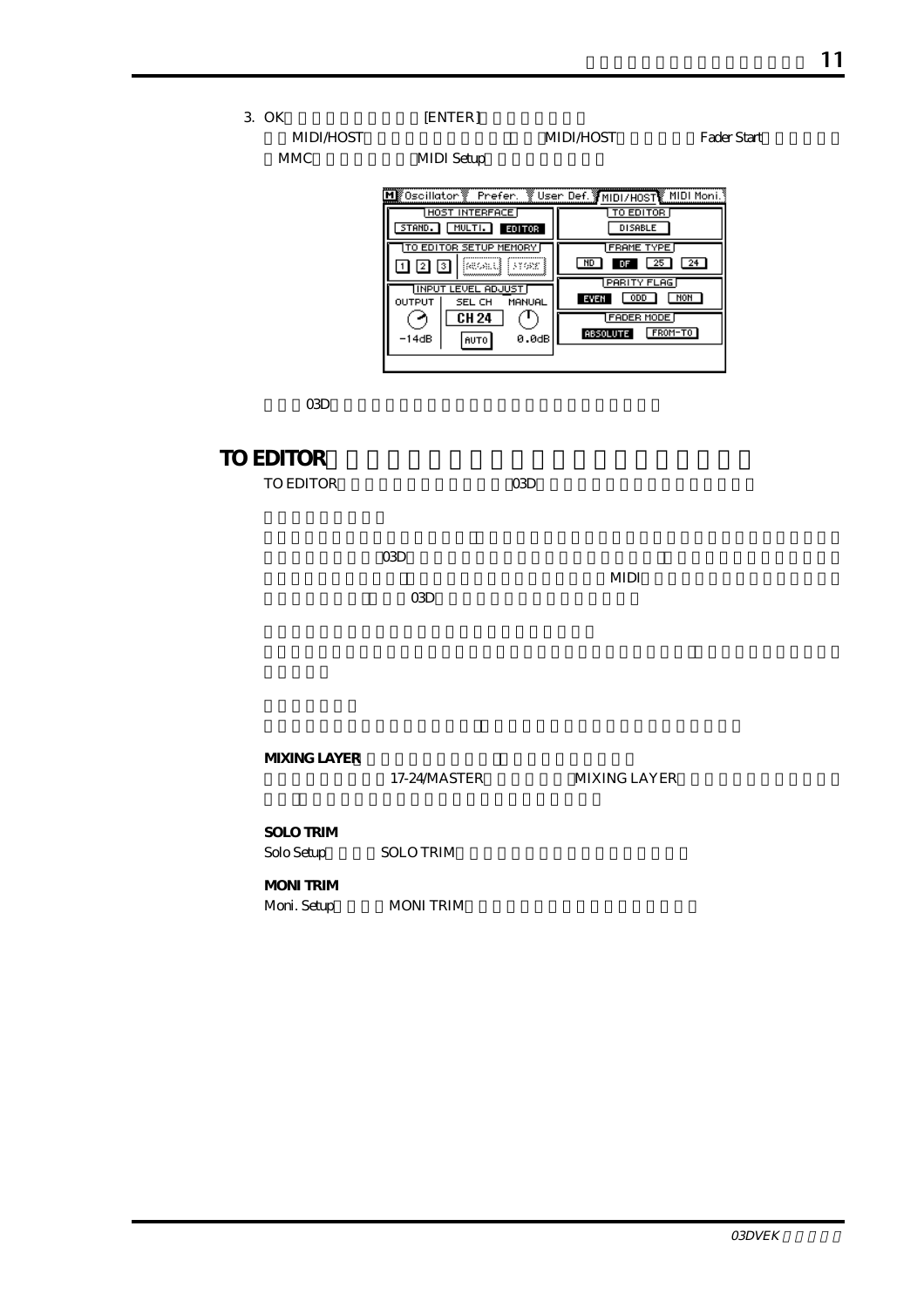3. OK
[ENTER]

MIDI/HOST MIDI/HOST Fader Start

MMC MIDI Setup

| ें User Def. अMIDI/H0ST MIDI Moni. १<br>k Oscillator \<br>Prefer. |                            |  |  |  |  |
|-------------------------------------------------------------------|----------------------------|--|--|--|--|
| <b>HOST INTERFACE</b>                                             | TO EDITOR                  |  |  |  |  |
| MULTI.<br>STAND.<br>EDITOR                                        | <b>DISABLE</b>             |  |  |  |  |
| TO EDITOR SETUP MEMORY                                            | <b>FRAME TYPE</b>          |  |  |  |  |
| kwall<br>13192C<br>з                                              | ND<br>24<br>25<br>DF       |  |  |  |  |
| <b>IINPUT LEVEL ADJUS</b>                                         | <b>PARITY FLAG</b>         |  |  |  |  |
| OUTPUT<br>MANUAL<br>SEL CH                                        | NON<br>0DD.<br>EVEN        |  |  |  |  |
| CH 24                                                             | <b>FADER MODE</b>          |  |  |  |  |
| -14dB<br>0.0dB<br><b>AUTO</b>                                     | FROM-TO<br><b>ABSOLUTE</b> |  |  |  |  |
|                                                                   |                            |  |  |  |  |
|                                                                   |                            |  |  |  |  |

 $\alpha$  O3D

#### **TO EDITOR** TO EDITOR COMO

 $\alpha$   $\alpha$   $\beta$  $MIDI$ 

 $\Omega$ 3D

**MIXING LAYER** 

17-24/MASTER MIXING LAYER

**SOLO TRIM**

Solo Setup SOLO TRIM

**MONI TRIM** Moni. Setup MONI TRIM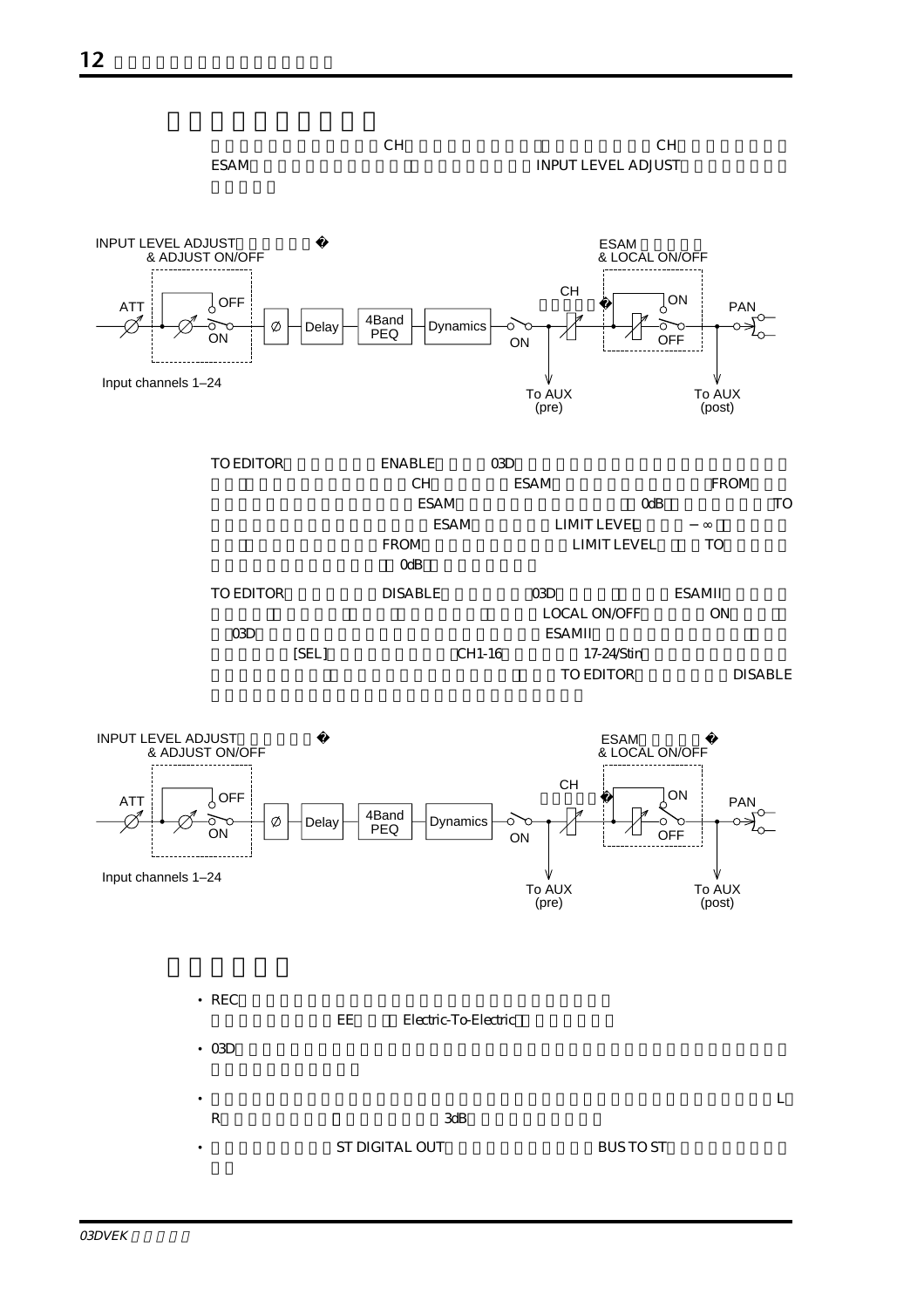

チャンネルレベルの調整はCHフェーダーで行ない、クロスフェードはCHフェーダーの後の **ESAM** INPUT LEVEL ADJUST









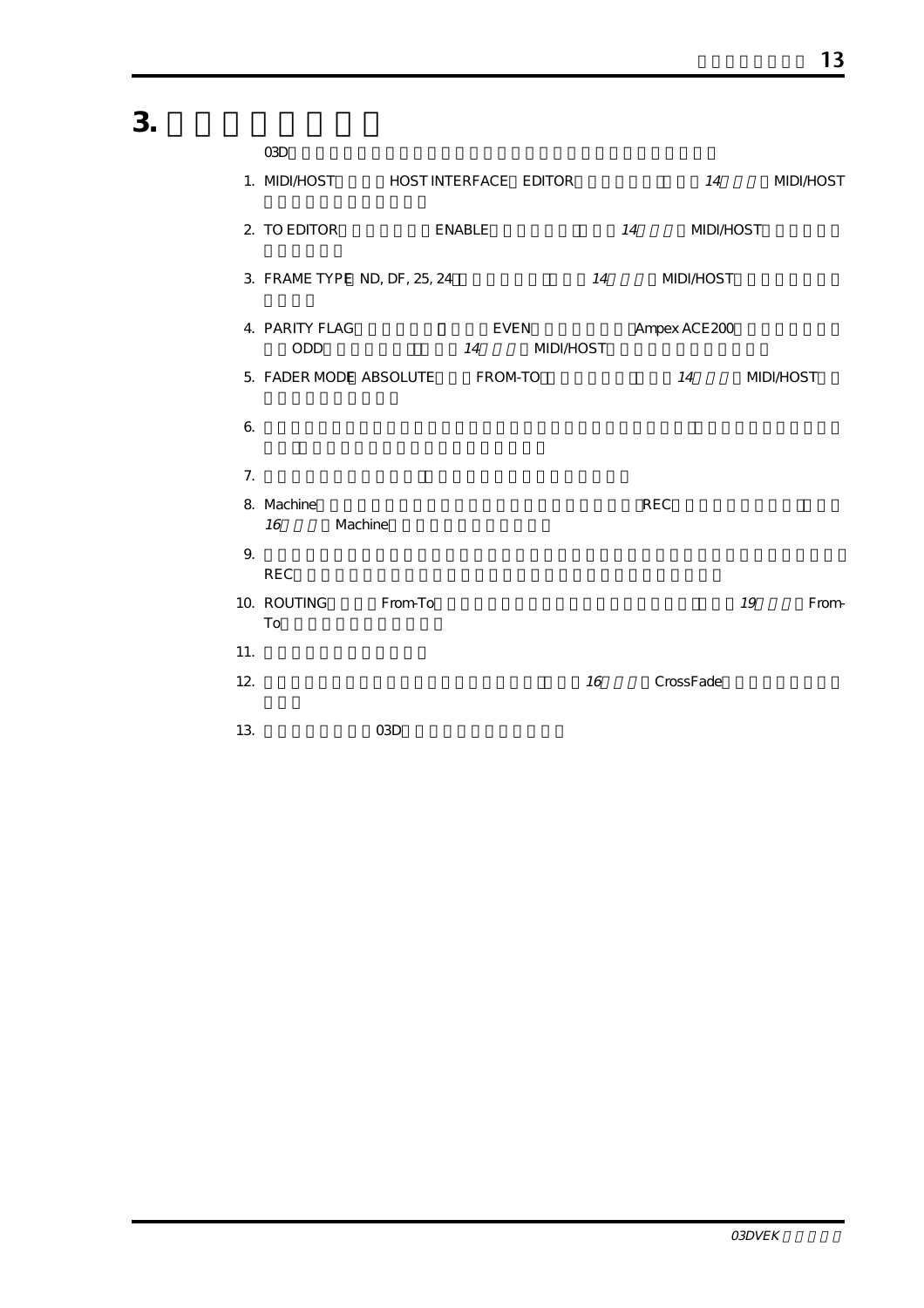3.

|     | O3D                   |                                    |        |                                 |    |                        |    |                  |
|-----|-----------------------|------------------------------------|--------|---------------------------------|----|------------------------|----|------------------|
|     |                       | 1. MIDI/HOST HOST INTERFACE EDITOR |        |                                 |    |                        | 14 | <b>MIDI/HOST</b> |
|     | 2. TO EDITOR          |                                    | ENABLE |                                 |    | 14<br><b>MIDI/HOST</b> |    |                  |
|     |                       | 3. FRAME TYPE ND, DF, 25, 24       |        |                                 |    | 14<br><b>MIDI/HOST</b> |    |                  |
|     | 4. PARITY FLAG<br>ODD |                                    | 14     | <b>EVEN</b><br><b>MIDI/HOST</b> |    | Ampex ACE 200          |    |                  |
|     |                       | 5. FADER MODE ABSOLUTE FROM-TO     |        |                                 |    | 14                     |    | <b>MIDI/HOST</b> |
| 6.  |                       |                                    |        |                                 |    |                        |    |                  |
| 7.  |                       |                                    |        |                                 |    |                        |    |                  |
|     | 8. Machine<br>16      | Machine                            |        |                                 |    | <b>REC</b>             |    |                  |
| 9.  | <b>REC</b>            |                                    |        |                                 |    |                        |    |                  |
|     | To                    | 10. ROUTING From-To                |        |                                 |    |                        | 19 | From-            |
| 11. |                       |                                    |        |                                 |    |                        |    |                  |
| 12. |                       |                                    |        |                                 | 16 | <b>CrossFade</b>       |    |                  |
| 13. |                       | O <sub>3</sub> D                   |        |                                 |    |                        |    |                  |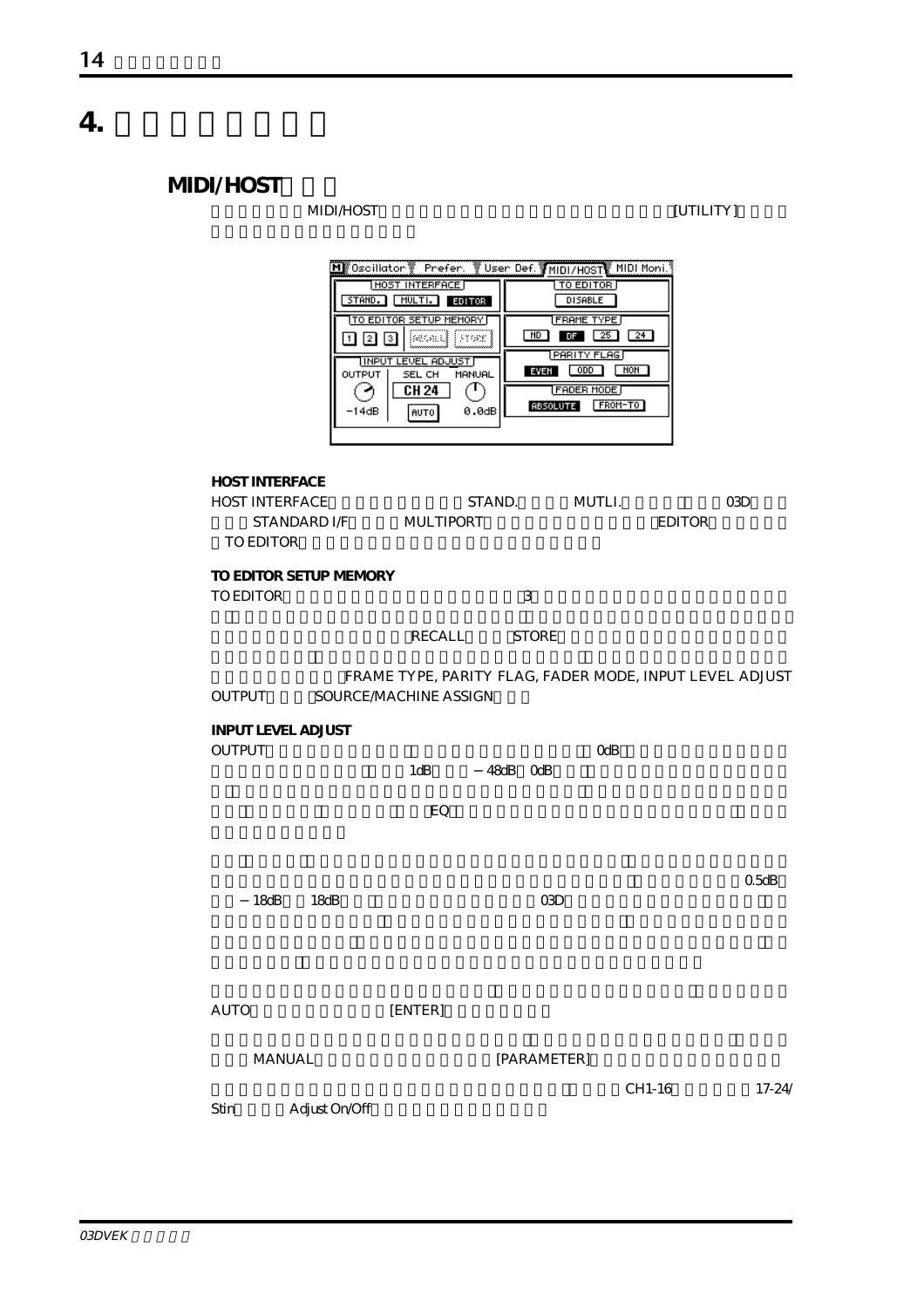**4. ディスプレイ画面**

## **MIDI/HOST**

#### **MIDI/HOST** [UTILITY]

| M Oscillator<br>STAND.<br>12.<br>$\mathbf{1}$<br>OUTPUT<br>-14dB           | Prefer.<br><b>HOST</b><br><b>INTERFACE</b><br>MULTI.<br><b>EDITOR</b><br>TO EDITOR SETUP MEMORY<br>31682<br>13<br><b>INPUT LEVEL ADJUST</b><br>SEL CH<br>MANUAL<br>CH 24<br>AUTO | MD<br><b>EVEN</b><br>0.0dB | User Def. MIDI/HOST MIDI Moni.<br>TO EDITOR<br><b>DISABLE</b><br><b>FRAME TYPE</b><br>25<br>DF<br>PARITY FLAG<br>ODD<br><b>MON</b><br><b>FADER MODE</b><br>FROM-TO<br><b>ABSOLUTE</b> | 24            |           |
|----------------------------------------------------------------------------|----------------------------------------------------------------------------------------------------------------------------------------------------------------------------------|----------------------------|---------------------------------------------------------------------------------------------------------------------------------------------------------------------------------------|---------------|-----------|
| <b>HOST INTERFACE</b><br><b>HOST INTERFACE</b><br>STANDARD IÆ<br>TO EDITOR | <b>MULTIPORT</b>                                                                                                                                                                 | STAND.                     | MUTLI.                                                                                                                                                                                | <b>EDITOR</b> | O3D       |
| TO EDITOR SETUP MEMORY<br>TO EDITOR                                        |                                                                                                                                                                                  | 3                          |                                                                                                                                                                                       |               |           |
|                                                                            | RECALL                                                                                                                                                                           | <b>STORE</b>               |                                                                                                                                                                                       |               |           |
| OUTPUT                                                                     | FRAME TYPE, PARITY FLAG, FADER MODE, INPUT LEVEL ADJUST<br>SOURCEMACHINE ASSIGN                                                                                                  |                            |                                                                                                                                                                                       |               |           |
| <b>INPUT LEVEL ADJUST</b><br><b>OUTPUT</b>                                 | 1dB                                                                                                                                                                              | 48dB OdB                   | OdB                                                                                                                                                                                   |               |           |
|                                                                            | EQ                                                                                                                                                                               |                            |                                                                                                                                                                                       |               |           |
| 18dB<br>18dB                                                               |                                                                                                                                                                                  | <b>CBD</b>                 |                                                                                                                                                                                       |               | 0.5dB     |
| <b>AUTO</b>                                                                | [ENTER]                                                                                                                                                                          |                            |                                                                                                                                                                                       |               |           |
| <b>MANUAL</b>                                                              |                                                                                                                                                                                  | [PARAMETER]                |                                                                                                                                                                                       |               |           |
| Adjust On/Off<br>Stin                                                      |                                                                                                                                                                                  |                            |                                                                                                                                                                                       | CH1-16        | $17 - 24$ |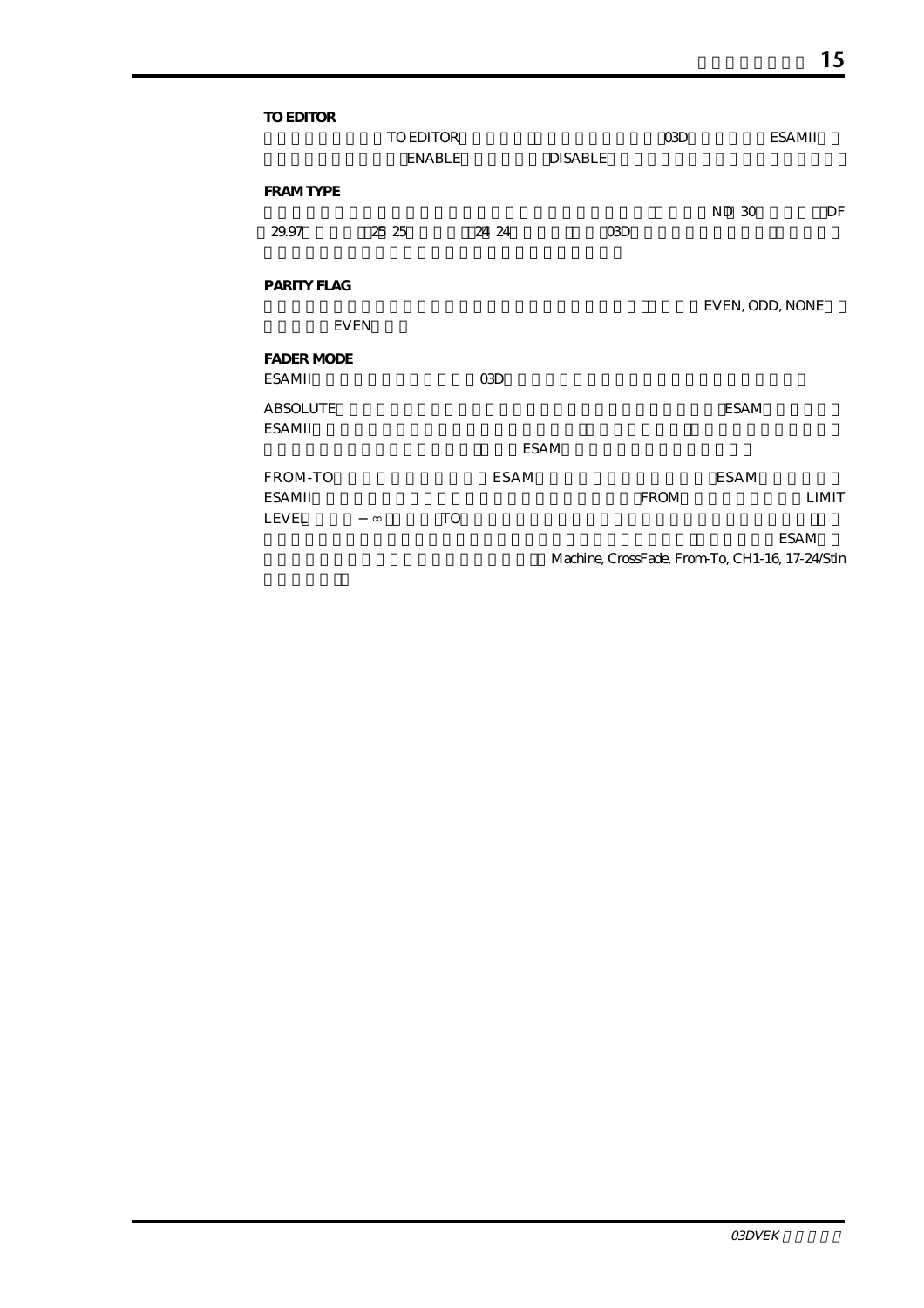| TO EDITOR         | TO EDITOR     |             |                                                 | <b>CGD</b>  |                 | ESAMII       |
|-------------------|---------------|-------------|-------------------------------------------------|-------------|-----------------|--------------|
|                   | <b>ENABLE</b> |             | <b>DISABLE</b>                                  |             |                 |              |
| <b>FRAM TYPE</b>  |               |             |                                                 |             |                 | DF           |
| 29.97             | 25 25         | 24 24       | 03D                                             |             | ND 30           |              |
| PARITY FLAG       |               |             |                                                 |             |                 |              |
| <b>EVEN</b>       |               |             |                                                 |             | EVEN, ODD, NONE |              |
| <b>FADER MODE</b> |               |             |                                                 |             |                 |              |
| <b>ESAMII</b>     |               | 03D         |                                                 |             |                 |              |
| <b>ABSOLUTE</b>   |               |             |                                                 |             | <b>ESAM</b>     |              |
| <b>ESAMII</b>     |               |             |                                                 |             |                 |              |
|                   |               | <b>ESAM</b> |                                                 |             |                 |              |
| FROM-TO           |               | <b>ESAM</b> |                                                 |             | <b>ESAM</b>     |              |
| ESAMII            |               |             |                                                 | <b>FROM</b> |                 | <b>LIMIT</b> |
| <b>LEVEL</b>      | TO            |             |                                                 |             |                 |              |
|                   |               |             |                                                 |             |                 | <b>ESAM</b>  |
|                   |               |             | Machine, CrossFade, From-To, CH1-16, 17-24/Stin |             |                 |              |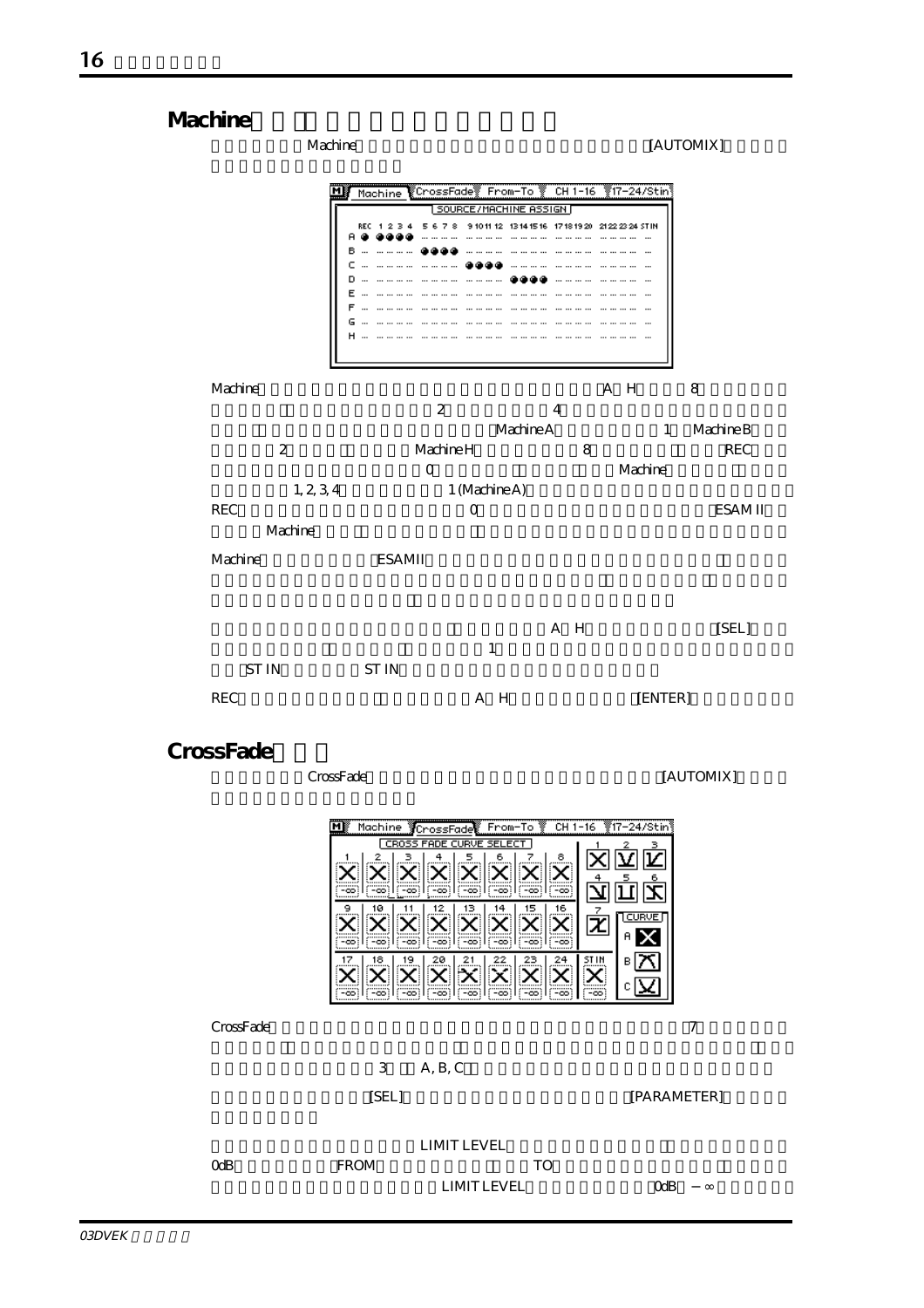



CrossFade $\sim$ 

 $3$  A, B, C

[SEL] [PARAMETER]

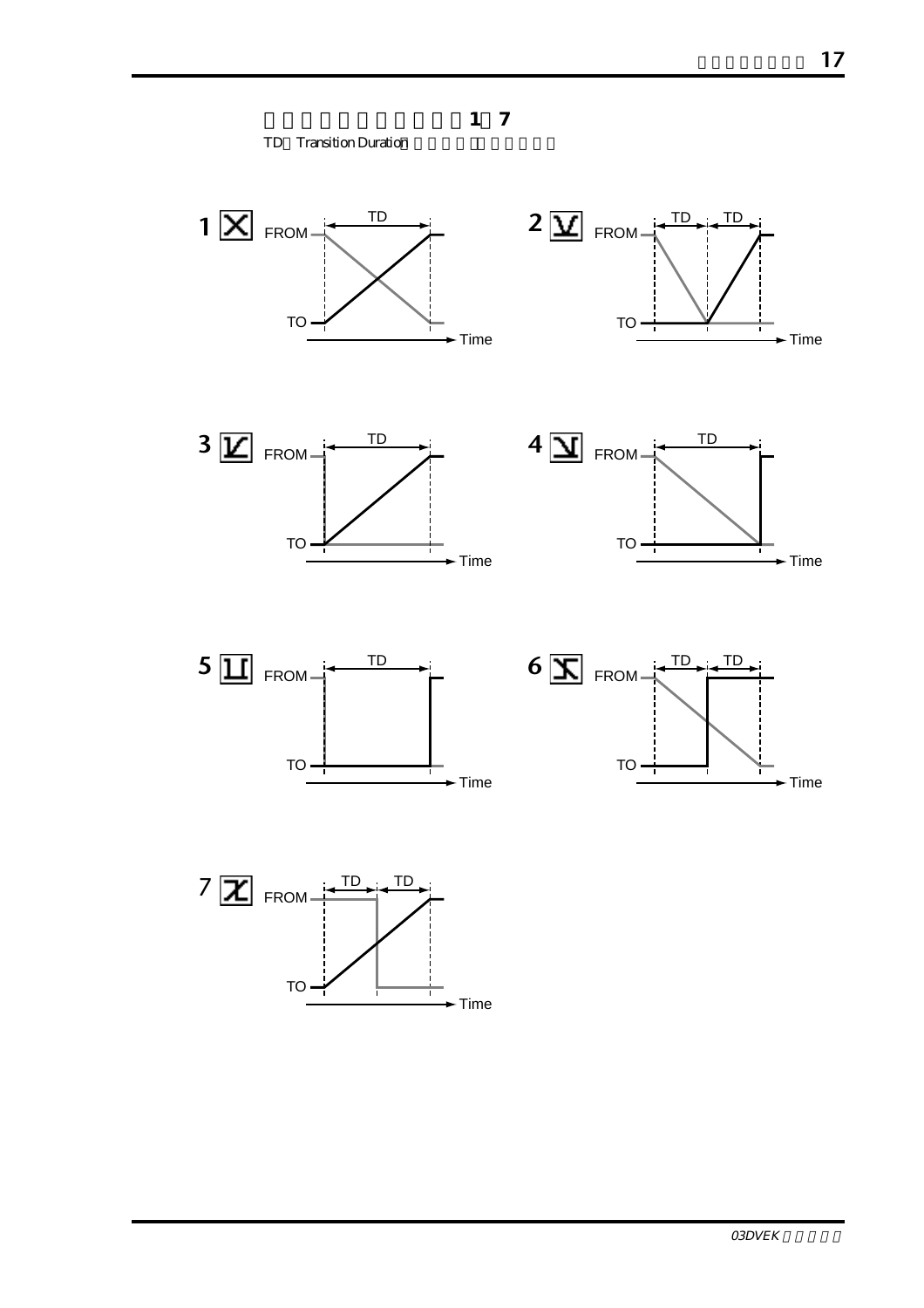**クロスフェードパターン1~7** TD Transition Duration













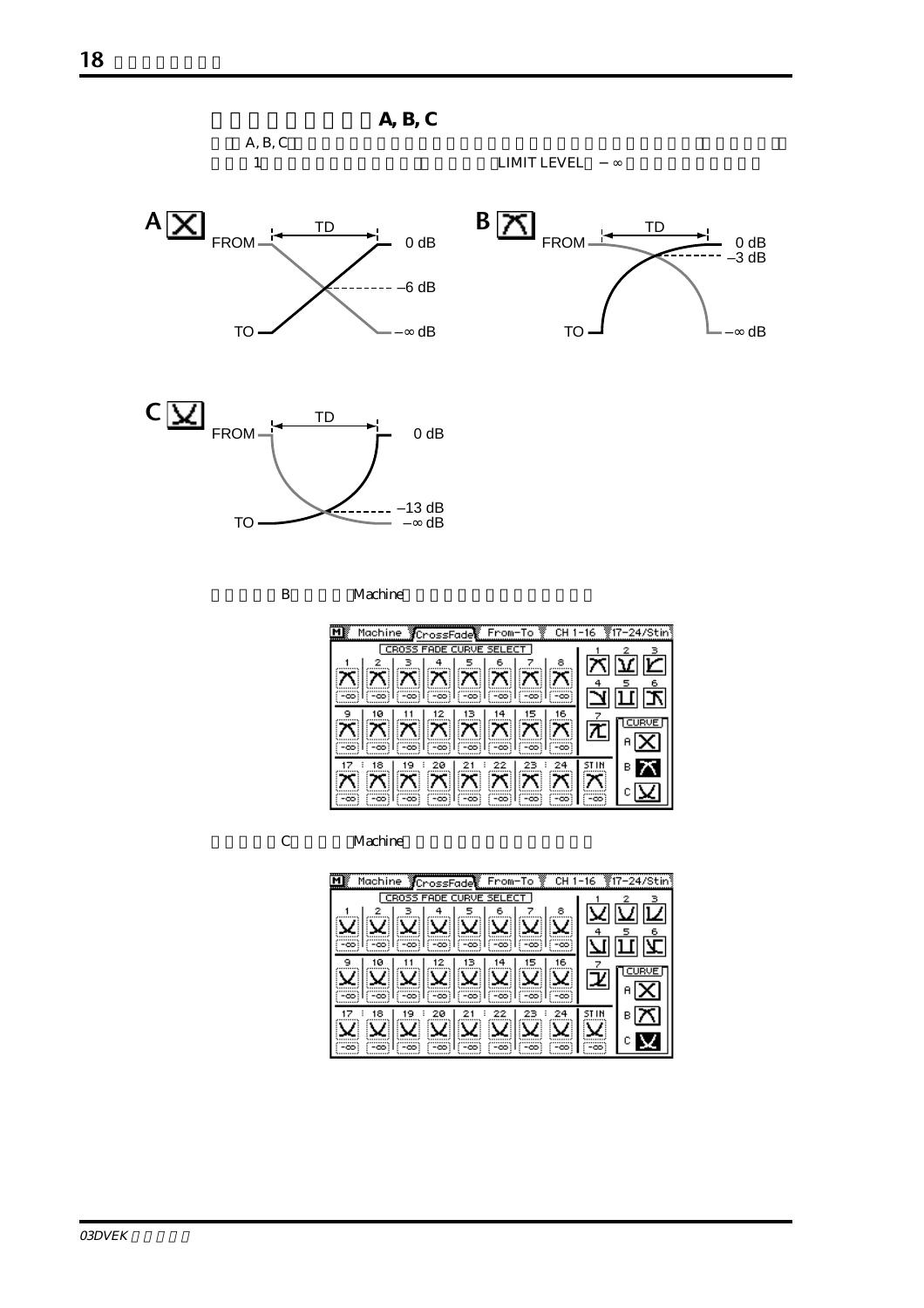

B<br>
Machine

| Machine CrossFade From-To & CH 1-16 #17-24/Stin<br>м                     |   |
|--------------------------------------------------------------------------|---|
| CROSS FADE CURVE SELECT                                                  |   |
|                                                                          |   |
| <u>z z z z z z z</u>                                                     |   |
| 1(Foot) [(Foot) [(Foot)]                                                 |   |
|                                                                          |   |
| $\mathbb{E}\ \mathbf{X}\ \mathbf{X}\ \mathbf{X}\ \mathbf{X}\ \mathbf{X}$ |   |
| (Fast (Fast (Fast )                                                      |   |
| 2и                                                                       | в |
| אוא אוא א                                                                |   |
| (=ထ) (=ထ)<br>ြးတာ) (<br>$-00$                                            |   |

C<br>
Machine

| $\overline{M}$<br>CrossFade From-To<br>Machine<br>CH 1-16 | <b>∛∄17−24/Stin</b> ∛็ |
|-----------------------------------------------------------|------------------------|
| CROSS FADE CURVE SELECT                                   |                        |
| 8                                                         |                        |
|                                                           |                        |
|                                                           |                        |
| 16<br>۹<br>ø                                              |                        |
|                                                           | z                      |
|                                                           |                        |
|                                                           |                        |
| 18<br>20                                                  | в                      |
|                                                           |                        |
| -00:<br>-00:<br>-co:<br>-00:<br>-00:<br>-00:<br>-00:      | -00                    |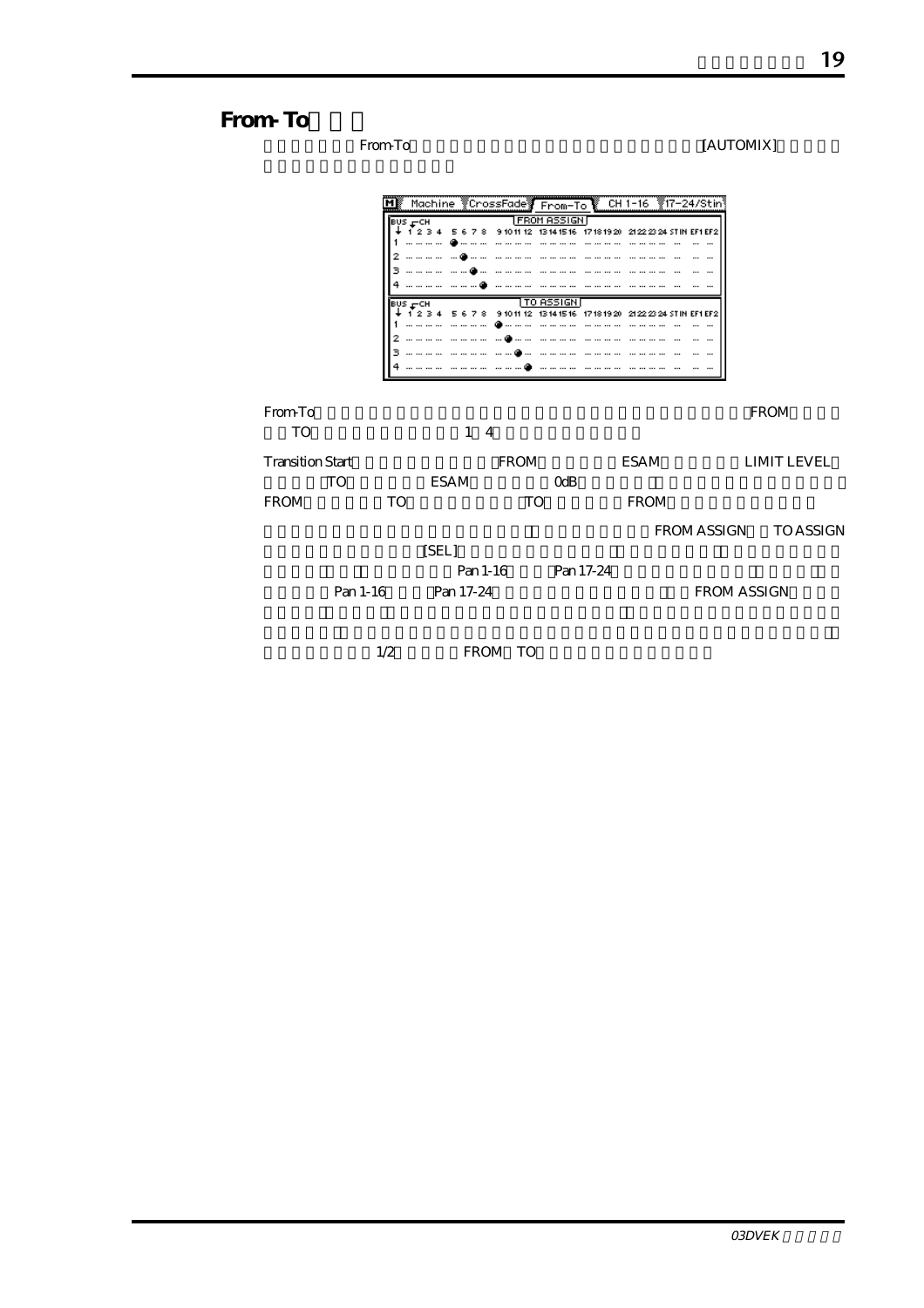### From-To

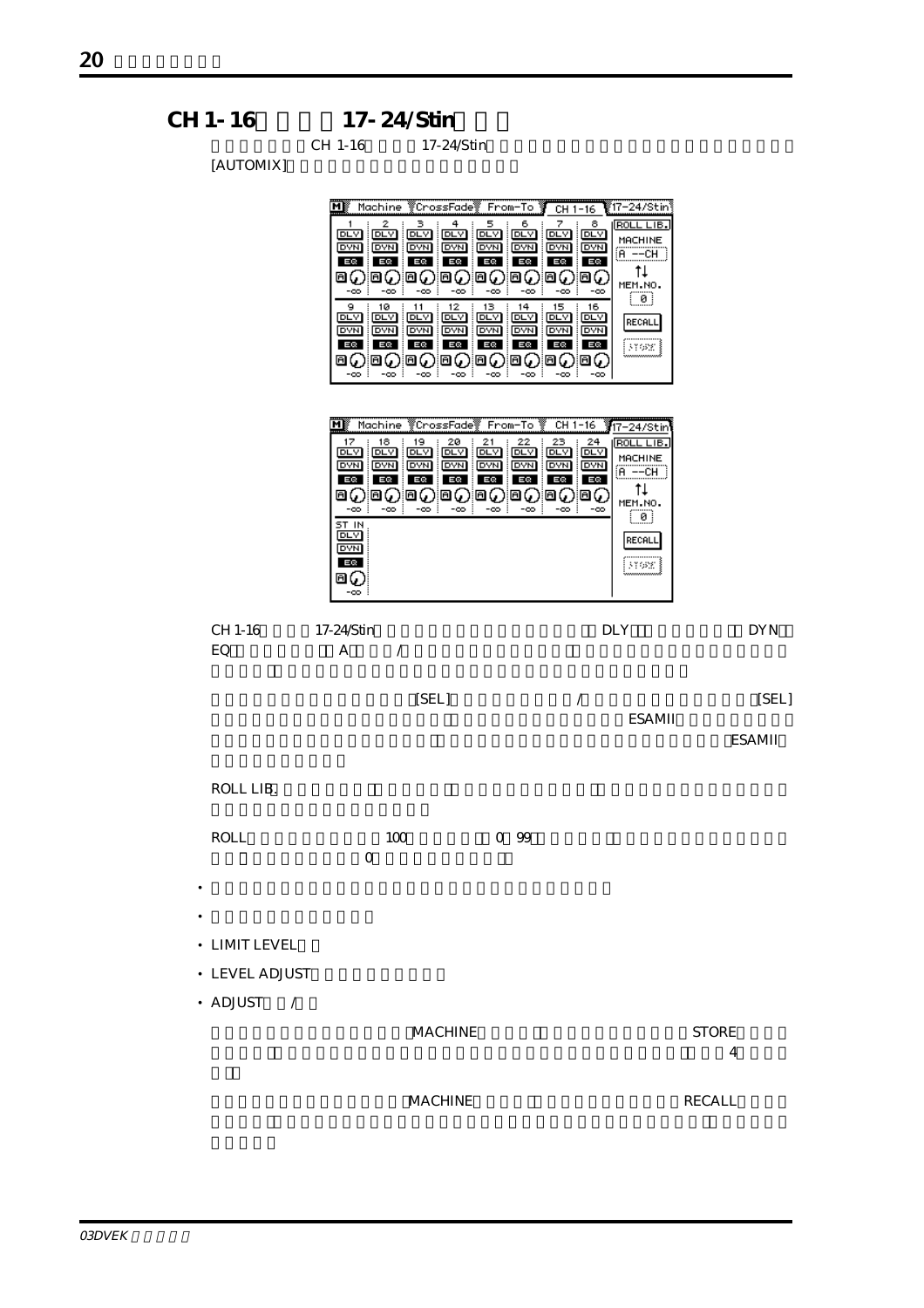CH 1-16 17-24/Stin CH 1-16 17-24/Stin

 $[ATTOMIX]$ 

| [AU I OMIA]                          |                                                                                                                                                                                                                                                                                                                                                                                                                                                                                             |                                                                                                                                                                                                                                                                                                                                                                                                                               |                        |
|--------------------------------------|---------------------------------------------------------------------------------------------------------------------------------------------------------------------------------------------------------------------------------------------------------------------------------------------------------------------------------------------------------------------------------------------------------------------------------------------------------------------------------------------|-------------------------------------------------------------------------------------------------------------------------------------------------------------------------------------------------------------------------------------------------------------------------------------------------------------------------------------------------------------------------------------------------------------------------------|------------------------|
|                                      | Μľ<br>Machine<br>े<br>∛CrossFade                                                                                                                                                                                                                                                                                                                                                                                                                                                            | 17–24/Stin<br>From-To<br>$CH 1-16$                                                                                                                                                                                                                                                                                                                                                                                            |                        |
|                                      | 2<br>з<br>5<br>4<br>। ਇਸ ਸ<br>DLY<br> DUV <br> DIV <br><b>DLY</b><br><b>DVN</b><br><b>DAM</b><br><b>DVN</b><br><b>DVN</b><br><b>DVN</b><br>EQ<br>EQ<br>EQ<br>EQ<br>EQ<br>86<br>Θ6<br>Θ6<br>86<br>ы<br>ò<br>-00<br>-00<br>$-\infty$<br>-00<br>10<br>12<br>13<br>9<br>11<br><b>DLY</b><br>DLY<br>DLY<br><b>DLY</b><br>DLY:<br><b>DVN</b><br><b>DYN</b><br><b>DYN</b><br><b>DYN</b><br>DVN.<br>EQ<br>EQ<br>EQ<br>EQ<br>EQ<br>ΘQ<br>Θ6<br>86<br>ΘŲ<br>Θ0<br>-co :<br>-co :<br>-oo :<br>-00<br>÷ | 7<br>6<br>8<br>ROLL LIB<br><b>DLY</b><br><b>DLY</b><br><b>DLY</b><br>MACHINE<br><b>DVN</b><br><b>DVN</b><br><b>DVN</b><br>$\overline{A}$ --CH<br>EQ<br>EQ<br>EQ<br>tŧ<br>0()<br>Θ6,<br>Θ6<br>MEM.NO.<br>-00<br>-00<br>-00<br>្ល<br>14<br>15<br>16<br>DLY<br><b>DLY</b><br>DLY<br>RECALL<br><b>DVN</b><br> DYN <br><b>DYN</b><br>EQ<br>EQ<br>EQ<br>¦¦nox ≹<br>Θ6<br>ΘQ<br>Θv,<br>-co :<br>$-\infty$<br>$-00$<br>:<br>$-\infty$ |                        |
|                                      | Machine<br>CrossFade<br>мŖ<br>18<br>19<br>20<br>21<br>17<br><b>DLY</b><br>DLY<br>pra<br><b>DLY</b><br><b>DLY</b><br><b>DVN</b><br><b>DVN</b><br><b>DVN</b><br><b>DVN</b><br><b>DVN</b><br>三级<br>EQ<br>三〇<br>三の<br>三〇<br>⊟৻<br>Θ0<br>⊡(<br>Θ۷<br>回し<br>$-\infty$<br>۰œ<br>$-\infty$<br>$-\infty$<br>ST IN<br>DLY<br><b>DYN</b><br>EQ<br>ыÇ<br>ò                                                                                                                                              | From-To<br>CH 1-16<br>17–24/Stir<br>22<br>23<br>24<br>ROLL LIB<br>DLY<br>DLY<br>DLY<br>MACHINE<br><b>DYN</b><br><b>DVN</b><br><b>DVN</b><br>$A = -CH$<br>EQ<br>ΕQ<br>ΕQ<br>Ťŧ<br>ΘQ<br>ΘĢ<br>Θų<br>MEM.NO.<br>-co :<br>$-00$<br>-00<br>$-\infty$<br>$\begin{array}{c} \square \end{array}$<br>RECALL<br>3168f.]                                                                                                               |                        |
| CH 1-16                              | 17-24/Stin                                                                                                                                                                                                                                                                                                                                                                                                                                                                                  | <b>DLY</b>                                                                                                                                                                                                                                                                                                                                                                                                                    | <b>DYN</b>             |
| EQ                                   | A<br>Γ                                                                                                                                                                                                                                                                                                                                                                                                                                                                                      |                                                                                                                                                                                                                                                                                                                                                                                                                               |                        |
|                                      | [SEL]                                                                                                                                                                                                                                                                                                                                                                                                                                                                                       | Ϊ<br><b>ESAMII</b>                                                                                                                                                                                                                                                                                                                                                                                                            | [SEL]<br><b>ESAMII</b> |
| ROLL LIB.                            |                                                                                                                                                                                                                                                                                                                                                                                                                                                                                             |                                                                                                                                                                                                                                                                                                                                                                                                                               |                        |
| <b>ROLL</b><br>$\bullet$             | 100<br>0                                                                                                                                                                                                                                                                                                                                                                                                                                                                                    | 0.99                                                                                                                                                                                                                                                                                                                                                                                                                          |                        |
| $\bullet$                            |                                                                                                                                                                                                                                                                                                                                                                                                                                                                                             |                                                                                                                                                                                                                                                                                                                                                                                                                               |                        |
| • LIMIT LEVEL                        |                                                                                                                                                                                                                                                                                                                                                                                                                                                                                             |                                                                                                                                                                                                                                                                                                                                                                                                                               |                        |
| • LEVEL ADJUST                       |                                                                                                                                                                                                                                                                                                                                                                                                                                                                                             |                                                                                                                                                                                                                                                                                                                                                                                                                               |                        |
| • ADJUST<br>$\overline{\phantom{a}}$ | <b>MACHINE</b>                                                                                                                                                                                                                                                                                                                                                                                                                                                                              |                                                                                                                                                                                                                                                                                                                                                                                                                               | <b>STORE</b><br>4      |
|                                      | <b>MACHINE</b>                                                                                                                                                                                                                                                                                                                                                                                                                                                                              |                                                                                                                                                                                                                                                                                                                                                                                                                               | <b>RECALL</b>          |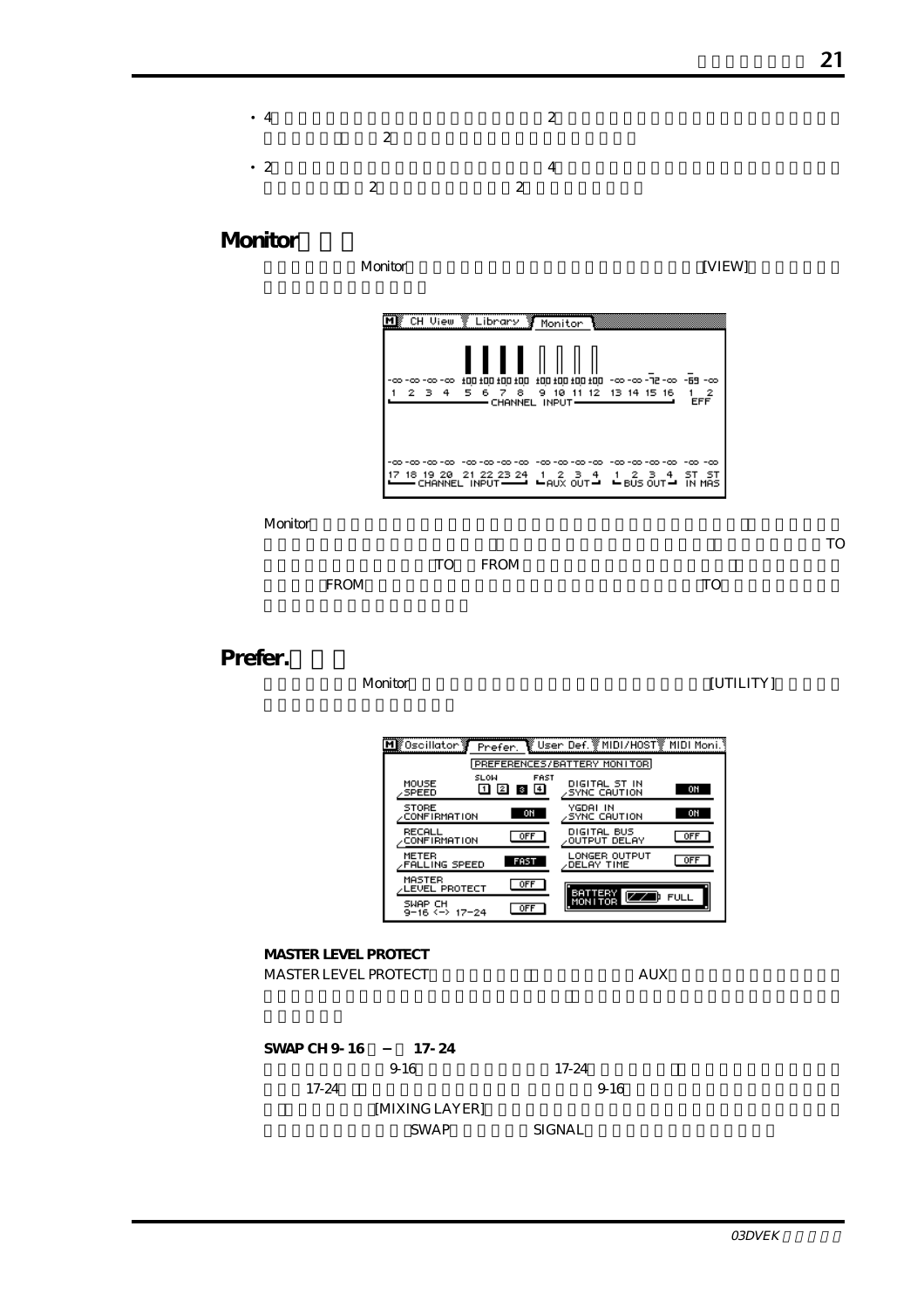| $\bullet$ 4 | $\overline{2}$          | $\overline{2}$ |
|-------------|-------------------------|----------------|
| $\cdot$ 2   | $\overline{\mathbf{c}}$ | $\overline{2}$ |

## **Monitor**

| CH View                     | Library Monitor                                  |                                            |                                                                 |                                |
|-----------------------------|--------------------------------------------------|--------------------------------------------|-----------------------------------------------------------------|--------------------------------|
| -00 -00 -00 -00 -<br>2 3    | 100 100 100 100<br>-8<br>5.<br>67<br>4           | 9 10<br>CHANNEL INPUT                      | 00- EB- 00-5F-00-00-112-00-58<br>11 12 13 14 15 16              | -2<br>1<br><b>EFF</b>          |
| -00 -00 -00 -00<br>18 19 20 | -00 -00 -00 -00<br>21 22 23 24<br>CHANNEL INPUT- | -00-00-00-00<br>1 2 3 4<br>$-$ AUX OUT $-$ | -00 -00 -00<br>-23<br>$-4$<br>$\overline{1}$<br>$-$ BUS OUT $-$ | -00 -00<br>sт<br>-51<br>IN MAS |

Monitor  $\blacksquare$ 

 $\mathbf T$ Ora $\mathbf T$ o $\mathbf T$ 



## Prefer.

#### ーマン Monitor [UTILITY]

| ∭Oscillator §                       | Prefer.                                                           | े ‼ि User Def. % MIDI/H0ST    | MIDI Moni.  |
|-------------------------------------|-------------------------------------------------------------------|-------------------------------|-------------|
|                                     |                                                                   | PREFERENCES/BATTERY MONITOR   |             |
| MOUSE<br><b>SPEED</b>               | SLOW<br><b>FAST</b><br>$\sqrt{4}$<br>$\mathbf{z}$<br>l 1 l<br>l 3 | DIGITAL ST IN<br>SYNC CAUTION | ΟN          |
| <b>STORE</b><br><b>CONFIRMATION</b> | ON                                                                | YGDAI IN<br>SYNC CAUTION      | ON          |
| RECALL<br><b>CONFIRMATION</b>       | <b>OFF</b>                                                        | DIGITAL BUS<br>OUTPUT DELAY   | <b>OFF</b>  |
| METER<br><b>FALLING SPEED</b>       | <b>FAST</b>                                                       | LONGER OUTPUT<br>DELAY TIME   | <b>OFF</b>  |
| MASTER<br>LEVEL PROTECT             | <b>OFF</b>                                                        | BATTERY                       |             |
| SWAP CH<br>9-16 <-> 17-24           | <b>OFF</b>                                                        | MONITOR                       | <b>FULL</b> |

#### **MASTER LEVEL PROTECT** MASTER LEVEL PROTECT AUX

| SWAP CH 9-16 | $17 - 24$      |               |      |
|--------------|----------------|---------------|------|
|              | 9.16           | 17-24         |      |
| 17-24        |                |               | 9-16 |
|              | [MIXING LAYER] |               |      |
|              | <b>SWAP</b>    | <b>SIGNAL</b> |      |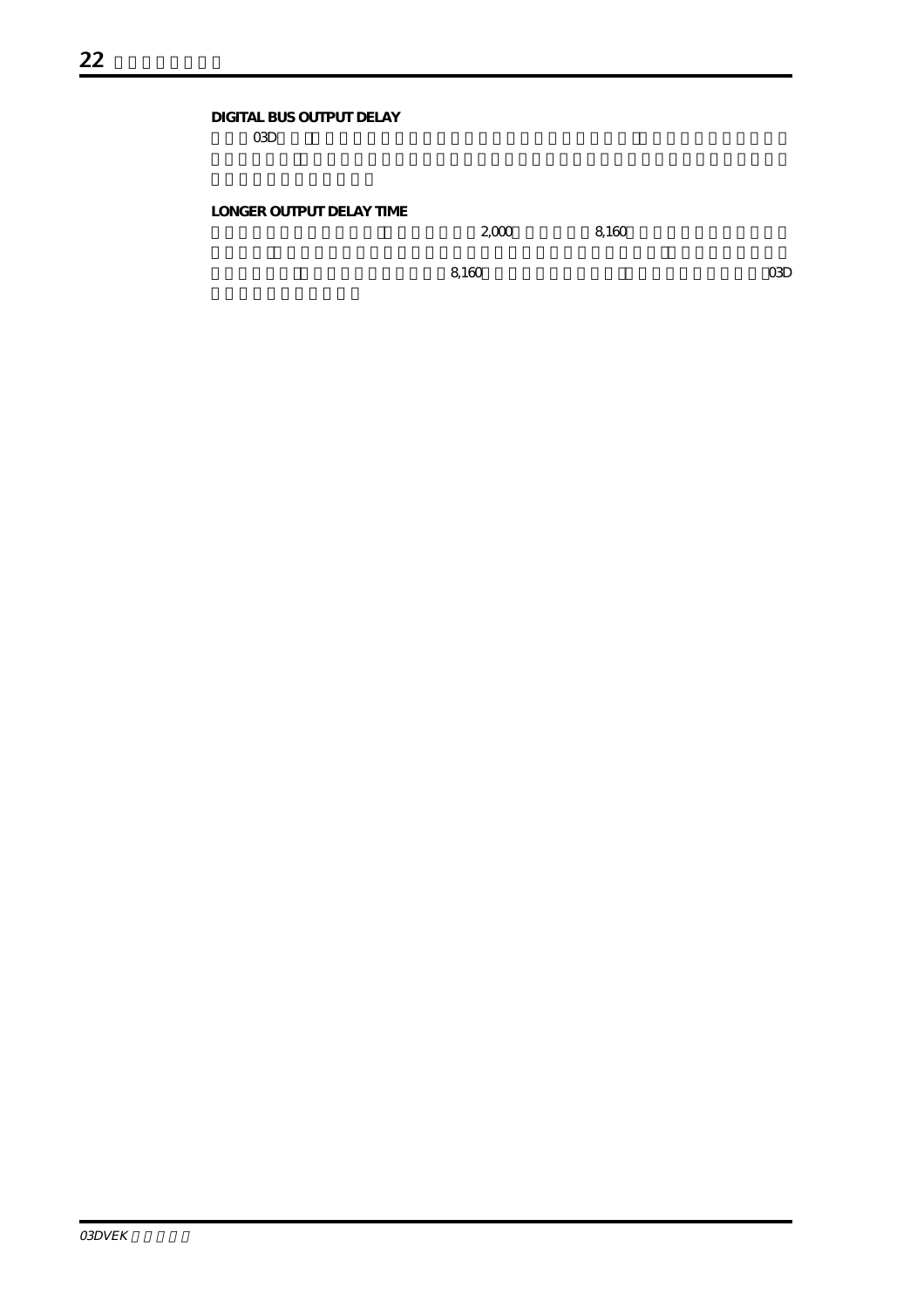#### **DIGITAL BUS OUTPUT DELAY**  $\alpha$ 3D $\alpha$

#### **LONGER OUTPUT DELAY TIME**

 $2000$  8,160

 $8,160$  03D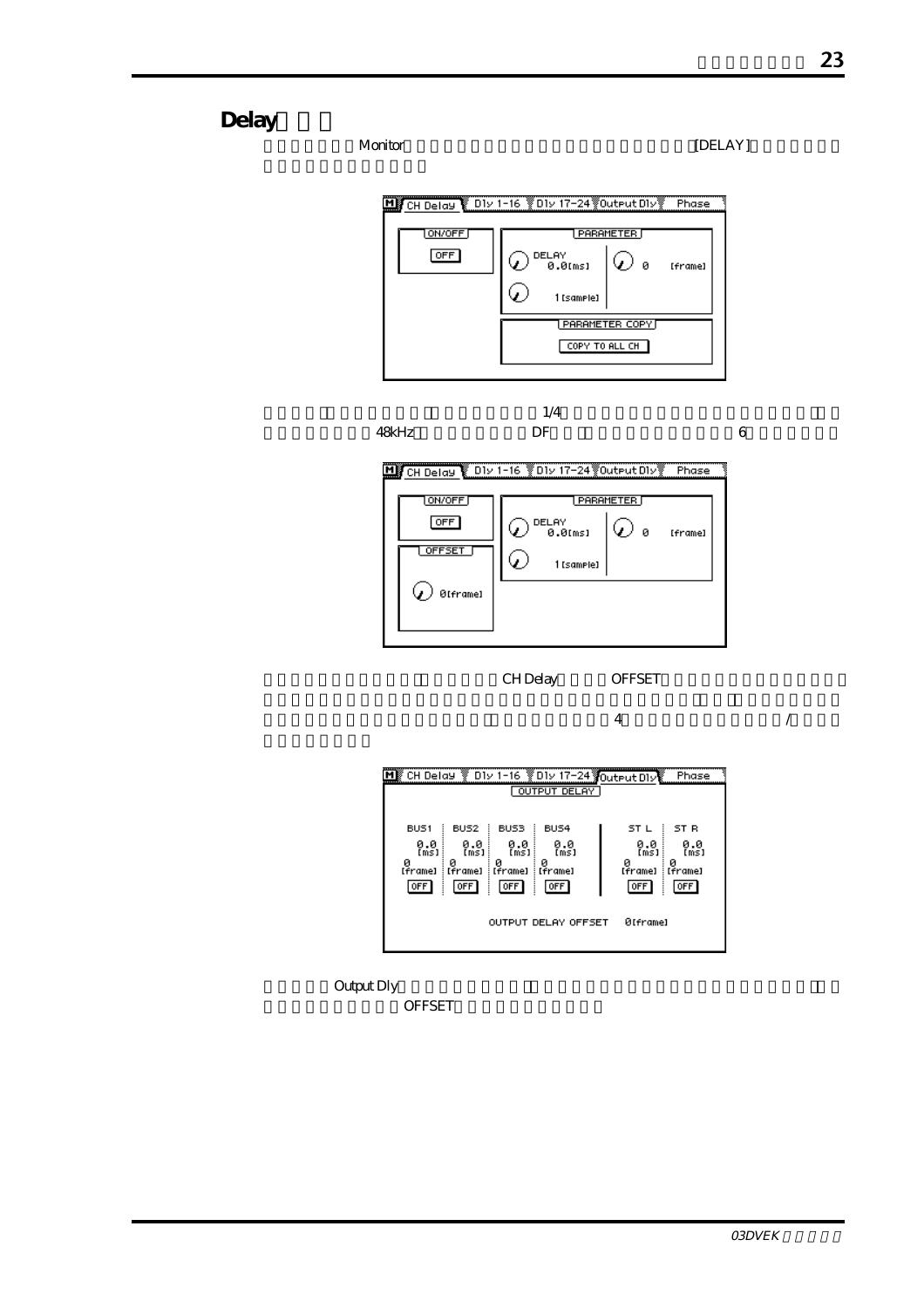## Delay

Monitor [DELAY]



 $1/4$ 

 $48k$ Hz DF  $95k$ 

CH Delay OFFSET

 $\overline{4}$ 

| CH Delay V D1v 1-16 V D1v 17-24 Voutput D1v                                                                                       |                                                 |                                               |                                            | Phase                                      |
|-----------------------------------------------------------------------------------------------------------------------------------|-------------------------------------------------|-----------------------------------------------|--------------------------------------------|--------------------------------------------|
|                                                                                                                                   |                                                 | OUTPUT DELAY                                  |                                            |                                            |
| BUS <sub>1</sub><br>BUS <sub>2</sub><br>0.0<br>[ms]<br>0.0<br>[ms]<br>ø<br>и<br>[Frame]<br>[Frame]<br>  OFF  <br>OFF <sup>1</sup> | BUS3<br>0.0<br>(m̃s]<br>и<br>: [frame]<br>[OFF] | BUS4<br>0.0<br>[m̃s]<br>и<br>: [?rame]<br>0FF | ST L<br>0.0<br>[ms]<br>0<br>[frame]<br>OFF | ST R<br>0.0<br>[ms]<br>ø<br>[Frame]<br>OFF |
| Ø[frame]<br><b>OUTPUT DELAY OFFSET</b>                                                                                            |                                                 |                                               |                                            |                                            |

Output Dly

OFFSET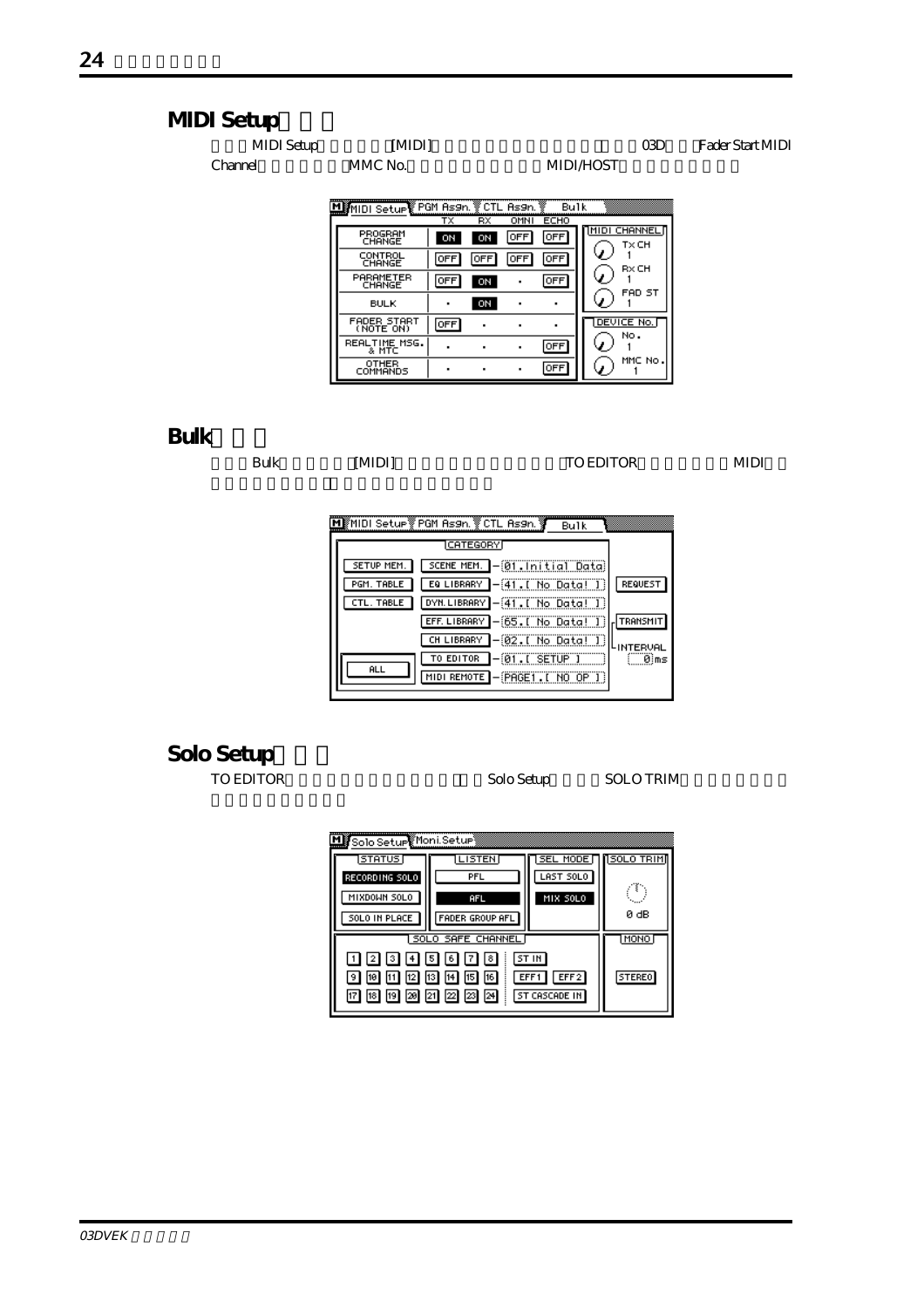## **MIDI Setup**

| MIDI Setup | MIDI                                               |           | প | Fader Start MIDI |
|------------|----------------------------------------------------|-----------|---|------------------|
| :hannel    | MMC No.                                            | MIDI HOST |   |                  |
|            | <b>POM As9n. V CTL As9n. V</b> Bulk VIII<br>Seturi |           |   |                  |

|                          | тx         | $\overline{RX}$ | OMNI | ECHO       |                        |
|--------------------------|------------|-----------------|------|------------|------------------------|
| PROGRAM<br>CHANGE        | ON         | ON              | OFF  | <b>OFF</b> | NMIDI CHANNELI<br>TxCH |
| CONTROL<br>CHANGE        | OFF        | <b>OFF</b>      | OFF  | <b>OFF</b> | RxCH                   |
| PARAMETER<br>CHANGE      | OFF        | ON              |      | 0FF        | FAD ST                 |
| <b>BULK</b>              |            | ON              | ٠    |            |                        |
| FADER START<br>(NOTE ON) | <b>OFF</b> | ٠               | ٠    |            | DEVICE No.<br>No.      |
| REALTIME MSG.<br>& MTC   |            |                 | ۰    | <b>OFF</b> |                        |
| OTHER<br>COMMANDS        | ٠          | ٠               | ٠    | <b>OFF</b> | MMC No.                |

### **Bulkページ**

Bulk [MIDI] TO EDITOR MIDI

|            | MIMIDI Setup PGM As9n. VCTL As9n. V<br><b>Bulk</b> |           |
|------------|----------------------------------------------------|-----------|
|            | <b>CATEGORY</b>                                    |           |
| SETUP MEM. | SCENE MEM. - 01. Initial Data)                     |           |
| PGM. TABLE | EQ LIBRARY   - 41. [ No Data! ]                    | REQUEST   |
| CTL. TABLE | DYN.LIBRARY - 41. [ No Data! ]                     |           |
|            | EFF. LIBRARY - 65. [ No Data! ]                    | TRANSMIT  |
|            | ]-@2.[ No Data! I)<br>CH LIBRARY                   | LINTERVAL |
| <b>ALL</b> | $-01$ . I SETUP I<br>TO EDITOR                     | 0 ms      |
|            | MIDI REMOTE - PRGET. [ NO OP ]                     |           |
|            |                                                    |           |

# Solo Setup<br>TO EDITOR

Solo Setup SOLO TRIM

| My Solo Setup Moni Setup                                                                                                                                                           |                   |           |                   |
|------------------------------------------------------------------------------------------------------------------------------------------------------------------------------------|-------------------|-----------|-------------------|
| STATUS                                                                                                                                                                             | <b>LISTEN</b>     | SEL MODE  | <b>150LO TRIM</b> |
| RECORDING SOLO                                                                                                                                                                     | PFL               | LAST SOLO |                   |
| MIXDOWN SOLO                                                                                                                                                                       | AFL               | MIX SOLO  |                   |
| SOLO IN PLACE                                                                                                                                                                      | FADER GROUP AFL   |           | 0 dB              |
|                                                                                                                                                                                    | SOLO SAFE CHANNEL |           | MONO              |
| 3  4  5  6  7  8 <br> 2 <br>13<br> 12 <br>10<br>$\begin{bmatrix} 19 \\ 20 \end{bmatrix}$ $\begin{bmatrix} 21 \\ 22 \end{bmatrix}$ $\begin{bmatrix} 23 \\ 23 \end{bmatrix}$<br>18 I | STEREO            |           |                   |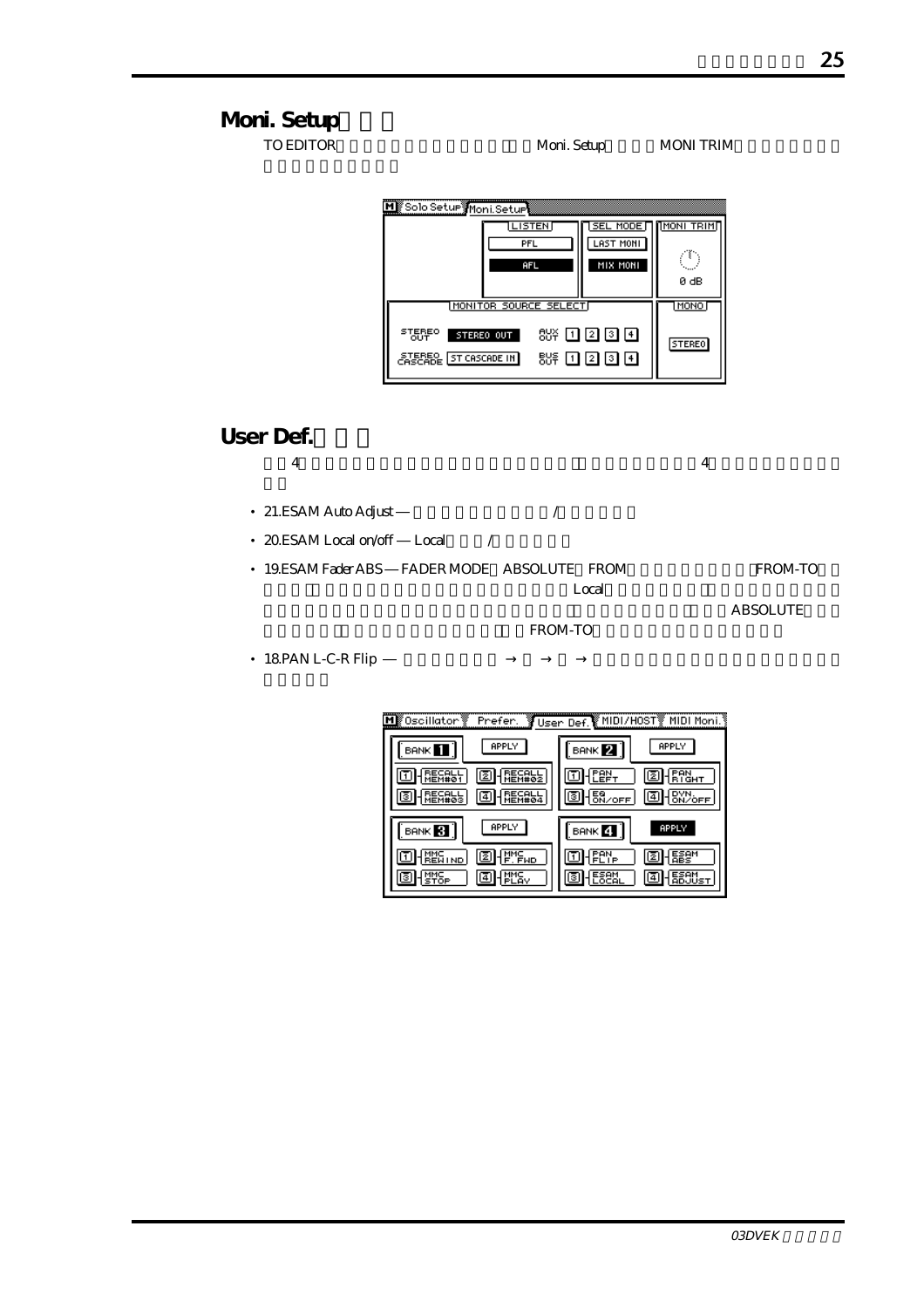**Moni.** Setup TO EDITOR Moni. Setup MONI TRIM M Solo Setur Moni Seture **LISTEN SEL MODE THONI TRIMT** LAST MONI PFL ⊙ MIX MONI AF 0 dB MONITOR SOURCE SELECT **MONO** STEREO STEREO OUT 8% 1200 **STEREO STEPSEL ST CASCADE IN**  $85F$  0 2 0 0 **User Def.** 次の4つの機能がユーザー定義機能に新たに加わり、初期設定ではバンク4に割り当てられていま • 21.ESAM Auto Adjust */* • 20.ESAM Local on/off Local / • 19.ESAM Fader ABS FADER MODE ABSOLUTE FROM FROM-TO  $\rm Local$ ABSOLUTE FROM-TO

• 18.PAN L-C-R Flip

| ∭0scillator ▒<br>Prefer.   | User Def. MIDI/H0ST MIDI Moni. |
|----------------------------|--------------------------------|
| APPLY<br><b>BANK</b>       | APPLY<br>BANK 2.               |
| 2                          | z                              |
|                            | $\frac{159}{60}$<br>י≀§ו       |
| APPLY<br>BANK <sup>3</sup> | APPLY<br>BANK 4                |
| IME<br>F.FWD<br>121        | Ιē                             |
| 4                          | 4                              |

03DVEK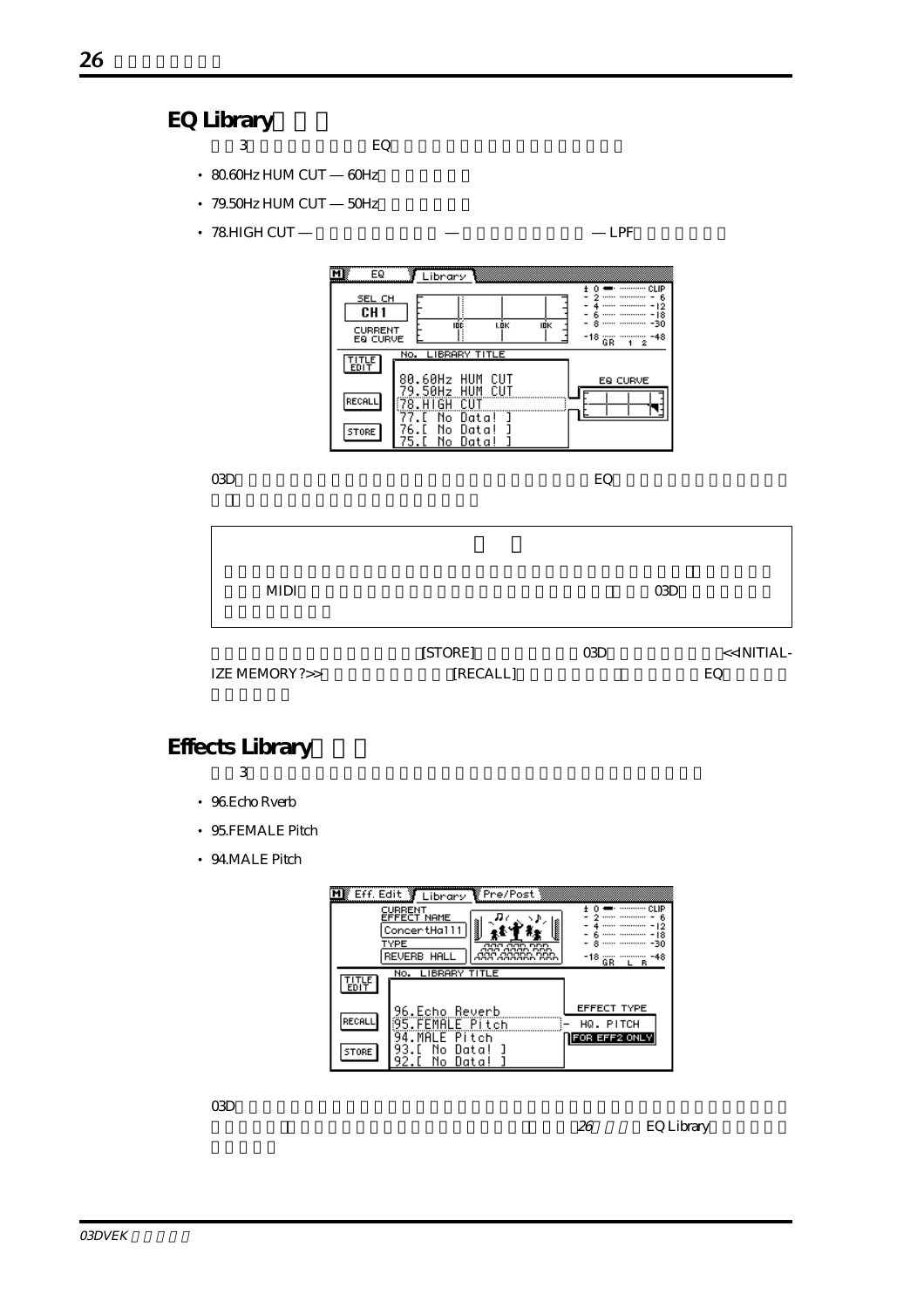### **EQ Library**

- $3$  EQ
- 80.60Hz HUM CUT 60Hz
- 79.50Hz HUM CUT 50Hz
- 78.HIGH CUT ― LPF

| īΜ<br>EQ<br>SEL CH<br>CH <sub>1</sub><br><b>CURRENT</b><br>EQ CURVE | Library<br><br><br><br>IDC<br>I.ÖK<br>IOK<br>-18<br><br>GR                                               | ----------- CLIP<br>- 12<br>18<br>-30<br>-48<br>2 |
|---------------------------------------------------------------------|----------------------------------------------------------------------------------------------------------|---------------------------------------------------|
| <b>EDIT</b>                                                         | No. LIBRARY TITLE                                                                                        |                                                   |
| RECALL<br>STORE                                                     | 80.60Hz HUM<br>CUT<br>EQ CURVE<br>79.50Hz HUM<br>CUT<br>CUT<br>N٥<br>Data!<br>Data<br>No.<br>No.<br>Data |                                                   |

03Dビデオ編集用ソフトウェアをインストールした後で新しいEQプログラムを使用したい場合

| MIDI          |                     |            | 03D                             |
|---------------|---------------------|------------|---------------------------------|
| IZE MEMORY?>> | [STORE]<br>[RECALL] | <b>CGD</b> | < <initial-<br>EQ</initial-<br> |

## **Effects Library**

 $3$ 

- 96.Echo Rverb
- 95.FEMALE Pitch
- 94.MALE Pitch



 $\alpha$ 3D $\alpha$ 

26 EQ Library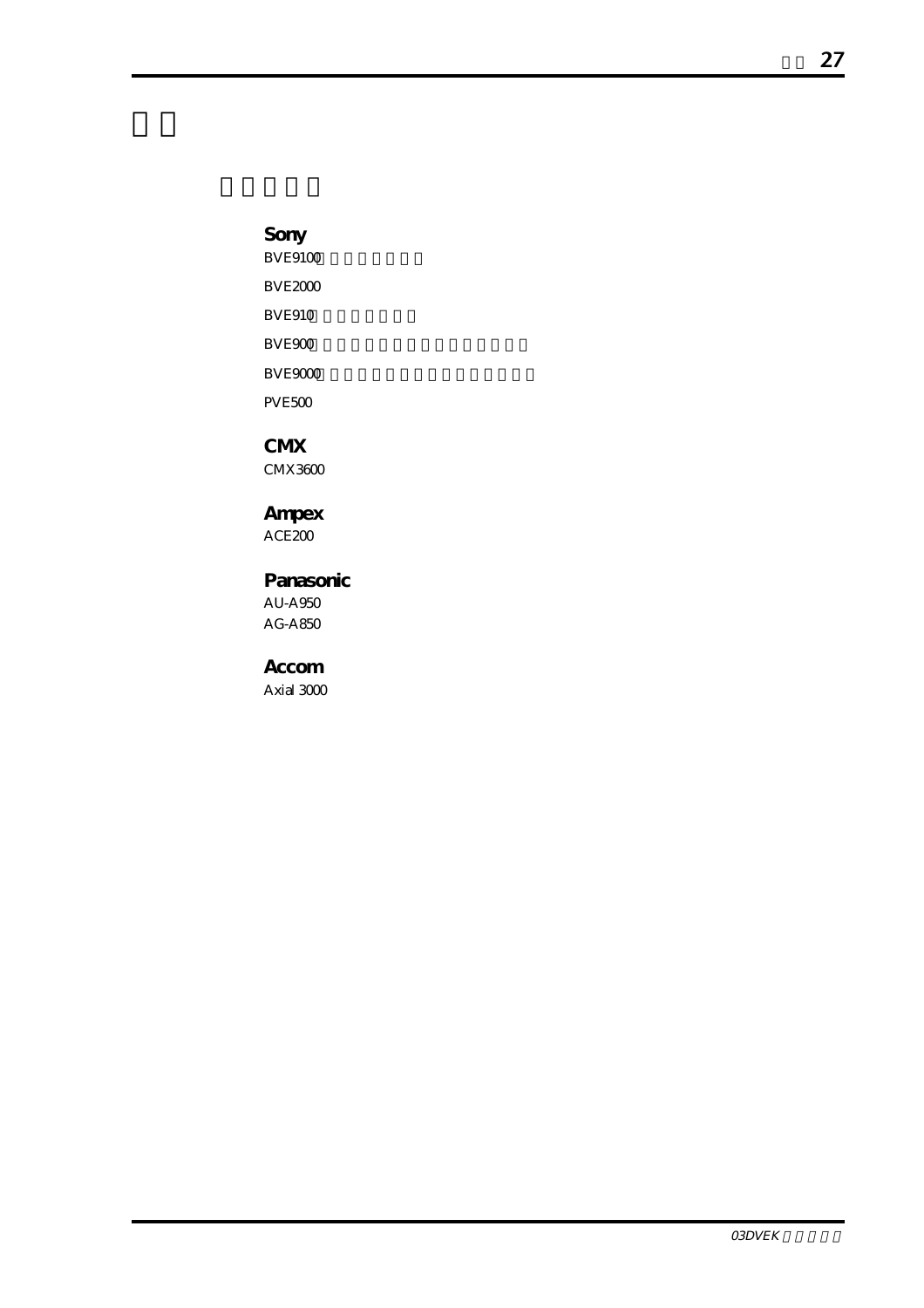**Sony**  $BVE9100$ BVE2000 **BVE910** BVE900 BVE9000 PVE500

**CMX** CMX3600

**Ampex** ACE200

**Panasonic** AU-A950 AG-A850

**Accom** Axial 3000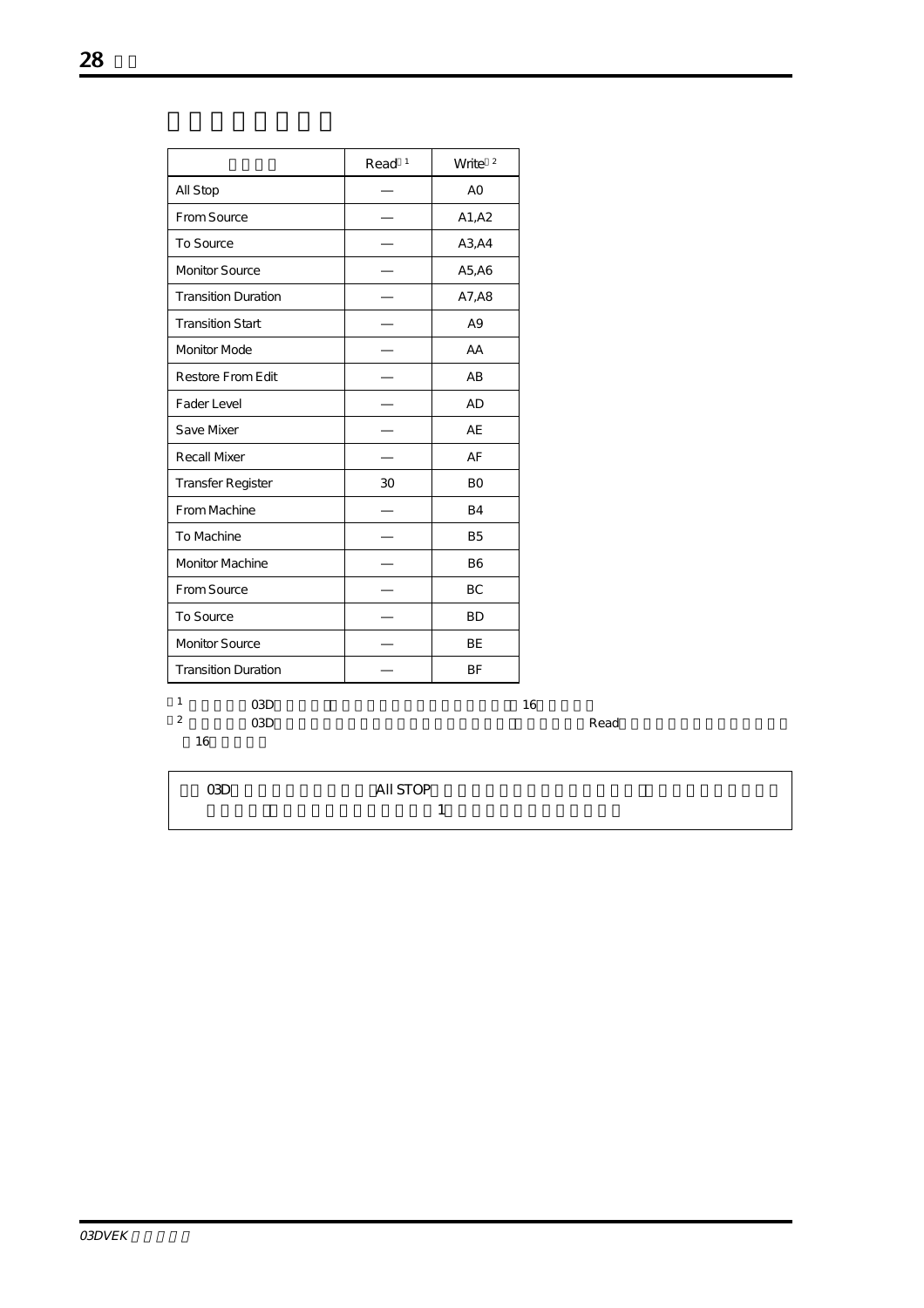|                                    | Read <sup>1</sup> | Write $2$ |
|------------------------------------|-------------------|-----------|
| All Stop                           |                   | AO        |
| From Source                        |                   | A1, A2    |
| To Source                          |                   | A3, A4    |
| <b>Monitor Source</b>              |                   | A5, A6    |
| <b>Transition Duration</b>         |                   | A7, A8    |
| <b>Transition Start</b>            |                   | A9        |
| Monitor Mode                       |                   | AA        |
| Restore From Edit                  |                   | AB        |
| Fader Level                        |                   | AD        |
| Save Mixer                         |                   | AE        |
| <b>Recall Mixer</b>                |                   | AF        |
| Transfer Register                  | 30                | <b>BO</b> |
| From Machine                       |                   | <b>B4</b> |
| To Machine                         |                   | <b>B5</b> |
| <b>Monitor Machine</b>             |                   | <b>B6</b> |
| From Source                        |                   | <b>BC</b> |
| To Source                          |                   | <b>BD</b> |
| Monitor Source                     |                   | <b>BE</b> |
| <b>Transition Duration</b>         |                   | BF        |
| $\mathbf{1}$<br>O <sub>3</sub> D   |                   |           |
| $\overline{2}$<br>O <sub>3</sub> D |                   |           |
| 16                                 |                   |           |

| 03D | All STOP |  |
|-----|----------|--|
|     |          |  |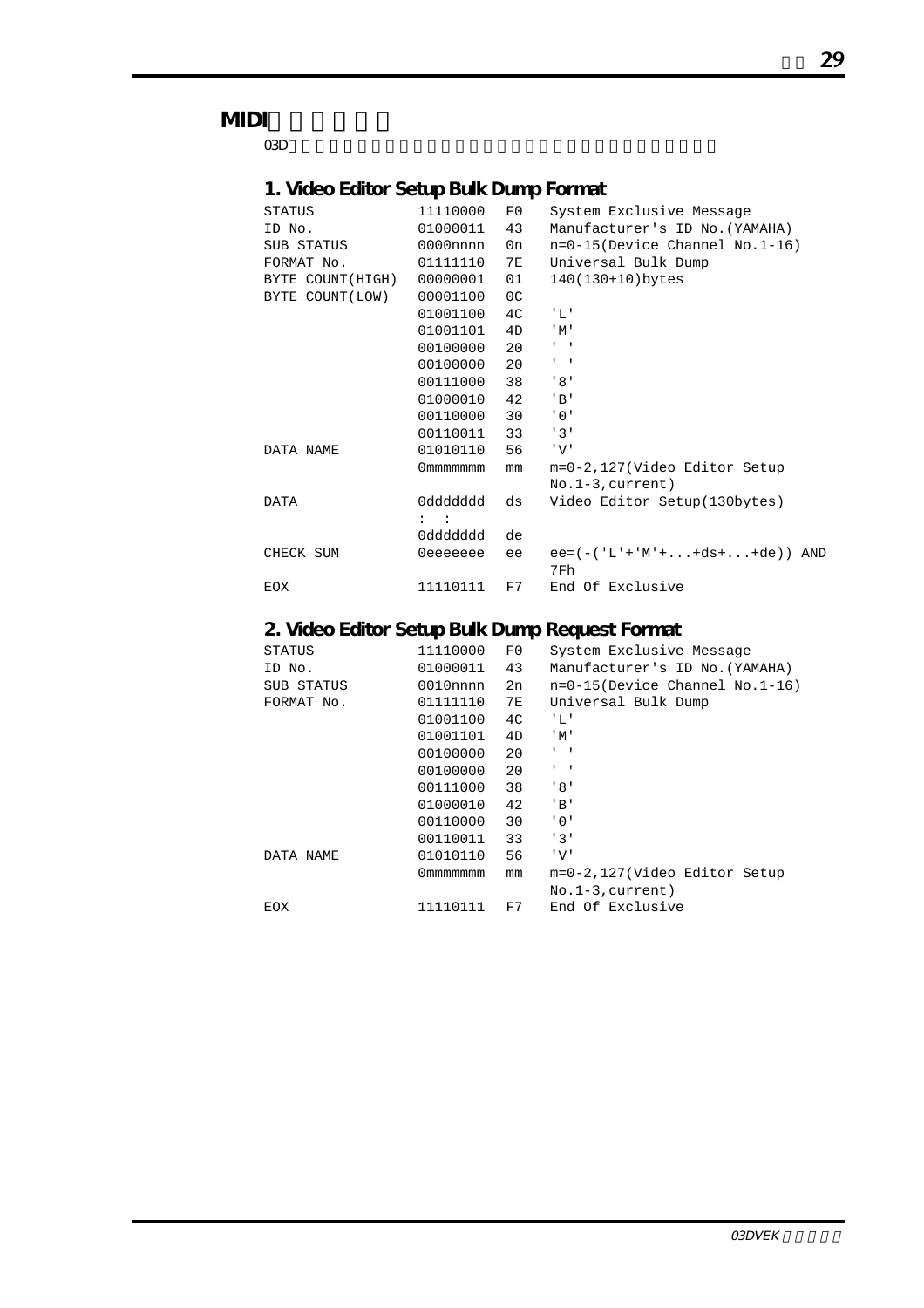## **MIDI**

 $\rm O3D$ 

### **1. Video Editor Setup Bulk Dump Format**

| <b>STATUS</b>    | 11110000       | F()            | System Exclusive Message          |
|------------------|----------------|----------------|-----------------------------------|
| ID No.           | 01000011       | 43             | Manufacturer's ID No. (YAMAHA)    |
| SUB STATUS       | $0000$ nnnn    | 0n             | $n=0-15$ (Device Channel No.1-16) |
| FORMAT No.       | 01111110       | 7E             | Universal Bulk Dump               |
| BYTE COUNT(HIGH) | 00000001       | 01             | 140(130+10)bytes                  |
| BYTE COUNT(LOW)  | 00001100       | 0 <sup>C</sup> |                                   |
|                  | 01001100       | 4 <sup>C</sup> | 1.7.1                             |
|                  | 01001101       | 4D             | "M"                               |
|                  | 00100000       | 20             | $1 - 1$                           |
|                  | 00100000       | 20             | $1 - 1$                           |
|                  | 00111000       | 38             | ' 8'                              |
|                  | 01000010       | 42             | $'$ B $'$                         |
|                  | 00110000       | 30             | $'$ 0 $'$                         |
|                  | 00110011       | 33             | 131                               |
| DATA NAME        | 01010110       | 56             | 'V'                               |
|                  | 0 mmmmmmm      | mm             | m=0-2,127(Video Editor Setup      |
|                  |                |                | $No.1-3, current)$                |
| DATA             | pbbbbbb0       | ds             | Video Editor Setup(130bytes)      |
|                  | $\mathbf{1}$ : |                |                                   |
|                  | 0ddddddd       | de             |                                   |
| CHECK SUM        | 0eeeeeee       | ee             | $ee = (-('L'+'M'++ds++de))$ AND   |
|                  |                |                | 7Fh                               |
| EOX              | 11110111       | F7             | End Of Exclusive                  |

## **2. Video Editor Setup Bulk Dump Request Format**

| 11110000    | F0 | System Exclusive Message          |
|-------------|----|-----------------------------------|
| 01000011    | 43 | Manufacturer's ID No. (YAMAHA)    |
| $0010$ nnnn | 2n | $n=0-15$ (Device Channel No.1-16) |
| 01111110    | 7E | Universal Bulk Dump               |
| 01001100    | 4C | ' L '                             |
| 01001101    | 4D | $^{\prime}$ M $^{\prime}$         |
| 00100000    | 20 | $1 - 1$                           |
| 00100000    | 20 | $1 - 1$                           |
| 00111000    | 38 | '8'                               |
| 01000010    | 42 | $'$ B $'$                         |
| 00110000    | 30 | '0'                               |
| 00110011    | 33 | '3'                               |
| 01010110    | 56 | 'V'                               |
| 0mmmmmmm    | mm | m=0-2,127(Video Editor Setup      |
|             |    | $No.1-3, current)$                |
| 11110111    | F7 | End Of Exclusive                  |
|             |    |                                   |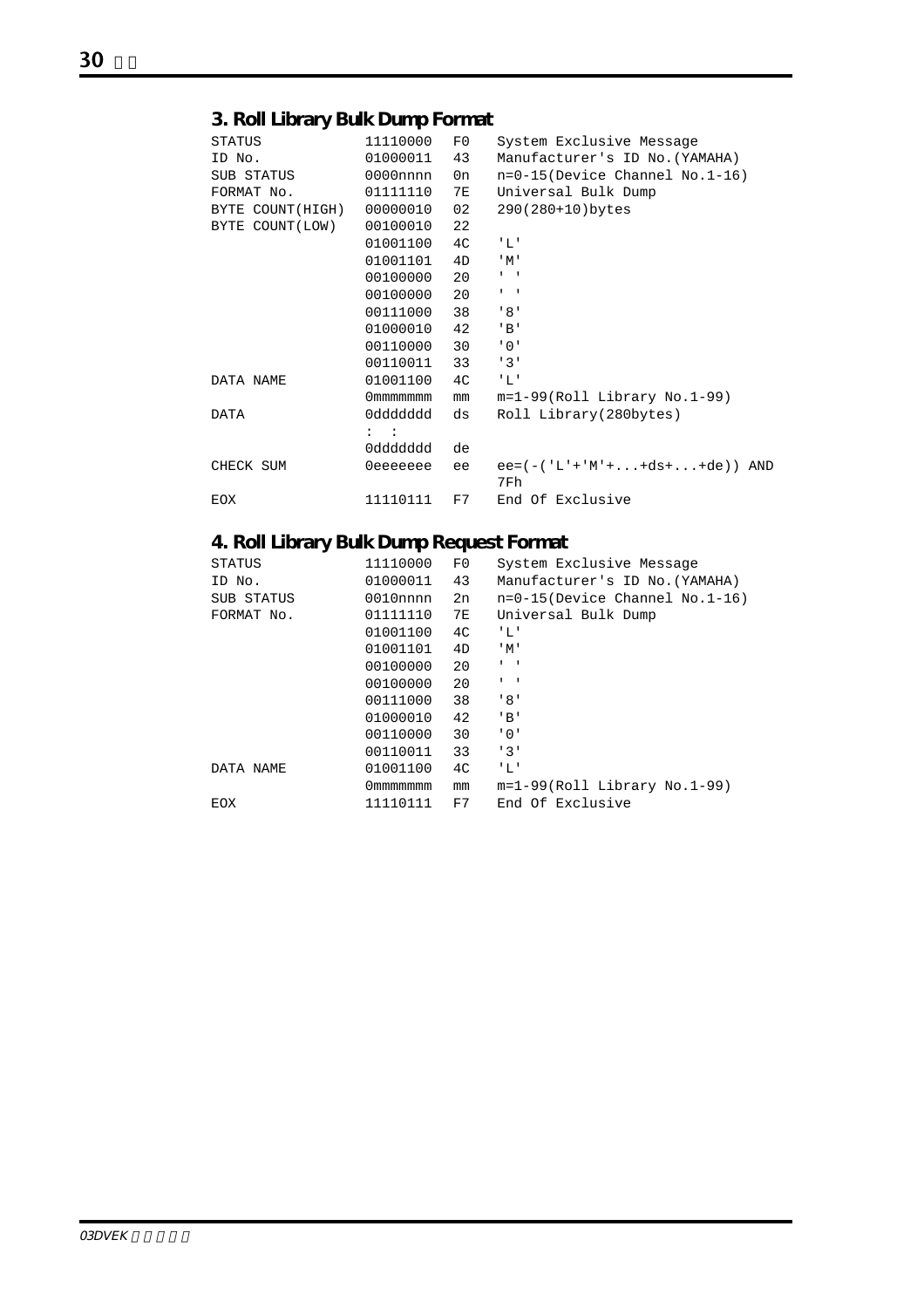## **3. Roll Library Bulk Dump Format**

| STATUS           | 11110000                        | F0        | System Exclusive Message                 |
|------------------|---------------------------------|-----------|------------------------------------------|
| ID No.           | 01000011                        | 43        | Manufacturer's ID No. (YAMAHA)           |
| SUB STATUS       | $0000$ nnnn                     | 0n        | $n=0-15$ (Device Channel No.1-16)        |
| FORMAT No.       | 01111110                        | <b>7E</b> | Universal Bulk Dump                      |
| BYTE COUNT(HIGH) | 00000010                        | 02        | 290(280+10)bytes                         |
| BYTE COUNT(LOW)  | 00100010                        | 22        |                                          |
|                  | 01001100                        | 4C        | "L'                                      |
|                  | 01001101                        | 4D        | $^{\prime}$ M $^{\prime}$                |
|                  | 00100000                        | 20        | $\mathbf{I} = -\mathbf{I}$               |
|                  | 00100000                        | 20        | $\mathbf{I}=\mathbf{I}$                  |
|                  | 00111000                        | 38        | '8'                                      |
|                  | 01000010                        | 42        | $'$ B'                                   |
|                  | 00110000                        | 30        | .0.1                                     |
|                  | 00110011                        | 33        | 131                                      |
| DATA NAME        | 01001100                        | 4C        | - ' L '                                  |
|                  | 0mmmmmmm                        | mm        | $m=1-99$ (Roll Library No.1-99)          |
| <b>DATA</b>      | 0ddddddd                        | ds        | Roll Library(280bytes)                   |
|                  | $\mathbb{Z}^n$ . $\mathbb{Z}^n$ |           |                                          |
|                  | 0ddddddd                        | de        |                                          |
| CHECK SUM        | 0eeeeeee                        | ee        | $ee = (-('L' +'M' +  + ds +  + de))$ AND |
|                  |                                 |           | 7Fh                                      |
| EOX              | 11110111                        | F7        | End Of Exclusive                         |

## **4. Roll Library Bulk Dump Request Format**

| <b>STATUS</b> | 11110000    | F0 | System Exclusive Message          |
|---------------|-------------|----|-----------------------------------|
| ID No.        | 01000011    | 43 | Manufacturer's ID No. (YAMAHA)    |
| SUB STATUS    | $0010$ nnnn | 2n | $n=0-15$ (Device Channel No.1-16) |
| FORMAT No.    | 01111110    | 7E | Universal Bulk Dump               |
|               | 01001100    | 4C | "L"                               |
|               | 01001101    | 4D | $^{\prime}$ M $^{\prime}$         |
|               | 00100000    | 20 | $1 - 1$                           |
|               | 00100000    | 20 | $1 - 1$                           |
|               | 00111000    | 38 | '8'                               |
|               | 01000010    | 42 | $'$ B $'$                         |
|               | 00110000    | 30 | '0'                               |
|               | 00110011    | 33 | 131                               |
| DATA NAME     | 01001100    | 4C | 'L'                               |
|               | 0 mmmmmmm   | mm | $m=1-99(Rol1$ Library No. 1-99)   |
| EOX           | 11110111    | F7 | End Of Exclusive                  |